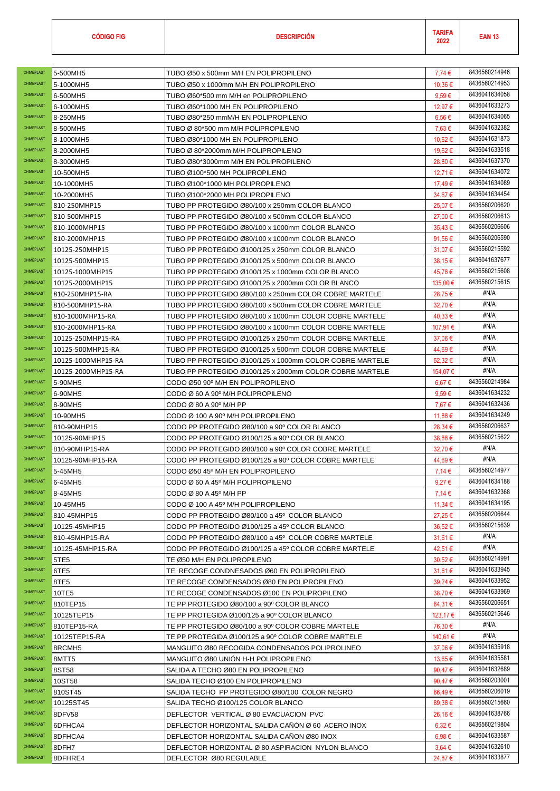| <b>CHIMEPLAST</b> |                       |                                                                           |                       | 8436560214946 |
|-------------------|-----------------------|---------------------------------------------------------------------------|-----------------------|---------------|
| <b>CHIMEPLAST</b> | 5-500MH5<br>5-1000MH5 | TUBO Ø50 x 500mm M/H EN POLIPROPILENO                                     | 7,74€                 | 8436560214953 |
| CHIMEPLAST        |                       | TUBO Ø50 x 1000mm M/H EN POLIPROPILENO                                    | 10,36€                | 8436041634058 |
| CHIMEPLAST        | 6-500MH5<br>6-1000MH5 | TUBO Ø60*500 mm M/H en POLIPROPILENO<br>TUBO Ø60*1000 MH EN POLIPROPILENO | $9.59 \in$<br>12,97 € | 8436041633273 |
| CHIMEPLAST        | 8-250MH5              | TUBO Ø80*250 mmM/H EN POLIPROPILENO                                       | $6,56 \in$            | 8436041634065 |
| <b>CHIMEPLAST</b> | 8-500MH5              | TUBO Ø 80*500 mm M/H POLIPROPILENO                                        | 7,63€                 | 8436041632382 |
| CHIMEPLAST        | 8-1000MH5             | TUBO Ø80*1000 MH EN POLIPROPILENO                                         | 10,62 €               | 8436041631873 |
| CHIMEPLAST        | 8-2000MH5             | TUBO Ø 80*2000mm M/H POLIPROPILENO                                        | 19,62 €               | 8436041633518 |
| CHIMEPLAST        | 8-3000MH5             | TUBO Ø80*3000mm M/H EN POLIPROPILENO                                      | 28,80 €               | 8436041637370 |
| CHIMEPLAST        | 10-500MH5             | TUBO Ø100*500 MH POLIPROPILENO                                            | 12,71 €               | 8436041634072 |
| CHIMEPLAST        | 10-1000MH5            | TUBO Ø100*1000 MH POLIPROPILENO                                           | 17,49€                | 8436041634089 |
| <b>CHIMEPLAST</b> | 10-2000MH5            | TUBO Ø100*2000 MH POLIPROPILENO                                           | 34,67€                | 8436041634454 |
| <b>CHIMEPLAST</b> | 810-250MHP15          | TUBO PP PROTEGIDO Ø80/100 x 250mm COLOR BLANCO                            | 25,07€                | 8436560206620 |
| CHIMEPLAST        | 810-500MHP15          | TUBO PP PROTEGIDO Ø80/100 x 500mm COLOR BLANCO                            | 27,00€                | 8436560206613 |
| CHIMEPLAST        | 810-1000MHP15         | TUBO PP PROTEGIDO Ø80/100 x 1000mm COLOR BLANCO                           | 35,43€                | 8436560206606 |
| CHIMEPLAST        | 810-2000MHP15         | TUBO PP PROTEGIDO Ø80/100 x 1000mm COLOR BLANCO                           | 91,56€                | 8436560206590 |
| CHIMEPLAST        | 10125-250MHP15        | TUBO PP PROTEGIDO Ø100/125 x 250mm COLOR BLANCO                           | 31,07€                | 8436560215592 |
| CHIMEPLAST        | 10125-500MHP15        | TUBO PP PROTEGIDO Ø100/125 x 500mm COLOR BLANCO                           | 38,15€                | 8436041637677 |
| CHIMEPLAST        | 10125-1000MHP15       | TUBO PP PROTEGIDO Ø100/125 x 1000mm COLOR BLANCO                          | 45,78€                | 8436560215608 |
| CHIMEPLAST        | 10125-2000MHP15       | TUBO PP PROTEGIDO Ø100/125 x 2000mm COLOR BLANCO                          | 135,00 €              | 8436560215615 |
| CHIMEPLAST        | 810-250MHP15-RA       | TUBO PP PROTEGIDO Ø80/100 x 250mm COLOR COBRE MARTELE                     | 28,75€                | #N/A          |
| CHIMEPLAST        | 810-500MHP15-RA       | TUBO PP PROTEGIDO Ø80/100 x 500mm COLOR COBRE MARTELE                     | 32,70€                | #N/A          |
| CHIMEPLAST        | 810-1000MHP15-RA      | TUBO PP PROTEGIDO Ø80/100 x 1000mm COLOR COBRE MARTELE                    | 40,33 €               | #N/A          |
| CHIMEPLAST        | 810-2000MHP15-RA      | TUBO PP PROTEGIDO Ø80/100 x 1000mm COLOR COBRE MARTELE                    | 107,91 €              | #N/A          |
| CHIMEPLAST        | 10125-250MHP15-RA     | TUBO PP PROTEGIDO Ø100/125 x 250mm COLOR COBRE MARTELE                    | 37,06 €               | #N/A          |
| CHIMEPLAST        | 10125-500MHP15-RA     | TUBO PP PROTEGIDO Ø100/125 x 500mm COLOR COBRE MARTELE                    | 44,69€                | #N/A          |
| <b>CHIMEPLAST</b> | 10125-1000MHP15-RA    | TUBO PP PROTEGIDO Ø100/125 x 1000mm COLOR COBRE MARTELE                   | $52,32 \in$           | #N/A          |
| CHIMEPLAST        | 10125-2000MHP15-RA    | TUBO PP PROTEGIDO Ø100/125 x 2000mm COLOR COBRE MARTELE                   | 154,07 €              | #N/A          |
| CHIMEPLAST        | 5-90MH5               | CODO Ø50 90º M/H EN POLIPROPILENO                                         | 6,67€                 | 8436560214984 |
| CHIMEPLAST        | 6-90MH5               | CODO Ø 60 A 90º M/H POLIPROPILENO                                         | $9.59 \in$            | 8436041634232 |
| <b>CHIMEPLAST</b> | 8-90MH5               | CODO Ø 80 A 90º M/H PP                                                    | 7,67 €                | 8436041632436 |
| CHIMEPLAST        | 10-90MH5              | CODO Ø 100 A 90º M/H POLIPROPILENO                                        | 11,88€                | 8436041634249 |
| <b>CHIMEPLAST</b> | 810-90MHP15           | CODO PP PROTEGIDO Ø80/100 a 90º COLOR BLANCO                              | 28,34 €               | 8436560206637 |
| CHIMEPLAST        | 10125-90MHP15         | CODO PP PROTEGIDO Ø100/125 a 90º COLOR BLANCO                             | 38,88€                | 8436560215622 |
| CHIMEPLAST        | 810-90MHP15-RA        | CODO PP PROTEGIDO Ø80/100 a 90º COLOR COBRE MARTELE                       | 32,70€                | #N/A          |
| CHIMEPLAST        | 10125-90MHP15-RA      | CODO PP PROTEGIDO Ø100/125 a 90º COLOR COBRE MARTELE                      | 44,69€                | #N/A          |
| CHIMEPLAST        | 5-45MH5               | CODO Ø50 45º M/H EN POLIPROPILENO                                         | 7,14€                 | 8436560214977 |
| CHIMEPLAST        | 6-45MH5               | CODO Ø 60 A 45° M/H POLIPROPILENO                                         | 9,27 €                | 8436041634188 |
| CHIMEPLAST        | 8-45MH5               | $\text{CODO} \oslash \text{80 A 45}$ M/H PP                               | 7,14 €                | 8436041632368 |
| CHIMEPLAST        | 10-45MH5              | CODO Ø 100 A 45° M/H POLIPROPILENO                                        | 11,34 €               | 8436041634195 |
| CHIMEPLAST        | 810-45MHP15           | CODO PP PROTEGIDO Ø80/100 a 45° COLOR BLANCO                              | 27,25€                | 8436560206644 |
| CHIMEPLAST        | 10125-45MHP15         | CODO PP PROTEGIDO Ø100/125 a 45° COLOR BLANCO                             | 36,52€                | 8436560215639 |
| CHIMEPLAST        | 810-45MHP15-RA        | CODO PP PROTEGIDO Ø80/100 a 45° COLOR COBRE MARTELE                       | $31,61 \in$           | #N/A          |
| CHIMEPLAST        | 10125-45MHP15-RA      | CODO PP PROTEGIDO Ø100/125 a 45° COLOR COBRE MARTELE                      | 42,51 €               | #N/A          |
| CHIMEPLAST        | 5TE5                  | TE Ø50 M/H EN POLIPROPILENO                                               | 30,52€                | 8436560214991 |
| CHIMEPLAST        | 6TE5                  | TE RECOGE CONDNESADOS Ø60 EN POLIPROPILENO                                | $31,61 \in$           | 8436041633945 |
| CHIMEPLAST        | 8TE5                  | TE RECOGE CONDENSADOS Ø80 EN POLIPROPILENO                                | 39,24 €               | 8436041633952 |
| CHIMEPLAST        | 10TE5                 | TE RECOGE CONDENSADOS Ø100 EN POLIPROPILENO                               | 38,70€                | 8436041633969 |
| CHIMEPLAST        | 810TEP15              | TE PP PROTEGIDO Ø80/100 a 90° COLOR BLANCO                                | 64,31€                | 8436560206651 |
| CHIMEPLAST        | 10125TEP15            | TE PP PROTEGIDA Ø100/125 a 90° COLOR BLANCO                               | 123,17 €              | 8436560215646 |
| CHIMEPLAST        | 810TEP15-RA           | TE PP PROTEGIDO Ø80/100 a 90º COLOR COBRE MARTELE                         | 76,30 €               | #N/A          |
| CHIMEPLAST        | 10125TEP15-RA         | TE PP PROTEGIDA Ø100/125 a 90° COLOR COBRE MARTELE                        | 140,61 €              | #N/A          |
| CHIMEPLAST        | 8RCMH5                | MANGUITO Ø80 RECOGIDA CONDENSADOS POLIPROLINEO                            | 37,06€                | 8436041635918 |
| CHIMEPLAST        | 8MTT5                 | MANGUITO Ø80 UNION H-H POLIPROPILENO                                      | 13,65 €               | 8436041635581 |
| CHIMEPLAST        | 8ST58                 | SALIDA A TECHO Ø80 EN POLIPROPILENO                                       | 90,47€                | 8436041632689 |
| CHIMEPLAST        | 10ST58                | SALIDA TECHO Ø100 EN POLIPROPILENO                                        | 90,47€                | 8436560203001 |
| CHIMEPLAST        | 810ST45               | SALIDA TECHO PP PROTEGIDO Ø80/100 COLOR NEGRO                             | 66,49€                | 8436560206019 |
| CHIMEPLAST        | 10125ST45             | SALIDA TECHO Ø100/125 COLOR BLANCO                                        | 89,38€                | 8436560215660 |
| CHIMEPLAST        | 8DFV58                | DEFLECTOR VERTICAL Ø 80 EVACUACION PVC                                    | 26,16€                | 8436041638766 |
| CHIMEPLAST        | 6DFHCA4               | DEFLECTOR HORIZONTAL SALIDA CAÑÓN Ø 60 ACERO INOX                         | $6,32 \in$            | 8436560219804 |
| CHIMEPLAST        | 8DFHCA4               | DEFLECTOR HORIZONTAL SALIDA CANON Ø80 INOX                                | $6.98 \in$            | 8436041633587 |
| CHIMEPLAST        | 8DFH7                 | DEFLECTOR HORIZONTAL Ø 80 ASPIRACION NYLON BLANCO                         | $3,64 \in$            | 8436041632610 |
| CHIMEPLAST        | 8DFHRE4               | DEFLECTOR Ø80 REGULABLE                                                   | 24,87€                | 8436041633877 |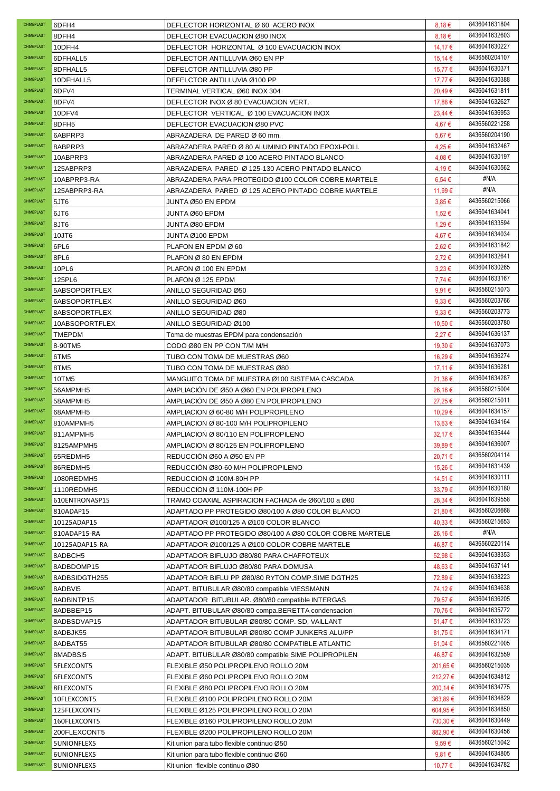| CHIMEPLAST               | 6DFH4                          | DEFLECTOR HORIZONTAL Ø 60 ACERO INOX                                                                     | $8.18 \in$        | 8436041631804                  |
|--------------------------|--------------------------------|----------------------------------------------------------------------------------------------------------|-------------------|--------------------------------|
| CHIMEPLAST               | 8DFH4                          | DEFLECTOR EVACUACION Ø80 INOX                                                                            | 8,18€             | 8436041632603                  |
| CHIMEPLAST               | 10DFH4                         | DEFLECTOR HORIZONTAL Ø 100 EVACUACION INOX                                                               | 14,17€            | 8436041630227                  |
| <b>CHIMEPLAST</b>        | 6DFHALL5                       | DEFLECTOR ANTILLUVIA Ø60 EN PP                                                                           | 15,14 €           | 8436560204107                  |
| CHIMEPLAST               | 8DFHALL5                       | DEFELCTOR ANTILLUVIA Ø80 PP                                                                              | 15,77€            | 8436041630371                  |
| CHIMEPLAST               | 10DFHALL5                      | DEFELCTOR ANTILLUVIA Ø100 PP                                                                             | 17,77€            | 8436041630388                  |
| CHIMEPLAST               | 6DFV4                          | TERMINAL VERTICAL Ø60 INOX 304                                                                           | 20,49€            | 8436041631811                  |
| CHIMEPLAST               | 8DFV4                          | DEFLECTOR INOX Ø 80 EVACUACION VERT.                                                                     | 17,88 €           | 8436041632627                  |
| CHIMEPLAST               | 10DFV4                         | DEFLECTOR VERTICAL Ø 100 EVACUACION INOX                                                                 | $23,44 \in$       | 8436041636953                  |
| CHIMEPLAST               | 8DFH5                          | DEFLECTOR EVACUACION Ø80 PVC                                                                             | 4,67€             | 8436560221258                  |
| <b>CHIMEPLAST</b>        | 6ABPRP3                        | ABRAZADERA DE PARED Ø 60 mm.                                                                             | 5,67€             | 8436560204190                  |
| CHIMEPLAST               | 8ABPRP3                        | ABRAZADERA PARED Ø 80 ALUMINIO PINTADO EPOXI-POLI.                                                       | 4,25€             | 8436041632467                  |
| CHIMEPLAST               | 10ABPRP3                       | ABRAZADERA PARED Ø 100 ACERO PINTADO BLANCO                                                              | 4,08€             | 8436041630197                  |
| CHIMEPLAST               | 125ABPRP3                      | ABRAZADERA PARED Ø 125-130 ACERO PINTADO BLANCO                                                          | 4,19€             | 8436041630562                  |
| CHIMEPLAST               | 10ABPRP3-RA                    | ABRAZADERA PARA PROTEGIDO Ø100 COLOR COBRE MARTELE                                                       | 6,54 €            | #N/A                           |
| CHIMEPLAST               | 125ABPRP3-RA                   | ABRAZADERA PARED Ø 125 ACERO PINTADO COBRE MARTELE                                                       | 11,99 €           | #N/A                           |
| CHIMEPLAST               | 5JT6                           | JUNTA Ø50 EN EPDM                                                                                        | $3.85 \in$        | 8436560215066                  |
| <b>CHIMEPLAST</b>        | 6JT6                           | JUNTA Ø60 EPDM                                                                                           | 1,52 €            | 8436041634041                  |
| <b>CHIMEPLAST</b>        | 8JT6                           | JUNTA Ø80 EPDM                                                                                           | 1,29€             | 8436041633594                  |
| CHIMEPLAST               | 10JT6                          | JUNTA Ø100 EPDM                                                                                          | 4,67€             | 8436041634034                  |
| CHIMEPLAST               | 6PL6                           | PLAFON EN EPDM Ø 60                                                                                      | 2,62€             | 8436041631842                  |
| CHIMEPLAST               | 8PL6                           | PLAFON Ø 80 EN EPDM                                                                                      | $2,72 \in$        | 8436041632641                  |
| CHIMEPLAST               | 10PL6                          | PLAFON Ø 100 EN EPDM                                                                                     | $3.23 \in$        | 8436041630265                  |
| CHIMEPLAST               | 125PL6                         | PLAFON Ø 125 EPDM                                                                                        | 7,74€             | 8436041633167                  |
| CHIMEPLAST               | 5ABSOPORTFLEX                  | ANILLO SEGURIDAD Ø50                                                                                     | 9,91€             | 8436560215073                  |
| CHIMEPLAST               | 6ABSOPORTFLEX                  | ANILLO SEGURIDAD Ø60                                                                                     | $9.33 \in$        | 8436560203766                  |
| CHIMEPLAST               | 8ABSOPORTFLEX                  | ANILLO SEGURIDAD Ø80                                                                                     | $9,33 \in$        | 8436560203773                  |
| CHIMEPLAST               | 10ABSOPORTFLEX                 | ANILLO SEGURIDAD Ø100                                                                                    | 10,50 €           | 8436560203780                  |
| CHIMEPLAST               | <b>TMEPDM</b>                  | Toma de muestras EPDM para condensación                                                                  | 2,27€             | 8436041636137                  |
| CHIMEPLAST               | 8-90TM5                        | CODO Ø80 EN PP CON T/M M/H                                                                               | 19,30 €           | 8436041637073                  |
| CHIMEPLAST               | 6TM5                           | TUBO CON TOMA DE MUESTRAS Ø60                                                                            | 16,29€            | 8436041636274                  |
| CHIMEPLAST               | 8TM <sub>5</sub>               | TUBO CON TOMA DE MUESTRAS Ø80                                                                            | 17,11 €           | 8436041636281                  |
| CHIMEPLAST               | 10TM5                          | MANGUITO TOMA DE MUESTRA Ø100 SISTEMA CASCADA                                                            | 21,36€            | 8436041634287                  |
| CHIMEPLAST               | 56AMPMH5                       | AMPLIACION DE Ø50 A Ø60 EN POLIPROPILENO                                                                 | 26,16€            | 8436560215004                  |
| CHIMEPLAST               | 58AMPMH5                       | AMPLIACION DE Ø50 A Ø80 EN POLIPROPILENO                                                                 | 27,25€            | 8436560215011                  |
| CHIMEPLAST               | 68AMPMH5                       | AMPLIACION Ø 60-80 M/H POLIPROPILENO                                                                     | 10,29€            | 8436041634157                  |
| <b>CHIMEPLAST</b>        | 810AMPMH5                      | AMPLIACION Ø 80-100 M/H POLIPROPILENO                                                                    | 13,63 €           | 8436041634164                  |
| CHIMEPLAST               | 811AMPMH5                      | AMPLIACION Ø 80/110 EN POLIPROPILENO                                                                     | 32,17€            | 8436041635444                  |
| CHIMEPLAST               | 8125AMPMH5                     | AMPLIACION Ø 80/125 EN POLIPROPILENO                                                                     | 39,89€            | 8436041636007                  |
| CHIMEPLAST               | 65REDMH5                       | REDUCCION Ø60 A Ø50 EN PP                                                                                | 20,71 €           | 8436560204114                  |
| CHIMEPLAST               | 86REDMH5                       | REDUCCIÓN Ø80-60 M/H POLIPROPILENO                                                                       | 15,26 €           | 8436041631439                  |
| CHIMEPLAST               | 1080REDMH5                     | REDUCCION Ø 100M-80H PP                                                                                  | 14,51 €           | 8436041630111                  |
| CHIMEPLAST               | 1110REDMH5                     | REDUCCION Ø 110M-100H PP                                                                                 | 33,79€            | 8436041630180                  |
| CHIMEPLAST               | 610ENTRONASP15                 | TRAMO COAXIAL ASPIRACION FACHADA de Ø60/100 a Ø80                                                        | 28,34 €           | 8436041639558                  |
| CHIMEPLAST<br>CHIMEPLAST | 810ADAP15                      | ADAPTADO PP PROTEGIDO Ø80/100 A Ø80 COLOR BLANCO<br>ADAPTADOR Ø100/125 A Ø100 COLOR BLANCO               | 21.80€<br>40,33 € | 8436560206668<br>8436560215653 |
| <b>CHIMEPLAST</b>        | 10125ADAP15                    |                                                                                                          |                   | #N/A                           |
| CHIMEPLAST               | 810ADAP15-RA<br>10125ADAP15-RA | ADAPTADO PP PROTEGIDO Ø80/100 A Ø80 COLOR COBRE MARTELE<br>ADAPTADOR Ø100/125 A Ø100 COLOR COBRE MARTELE | 26,16€<br>46,87€  | 8436560220114                  |
| <b>CHIMEPLAST</b>        | 8ADBCH5                        | ADAPTADOR BIFLUJO Ø80/80 PARA CHAFFOTEUX                                                                 | 52,98€            | 8436041638353                  |
| CHIMEPLAST               | 8ADBDOMP15                     | ADAPTADOR BIFLUJO Ø80/80 PARA DOMUSA                                                                     | 48,63€            | 8436041637141                  |
| CHIMEPLAST               | 8ADBSIDGTH255                  | ADAPTADOR BIFLU PP Ø80/80 RYTON COMP.SIME DGTH25                                                         | 72,89€            | 8436041638223                  |
| CHIMEPLAST               | 8ADBVI5                        | ADAPT. BITUBULAR Ø80/80 compatible VIESSMANN                                                             | 74,12€            | 8436041634638                  |
| CHIMEPLAST               | 8ADBINTP15                     | ADAPTADOR BITUBULAR. Ø80/80 compatible INTERGAS                                                          | 79,57 €           | 8436041636205                  |
| CHIMEPLAST               | 8ADBBEP15                      | ADAPT. BITUBULAR Ø80/80 compa.BERETTA condensacion                                                       | 70,76 €           | 8436041635772                  |
| CHIMEPLAST               | 8ADBSDVAP15                    | ADAPTADOR BITUBULAR Ø80/80 COMP. SD, VAILLANT                                                            | 51,47 €           | 8436041633723                  |
| CHIMEPLAST               | 8ADBJK55                       | ADAPTADOR BITUBULAR Ø80/80 COMP JUNKERS ALU/PP                                                           | 81,75€            | 8436041634171                  |
| CHIMEPLAST               | 8ADBAT55                       | ADAPTADOR BITUBULAR Ø80/80 COMPATIBLE ATLANTIC                                                           | 61,04 €           | 8436560221005                  |
| CHIMEPLAST               | 8MADBSI5                       | ADAPT. BITUBULAR Ø80/80 compatible SIME POLIPROPILEN                                                     | 46,87€            | 8436041632559                  |
| CHIMEPLAST               | 5FLEXCONT5                     | FLEXIBLE Ø50 POLIPROPILENO ROLLO 20M                                                                     | 201,65 €          | 8436560215035                  |
| CHIMEPLAST               | 6FLEXCONT5                     | FLEXIBLE Ø60 POLIPROPILENO ROLLO 20M                                                                     | 212,27€           | 8436041634812                  |
| CHIMEPLAST               | 8FLEXCONT5                     | FLEXIBLE Ø80 POLIPROPILENO ROLLO 20M                                                                     | 200,14 €          | 8436041634775                  |
| CHIMEPLAST               | 10FLEXCONT5                    | FLEXIBLE Ø100 POLIPROPILENO ROLLO 20M                                                                    | 363,89€           | 8436041634829                  |
| CHIMEPLAST               | 125FLEXCONT5                   | FLEXIBLE Ø125 POLIPROPILENO ROLLO 20M                                                                    | 604,95 €          | 8436041634850                  |
| CHIMEPLAST               | 160FLEXCONT5                   | FLEXIBLE Ø160 POLIPROPILENO ROLLO 20M                                                                    | 730,30 €          | 8436041630449                  |
| CHIMEPLAST               | 200FLEXCONT5                   | FLEXIBLE Ø200 POLIPROPILENO ROLLO 20M                                                                    | 882,90€           | 8436041630456                  |
| CHIMEPLAST               | 5UNIONFLEX5                    | Kit union para tubo flexible continuo Ø50                                                                | $9,59 \in$        | 8436560215042                  |
| CHIMEPLAST               | 6UNIONFLEX5                    | Kit union para tubo flexible continuo Ø60                                                                | 9,81€             | 8436041634805                  |
| CHIMEPLAST               | 8UNIONFLEX5                    | Kit union flexible continuo Ø80                                                                          | 10,77€            | 8436041634782                  |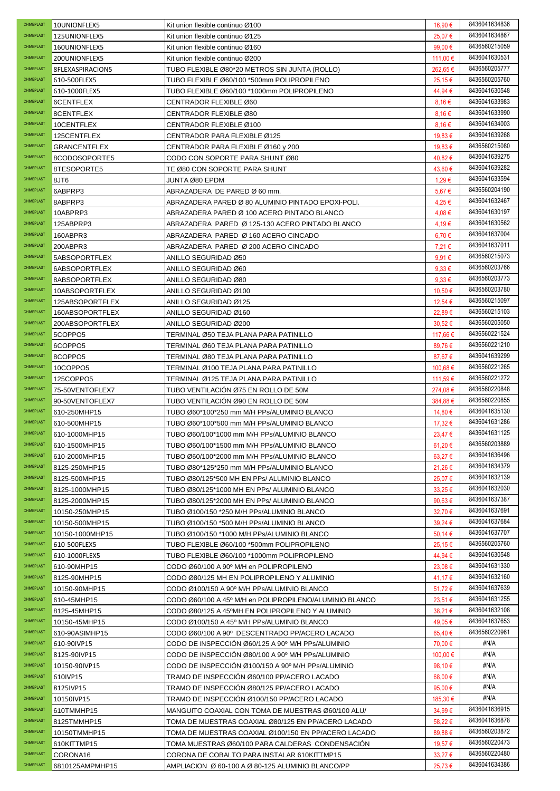| CHIMEPLAST                      | 10UNIONFLEX5                  | Kit union flexible continuo Ø100                                                           | 16,90 €           | 8436041634836                  |
|---------------------------------|-------------------------------|--------------------------------------------------------------------------------------------|-------------------|--------------------------------|
| CHIMEPLAST                      | 125UNIONFLEX5                 | Kit union flexible continuo Ø125                                                           | 25,07€            | 8436041634867                  |
| CHIMEPLAST                      | 160UNIONFLEX5                 | Kit union flexible continuo Ø160                                                           | 99,00 €           | 8436560215059                  |
| CHIMEPLAST                      | 200UNIONFLEX5                 | Kit union flexible continuo Ø200                                                           | 111,00 €          | 8436041630531                  |
| CHIMEPLAST                      | 8FLEXASPIRACION5              | TUBO FLEXIBLE Ø80*20 METROS SIN JUNTA (ROLLO)                                              | 262,65 €          | 8436560205777                  |
| CHIMEPLAST                      | 610-500FLEX5                  | TUBO FLEXIBLE Ø60/100 *500mm POLIPROPILENO                                                 | 25,15€            | 8436560205760                  |
| <b>CHIMEPLAST</b>               | 610-1000FLEX5                 | TUBO FLEXIBLE Ø60/100 *1000mm POLIPROPILENO                                                | 44,94 €           | 8436041630548                  |
| CHIMEPLAST                      | 6CENTFLEX                     | CENTRADOR FLEXIBLE Ø60                                                                     | $8.16 \in$        | 8436041633983                  |
| CHIMEPLAST                      | 8CENTFLEX                     | CENTRADOR FLEXIBLE Ø80                                                                     | $8.16 \in$        | 8436041633990                  |
| CHIMEPLAST                      | 10CENTFLEX                    | CENTRADOR FLEXIBLE Ø100                                                                    | 8,16€             | 8436041634003                  |
| CHIMEPLAST                      | 125CENTFLEX                   | CENTRADOR PARA FLEXIBLE Ø125                                                               | 19,83 €           | 8436041639268                  |
| CHIMEPLAST                      | GRANCENTFLEX                  | CENTRADOR PARA FLEXIBLE Ø160 y 200                                                         | 19,83€            | 8436560215080                  |
| CHIMEPLAST                      | 8CODOSOPORTE5                 | CODO CON SOPORTE PARA SHUNT Ø80                                                            | 40,82€            | 8436041639275                  |
| CHIMEPLAST                      | 8TESOPORTE5                   | TE Ø80 CON SOPORTE PARA SHUNT                                                              | 43,60€            | 8436041639282                  |
| CHIMEPLAST                      | 8JT6                          | JUNTA Ø80 EPDM                                                                             | 1,29€             | 8436041633594                  |
| CHIMEPLAST                      | 6ABPRP3                       | ABRAZADERA DE PARED Ø 60 mm.                                                               | 5,67€             | 8436560204190                  |
| CHIMEPLAST                      | 8ABPRP3                       | ABRAZADERA PARED Ø 80 ALUMINIO PINTADO EPOXI-POLI.                                         | 4,25€             | 8436041632467                  |
| CHIMEPLAST                      | 10ABPRP3                      | ABRAZADERA PARED Ø 100 ACERO PINTADO BLANCO                                                | 4,08€             | 8436041630197                  |
| <b>CHIMEPLAST</b>               | 125ABPRP3                     | ABRAZADERA PARED Ø 125-130 ACERO PINTADO BLANCO                                            | 4,19€             | 8436041630562                  |
| CHIMEPLAST                      | 160ABPR3                      | ABRAZADERA PARED Ø 160 ACERO CINCADO                                                       | 6,70€             | 8436041637004                  |
| CHIMEPLAST                      | 200ABPR3                      | ABRAZADERA PARED Ø 200 ACERO CINCADO                                                       | 7,21€             | 8436041637011                  |
| CHIMEPLAST                      | 5ABSOPORTFLEX                 | ANILLO SEGURIDAD Ø50                                                                       | $9.91 \in$        | 8436560215073                  |
| CHIMEPLAST                      | 6ABSOPORTFLEX                 | ANILLO SEGURIDAD Ø60                                                                       | $9.33 \in$        | 8436560203766                  |
| CHIMEPLAST                      | 8ABSOPORTFLEX                 | ANILLO SEGURIDAD Ø80                                                                       | $9.33 \in$        | 8436560203773                  |
| CHIMEPLAST                      | 10ABSOPORTFLEX                | ANILLO SEGURIDAD Ø100                                                                      | 10,50 €           | 8436560203780                  |
| CHIMEPLAST                      | 125ABSOPORTFLEX               | ANILLO SEGURIDAD Ø125                                                                      | 12,54 €           | 8436560215097                  |
| CHIMEPLAST                      | 160ABSOPORTFLEX               | ANILLO SEGURIDAD Ø160                                                                      | 22,89€            | 8436560215103                  |
| CHIMEPLAST                      | 200ABSOPORTFLEX               | ANILLO SEGURIDAD Ø200                                                                      | $30,52 \in$       | 8436560205050                  |
| CHIMEPLAST                      | 5COPPO5                       | TERMINAL Ø50 TEJA PLANA PARA PATINILLO                                                     | 117,66 €          | 8436560221524                  |
| CHIMEPLAST                      | 6COPPO5                       | TERMINAL Ø60 TEJA PLANA PARA PATINILLO                                                     | 89,76€            | 8436560221210                  |
| CHIMEPLAST                      | 8COPPO5                       | TERMINAL Ø80 TEJA PLANA PARA PATINILLO                                                     | 87,67€            | 8436041639299                  |
| <b>CHIMEPLAST</b>               | 10COPPO5                      | TERMINAL Ø100 TEJA PLANA PARA PATINILLO                                                    | 100,68€           | 8436560221265                  |
| CHIMEPLAST                      | 125COPPO5                     | TERMINAL Ø125 TEJA PLANA PARA PATINILLO                                                    | 111,59€           | 8436560221272                  |
| CHIMEPLAST                      | 75-50VENTOFLEX7               | TUBO VENTILACIÓN Ø75 EN ROLLO DE 50M                                                       | 274,08€           | 8436560220848                  |
| CHIMEPLAST                      | 90-50VENTOFLEX7               | TUBO VENTILACIÓN Ø90 EN ROLLO DE 50M                                                       | 384,88€           | 8436560220855                  |
| CHIMEPLAST                      | 610-250MHP15                  | TUBO Ø60*100*250 mm M/H PPs/ALUMINIO BLANCO                                                | 14,80 €           | 8436041635130                  |
| CHIMEPLAST                      | 610-500MHP15                  | TUBO Ø60*100*500 mm M/H PPs/ALUMINIO BLANCO                                                | 17,32 €           | 8436041631286                  |
| CHIMEPLAST                      | 610-1000MHP15                 | TUBO Ø60/100*1000 mm M/H PPs/ALUMINIO BLANCO                                               | 23,47€            | 8436041631125                  |
| CHIMEPLAST                      | 610-1500MHP15                 | TUBO Ø60/100*1500 mm M/H PPs/ALUMINIO BLANCO                                               | 61,20€            | 8436560203889                  |
| CHIMEPLAST                      | 610-2000MHP15                 | TUBO Ø60/100*2000 mm M/H PPs/ALUMINIO BLANCO                                               | $63,27$ €         | 8436041636496                  |
| CHIMEPLAST                      | 8125-250MHP15                 | TUBO Ø80*125*250 mm M/H PPs/ALUMINIO BLANCO                                                | 21,26€            | 8436041634379                  |
| CHIMEPLAST                      | 8125-500MHP15                 | TUBO Ø80/125*500 MH EN PPs/ ALUMINIO BLANCO                                                | 25,07 €           | 8436041632139                  |
| CHIMEPLAST                      | 8125-1000MHP15                | TUBO Ø80/125*1000 MH EN PPs/ ALUMINIO BLANCO                                               | $33,25 \in$       | 8436041632030                  |
| CHIMEPLAST                      | 8125-2000MHP15                | TUBO Ø80/125*2000 MH EN PPs/ ALUMINIO BLANCO                                               | 90,63 $\epsilon$  | 8436041637387                  |
| CHIMEPLAST                      | 10150-250MHP15                | TUBO Ø100/150 *250 M/H PPs/ALUMINIO BLANCO                                                 | 32,70 €           | 8436041637691                  |
| CHIMEPLAST                      | 10150-500MHP15                | TUBO Ø100/150 *500 M/H PPs/ALUMINIO BLANCO                                                 | 39,24 €           | 8436041637684                  |
| CHIMEPLAST                      | 10150-1000MHP15               | TUBO Ø100/150 *1000 M/H PPs/ALUMINIO BLANCO                                                | 50,14 €           | 8436041637707                  |
| CHIMEPLAST                      | 610-500FLEX5                  | TUBO FLEXIBLE Ø60/100 *500mm POLIPROPILENO                                                 | 25,15€            | 8436560205760                  |
| <b>CHIMEPLAST</b><br>CHIMEPLAST | 610-1000FLEX5                 | TUBO FLEXIBLE Ø60/100 *1000mm POLIPROPILENO                                                | 44,94 €           | 8436041630548<br>8436041631330 |
| CHIMEPLAST                      | 610-90MHP15                   | CODO Ø60/100 A 90° M/H en POLIPROPILENO                                                    | 23,08€            | 8436041632160                  |
| CHIMEPLAST                      | 8125-90MHP15<br>10150-90MHP15 | CODO Ø80/125 MH EN POLIPROPILENO Y ALUMINIO<br>CODO Ø100/150 A 90º M/H PPs/ALUMINIO BLANCO | 41,17 €<br>51,72€ | 8436041637639                  |
| CHIMEPLAST                      | 610-45MHP15                   | CODO Ø60/100 A 45º M/H en POLIPROPILENO/ALUMINIO BLANCO                                    | 23,51 €           | 8436041631255                  |
| CHIMEPLAST                      | 8125-45MHP15                  | CODO Ø80/125 A 45ºMH EN POLIPROPILENO Y ALUMINIO                                           | 38,21€            | 8436041632108                  |
| CHIMEPLAST                      | 10150-45MHP15                 | CODO Ø100/150 A 45º M/H PPs/ALUMINIO BLANCO                                                | 49,05€            | 8436041637653                  |
| CHIMEPLAST                      | 610-90ASIMHP15                | CODO Ø60/100 A 90º DESCENTRADO PP/ACERO LACADO                                             | 65,40 €           | 8436560220961                  |
| CHIMEPLAST                      | 610-90IVP15                   | CODO DE INSPECCION Ø60/125 A 90º M/H PPs/ALUMINIO                                          | 70,00 €           | #N/A                           |
| CHIMEPLAST                      | 8125-90IVP15                  | CODO DE INSPECCION Ø80/100 A 90º M/H PPS/ALUMINIO                                          | 100,00 €          | #N/A                           |
| CHIMEPLAST                      | 10150-90IVP15                 | CODO DE INSPECCION Ø100/150 A 90º M/H PPS/ALUMINIO                                         | 98,10€            | #N/A                           |
| CHIMEPLAST                      | 610IVP15                      | TRAMO DE INSPECCION Ø60/100 PP/ACERO LACADO                                                | 68,00€            | #N/A                           |
| CHIMEPLAST                      | 8125IVP15                     | TRAMO DE INSPECCION Ø80/125 PP/ACERO LACADO                                                | 95,00 €           | #N/A                           |
| CHIMEPLAST                      | 10150IVP15                    | TRAMO DE INSPECCION Ø100/150 PP/ACERO LACADO                                               | 185,30 €          | #N/A                           |
| CHIMEPLAST                      | 610TMMHP15                    | MANGUITO COAXIAL CON TOMA DE MUESTRAS Ø60/100 ALU/                                         | 34,99€            | 8436041636915                  |
| CHIMEPLAST                      | 8125TMMHP15                   | TOMA DE MUESTRAS COAXIAL Ø80/125 EN PP/ACERO LACADO                                        | 58,22€            | 8436041636878                  |
| CHIMEPLAST                      | 10150TMMHP15                  | TOMA DE MUESTRAS COAXIAL Ø100/150 EN PP/ACERO LACADO                                       | 89,88€            | 8436560203872                  |
| CHIMEPLAST                      | 610KITTMP15                   | TOMA MUESTRAS Ø60/100 PARA CALDERAS  CONDENSACION                                          | 19,57 €           | 8436560220473                  |
| CHIMEPLAST                      | CORONA16                      | CORONA DE COBALTO PARA INSTALAR 610KITTMP15                                                | $33,27 \in$       | 8436560220480                  |
| CHIMEPLAST                      | 6810125AMPMHP15               | AMPLIACION Ø 60-100 A Ø 80-125 ALUMINIO BLANCO/PP                                          | 25,73€            | 8436041634386                  |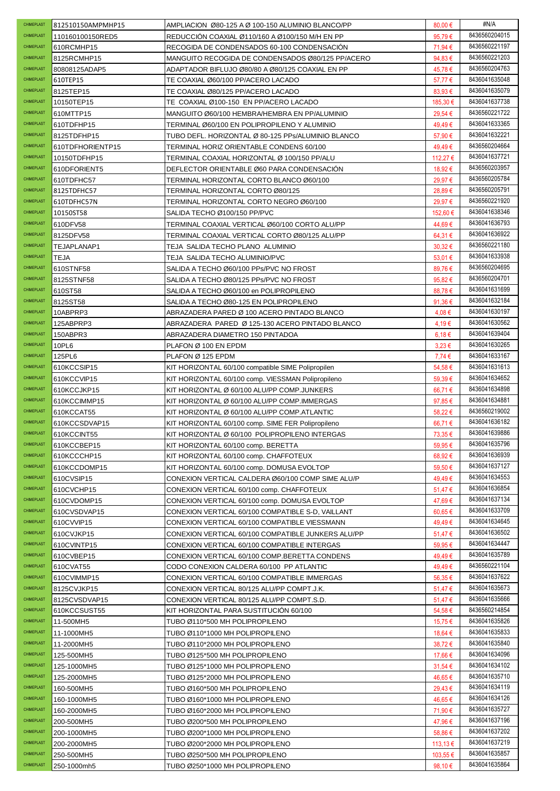| CHIMEPLAST        | 812510150AMPMHP15 | AMPLIACION Ø80-125 A Ø 100-150 ALUMINIO BLANCO/PP  | 80,00 $\epsilon$ | #N/A          |
|-------------------|-------------------|----------------------------------------------------|------------------|---------------|
| <b>CHIMEPLAST</b> | 110160100150RED5  | REDUCCIÓN COAXIAL Ø110/160 A Ø100/150 M/H EN PP    | 95,79€           | 8436560204015 |
| CHIMEPLAST        | 610RCMHP15        | RECOGIDA DE CONDENSADOS 60-100 CONDENSACION        | 71,94 €          | 8436560221197 |
| CHIMEPLAST        | 8125RCMHP15       | MANGUITO RECOGIDA DE CONDENSADOS Ø80/125 PP/ACERO  | 94,83€           | 8436560221203 |
| CHIMEPLAST        | 80808125ADAP5     | ADAPTADOR BIFLUJO Ø80/80 A Ø80/125 COAXIAL EN PP   | 45,78€           | 8436560204763 |
| CHIMEPLAST        | 610TEP15          | TE COAXIAL Ø60/100 PP/ACERO LACADO                 | 57,77€           | 8436041635048 |
| CHIMEPLAST        | 8125TEP15         | TE COAXIAL Ø80/125 PP/ACERO LACADO                 | 83,93€           | 8436041635079 |
| <b>CHIMEPLAST</b> | 10150TEP15        | TE COAXIAL Ø100-150 EN PP/ACERO LACADO             | 185,30 €         | 8436041637738 |
| CHIMEPLAST        | 610MTTP15         | MANGUITO Ø60/100 HEMBRA/HEMBRA EN PP/ALUMINIO      | 29,54 €          | 8436560221722 |
| CHIMEPLAST        | 610TDFHP15        | TERMINAL Ø60/100 EN POLIPROPILENO Y ALUMINIO       | 49,49€           | 8436041633365 |
| CHIMEPLAST        | 8125TDFHP15       | TUBO DEFL. HORIZONTAL Ø 80-125 PPs/ALUMINIO BLANCO | 57,90 €          | 8436041632221 |
| CHIMEPLAST        | 610TDFHORIENTP15  | TERMINAL HORIZ ORIENTABLE CONDENS 60/100           | 49,49€           | 8436560204664 |
| CHIMEPLAST        | 10150TDFHP15      | TERMINAL COAXIAL HORIZONTAL Ø 100/150 PP/ALU       | 112,27 €         | 8436041637721 |
| CHIMEPLAST        | 610DFORIENT5      | DEFLECTOR ORIENTABLE Ø60 PARA CONDENSACIÓN         | 18,92€           | 8436560203957 |
| CHIMEPLAST        | 610TDFHC57        | TERMINAL HORIZONTAL CORTO BLANCO Ø60/100           | 29,97€           | 8436560205784 |
| CHIMEPLAST        | 8125TDFHC57       | TERMINAL HORIZONTAL CORTO Ø80/125                  | 28,89€           | 8436560205791 |
| CHIMEPLAST        | 610TDFHC57N       | TERMINAL HORIZONTAL CORTO NEGRO Ø60/100            | 29,97€           | 8436560221920 |
| CHIMEPLAST        | 10150ST58         | SALIDA TECHO Ø100/150 PP/PVC                       | 152.60 €         | 8436041638346 |
| CHIMEPLAST        | 610DFV58          | TERMINAL COAXIAL VERTICAL Ø60/100 CORTO ALU/PP     | 44,69€           | 8436041636793 |
| CHIMEPLAST        |                   |                                                    |                  | 8436041636922 |
| CHIMEPLAST        | 8125DFV58         | TERMINAL COAXIAL VERTICAL CORTO Ø80/125 ALU/PP     | 64,31€           | 8436560221180 |
| <b>CHIMEPLAST</b> | TEJAPLANAP1       | TEJA SALIDA TECHO PLANO ALUMINIO                   | $30,32 \in$      | 8436041633938 |
| CHIMEPLAST        | <b>TEJA</b>       | TEJA SALIDA TECHO ALUMINIO/PVC                     | 53,01 €          | 8436560204695 |
|                   | 610STNF58         | SALIDA A TECHO Ø60/100 PPs/PVC NO FROST            | 89,76€           |               |
| CHIMEPLAST        | 8125STNF58        | SALIDA A TECHO Ø80/125 PPs/PVC NO FROST            | 95,82€           | 8436560204701 |
| CHIMEPLAST        | 610ST58           | SALIDA A TECHO Ø60/100 en POLIPROPILENO            | 88,78€           | 8436041631699 |
| CHIMEPLAST        | 8125ST58          | SALIDA A TECHO Ø80-125 EN POLIPROPILENO            | 91,36€           | 8436041632184 |
| CHIMEPLAST        | 10ABPRP3          | ABRAZADERA PARED Ø 100 ACERO PINTADO BLANCO        | 4,08€            | 8436041630197 |
| CHIMEPLAST        | 125ABPRP3         | ABRAZADERA PARED Ø 125-130 ACERO PINTADO BLANCO    | 4,19€            | 8436041630562 |
| CHIMEPLAST        | 150ABPR3          | ABRAZADERA DIAMETRO 150 PINTADOA                   | 6,18€            | 8436041639404 |
| CHIMEPLAST        | 10PL6             | PLAFON Ø 100 EN EPDM                               | $3.23 \in$       | 8436041630265 |
| CHIMEPLAST        | 125PL6            | PLAFON Ø 125 EPDM                                  | 7,74€            | 8436041633167 |
| CHIMEPLAST        | 610KCCSIP15       | KIT HORIZONTAL 60/100 compatible SIME Polipropilen | 54,58€           | 8436041631613 |
| CHIMEPLAST        | 610KCCVIP15       | KIT HORIZONTAL 60/100 comp. VIESSMAN Polipropileno | 59,39€           | 8436041634652 |
| CHIMEPLAST        | 610KCCJKP15       | KIT HORIZONTAL Ø 60/100 ALU/PP COMP.JUNKERS        | 66,71€           | 8436041634898 |
|                   |                   |                                                    |                  |               |
| <b>CHIMEPLAST</b> | 610KCCIMMP15      | KIT HORIZONTAL Ø 60/100 ALU/PP COMP.IMMERGAS       | 97,85€           | 8436041634881 |
| CHIMEPLAST        | 610KCCAT55        | KIT HORIZONTAL Ø 60/100 ALU/PP COMP.ATLANTIC       | 58,22€           | 8436560219002 |
| CHIMEPLAST        | 610KCCSDVAP15     | KIT HORIZONTAL 60/100 comp. SIME FER Polipropileno | 66,71€           | 8436041636182 |
| CHIMEPLAST        | 610KCCINT55       | KIT HORIZONTAL Ø 60/100 POLIPROPILENO INTERGAS     | 73,35 €          | 8436041639886 |
| CHIMEPLAST        | 610KCCBEP15       | KIT HORIZONTAL 60/100 comp. BERETTA                | 59,95€           | 8436041635796 |
| CHIMEPLAST        | 610KCCCHP15       | KIT HORIZONTAL 60/100 comp. CHAFFOTEUX             | 68,92€           | 8436041636939 |
| CHIMEPLAST        | 610KCCDOMP15      | KIT HORIZONTAL 60/100 comp. DOMUSA EVOLTOP         | 59,50€           | 8436041637127 |
| CHIMEPLAST        | 610CVSIP15        | CONEXION VERTICAL CALDERA Ø60/100 COMP SIME ALU/P  | 49,49€           | 8436041634553 |
| CHIMEPLAST        | 610CVCHP15        | CONEXION VERTICAL 60/100 comp. CHAFFOTEUX          | 51,47€           | 8436041636854 |
| CHIMEPLAST        | 610CVDOMP15       | CONEXION VERTICAL 60/100 comp. DOMUSA EVOLTOP      | 47,69€           | 8436041637134 |
| CHIMEPLAST        | 610CVSDVAP15      | CONEXION VERTICAL 60/100 COMPATIBLE S-D, VAILLANT  | $60,65 \in$      | 8436041633709 |
| CHIMEPLAST        | 610CVVIP15        | CONEXION VERTICAL 60/100 COMPATIBLE VIESSMANN      | 49,49€           | 8436041634645 |
| CHIMEPLAST        | 610CVJKP15        | CONEXION VERTICAL 60/100 COMPATIBLE JUNKERS ALU/PP | 51,47 €          | 8436041636502 |
| CHIMEPLAST        | 610CVINTP15       | CONEXION VERTICAL 60/100 COMPATIBLE INTERGAS       | 59,95€           | 8436041634447 |
| <b>CHIMEPLAST</b> | 610CVBEP15        | CONEXION VERTICAL 60/100 COMP.BERETTA CONDENS      | 49,49€           | 8436041635789 |
| CHIMEPLAST        | 610CVAT55         | CODO CONEXION CALDERA 60/100 PP ATLANTIC           | 49,49€           | 8436560221104 |
| CHIMEPLAST        | 610CVIMMP15       | CONEXION VERTICAL 60/100 COMPATIBLE IMMERGAS       | 56,35€           | 8436041637622 |
| CHIMEPLAST        | 8125CVJKP15       | CONEXION VERTICAL 80/125 ALU/PP COMPT.J.K.         | 51,47 €          | 8436041635673 |
| CHIMEPLAST        | 8125CVSDVAP15     | CONEXION VERTICAL 80/125 ALU/PP COMPT.S.D.         | 51,47 €          | 8436041635666 |
| CHIMEPLAST        | 610KCCSUST55      | KIT HORIZONTAL PARA SUSTITUCION 60/100             | 54,58€           | 8436560214854 |
| CHIMEPLAST        | 11-500MH5         | TUBO Ø110*500 MH POLIPROPILENO                     | 15,75€           | 8436041635826 |
| CHIMEPLAST        | 11-1000MH5        | TUBO Ø110*1000 MH POLIPROPILENO                    | 18,64 €          | 8436041635833 |
| CHIMEPLAST        | 11-2000MH5        | TUBO Ø110*2000 MH POLIPROPILENO                    | 38,72€           | 8436041635840 |
| CHIMEPLAST        | 125-500MH5        | TUBO Ø125*500 MH POLIPROPILENO                     | 17,66 €          | 8436041634096 |
| CHIMEPLAST        | 125-1000MH5       | TUBO Ø125*1000 MH POLIPROPILENO                    | 31,54 €          | 8436041634102 |
| CHIMEPLAST        | 125-2000MH5       | TUBO Ø125*2000 MH POLIPROPILENO                    | 46,65€           | 8436041635710 |
| CHIMEPLAST        | 160-500MH5        | TUBO Ø160*500 MH POLIPROPILENO                     | 29,43 €          | 8436041634119 |
| CHIMEPLAST        | 160-1000MH5       | TUBO Ø160*1000 MH POLIPROPILENO                    | 46,65€           | 8436041634126 |
| CHIMEPLAST        | 160-2000MH5       | TUBO Ø160*2000 MH POLIPROPILENO                    | 71,90 €          | 8436041635727 |
| CHIMEPLAST        | 200-500MH5        | TUBO Ø200*500 MH POLIPROPILENO                     | 47,96€           | 8436041637196 |
| CHIMEPLAST        | 200-1000MH5       | TUBO Ø200*1000 MH POLIPROPILENO                    | 58,86 €          | 8436041637202 |
| CHIMEPLAST        | 200-2000MH5       | TUBO Ø200*2000 MH POLIPROPILENO                    | 113,13 €         | 8436041637219 |
| CHIMEPLAST        | 250-500MH5        | TUBO Ø250*500 MH POLIPROPILENO                     | 103,55 €         | 8436041635857 |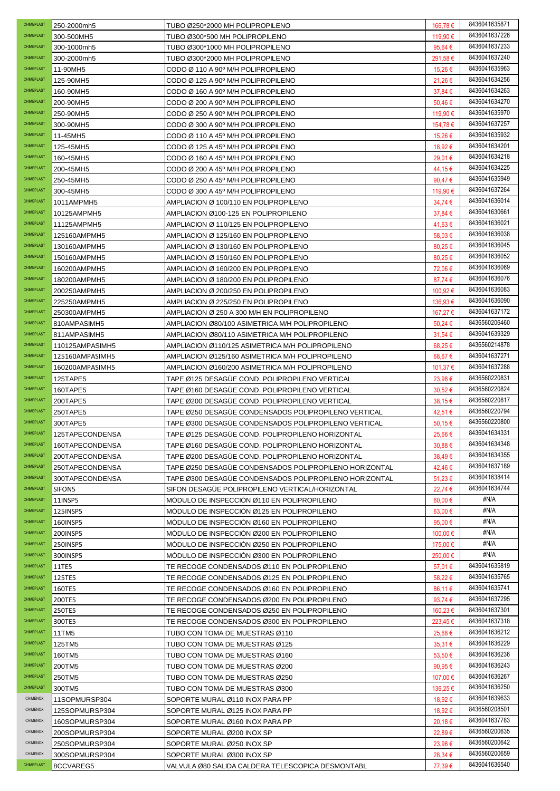| <b>CHIMEPLAST</b> | 250-2000mh5     | TUBO Ø250*2000 MH POLIPROPILENO                        | 166,78€          | 8436041635871 |
|-------------------|-----------------|--------------------------------------------------------|------------------|---------------|
| CHIMEPLAST        | 300-500MH5      | TUBO Ø300*500 MH POLIPROPILENO                         | 119,90 €         | 8436041637226 |
| CHIMEPLAST        | 300-1000mh5     | TUBO Ø300*1000 MH POLIPROPILENO                        | 95.64 €          | 8436041637233 |
| CHIMEPLAST        | 300-2000mh5     | TUBO Ø300*2000 MH POLIPROPILENO                        | 291,58€          | 8436041637240 |
| CHIMEPLAST        | 11-90MH5        | CODO Ø 110 A 90° M/H POLIPROPILENO                     | 15,26 €          | 8436041635963 |
| CHIMEPLAST        | 125-90MH5       | CODO Ø 125 A 90° M/H POLIPROPILENO                     | 21,26€           | 8436041634256 |
| CHIMEPLAST        | 160-90MH5       | CODO Ø 160 A 90° M/H POLIPROPILENO                     | 37,84 €          | 8436041634263 |
| CHIMEPLAST        | 200-90MH5       | CODO Ø 200 A 90° M/H POLIPROPILENO                     | 50,46€           | 8436041634270 |
| CHIMEPLAST        | 250-90MH5       | CODO Ø 250 A 90° M/H POLIPROPILENO                     | 119.90 €         | 8436041635970 |
| CHIMEPLAST        | 300-90MH5       | CODO Ø 300 A 90° M/H POLIPROPILENO                     | 154,78 €         | 8436041637257 |
| CHIMEPLAST        | 11-45MH5        | CODO Ø 110 A 45° M/H POLIPROPILENO                     | 15,26 €          | 8436041635932 |
| CHIMEPLAST        | 125-45MH5       | CODO Ø 125 A 45° M/H POLIPROPILENO                     | 18,92 €          | 8436041634201 |
| CHIMEPLAST        | 160-45MH5       | CODO Ø 160 A 45° M/H POLIPROPILENO                     | 29,01€           | 8436041634218 |
| CHIMEPLAST        | 200-45MH5       | CODO Ø 200 A 45° M/H POLIPROPILENO                     | 44,15€           | 8436041634225 |
| CHIMEPLAST        | 250-45MH5       | CODO Ø 250 A 45° M/H POLIPROPILENO                     | 90,47€           | 8436041635949 |
| CHIMEPLAST        | 300-45MH5       | CODO Ø 300 A 45° M/H POLIPROPILENO                     | 119,90 €         | 8436041637264 |
| CHIMEPLAST        | 1011AMPMH5      | AMPLIACION Ø 100/110 EN POLIPROPILENO                  | 34,74 €          | 8436041636014 |
| CHIMEPLAST        | 10125AMPMH5     | AMPLIACION Ø100-125 EN POLIPROPILENO                   | 37,84 €          | 8436041630661 |
| CHIMEPLAST        | 11125AMPMH5     | AMPLIACION Ø 110/125 EN POLIPROPILENO                  | 41,63 €          | 8436041636021 |
| CHIMEPLAST        | 125160AMPMH5    | AMPLIACION Ø 125/160 EN POLIPROPILENO                  | 58,03€           | 8436041636038 |
| CHIMEPLAST        | 130160AMPMH5    | AMPLIACION Ø 130/160 EN POLIPROPILENO                  | 80,25€           | 8436041636045 |
| CHIMEPLAST        | 150160AMPMH5    | AMPLIACION Ø 150/160 EN POLIPROPILENO                  | 80,25€           | 8436041636052 |
| CHIMEPLAST        | 160200AMPMH5    | AMPLIACION Ø 160/200 EN POLIPROPILENO                  | 72,06 €          | 8436041636069 |
| CHIMEPLAST        | 180200AMPMH5    | AMPLIACION Ø 180/200 EN POLIPROPILENO                  | 87,74 €          | 8436041636076 |
| CHIMEPLAST        | 200250AMPMH5    | AMPLIACION Ø 200/250 EN POLIPROPILENO                  | 100,92 €         | 8436041636083 |
| <b>CHIMEPLAST</b> | 225250AMPMH5    | AMPLIACION Ø 225/250 EN POLIPROPILENO                  | 136,93 €         | 8436041636090 |
| <b>CHIMEPLAST</b> | 250300AMPMH5    | AMPLIACION Ø 250 A 300 M/H EN POLIPROPILENO            | 167,27 €         | 8436041637172 |
| CHIMEPLAST        | 810AMPASIMH5    | AMPLIACION Ø80/100 ASIMETRICA M/H POLIPROPILENO        | 50,24 €          | 8436560206460 |
| CHIMEPLAST        | 811AMPASIMH5    | AMPLIACION Ø80/110 ASIMETRICA M/H POLIPROPILENO        | 31,54 €          | 8436041639329 |
| CHIMEPLAST        | 110125AMPASIMH5 | AMPLIACION Ø110/125 ASIMETRICA M/H POLIPROPILENO       | 68,25€           | 8436560214878 |
| CHIMEPLAST        | 125160AMPASIMH5 | AMPLIACION Ø125/160 ASIMETRICA M/H POLIPROPILENO       | 68,67€           | 8436041637271 |
| CHIMEPLAST        | 160200AMPASIMH5 | AMPLIACION Ø160/200 ASIMETRICA M/H POLIPROPILENO       | 101,37 €         | 8436041637288 |
| CHIMEPLAST        | 125TAPE5        | TAPE Ø125 DESAGUE COND. POLIPROPILENO VERTICAL         | 23,98€           | 8436560220831 |
| CHIMEPLAST        | 160TAPE5        | TAPE Ø160 DESAGÜE COND. POLIPROPILENO VERTICAL         | 30,52€           | 8436560220824 |
|                   |                 |                                                        |                  |               |
| CHIMEPLAST        | 200TAPE5        | TAPE Ø200 DESAGÜE COND. POLIPROPILENO VERTICAL         | 38,15€           | 8436560220817 |
| CHIMEPLAST        | 250TAPE5        | TAPE Ø250 DESAGÜE CONDENSADOS POLIPROPILENO VERTICAL   | 42,51 €          | 8436560220794 |
| CHIMEPLAST        | 300TAPE5        | TAPE Ø300 DESAGUE CONDENSADOS POLIPROPILENO VERTICAL   | 50,15€           | 8436560220800 |
| <b>CHIMEPLAST</b> | 125TAPECONDENSA | TAPE Ø125 DESAGUE COND. POLIPROPILENO HORIZONTAL       | 25,66€           | 8436041634331 |
| CHIMEPLAST        | 160TAPECONDENSA | TAPE Ø160 DESAGUE COND. POLIPROPILENO HORIZONTAL       | $30,88 \in$      | 8436041634348 |
| CHIMEPLAST        | 200TAPECONDENSA | TAPE Ø200 DESAGÜE COND. POLIPROPILENO HORIZONTAL       | 38,49€           | 8436041634355 |
| CHIMEPLAST        | 250TAPECONDENSA | TAPE Ø250 DESAGÜE CONDENSADOS POLIPROPILENO HORIZONTAL | 42,46€           | 8436041637189 |
| <b>CHIMEPLAST</b> | 300TAPECONDENSA | TAPE Ø300 DESAGUE CONDENSADOS POLIPROPILENO HORIZONTAL | 51,23€           | 8436041638414 |
| CHIMEPLAST        | SIFON5          | SIFON DESAGUE POLIPROPILENO VERTICAL/HORIZONTAL        | 22,74€           | 8436041634744 |
| CHIMEPLAST        | 11INSP5         | MODULO DE INSPECCIÓN Ø110 EN POLIPROPILENO             | 60,00 €          | #N/A          |
| CHIMEPLAST        | 125INSP5        | MODULO DE INSPECCIÓN Ø125 EN POLIPROPILENO             | $63,00 \in$      | #N/A          |
| CHIMEPLAST        | 160INSP5        | MODULO DE INSPECCION Ø160 EN POLIPROPILENO             | 95,00€           | #N/A          |
| CHIMEPLAST        | 200INSP5        | MODULO DE INSPECCION Ø200 EN POLIPROPILENO             | 100,00 €         | #N/A          |
| CHIMEPLAST        | 250INSP5        | MODULO DE INSPECCIÓN Ø250 EN POLIPROPILENO             | 175,00 €         | #N/A          |
| CHIMEPLAST        | 300INSP5        | MODULO DE INSPECCION Ø300 EN POLIPROPILENO             | 250,00 €         | #N/A          |
| CHIMEPLAST        | 11TE5           | TE RECOGE CONDENSADOS Ø110 EN POLIPROPILENO            | 57,01 €          | 8436041635819 |
| CHIMEPLAST        | 125TE5          | TE RECOGE CONDENSADOS Ø125 EN POLIPROPILENO            | 58,22€           | 8436041635765 |
| <b>CHIMEPLAST</b> | 160TE5          | TE RECOGE CONDENSADOS Ø160 EN POLIPROPILENO            | 86,11 €          | 8436041635741 |
| CHIMEPLAST        | 200TE5          | TE RECOGE CONDENSADOS Ø200 EN POLIPROPILENO            | 93,74 $\epsilon$ | 8436041637295 |
| CHIMEPLAST        | 250TE5          | TE RECOGE CONDENSADOS Ø250 EN POLIPROPILENO            | 160,23 €         | 8436041637301 |
| CHIMEPLAST        | 300TE5          | TE RECOGE CONDENSADOS Ø300 EN POLIPROPILENO            | 223,45 €         | 8436041637318 |
| CHIMEPLAST        | 11TM5           | TUBO CON TOMA DE MUESTRAS Ø110                         | 25,68€           | 8436041636212 |
| CHIMEPLAST        | 125TM5          | TUBO CON TOMA DE MUESTRAS Ø125                         | $35,31 \in$      | 8436041636229 |
| CHIMEPLAST        | 160TM5          | TUBO CON TOMA DE MUESTRAS Ø160                         | 53,50 €          | 8436041636236 |
| CHIMEPLAST        | 200TM5          | TUBO CON TOMA DE MUESTRAS Ø200                         | 90,95€           | 8436041636243 |
| CHIMEPLAST        | 250TM5          | TUBO CON TOMA DE MUESTRAS Ø250                         | 107,00 €         | 8436041636267 |
| CHIMEPLAST        | 300TM5          | TUBO CON TOMA DE MUESTRAS Ø300                         | 136,25 €         | 8436041636250 |
| <b>CHIMENOX</b>   | 11SOPMURSP304   | SOPORTE MURAL Ø110 INOX PARA PP                        | 18,92 €          | 8436041639633 |
| CHIMENOX          | 125SOPMURSP304  | SOPORTE MURAL Ø125 INOX PARA PP                        | 18,92 €          | 8436560208501 |
| CHIMENOX          | 160SOPMURSP304  | SOPORTE MURAL Ø160 INOX PARA PP                        | 20,18€           | 8436041637783 |
| CHIMENOX          | 200SOPMURSP304  | SOPORTE MURAL Ø200 INOX SP                             | 22,89€           | 8436560200635 |
| CHIMENOX          | 250SOPMURSP304  | SOPORTE MURAL Ø250 INOX SP                             | 23,98€           | 8436560200642 |
| CHIMENOX          | 300SOPMURSP304  | SOPORTE MURAL Ø300 INOX SP                             | 28,34 €          | 8436560200659 |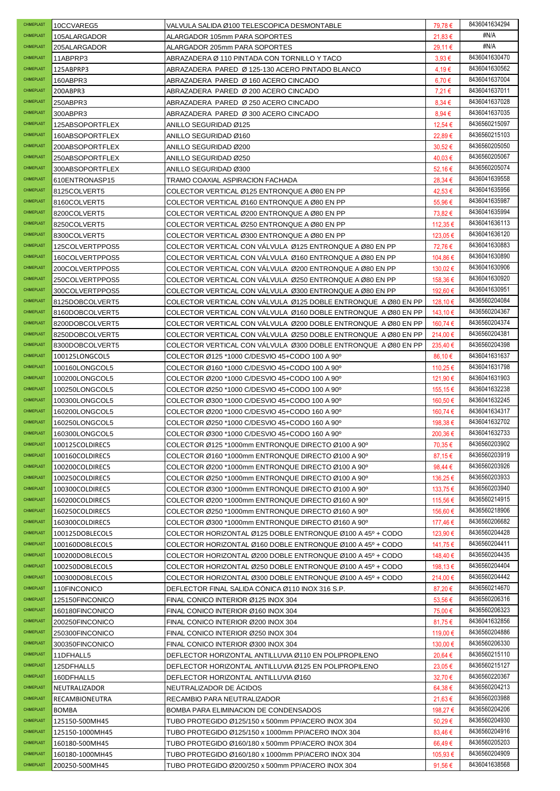| <b>CHIMEPLAST</b> | 10CCVAREG5      | VALVULA SALIDA Ø100 TELESCOPICA DESMONTABLE                    | 79,78 €    | 8436041634294                  |
|-------------------|-----------------|----------------------------------------------------------------|------------|--------------------------------|
| CHIMEPLAST        | 105ALARGADOR    | ALARGADOR 105mm PARA SOPORTES                                  | 21,83€     | #N/A                           |
| CHIMEPLAST        | 205ALARGADOR    | ALARGADOR 205mm PARA SOPORTES                                  | 29,11 €    | #N/A                           |
| CHIMEPLAST        | 11ABPRP3        | ABRAZADERA Ø 110 PINTADA CON TORNILLO Y TACO                   | $3.93 \in$ | 8436041630470                  |
| CHIMEPLAST        | 125ABPRP3       | ABRAZADERA PARED Ø 125-130 ACERO PINTADO BLANCO                | 4,19€      | 8436041630562                  |
| <b>CHIMEPLAST</b> | 160ABPR3        | ABRAZADERA PARED Ø 160 ACERO CINCADO                           | 6,70€      | 8436041637004                  |
| CHIMEPLAST        | 200ABPR3        | ABRAZADERA PARED Ø 200 ACERO CINCADO                           | 7,21 €     | 8436041637011                  |
| CHIMEPLAST        | 250ABPR3        | ABRAZADERA PARED Ø 250 ACERO CINCADO                           | $8,34 \in$ | 8436041637028                  |
| CHIMEPLAST        | 300ABPR3        | ABRAZADERA PARED Ø 300 ACERO CINCADO                           | 8,94€      | 8436041637035                  |
| CHIMEPLAST        | 125ABSOPORTFLEX | ANILLO SEGURIDAD Ø125                                          | 12,54 €    | 8436560215097                  |
| CHIMEPLAST        | 160ABSOPORTFLEX | ANILLO SEGURIDAD Ø160                                          | 22,89€     | 8436560215103                  |
| CHIMEPLAST        | 200ABSOPORTFLEX | ANILLO SEGURIDAD Ø200                                          | 30,52€     | 8436560205050                  |
| CHIMEPLAST        | 250ABSOPORTFLEX | ANILLO SEGURIDAD Ø250                                          | 40,03€     | 8436560205067                  |
| CHIMEPLAST        | 300ABSOPORTFLEX | ANILLO SEGURIDAD Ø300                                          | 52,16€     | 8436560205074                  |
| CHIMEPLAST        | 610ENTRONASP15  | TRAMO COAXIAL ASPIRACION FACHADA                               | 28,34 €    | 8436041639558                  |
| CHIMEPLAST        | 8125COLVERT5    | COLECTOR VERTICAL Ø125 ENTRONQUE A Ø80 EN PP                   | 42,53€     | 8436041635956                  |
| CHIMEPLAST        | 8160COLVERT5    | COLECTOR VERTICAL Ø160 ENTRONQUE A Ø80 EN PP                   | 55,96€     | 8436041635987                  |
| CHIMEPLAST        | 8200COLVERT5    | COLECTOR VERTICAL Ø200 ENTRONQUE A Ø80 EN PP                   | 73,82€     | 8436041635994                  |
| CHIMEPLAST        | 8250COLVERT5    | COLECTOR VERTICAL Ø250 ENTRONQUE A Ø80 EN PP                   | 112,35 €   | 8436041636113                  |
| <b>CHIMEPLAST</b> | 8300COLVERT5    | COLECTOR VERTICAL Ø300 ENTRONQUE A Ø80 EN PP                   | 123,05 €   | 8436041636120                  |
| CHIMEPLAST        | 125COLVERTPPOS5 | COLECTOR VERTICAL CON VALVULA Ø125 ENTRONQUE A Ø80 EN PP       | 72,76€     | 8436041630883                  |
| CHIMEPLAST        | 160COLVERTPPOS5 | COLECTOR VERTICAL CON VALVULA Ø160 ENTRONQUE A Ø80 EN PP       | 104,86 €   | 8436041630890                  |
| CHIMEPLAST        | 200COLVERTPPOS5 | COLECTOR VERTICAL CON VALVULA Ø200 ENTRONQUE A Ø80 EN PP       | 130,02 €   | 8436041630906                  |
| CHIMEPLAST        | 250COLVERTPPOS5 | COLECTOR VERTICAL CON VALVULA Ø250 ENTRONQUE A Ø80 EN PP       | 158,36 €   | 8436041630920                  |
| CHIMEPLAST        | 300COLVERTPPOS5 | COLECTOR VERTICAL CON VALVULA Ø300 ENTRONQUE A Ø80 EN PP       | 192.60 €   | 8436041630951                  |
| CHIMEPLAST        | 8125DOBCOLVERT5 | COLECTOR VERTICAL CON VALVULA Ø125 DOBLE ENTRONQUE A Ø80 EN PP | 128,10 €   | 8436560204084                  |
| CHIMEPLAST        | 8160DOBCOLVERT5 | COLECTOR VERTICAL CON VALVULA Ø160 DOBLE ENTRONQUE A Ø80 EN PP | 143,10 €   | 8436560204367                  |
| CHIMEPLAST        | 8200DOBCOLVERT5 | COLECTOR VERTICAL CON VALVULA Ø200 DOBLE ENTRONQUE A Ø80 EN PP | 160,74 €   | 8436560204374                  |
| CHIMEPLAST        | 8250DOBCOLVERT5 | COLECTOR VERTICAL CON VALVULA Ø250 DOBLE ENTRONQUE A Ø80 EN PP | 214,00 €   | 8436560204381                  |
| CHIMEPLAST        | 8300DOBCOLVERT5 | COLECTOR VERTICAL CON VALVULA Ø300 DOBLE ENTRONQUE A Ø80 EN PP | 235,40 €   | 8436560204398                  |
| CHIMEPLAST        | 100125LONGCOL5  | COLECTOR Ø125 *1000 C/DESVIO 45+CODO 100 A 90°                 | 86,10€     | 8436041631637                  |
| CHIMEPLAST        | 100160LONGCOL5  | COLECTOR Ø160 *1000 C/DESVIO 45+CODO 100 A 90°                 | 110,25 €   | 8436041631798                  |
| CHIMEPLAST        | 100200LONGCOL5  | COLECTOR Ø200 *1000 C/DESVIO 45+CODO 100 A 90°                 | 121,90 €   | 8436041631903                  |
| CHIMEPLAST        | 100250LONGCOL5  | COLECTOR Ø250 *1000 C/DESVIO 45+CODO 100 A 90°                 | 155,15€    | 8436041632238                  |
|                   |                 |                                                                |            |                                |
| CHIMEPLAST        | 100300LONGCOL5  | COLECTOR Ø300 *1000 C/DESVIO 45+CODO 100 A 90°                 | 160,50 €   | 8436041632245                  |
| CHIMEPLAST        | 160200LONGCOL5  | COLECTOR Ø200 *1000 C/DESVIO 45+CODO 160 A 90 <sup>0</sup>     | 160,74 €   | 8436041634317                  |
| CHIMEPLAST        | 160250LONGCOL5  | COLECTOR Ø250 *1000 C/DESVIO 45+CODO 160 A 90°                 | 198,38 €   | 8436041632702                  |
| CHIMEPLAST        | 160300LONGCOL5  | COLECTOR Ø300 *1000 C/DESVIO 45+CODO 160 A 90°                 | 200,36€    | 8436041632733                  |
| CHIMEPLAST        | 100125COLDIREC5 | COLECTOR Ø125 *1000mm ENTRONQUE DIRECTO Ø100 A 90º             | 70,35 €    | 8436560203902                  |
| CHIMEPLAST        | 100160COLDIREC5 | COLECTOR Ø160 *1000mm ENTRONQUE DIRECTO Ø100 A 90°             | 87,15€     | 8436560203919                  |
| CHIMEPLAST        | 100200COLDIREC5 | COLECTOR Ø200 *1000mm ENTRONQUE DIRECTO Ø100 A 90°             | 98,44 €    | 8436560203926                  |
| CHIMEPLAST        | 100250COLDIREC5 | COLECTOR Ø250 *1000mm ENTRONQUE DIRECTO Ø100 A 90°             | 136,25 €   | 8436560203933                  |
| CHIMEPLAST        | 100300COLDIREC5 | COLECTOR Ø300 *1000mm ENTRONQUE DIRECTO Ø100 A 90°             | 133,75 €   | 8436560203940                  |
| CHIMEPLAST        | 160200COLDIREC5 | COLECTOR Ø200 *1000mm ENTRONQUE DIRECTO Ø160 A 90°             | 115,56 €   | 8436560214915                  |
| CHIMEPLAST        | 160250COLDIREC5 | COLECTOR Ø250 *1000mm ENTRONQUE DIRECTO Ø160 A 90°             | 156,60 €   | 8436560218906                  |
| CHIMEPLAST        | 160300COLDIREC5 | COLECTOR Ø300 *1000mm ENTRONQUE DIRECTO Ø160 A 90°             | 177.46 €   | 8436560206682                  |
| <b>CHIMEPLAST</b> | 100125DOBLECOL5 | COLECTOR HORIZONTAL Ø125 DOBLE ENTRONQUE Ø100 A 45º + CODO     | 123,90 €   | 8436560204428                  |
| <b>CHIMEPLAST</b> | 100160DOBLECOL5 | COLECTOR HORIZONTAL Ø160 DOBLE ENTRONQUE Ø100 A 45º + CODO     | 141,75 €   | 8436560204411                  |
| <b>CHIMEPLAST</b> | 100200DOBLECOL5 | COLECTOR HORIZONTAL Ø200 DOBLE ENTRONQUE Ø100 A 45º + CODO     | 148,40 €   | 8436560204435                  |
| CHIMEPLAST        | 100250DOBLECOL5 | COLECTOR HORIZONTAL Ø250 DOBLE ENTRONQUE Ø100 A 45º + CODO     | 198,13 €   | 8436560204404                  |
| CHIMEPLAST        | 100300DOBLECOL5 | COLECTOR HORIZONTAL Ø300 DOBLE ENTRONQUE Ø100 A 45º + CODO     | 214,00 €   | 8436560204442                  |
| CHIMEPLAST        | 110FINCONICO    | DEFLECTOR FINAL SALIDA CÓNICA Ø110 INOX 316 S.P.               | 87,20€     | 8436560214670                  |
| CHIMEPLAST        | 125150FINCONICO | FINAL CONICO INTERIOR Ø125 INOX 304                            | 53,56 €    | 8436560206316                  |
| CHIMEPLAST        | 160180FINCONICO | FINAL CONICO INTERIOR Ø160 INOX 304                            | 75,00 €    | 8436560206323                  |
| CHIMEPLAST        | 200250FINCONICO | FINAL CONICO INTERIOR Ø200 INOX 304                            | 81,75€     | 8436041632856                  |
| CHIMEPLAST        | 250300FINCONICO | FINAL CONICO INTERIOR Ø250 INOX 304                            | 119,00 €   | 8436560204886                  |
| CHIMEPLAST        | 300350FINCONICO | FINAL CONICO INTERIOR Ø300 INOX 304                            | 130,00 €   | 8436560206330                  |
| CHIMEPLAST        | 11DFHALL5       | DEFLECTOR HORIZONTAL ANTILLUVIA Ø110 EN POLIPROPILENO          | 20,64 €    | 8436560215110                  |
| CHIMEPLAST        | 125DFHALL5      | DEFLECTOR HORIZONTAL ANTILLUVIA Ø125 EN POLIPROPILENO          | 23,05€     | 8436560215127                  |
| CHIMEPLAST        | 160DFHALL5      | DEFLECTOR HORIZONTAL ANTILLUVIA Ø160                           | 32,70€     | 8436560220367                  |
| CHIMEPLAST        | NEUTRALIZADOR   | NEUTRALIZADOR DE ACIDOS                                        | 64,38€     | 8436560204213                  |
| CHIMEPLAST        | RECAMBIONEUTRA  | RECAMBIO PARA NEUTRALIZADOR                                    | 21,63 €    | 8436560203988                  |
| CHIMEPLAST        | BOMBA           | BOMBA PARA ELIMINACION DE CONDENSADOS                          | 198,27 €   | 8436560204206                  |
| CHIMEPLAST        | 125150-500MH45  | TUBO PROTEGIDO Ø125/150 x 500mm PP/ACERO INOX 304              | 50,29€     | 8436560204930                  |
| <b>CHIMEPLAST</b> | 125150-1000MH45 | TUBO PROTEGIDO Ø125/150 x 1000mm PP/ACERO INOX 304             | 83,46€     | 8436560204916                  |
| CHIMEPLAST        | 160180-500MH45  | TUBO PROTEGIDO Ø160/180 x 500mm PP/ACERO INOX 304              | 66,49€     | 8436560205203                  |
| CHIMEPLAST        | 160180-1000MH45 | TUBO PROTEGIDO Ø160/180 x 1000mm PP/ACERO INOX 304             | 105,93 €   | 8436560204909<br>8436041638568 |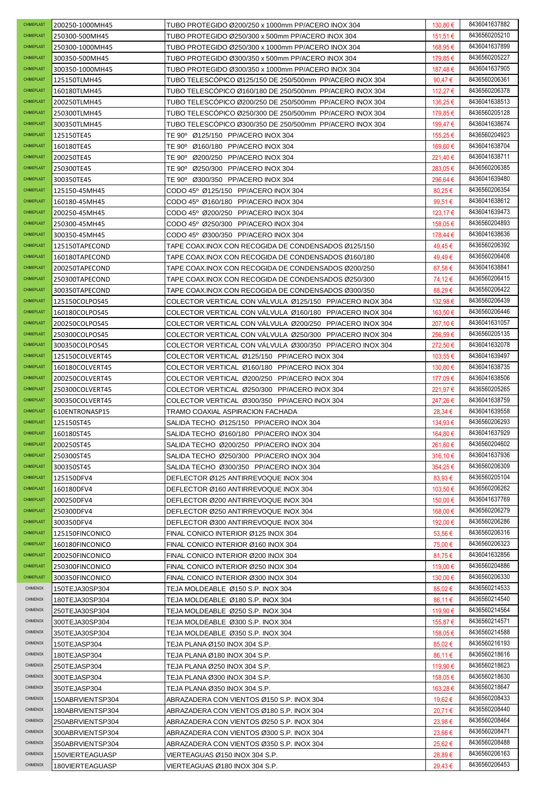| CHIMEPLAST             | 200250-1000MH45                  | TUBO PROTEGIDO Ø200/250 x 1000mm PP/ACERO INOX 304                     | 130,80 €             | 8436041637882                  |
|------------------------|----------------------------------|------------------------------------------------------------------------|----------------------|--------------------------------|
| <b>CHIMEPLAST</b>      | 250300-500MH45                   | TUBO PROTEGIDO Ø250/300 x 500mm PP/ACERO INOX 304                      | 151,51 €             | 8436560205210                  |
| CHIMEPLAST             | 250300-1000MH45                  | TUBO PROTEGIDO Ø250/300 x 1000mm PP/ACERO INOX 304                     | 168,95 €             | 8436041637899                  |
| CHIMEPLAST             | 300350-500MH45                   | TUBO PROTEGIDO Ø300/350 x 500mm PP/ACERO INOX 304                      | 179,85 €             | 8436560205227                  |
| CHIMEPLAST             | 300350-1000MH45                  | TUBO PROTEGIDO Ø300/350 x 1000mm PP/ACERO INOX 304                     | 187,48€              | 8436041637905                  |
| CHIMEPLAST             | 125150TLMH45                     | TUBO TELESCÓPICO Ø125/150 DE 250/500mm PP/ACERO INOX 304               | 90,47€               | 8436560206361                  |
| CHIMEPLAST             | 160180TLMH45                     | TUBO TELESCOPICO Ø160/180 DE 250/500mm PP/ACERO INOX 304               | 112,27 €             | 8436560206378                  |
| CHIMEPLAST             | 200250TLMH45                     | TUBO TELESCÓPICO Ø200/250 DE 250/500mm PP/ACERO INOX 304               | 136,25 €             | 8436041638513                  |
| <b>CHIMEPLAST</b>      | 250300TLMH45                     | TUBO TELESCOPICO Ø250/300 DE 250/500mm PP/ACERO INOX 304               | 179,85 €             | 8436560205128                  |
| CHIMEPLAST             | 300350TLMH45                     | TUBO TELESCÓPICO Ø300/350 DE 250/500mm PP/ACERO INOX 304               | 199.47 €             | 8436041638674                  |
| CHIMEPLAST             | 125150TE45                       | TE 90° Ø125/150 PP/ACERO INOX 304                                      | 155,25 €             | 8436560204923                  |
| CHIMEPLAST             | 160180TE45                       | TE 90° Ø160/180 PP/ACERO INOX 304                                      | 169.60 €             | 8436041638704                  |
| CHIMEPLAST             | 200250TE45                       | TE 90° Ø200/250 PP/ACERO INOX 304                                      | 221,40 €             | 8436041638711                  |
| CHIMEPLAST             | 250300TE45                       | TE 90° Ø250/300 PP/ACERO INOX 304                                      | 283,05€              | 8436560206385                  |
| <b>CHIMEPLAST</b>      | 300350TE45                       | TE 90° Ø300/350 PP/ACERO INOX 304                                      | 296,64€              | 8436041639480                  |
| CHIMEPLAST             | 125150-45MH45                    | CODO 45° Ø125/150 PP/ACERO INOX 304                                    | 80,25€               | 8436560206354                  |
| CHIMEPLAST             | 160180-45MH45                    | CODO 45° Ø160/180 PP/ACERO INOX 304                                    | 99,51€               | 8436041638612                  |
| CHIMEPLAST             | 200250-45MH45                    | CODO 45° Ø200/250 PP/ACERO INOX 304                                    | 123.17 €             | 8436041639473                  |
| CHIMEPLAST             | 250300-45MH45                    | CODO 45° Ø250/300 PP/ACERO INOX 304                                    | 158,05 €             | 8436560204893                  |
| CHIMEPLAST             | 300350-45MH45                    | CODO 45° Ø300/350 PP/ACERO INOX 304                                    | 178,44 €             | 8436041638636                  |
| CHIMEPLAST             | 125150TAPECOND                   | TAPE COAX.INOX CON RECOGIDA DE CONDENSADOS Ø125/150                    | 49,45€               | 8436560206392                  |
| <b>CHIMEPLAST</b>      | 160180TAPECOND                   | TAPE COAX.INOX CON RECOGIDA DE CONDENSADOS Ø160/180                    | 49,49€               | 8436560206408                  |
| CHIMEPLAST             | 200250TAPECOND                   | TAPE COAX.INOX CON RECOGIDA DE CONDENSADOS Ø200/250                    | 67,58€               | 8436041638841                  |
| CHIMEPLAST             | 250300TAPECOND                   | TAPE COAX.INOX CON RECOGIDA DE CONDENSADOS Ø250/300                    | 74,12€               | 8436560206415                  |
| CHIMEPLAST             | 300350TAPECOND                   | TAPE COAX.INOX CON RECOGIDA DE CONDENSADOS Ø300/350                    | 88,29€               | 8436560206422                  |
| CHIMEPLAST             | 125150COLPOS45                   | COLECTOR VERTICAL CON VALVULA Ø125/150 PP/ACERO INOX 304               | 132,98 €             | 8436560206439                  |
| CHIMEPLAST             | 160180COLPOS45                   | COLECTOR VERTICAL CON VALVULA Ø160/180 PP/ACERO INOX 304               | 163,50 €             | 8436560206446                  |
| <b>CHIMEPLAST</b>      | 200250COLPOS45                   | COLECTOR VERTICAL CON VALVULA Ø200/250 PP/ACERO INOX 304               | 207,10 €             | 8436041631057                  |
| CHIMEPLAST             | 250300COLPOS45                   | COLECTOR VERTICAL CON VALVULA Ø250/300 PP/ACERO INOX 304               | 256,59€              | 8436560205135                  |
| CHIMEPLAST             | 300350COLPOS45                   | COLECTOR VERTICAL CON VALVULA Ø300/350 PP/ACERO INOX 304               | 272,50 €             | 8436041632078                  |
| CHIMEPLAST             | 125150COLVERT45                  | COLECTOR VERTICAL Ø125/150 PP/ACERO INOX 304                           | 103,55 €             | 8436041639497                  |
| CHIMEPLAST             | 160180COLVERT45                  | COLECTOR VERTICAL Ø160/180 PP/ACERO INOX 304                           | 130,80 €             | 8436041638735                  |
| CHIMEPLAST             | 200250COLVERT45                  | COLECTOR VERTICAL Ø200/250 PP/ACERO INOX 304                           | 177,09 €             | 8436041638506                  |
| <b>CHIMEPLAST</b>      | 250300COLVERT45                  | COLECTOR VERTICAL Ø250/300 PP/ACERO INOX 304                           | 221,97 €             | 8436560205265                  |
| CHIMEPLAST             | 300350COLVERT45                  | COLECTOR VERTICAL Ø300/350 PP/ACERO INOX 304                           | 247,26€              | 8436041638759                  |
| CHIMEPLAST             | 610ENTRONASP15                   | TRAMO COAXIAL ASPIRACION FACHADA                                       | 28,34 €              | 8436041639558                  |
| CHIMEPLAST             | 125150ST45                       | SALIDA TECHO Ø125/150 PP/ACERO INOX 304                                | 134,93 €             | 8436560206293                  |
| CHIMEPLAST             | 160180ST45                       | SALIDA TECHO Ø160/180 PP/ACERO INOX 304                                | 164,80 €             | 8436041637929                  |
| CHIMEPLAST             | 200250ST45                       | SALIDA TECHO Ø200/250 PP/ACERO INOX 304                                | 261,60 €             | 8436560204602                  |
| CHIMEPLAST             | 250300ST45                       | SALIDA TECHO Ø250/300 PP/ACERO INOX 304                                | 316.10€              | 8436041637936                  |
| CHIMEPLAST             | 300350ST45                       | SALIDA TECHO Ø300/350 PP/ACERO INOX 304                                | 354,25€              | 8436560206309                  |
| CHIMEPLAST             | 125150DFV4                       | DEFLECTOR Ø125 ANTIRREVOQUE INOX 304                                   | 83,93€               | 8436560205104                  |
| CHIMEPLAST             | 160180DFV4                       | DEFLECTOR Ø160 ANTIRREVOQUE INOX 304                                   | 103.50 €             | 8436560206262                  |
| <b>CHIMEPLAST</b>      | 200250DFV4                       | DEFLECTOR Ø200 ANTIRREVOQUE INOX 304                                   | 150,00 €             | 8436041637769                  |
| CHIMEPLAST             | 250300DFV4                       | DEFLECTOR Ø250 ANTIRREVOQUE INOX 304                                   | 168,00 €             | 8436560206279                  |
| CHIMEPLAST             | 300350DFV4                       | DEFLECTOR Ø300 ANTIRREVOQUE INOX 304                                   | 192,00 €             | 8436560206286                  |
| CHIMEPLAST             | 125150FINCONICO                  | FINAL CONICO INTERIOR Ø125 INOX 304                                    | 53,56€               | 8436560206316                  |
| CHIMEPLAST             | 160180FINCONICO                  | FINAL CONICO INTERIOR Ø160 INOX 304                                    | 75,00 €              | 8436560206323                  |
| CHIMEPLAST             | 200250FINCONICO                  | FINAL CONICO INTERIOR Ø200 INOX 304                                    | 81,75 €              | 8436041632856                  |
| CHIMEPLAST             | 250300FINCONICO                  | FINAL CONICO INTERIOR Ø250 INOX 304                                    | 119,00 €             | 8436560204886                  |
| CHIMEPLAST<br>CHIMENOX | 300350FINCONICO                  | FINAL CONICO INTERIOR Ø300 INOX 304                                    | 130,00 €             | 8436560206330<br>8436560214533 |
| <b>CHIMENOX</b>        | 150TEJA30SP304<br>180TEJA30SP304 | TEJA MOLDEABLE Ø150 S.P. INOX 304                                      | 85,02€               | 8436560214540                  |
| <b>CHIMENOX</b>        |                                  | TEJA MOLDEABLE Ø180 S.P. INOX 304                                      | 86,11 €              | 8436560214564                  |
| CHIMENOX               | 250TEJA30SP304<br>300TEJA30SP304 | TEJA MOLDEABLE Ø250 S.P. INOX 304                                      | 119,90 €<br>155,87 € | 8436560214571                  |
| CHIMENOX               | 350TEJA30SP304                   | TEJA MOLDEABLE Ø300 S.P. INOX 304<br>TEJA MOLDEABLE Ø350 S.P. INOX 304 | 158,05 €             | 8436560214588                  |
| <b>CHIMENOX</b>        | 150TEJASP304                     | TEJA PLANA Ø150 INOX 304 S.P.                                          | 85,02€               | 8436560216193                  |
| CHIMENOX               | 180TEJASP304                     | TEJA PLANA Ø180 INOX 304 S.P.                                          | 86,11 €              | 8436560218616                  |
| CHIMENOX               | 250TEJASP304                     | TEJA PLANA Ø250 INOX 304 S.P.                                          | 119,90 €             | 8436560218623                  |
| CHIMENOX               | 300TEJASP304                     | TEJA PLANA Ø300 INOX 304 S.P.                                          | 158,05 €             | 8436560218630                  |
| CHIMENOX               | 350TEJASP304                     | TEJA PLANA Ø350 INOX 304 S.P.                                          | 163,28 €             | 8436560218647                  |
| CHIMENOX               | 150ABRVIENTSP304                 | ABRAZADERA CON VIENTOS Ø150 S.P. INOX 304                              | 19,62 €              | 8436560208433                  |
| <b>CHIMENOX</b>        | 180ABRVIENTSP304                 | ABRAZADERA CON VIENTOS Ø180 S.P. INOX 304                              | 20,71€               | 8436560208440                  |
| <b>CHIMENOX</b>        | 250ABRVIENTSP304                 | ABRAZADERA CON VIENTOS Ø250 S.P. INOX 304                              | 23,98€               | 8436560208464                  |
| CHIMENOX               | 300ABRVIENTSP304                 | ABRAZADERA CON VIENTOS Ø300 S.P. INOX 304                              | 23,66€               | 8436560208471                  |
| CHIMENOX               | 350ABRVIENTSP304                 | ABRAZADERA CON VIENTOS Ø350 S.P. INOX 304                              | 25,62 €              | 8436560208488                  |
| CHIMENOX               | 150VIERTEAGUASP                  | VIERTEAGUAS Ø150 INOX 304 S.P.                                         | 28,89€               | 8436560206163                  |
| CHIMENOX               | 180VIERTEAGUASP                  | VIERTEAGUAS Ø180 INOX 304 S.P.                                         | 29,43€               | 8436560206453                  |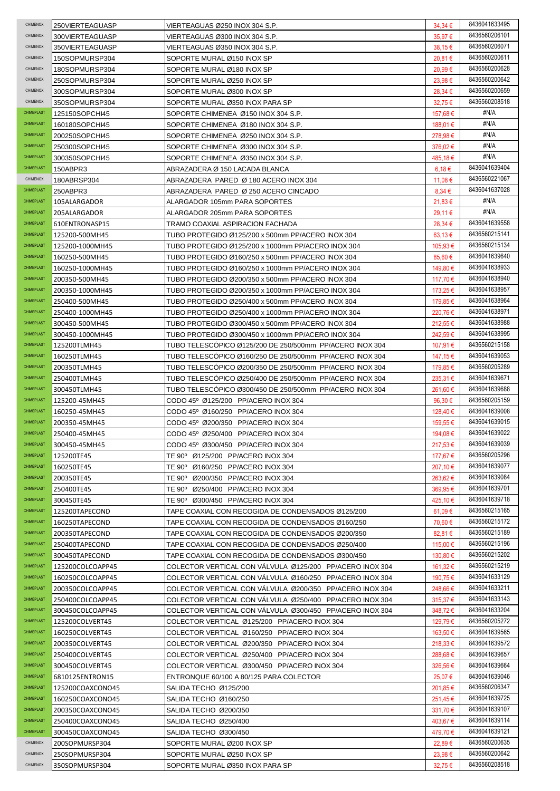| CHIMENOX          | 250VIERTEAGUASP  | VIERTEAGUAS Ø250 INOX 304 S.P.                           | $34,34 \in$  | 8436041633495 |
|-------------------|------------------|----------------------------------------------------------|--------------|---------------|
| CHIMENOX          | 300VIERTEAGUASP  | VIERTEAGUAS Ø300 INOX 304 S.P.                           | 35,97€       | 8436560206101 |
| CHIMENOX          | 350VIERTEAGUASP  | VIERTEAGUAS Ø350 INOX 304 S.P.                           | 38,15€       | 8436560206071 |
| CHIMENOX          | 150SOPMURSP304   | SOPORTE MURAL Ø150 INOX SP                               | 20,81€       | 8436560200611 |
| CHIMENOX          | 180SOPMURSP304   | SOPORTE MURAL Ø180 INOX SP                               | 20,99€       | 8436560200628 |
| CHIMENOX          | 250SOPMURSP304   | SOPORTE MURAL Ø250 INOX SP                               | 23,98€       | 8436560200642 |
| CHIMENOX          | 300SOPMURSP304   | SOPORTE MURAL Ø300 INOX SP                               | 28,34 €      | 8436560200659 |
| CHIMENOX          | 350SOPMURSP304   | SOPORTE MURAL Ø350 INOX PARA SP                          | 32,75€       | 8436560208518 |
| CHIMEPLAST        | 125150SOPCHI45   | SOPORTE CHIMENEA Ø150 INOX 304 S.P.                      | 157,68 €     | #N/A          |
| CHIMEPLAST        | 160180SOPCHI45   | SOPORTE CHIMENEA Ø180 INOX 304 S.P.                      | 188,01 €     | #N/A          |
| CHIMEPLAST        | 200250SOPCHI45   | SOPORTE CHIMENEA Ø250 INOX 304 S.P.                      | 278,98€      | #N/A          |
| CHIMEPLAST        | 250300SOPCHI45   | SOPORTE CHIMENEA Ø300 INOX 304 S.P.                      | 376,02€      | #N/A          |
| CHIMEPLAST        | 300350SOPCHI45   | SOPORTE CHIMENEA Ø350 INOX 304 S.P.                      | 485,18€      | #N/A          |
| CHIMEPLAST        | 150ABPR3         | ABRAZADERA Ø 150 LACADA BLANCA                           | 6,18 €       | 8436041639404 |
| CHIMENOX          | 180ABRSP304      | ABRAZADERA PARED Ø 180 ACERO INOX 304                    | 11,08 €      | 8436560221067 |
| CHIMEPLAST        | 250ABPR3         | ABRAZADERA PARED Ø 250 ACERO CINCADO                     | 8,34€        | 8436041637028 |
| CHIMEPLAST        | 105ALARGADOR     | ALARGADOR 105mm PARA SOPORTES                            | $21,83 \in$  | #N/A          |
| CHIMEPLAST        | 205ALARGADOR     | ALARGADOR 205mm PARA SOPORTES                            | 29,11 €      | #N/A          |
| CHIMEPLAST        | 610ENTRONASP15   | TRAMO COAXIAL ASPIRACION FACHADA                         | 28,34 €      | 8436041639558 |
| CHIMEPLAST        | 125200-500MH45   | TUBO PROTEGIDO Ø125/200 x 500mm PP/ACERO INOX 304        | $63,13 \in$  | 8436560215141 |
| CHIMEPLAST        | 125200-1000MH45  | TUBO PROTEGIDO Ø125/200 x 1000mm PP/ACERO INOX 304       | 105.93 €     | 8436560215134 |
| <b>CHIMEPLAST</b> | 160250-500MH45   | TUBO PROTEGIDO Ø160/250 x 500mm PP/ACERO INOX 304        | 85,60€       | 8436041639640 |
| CHIMEPLAST        | 160250-1000MH45  | TUBO PROTEGIDO Ø160/250 x 1000mm PP/ACERO INOX 304       | 149,80 €     | 8436041638933 |
| CHIMEPLAST        | 200350-500MH45   | TUBO PROTEGIDO Ø200/350 x 500mm PP/ACERO INOX 304        | 117,70 €     | 8436041638940 |
| CHIMEPLAST        | 200350-1000MH45  | TUBO PROTEGIDO Ø200/350 x 1000mm PP/ACERO INOX 304       | 173,25 €     | 8436041638957 |
| CHIMEPLAST        | 250400-500MH45   | TUBO PROTEGIDO Ø250/400 x 500mm PP/ACERO INOX 304        | 179,85 €     | 8436041638964 |
| CHIMEPLAST        | 250400-1000MH45  | TUBO PROTEGIDO Ø250/400 x 1000mm PP/ACERO INOX 304       | 220,76€      | 8436041638971 |
| CHIMEPLAST        | 300450-500MH45   | TUBO PROTEGIDO Ø300/450 x 500mm PP/ACERO INOX 304        | 212,55 €     | 8436041638988 |
| CHIMEPLAST        | 300450-1000MH45  | TUBO PROTEGIDO Ø300/450 x 1000mm PP/ACERO INOX 304       | 242,59€      | 8436041638995 |
| CHIMEPLAST        | 125200TLMH45     | TUBO TELESCOPICO Ø125/200 DE 250/500mm PP/ACERO INOX 304 | 107,91 €     | 8436560215158 |
| CHIMEPLAST        | 160250TLMH45     | TUBO TELESCOPICO Ø160/250 DE 250/500mm PP/ACERO INOX 304 | 147,15 €     | 8436041639053 |
| CHIMEPLAST        | 200350TLMH45     | TUBO TELESCOPICO Ø200/350 DE 250/500mm PP/ACERO INOX 304 | 179,85 €     | 8436560205289 |
| CHIMEPLAST        | 250400TLMH45     | TUBO TELESCOPICO Ø250/400 DE 250/500mm PP/ACERO INOX 304 | 235,31 €     | 8436041639671 |
| CHIMEPLAST        | 300450TLMH45     | TUBO TELESCOPICO Ø300/450 DE 250/500mm PP/ACERO INOX 304 | 261.60€      | 8436041639688 |
|                   |                  |                                                          |              |               |
| CHIMEPLAST        | 125200-45MH45    | CODO 45° Ø125/200 PP/ACERO INOX 304                      | 96,30 €      | 8436560205159 |
| CHIMEPLAST        | 160250-45MH45    | CODO 45° Ø160/250 PP/ACERO INOX 304                      | 128,40 €     | 8436041639008 |
| <b>CHIMEPLAST</b> | 200350-45MH45    | CODO 45° Ø200/350 PP/ACERO INOX 304                      | 159,55 €     | 8436041639015 |
| <b>CHIMEPLAST</b> | 250400-45MH45    | CODO 45º Ø250/400 PP/ACERO INOX 304                      | 194,08€      | 8436041639022 |
| <b>CHIMEPLAST</b> | 300450-45MH45    | CODO 45° Ø300/450 PP/ACERO INOX 304                      | 217,53 €     | 8436041639039 |
| CHIMEPLAST        | 125200TE45       | TE 90° Ø125/200 PP/ACERO INOX 304                        | 177,67 €     | 8436560205296 |
| CHIMEPLAST        | 160250TE45       | TE 90º Ø160/250 PP/ACERO INOX 304                        | 207,10 €     | 8436041639077 |
| CHIMEPLAST        | 200350TE45       | TE 90° Ø200/350 PP/ACERO INOX 304                        | 263,62€      | 8436041639084 |
| CHIMEPLAST        | 250400TE45       | TE 90° Ø250/400 PP/ACERO INOX 304                        | 369,95€      | 8436041639701 |
| CHIMEPLAST        | 300450TE45       | TE 90° Ø300/450 PP/ACERO INOX 304                        | 425,10€      | 8436041639718 |
| CHIMEPLAST        | 125200TAPECOND   | TAPE COAXIAL CON RECOGIDA DE CONDENSADOS Ø125/200        | 61,09 €      | 8436560215165 |
| CHIMEPLAST        | 160250TAPECOND   | TAPE COAXIAL CON RECOGIDA DE CONDENSADOS Ø160/250        | 70,60 €      | 8436560215172 |
| <b>CHIMEPLAST</b> | 200350TAPECOND   | TAPE COAXIAL CON RECOGIDA DE CONDENSADOS Ø200/350        | 82,81 €      | 8436560215189 |
| CHIMEPLAST        | 250400TAPECOND   | TAPE COAXIAL CON RECOGIDA DE CONDENSADOS Ø250/400        | 115,00 €     | 8436560215196 |
| CHIMEPLAST        | 300450TAPECOND   | TAPE COAXIAL CON RECOGIDA DE CONDENSADOS Ø300/450        | 130,80 €     | 8436560215202 |
| CHIMEPLAST        | 125200COLCOAPP45 | COLECTOR VERTICAL CON VALVULA Ø125/200 PP/ACERO INOX 304 | 161,32 €     | 8436560215219 |
| CHIMEPLAST        | 160250COLCOAPP45 | COLECTOR VERTICAL CON VALVULA Ø160/250 PP/ACERO INOX 304 | 190,75 €     | 8436041633129 |
| CHIMEPLAST        | 200350COLCOAPP45 | COLECTOR VERTICAL CON VALVULA Ø200/350 PP/ACERO INOX 304 | 248,66 €     | 8436041633211 |
| CHIMEPLAST        | 250400COLCOAPP45 | COLECTOR VERTICAL CON VALVULA Ø250/400 PP/ACERO INOX 304 | $315,37 \in$ | 8436041633143 |
| CHIMEPLAST        | 300450COLCOAPP45 | COLECTOR VERTICAL CON VALVULA Ø300/450 PP/ACERO INOX 304 | 348,72€      | 8436041633204 |
| CHIMEPLAST        | 125200COLVERT45  | COLECTOR VERTICAL Ø125/200 PP/ACERO INOX 304             | 129,79€      | 8436560205272 |
| CHIMEPLAST        | 160250COLVERT45  | COLECTOR VERTICAL Ø160/250 PP/ACERO INOX 304             | 163,50 €     | 8436041639565 |
| CHIMEPLAST        | 200350COLVERT45  | COLECTOR VERTICAL Ø200/350 PP/ACERO INOX 304             | $218,33 \in$ | 8436041639572 |
| CHIMEPLAST        | 250400COLVERT45  | COLECTOR VERTICAL Ø250/400 PP/ACERO INOX 304             | 288,68€      | 8436041639657 |
| CHIMEPLAST        | 300450COLVERT45  | COLECTOR VERTICAL Ø300/450 PP/ACERO INOX 304             | 326,56€      | 8436041639664 |
| CHIMEPLAST        | 6810125ENTRON15  | ENTRONQUE 60/100 A 80/125 PARA COLECTOR                  | 25,07 €      | 8436041639046 |
| CHIMEPLAST        | 125200COAXCONO45 | SALIDA TECHO Ø125/200                                    | 201,85 €     | 8436560206347 |
| CHIMEPLAST        | 160250COAXCONO45 | SALIDA TECHO Ø160/250                                    | 251,45€      | 8436041639725 |
| CHIMEPLAST        | 200350COAXCONO45 | SALIDA TECHO Ø200/350                                    | 331,70€      | 8436041639107 |
| CHIMEPLAST        | 250400COAXCONO45 | SALIDA TECHO Ø250/400                                    | 403,67 €     | 8436041639114 |
| CHIMEPLAST        | 300450COAXCONO45 | SALIDA TECHO Ø300/450                                    | 479,70€      | 8436041639121 |
| CHIMENOX          | 200SOPMURSP304   | SOPORTE MURAL Ø200 INOX SP                               | 22,89€       | 8436560200635 |
| CHIMENOX          | 250SOPMURSP304   | SOPORTE MURAL Ø250 INOX SP                               | 23,98€       | 8436560200642 |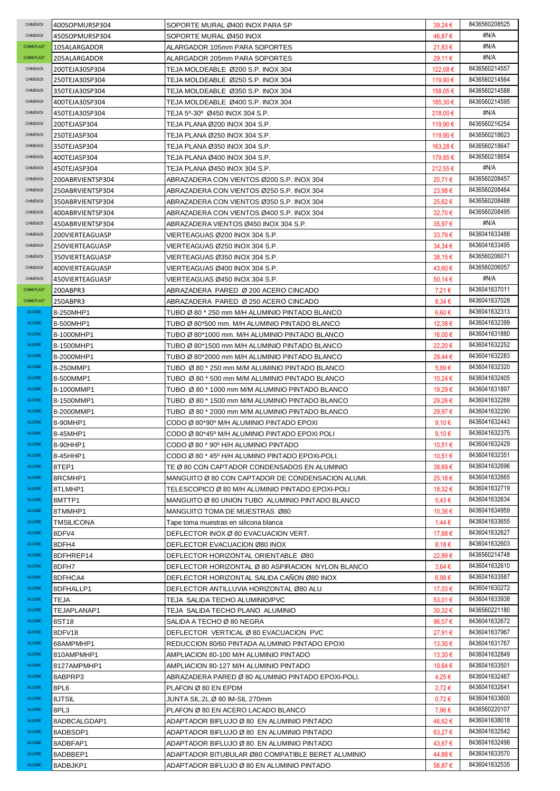| CHIMENOX        | 400SOPMURSP304    | SOPORTE MURAL Ø400 INOX PARA SP                    | $39,24 \in$ | 8436560208525 |
|-----------------|-------------------|----------------------------------------------------|-------------|---------------|
| CHIMENOX        | 450SOPMURSP304    | SOPORTE MURAL Ø450 INOX                            | 46,87 €     | #N/A          |
| CHIMEPLAST      | 105ALARGADOR      | ALARGADOR 105mm PARA SOPORTES                      | $21,83 \in$ | #N/A          |
| CHIMEPLAST      | 205ALARGADOR      | ALARGADOR 205mm PARA SOPORTES                      | 29,11 €     | #N/A          |
| CHIMENOX        | 200TEJA30SP304    | TEJA MOLDEABLE Ø200 S.P. INOX 304                  | 122.08 €    | 8436560214557 |
| CHIMENOX        | 250TEJA30SP304    | TEJA MOLDEABLE Ø250 S.P. INOX 304                  | 119,90 €    | 8436560214564 |
| CHIMENOX        |                   | TEJA MOLDEABLE Ø350 S.P. INOX 304                  | 158,05 €    | 8436560214588 |
|                 | 350TEJA30SP304    |                                                    |             | 8436560214595 |
| CHIMENOX        | 400TEJA30SP304    | TEJA MOLDEABLE Ø400 S.P. INOX 304                  | 185,30 €    |               |
| CHIMENOX        | 450TEJA30SP304    | TEJA 5º-30º Ø450 INOX 304 S.P.                     | 218,00 €    | #N/A          |
| CHIMENOX        | 200TEJASP304      | TEJA PLANA Ø200 INOX 304 S.P.                      | 119,90 €    | 8436560216254 |
| CHIMENOX        | 250TEJASP304      | TEJA PLANA Ø250 INOX 304 S.P.                      | 119,90€     | 8436560218623 |
| <b>CHIMENOX</b> | 350TEJASP304      | TEJA PLANA Ø350 INOX 304 S.P.                      | 163,28€     | 8436560218647 |
| CHIMENOX        | 400TEJASP304      | TEJA PLANA Ø400 INOX 304 S.P.                      | 179,85 €    | 8436560218654 |
| CHIMENOX        | 450TEJASP304      | TEJA PLANA Ø450 INOX 304 S.P.                      | 212,55 €    | #N/A          |
| CHIMENOX        | 200ABRVIENTSP304  | ABRAZADERA CON VIENTOS Ø200 S.P. INOX 304          | 20,71€      | 8436560208457 |
| CHIMENOX        | 250ABRVIENTSP304  | ABRAZADERA CON VIENTOS Ø250 S.P. INOX 304          | 23,98€      | 8436560208464 |
| CHIMENOX        | 350ABRVIENTSP304  | ABRAZADERA CON VIENTOS Ø350 S.P. INOX 304          | 25,62€      | 8436560208488 |
| CHIMENOX        | 400ABRVIENTSP304  | ABRAZADERA CON VIENTOS Ø400 S.P. INOX 304          | 32,70€      | 8436560208495 |
| CHIMENOX        | 450ABRVIENTSP304  | ABRAZADERA VIENTOS Ø450 INOX 304 S.P.              | 35,97€      | #N/A          |
| CHIMENOX        | 200VIERTEAGUASP   |                                                    | 33,79€      | 8436041633488 |
| CHIMENOX        |                   | VIERTEAGUAS Ø200 INOX 304 S.P.                     |             | 8436041633495 |
|                 | 250VIERTEAGUASP   | VIERTEAGUAS Ø250 INOX 304 S.P.                     | 34,34 €     |               |
| CHIMENOX        | 350VIERTEAGUASP   | VIERTEAGUAS Ø350 INOX 304 S.P.                     | 38,15 €     | 8436560206071 |
| CHIMENOX        | 400VIERTEAGUASP   | VIERTEAGUAS Ø400 INOX 304 S.P.                     | 43,60 €     | 8436560206057 |
| CHIMENOX        | 450VIERTEAGUASP   | VIERTEAGUAS Ø450 INOX 304 S.P.                     | 50,14 €     | #N/A          |
| CHIMEPLAST      | 200ABPR3          | ABRAZADERA PARED Ø 200 ACERO CINCADO               | 7,21 €      | 8436041637011 |
| CHIMEPLAST      | 250ABPR3          | ABRAZADERA PARED Ø 250 ACERO CINCADO               | 8,34€       | 8436041637028 |
| <b>ALUONE</b>   | 8-250MHP1         | TUBO Ø 80 * 250 mm M/H ALUMINIO PINTADO BLANCO     | $6,60 \in$  | 8436041632313 |
| <b>ALUONE</b>   | 8-500MHP1         | TUBO Ø 80*500 mm. M/H ALUMINIO PINTADO BLANCO      | 12,38€      | 8436041632399 |
| <b>ALUONE</b>   | 8-1000MHP1        | TUBO Ø 80*1000 mm. M/H ALUMINIO PINTADO BLANCO     | 16,00 €     | 8436041631880 |
| <b>ALUONE</b>   | 8-1500MHP1        | TUBO Ø 80*1500 mm M/H ALUMINIO PINTADO BLANCO      | 22,20€      | 8436041632252 |
| <b>ALUONE</b>   | 8-2000MHP1        | TUBO Ø 80*2000 mm M/H ALUMINIO PINTADO BLANCO      | 28,44 €     | 8436041632283 |
| <b>ALUONE</b>   | 8-250MMP1         | TUBO Ø 80 * 250 mm M/M ALUMINIO PINTADO BLANCO     | $5,89 \in$  | 8436041632320 |
| <b>ALUONE</b>   | 8-500MMP1         | TUBO Ø 80 * 500 mm M/M ALUMINIO PINTADO BLANCO     | 10,24 €     | 8436041632405 |
| ALUONE          |                   |                                                    |             | 8436041631897 |
|                 | 8-1000MMP1        | TUBO Ø 80 * 1000 mm M/M ALUMINIO PINTADO BLANCO    | 19,29 €     |               |
| ALUONE          | 8-1500MMP1        | TUBO Ø 80 * 1500 mm M/M ALUMINIO PINTADO BLANCO    | 29,26€      | 8436041632269 |
| <b>ALUONE</b>   | 8-2000MMP1        | TUBO Ø 80 * 2000 mm M/M ALUMINIO PINTADO BLANCO    | 29,97€      | 8436041632290 |
| <b>ALUONE</b>   | 8-90MHP1          | CODO Ø 80*90° M/H ALUMINIO PINTADO EPOXI           | 9,10€       | 8436041632443 |
| <b>ALUONE</b>   | 8-45MHP1          | CODO Ø 80*45° M/H ALUMINIO PINTADO EPOXI POLI      | 9,10€       | 8436041632375 |
| <b>ALUONE</b>   | 8-90HHP1          | CODO Ø 80 * 90° H/H ALUMINIO PINTADO               | 10,51 €     | 8436041632429 |
| <b>ALUONE</b>   | 8-45HHP1          | CODO Ø 80 * 45° H/H ALUMINO PINTADO EPOXI-POLI.    | 10,51 €     | 8436041632351 |
| ALUONE          | 8TEP1             | TE Ø 80 CON CAPTADOR CONDENSADOS EN ALUMINIO       | 38,69€      | 8436041632696 |
| <b>ALUONE</b>   | 8RCMHP1           | MANGUITO Ø 80 CON CAPTADOR DE CONDENSACION ALUMI.  | 25,18€      | 8436041632665 |
| <b>ALUONE</b>   | 8TLMHP1           | TELESCOPICO Ø 80 M/H ALUMINIO PINTADO EPOXI-POLI   | 18,32€      | 8436041632719 |
| <b>ALUONE</b>   | 8MTTP1            | MANGUITO Ø 80 UNION TUBO ALUMINIO PINTADO BLANCO   | $5,43 \in$  | 8436041632634 |
| <b>ALUONE</b>   | 8TMMHP1           | MANGUITO TOMA DE MUESTRAS Ø80                      | 10,36€      | 8436041634959 |
| <b>ALUONE</b>   | <b>TMSILICONA</b> | Tape toma muestras en silicona blanca              | 1,44 €      | 8436041633655 |
| <b>ALUONE</b>   |                   |                                                    |             | 8436041632627 |
|                 | 8DFV4             | DEFLECTOR INOX Ø 80 EVACUACION VERT.               | 17,88€      |               |
| <b>ALUONE</b>   | 8DFH4             | DEFLECTOR EVACUACION Ø80 INOX                      | 8,18€       | 8436041632603 |
| <b>ALUONE</b>   | 8DFHREP14         | DEFLECTOR HORIZONTAL ORIENTABLE Ø80                | 22,89€      | 8436560214748 |
| <b>ALUONE</b>   | 8DFH7             | DEFLECTOR HORIZONTAL Ø 80 ASPIRACION NYLON BLANCO  | 3,64€       | 8436041632610 |
| <b>ALUONE</b>   | 8DFHCA4           | DEFLECTOR HORIZONTAL SALIDA CANON Ø80 INOX         | $6.98 \in$  | 8436041633587 |
| <b>ALUONE</b>   | 8DFHALLP1         | DEFLECTOR ANTILLUVIA HORIZONTAL Ø80 ALU            | 17,03€      | 8436041630272 |
| <b>ALUONE</b>   | TEJA              | TEJA SALIDA TECHO ALUMINIO/PVC                     | 53,01 €     | 8436041633938 |
| <b>ALUONE</b>   | TEJAPLANAP1       | TEJA SALIDA TECHO PLANO ALUMINIO                   | $30,32 \in$ | 8436560221180 |
| <b>ALUONE</b>   | 8ST18             | SALIDA A TECHO Ø 80 NEGRA                          | 96,57€      | 8436041632672 |
| <b>ALUONE</b>   | 8DFV18            | DEFLECTOR VERTICAL Ø 80 EVACUACION PVC             | 27,91 €     | 8436041637967 |
| ALUONE          | 68AMPMHP1         | REDUCCION 80/60 PINTADA ALUMINIO PINTADO EPOXI     | 13,30 €     | 8436041631767 |
| <b>ALUONE</b>   | 810AMPMHP1        | AMPLIACION 80-100 M/H ALUMINIO PINTADO             | 13,30 €     | 8436041632849 |
| <b>ALUONE</b>   | 8127AMPMHP1       | AMPLIACION 80-127 M/H ALUMINIO PINTADO             | 19,64 €     | 8436041633501 |
| ALUONE          | 8ABPRP3           | ABRAZADERA PARED Ø 80 ALUMINIO PINTADO EPOXI-POLI. | 4,25 €      | 8436041632467 |
| ALUONE          | 8PL6              |                                                    |             | 8436041632641 |
|                 |                   | PLAFON Ø 80 EN EPDM                                | $2,72 \in$  |               |
| <b>ALUONE</b>   | 8JTSIL            | JUNTA SIL.2L.Ø 80 IM-SIL 270mm                     | $0.72 \in$  | 8436041633600 |
| ALUONE          | 8PL3              | PLAFON Ø 80 EN ACERO LACADO BLANCO                 | 7,96 €      | 8436560220107 |
| ALUONE          | 8ADBCALGDAP1      | ADAPTADOR BIFLUJO Ø 80 EN ALUMINIO PINTADO         | 46,62€      | 8436041638018 |
| <b>ALUONE</b>   | 8ADBSDP1          | ADAPTADOR BIFLUJO Ø 80 EN ALUMINIO PINTADO         | $63,27 \in$ | 8436041632542 |
| <b>ALUONE</b>   | 8ADBFAP1          | ADAPTADOR BIFLUJO Ø 80 EN ALUMINIO PINTADO         | 43,67 €     | 8436041632498 |
| <b>ALUONE</b>   | 8ADBBEP1          | ADAPTADOR BITUBULAR Ø80 COMPATIBLE BERET ALUMINIO  | 44,88€      | 8436041633570 |
| ALUONE          | 8ADBJKP1          | ADAPTADOR BIFLUJO Ø 80 EN ALUMINIO PINTADO         | 56,87€      | 8436041632535 |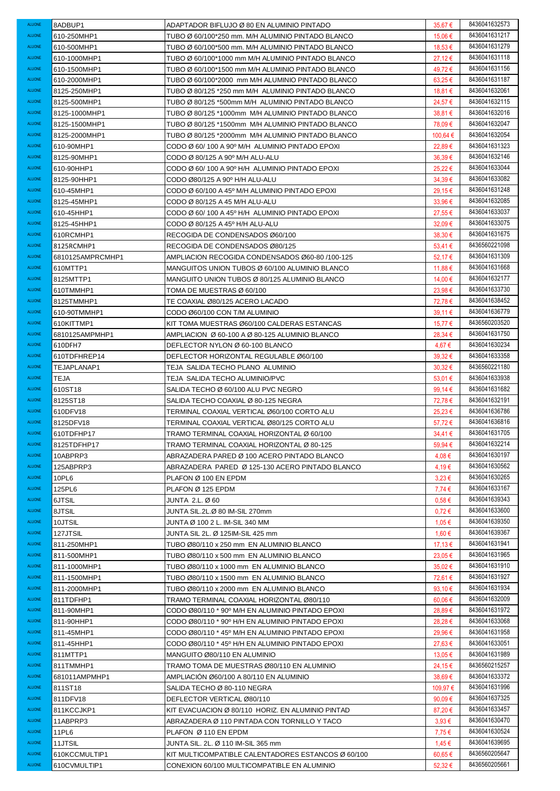| ALUONE                         | 8ADBUP1             | ADAPTADOR BIFLUJO Ø 80 EN ALUMINIO PINTADO                            | 35,67 €           | 8436041632573                  |
|--------------------------------|---------------------|-----------------------------------------------------------------------|-------------------|--------------------------------|
| <b>ALUONE</b>                  | 610-250MHP1         | TUBO Ø 60/100*250 mm. M/H ALUMINIO PINTADO BLANCO                     | 15.06 €           | 8436041631217                  |
| <b>ALUONE</b>                  | 610-500MHP1         | TUBO Ø 60/100*500 mm. M/H ALUMINIO PINTADO BLANCO                     | 18,53 €           | 8436041631279                  |
| <b>ALUONE</b>                  | 610-1000MHP1        | TUBO Ø 60/100*1000 mm M/H ALUMINIO PINTADO BLANCO                     | $27,12 \in$       | 8436041631118                  |
| <b>ALUONE</b>                  | 610-1500MHP1        | TUBO Ø 60/100*1500 mm M/H ALUMINIO PINTADO BLANCO                     | 49,72€            | 8436041631156                  |
| <b>ALUONE</b>                  | 610-2000MHP1        | TUBO Ø 60/100*2000 mm M/H ALUMINIO PINTADO BLANCO                     | $63,25 \in$       | 8436041631187                  |
| <b>ALUONE</b>                  | 8125-250MHP1        | TUBO Ø 80/125 *250 mm M/H ALUMINIO PINTADO BLANCO                     | 18,81 €           | 8436041632061                  |
| <b>ALUONE</b>                  | 8125-500MHP1        | TUBO Ø 80/125 *500mm M/H ALUMINIO PINTADO BLANCO                      | 24,57 €           | 8436041632115                  |
| <b>ALUONE</b>                  | 8125-1000MHP1       | TUBO Ø 80/125 *1000mm M/H ALUMINIO PINTADO BLANCO                     | 38,81 €           | 8436041632016                  |
| <b>ALUONE</b>                  | 8125-1500MHP1       | TUBO Ø 80/125 *1500mm M/H ALUMINIO PINTADO BLANCO                     | 78,09€            | 8436041632047                  |
| <b>ALUONE</b>                  | 8125-2000MHP1       | TUBO Ø 80/125 *2000mm M/H ALUMINIO PINTADO BLANCO                     | 100,64 €          | 8436041632054                  |
| <b>ALUONE</b>                  | 610-90MHP1          | CODO Ø 60/100 A 90° M/H ALUMINIO PINTADO EPOXI                        | 22,89€            | 8436041631323                  |
| <b>ALUONE</b>                  | 8125-90MHP1         | CODO Ø 80/125 A 90° M/H ALU-ALU                                       | $36,39 \in$       | 8436041632146                  |
| <b>ALUONE</b>                  | 610-90HHP1          | CODO Ø 60/100 A 90° H/H ALUMINIO PINTADO EPOXI                        | 25,22€            | 8436041633044                  |
| <b>ALUONE</b>                  | 8125-90HHP1         | CODO Ø80/125 A 90° H/H ALU-ALU                                        | 34,39€            | 8436041633082                  |
| <b>ALUONE</b>                  | 610-45MHP1          | CODO Ø 60/100 A 45° M/H ALUMINIO PINTADO EPOXI                        | 29,15€            | 8436041631248                  |
| <b>ALUONE</b>                  | 8125-45MHP1         | CODO Ø 80/125 A 45 M/H ALU-ALU                                        | 33,96€            | 8436041632085                  |
| <b>ALUONE</b>                  | 610-45HHP1          | CODO Ø 60/100 A 45° H/H ALUMINIO PINTADO EPOXI                        | 27,55€            | 8436041633037                  |
| <b>ALUONE</b>                  | 8125-45HHP1         | CODO Ø 80/125 A 45° H/H ALU-ALU                                       | 32,09€            | 8436041633075                  |
| <b>ALUONE</b>                  | 610RCMHP1           | RECOGIDA DE CONDENSADOS Ø60/100                                       | 38,30 €           | 8436041631675                  |
| <b>ALUONE</b>                  | 8125RCMHP1          | RECOGIDA DE CONDENSADOS Ø80/125                                       | $53,41 \in$       | 8436560221098                  |
| <b>ALUONE</b>                  | 6810125AMPRCMHP1    |                                                                       |                   | 8436041631309                  |
| <b>ALUONE</b>                  |                     | AMPLIACION RECOGIDA CONDENSADOS Ø60-80 /100-125                       | 52,17€            | 8436041631668                  |
| <b>ALUONE</b>                  | 610MTTP1            | MANGUITOS UNION TUBOS Ø 60/100 ALUMINIO BLANCO                        | 11,88€            | 8436041632177                  |
| <b>ALUONE</b>                  | 8125MTTP1           | MANGUITO UNION TUBOS Ø 80/125 ALUMINIO BLANCO                         | 14,00 €           | 8436041633730                  |
|                                | 610TMMHP1           | TOMA DE MUESTRAS Ø 60/100                                             | 23,98€            |                                |
| <b>ALUONE</b>                  | 8125TMMHP1          | TE COAXIAL Ø80/125 ACERO LACADO                                       | 72,78€            | 8436041638452                  |
| <b>ALUONE</b>                  | 610-90TMMHP1        | CODO Ø60/100 CON T/M ALUMINIO                                         | 39,11 €           | 8436041636779                  |
| <b>ALUONE</b>                  | 610KITTMP1          | KIT TOMA MUESTRAS Ø60/100 CALDERAS ESTANCAS                           | 15,77 €           | 8436560203520                  |
| ALUONE                         | 6810125AMPMHP1      | AMPLIACION Ø 60-100 A Ø 80-125 ALUMINIO BLANCO                        | 28,34 €           | 8436041631750                  |
| ALUONE<br><b>ALUONE</b>        | 610DFH7             | DEFLECTOR NYLON Ø 60-100 BLANCO                                       | 4,67 €            | 8436041630234<br>8436041633358 |
| <b>ALUONE</b>                  | 610TDFHREP14        | DEFLECTOR HORIZONTAL REGULABLE Ø60/100                                | 39,32€            | 8436560221180                  |
| <b>ALUONE</b>                  | TEJAPLANAP1         | TEJA SALIDA TECHO PLANO ALUMINIO                                      | $30,32 \in$       | 8436041633938                  |
| <b>ALUONE</b>                  | TEJA                | TEJA SALIDA TECHO ALUMINIO/PVC<br>SALIDA TECHO Ø 60/100 ALU PVC NEGRO | 53,01 €           | 8436041631682                  |
| <b>ALUONE</b>                  | 610ST18<br>8125ST18 | SALIDA TECHO COAXIAL Ø 80-125 NEGRA                                   | 99,14 €<br>72,78€ | 8436041632191                  |
| <b>ALUONE</b>                  | 610DFV18            | TERMINAL COAXIAL VERTICAL Ø60/100 CORTO ALU                           | 25,23€            | 8436041636786                  |
| <b>ALUONE</b>                  | 8125DFV18           | TERMINAL COAXIAL VERTICAL Ø80/125 CORTO ALU                           | 57,72€            | 8436041636816                  |
| <b>ALUONE</b>                  | 610TDFHP17          | TRAMO TERMINAL COAXIAL HORIZONTAL Ø 60/100                            | 34,41€            | 8436041631705                  |
| ALUONE                         | 8125TDFHP17         | TRAMO TERMINAL COAXIAL HORIZONTAL Ø 80-125                            | 59,94€            | 8436041632214                  |
| <b>ALUONE</b>                  | 10ABPRP3            | ABRAZADERA PARED Ø 100 ACERO PINTADO BLANCO                           | 4,08€             | 8436041630197                  |
| <b>ALUONE</b>                  | 125ABPRP3           | ABRAZADERA PARED Ø 125-130 ACERO PINTADO BLANCO                       | 4,19€             | 8436041630562                  |
| <b>ALUONE</b>                  | 10PL6               | PLAFON Ø 100 EN EPDM                                                  | $3.23 \in$        | 8436041630265                  |
| <b>ALUONE</b>                  | 125PL6              | PLAFON Ø 125 EPDM                                                     | $7,74 \in$        | 8436041633167                  |
| <b>ALUONE</b>                  | 6JTSIL              | JUNTA 2.L.Ø60                                                         | $0.58 \in$        | 8436041639343                  |
| <b>ALUONE</b>                  | 8JTSIL              | JUNTA SIL.2L.Ø 80 IM-SIL 270mm                                        | $0.72 \in$        | 8436041633600                  |
| <b>ALUONE</b>                  | 10JTSIL             | JUNTA Ø 100 2 L. IM-SIL 340 MM                                        | 1,05 €            | 8436041639350                  |
| <b>ALUONE</b>                  | 127JTSIL            | JUNTA SIL 2L. Ø 125IM-SIL 425 mm                                      | 1,60 €            | 8436041639367                  |
| <b>ALUONE</b>                  | 811-250MHP1         | TUBO Ø80/110 x 250 mm EN ALUMINIO BLANCO                              | 17,13 €           | 8436041631941                  |
| <b>ALUONE</b>                  | 811-500MHP1         | TUBO Ø80/110 x 500 mm EN ALUMINIO BLANCO                              | 23,05€            | 8436041631965                  |
| ALUONE                         | 811-1000MHP1        | TUBO Ø80/110 x 1000 mm EN ALUMINIO BLANCO                             | $35,02 \in$       | 8436041631910                  |
| <b>ALUONE</b>                  | 811-1500MHP1        | TUBO Ø80/110 x 1500 mm EN ALUMINIO BLANCO                             | 72,61 €           | 8436041631927                  |
| <b>ALUONE</b>                  | 811-2000MHP1        | TUBO Ø80/110 x 2000 mm EN ALUMINIO BLANCO                             | 93,10 $\epsilon$  | 8436041631934                  |
| ALUONE                         | 811TDFHP1           | TRAMO TERMINAL COAXIAL HORIZONTAL Ø80/110                             | $60.06 \in$       | 8436041632009                  |
| <b>ALUONE</b>                  | 811-90MHP1          | CODO Ø80/110 * 90º M/H EN ALUMINIO PINTADO EPOXI                      | 28,89€            | 8436041631972                  |
| ALUONE                         | 811-90HHP1          | CODO Ø80/110 * 90º H/H EN ALUMINIO PINTADO EPOXI                      | 28,28€            | 8436041633068                  |
| <b>ALUONE</b>                  | 811-45MHP1          | CODO Ø80/110 * 45º M/H EN ALUMINIO PINTADO EPOXI                      | 29,96€            | 8436041631958                  |
| <b>ALUONE</b>                  | 811-45HHP1          | CODO Ø80/110 * 45º H/H EN ALUMINIO PINTADO EPOXI                      | 27,63€            | 8436041633051                  |
| <b>ALUONE</b>                  | 811MTTP1            | MANGUITO Ø80/110 EN ALUMINIO                                          | 13,05 €           | 8436041631989                  |
| <b>ALUONE</b>                  | 811TMMHP1           | TRAMO TOMA DE MUESTRAS Ø80/110 EN ALUMINIO                            | 24,15 €           | 8436560215257                  |
| <b>ALUONE</b>                  | 681011AMPMHP1       | AMPLIACION Ø60/100 A 80/110 EN ALUMINIO                               | 38,69€            | 8436041633372                  |
| <b>ALUONE</b>                  | 811ST18             | SALIDA TECHO Ø 80-110 NEGRA                                           | 109,97€           | 8436041631996                  |
| <b>ALUONE</b>                  | 811DFV18            | DEFLECTOR VERTICAL Ø80/110                                            | 90,09 $\epsilon$  | 8436041637325                  |
| <b>ALUONE</b>                  | 811KCCJKP1          | KIT EVACUACION Ø 80/110 HORIZ. EN ALUMINIO PINTAD                     | 87,20€            | 8436041633457                  |
|                                |                     |                                                                       |                   |                                |
| <b>ALUONE</b>                  | 11ABPRP3            | ABRAZADERA Ø 110 PINTADA CON TORNILLO Y TACO                          | $3.93 \in$        | 8436041630470                  |
| <b>ALUONE</b>                  | 11PL6               | PLAFON Ø 110 EN EPDM                                                  | 7,75€             | 8436041630524                  |
| <b>ALUONE</b>                  | 11JTSIL             | JUNTA SIL. 2L. Ø 110 IM-SIL 365 mm                                    | 1,45 €            | 8436041639695                  |
| <b>ALUONE</b><br><b>ALUONE</b> | 610KCCMULTIP1       | KIT MULTICOMPATIBLE CALENTADORES ESTANCOS Ø 60/100                    | 60,65 €           | 8436560205647<br>8436560205661 |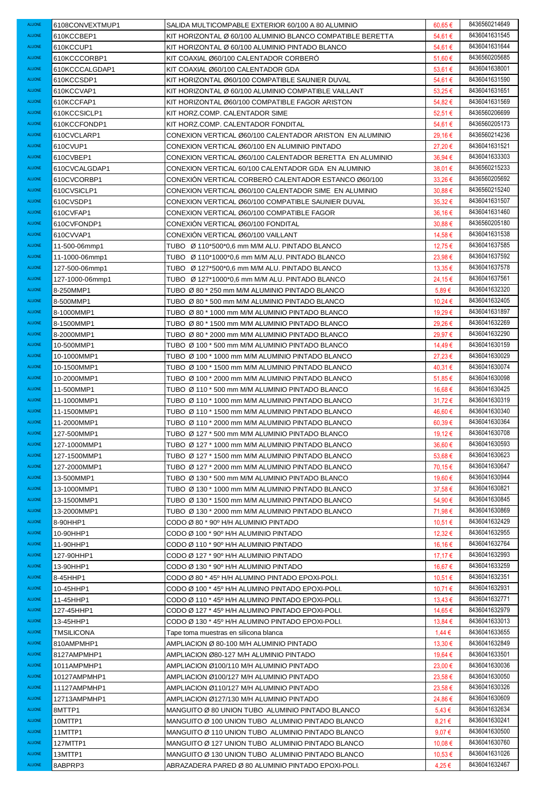| ALUONE                         | 6108CONVEXTMUP1          | SALIDA MULTICOMPABLE EXTERIOR 60/100 A 80 ALUMINIO         | 60,65 €         | 8436560214649 |
|--------------------------------|--------------------------|------------------------------------------------------------|-----------------|---------------|
| <b>ALUONE</b>                  | 610KCCBEP1               | KIT HORIZONTAL Ø 60/100 ALUMINIO BLANCO COMPATIBLE BERETTA | 54,61 €         | 8436041631545 |
| <b>ALUONE</b>                  | 610KCCUP1                | KIT HORIZONTAL Ø 60/100 ALUMINIO PINTADO BLANCO            | 54,61 €         | 8436041631644 |
| <b>ALUONE</b>                  | 610KCCCORBP1             | KIT COAXIAL Ø60/100 CALENTADOR CORBERO                     | 51,60€          | 8436560205685 |
| <b>ALUONE</b>                  | 610KCCCALGDAP1           | KIT COAXIAL Ø60/100 CALENTADOR GDA                         | 53.61 €         | 8436041638001 |
| <b>ALUONE</b>                  | 610KCCSDP1               | KIT HORIZONTAL Ø60/100 COMPATIBLE SAUNIER DUVAL            | 54,61 €         | 8436041631590 |
| <b>ALUONE</b>                  | 610KCCVAP1               | KIT HORIZONTAL Ø 60/100 ALUMINIO COMPATIBLE VAILLANT       | $53,25 \in$     | 8436041631651 |
| <b>ALUONE</b>                  | 610KCCFAP1               | KIT HORIZONTAL Ø60/100 COMPATIBLE FAGOR ARISTON            | 54,82€          | 8436041631569 |
| <b>ALUONE</b>                  | 610KCCSICLP1             | KIT HORZ.COMP. CALENTADOR SIME                             | 52,51€          | 8436560206699 |
| <b>ALUONE</b>                  | 610KCCFONDP1             | KIT HORZ.COMP. CALENTADOR FONDITAL                         | 54,61€          | 8436560205173 |
| <b>ALUONE</b>                  | 610CVCLARP1              | CONEXION VERTICAL Ø60/100 CALENTADOR ARISTON EN ALUMINIO   | 29,16€          | 8436560214236 |
| <b>ALUONE</b>                  | 610CVUP1                 | CONEXION VERTICAL Ø60/100 EN ALUMINIO PINTADO              | 27,20€          | 8436041631521 |
| <b>ALUONE</b>                  | 610CVBEP1                | CONEXION VERTICAL Ø60/100 CALENTADOR BERETTA EN ALUMINIO   | 36,94 €         | 8436041633303 |
| <b>ALUONE</b>                  | 610CVCALGDAP1            | CONEXION VERTICAL 60/100 CALENTADOR GDA EN ALUMINIO        | 38,01 €         | 8436560215233 |
| <b>ALUONE</b>                  | 610CVCORBP1              | CONEXIÓN VERTICAL CORBERÓ CALENTADOR ESTANCO Ø60/100       | $33.26 \in$     | 8436560205692 |
| <b>ALUONE</b>                  | 610CVSICLP1              | CONEXION VERTICAL Ø60/100 CALENTADOR SIME EN ALUMINIO      | $30.88 \in$     | 8436560215240 |
| <b>ALUONE</b>                  | 610CVSDP1                | CONEXION VERTICAL Ø60/100 COMPATIBLE SAUNIER DUVAL         | $35.32 \in$     | 8436041631507 |
| <b>ALUONE</b>                  | 610CVFAP1                |                                                            |                 | 8436041631460 |
| <b>ALUONE</b>                  |                          | CONEXION VERTICAL Ø60/100 COMPATIBLE FAGOR                 | 36,16€          | 8436560205180 |
| <b>ALUONE</b>                  | 610CVFONDP1<br>610CVVAP1 | CONEXION VERTICAL Ø60/100 FONDITAL                         | $30.88 \in$     | 8436041631538 |
|                                |                          | CONEXION VERTICAL Ø60/100 VAILLANT                         | 14,58 €         | 8436041637585 |
| <b>ALUONE</b><br><b>ALUONE</b> | 11-500-06mmp1            | TUBO Ø 110*500*0,6 mm M/M ALU. PINTADO BLANCO              | 12,75 €         | 8436041637592 |
|                                | 11-1000-06mmp1           | TUBO Ø 110*1000*0,6 mm M/M ALU. PINTADO BLANCO             | 23,98€          |               |
| <b>ALUONE</b>                  | 127-500-06mmp1           | TUBO Ø 127*500*0,6 mm M/M ALU. PINTADO BLANCO              | 13,35 €         | 8436041637578 |
| <b>ALUONE</b>                  | 127-1000-06mmp1          | TUBO Ø 127*1000*0,6 mm M/M ALU. PINTADO BLANCO             | 24,15 €         | 8436041637561 |
| <b>ALUONE</b>                  | 8-250MMP1                | TUBO Ø80 * 250 mm M/M ALUMINIO PINTADO BLANCO              | 5,89€           | 8436041632320 |
| ALUONE                         | 8-500MMP1                | TUBO Ø80 * 500 mm M/M ALUMINIO PINTADO BLANCO              | 10,24 €         | 8436041632405 |
| ALUONE                         | 8-1000MMP1               | TUBO Ø80 * 1000 mm M/M ALUMINIO PINTADO BLANCO             | 19,29€          | 8436041631897 |
| <b>ALUONE</b>                  | 8-1500MMP1               | TUBO Ø80 * 1500 mm M/M ALUMINIO PINTADO BLANCO             | 29,26€          | 8436041632269 |
| <b>ALUONE</b>                  | 8-2000MMP1               | TUBO Ø 80 * 2000 mm M/M ALUMINIO PINTADO BLANCO            | 29,97€          | 8436041632290 |
| <b>ALUONE</b>                  | 10-500MMP1               | TUBO Ø 100 * 500 mm M/M ALUMINIO PINTADO BLANCO            | 14,49 €         | 8436041630159 |
| <b>ALUONE</b>                  | 10-1000MMP1              | TUBO Ø 100 * 1000 mm M/M ALUMINIO PINTADO BLANCO           | $27,23 \in$     | 8436041630029 |
| <b>ALUONE</b>                  | 10-1500MMP1              | TUBO Ø 100 * 1500 mm M/M ALUMINIO PINTADO BLANCO           | 40,31 €         | 8436041630074 |
| <b>ALUONE</b>                  | 10-2000MMP1              | TUBO Ø 100 * 2000 mm M/M ALUMINIO PINTADO BLANCO           | 51,85 €         | 8436041630098 |
| <b>ALUONE</b>                  | 11-500MMP1               | TUBO Ø 110 * 500 mm M/M ALUMINIO PINTADO BLANCO            | 16,68€          | 8436041630425 |
| <b>ALUONE</b>                  | 11-1000MMP1              | TUBO Ø 110 * 1000 mm M/M ALUMINIO PINTADO BLANCO           | $31,72 \in$     | 8436041630319 |
|                                |                          |                                                            |                 |               |
| <b>ALUONE</b>                  | 11-1500MMP1              | TUBO Ø 110 * 1500 mm M/M ALUMINIO PINTADO BLANCO           | 46,60 €         | 8436041630340 |
| <b>ALUONE</b>                  | 11-2000MMP1              | TUBO Ø 110 * 2000 mm M/M ALUMINIO PINTADO BLANCO           | 60,39€          | 8436041630364 |
| <b>ALUONE</b>                  | 127-500MMP1              | TUBO Ø 127 * 500 mm M/M ALUMINIO PINTADO BLANCO            | 19,12€          | 8436041630708 |
| <b>ALUONE</b>                  | 127-1000MMP1             | TUBO Ø 127 * 1000 mm M/M ALUMINIO PINTADO BLANCO           | 36,60 €         | 8436041630593 |
| <b>ALUONE</b>                  | 127-1500MMP1             | TUBO Ø 127 * 1500 mm M/M ALUMINIO PINTADO BLANCO           | 53,68 €         | 8436041630623 |
| <b>ALUONE</b>                  | 127-2000MMP1             | TUBO Ø 127 * 2000 mm M/M ALUMINIO PINTADO BLANCO           | 70,15 €         | 8436041630647 |
| <b>ALUONE</b>                  | 13-500MMP1               | TUBO Ø 130 * 500 mm M/M ALUMINIO PINTADO BLANCO            | 19,60 €         | 8436041630944 |
| <b>ALUONE</b>                  | 13-1000MMP1              | TUBO Ø 130 * 1000 mm M/M ALUMINIO PINTADO BLANCO           | 37,58€          | 8436041630821 |
| ALUONE                         | 13-1500MMP1              | TUBO Ø 130 * 1500 mm M/M ALUMINIO PINTADO BLANCO           | 54,90€          | 8436041630845 |
| ALUONE                         | 13-2000MMP1              | TUBO Ø 130 * 2000 mm M/M ALUMINIO PINTADO BLANCO           | 71,98€          | 8436041630869 |
| <b>ALUONE</b>                  | 8-90HHP1                 | CODO Ø 80 * 90º H/H ALUMINIO PINTADO                       | 10,51 €         | 8436041632429 |
| ALUONE                         | 10-90HHP1                | CODO Ø 100 * 90° H/H ALUMINIO PINTADO                      | 12,32 €         | 8436041632955 |
| <b>ALUONE</b>                  | 11-90HHP1                | CODO Ø 110 * 90º H/H ALUMINIO PINTADO                      | 16,16 €         | 8436041632764 |
| <b>ALUONE</b>                  | 127-90HHP1               | CODO Ø 127 * 90° H/H ALUMINIO PINTADO                      | 17,17 €         | 8436041632993 |
| <b>ALUONE</b>                  | 13-90HHP1                | CODO Ø 130 * 90º H/H ALUMINIO PINTADO                      | 16,67 €         | 8436041633259 |
| <b>ALUONE</b>                  | 8-45HHP1                 | CODO Ø 80 * 45º H/H ALUMINO PINTADO EPOXI-POLI.            | 10,51 €         | 8436041632351 |
| <b>ALUONE</b>                  | 10-45HHP1                | CODO Ø 100 * 45º H/H ALUMINO PINTADO EPOXI-POLI.           | 10,71 €         | 8436041632931 |
| <b>ALUONE</b>                  | 11-45HHP1                | CODO Ø 110 * 45º H/H ALUMINO PINTADO EPOXI-POLI.           | 13,43 €         | 8436041632771 |
| <b>ALUONE</b>                  | 127-45HHP1               | CODO Ø 127 * 45º H/H ALUMINO PINTADO EPOXI-POLI.           | 14,65 €         | 8436041632979 |
| <b>ALUONE</b>                  | 13-45HHP1                | CODO Ø 130 * 45° H/H ALUMINO PINTADO EPOXI-POLI.           | 13,84 €         | 8436041633013 |
| <b>ALUONE</b>                  | TMSILICONA               | Tape toma muestras en silicona blanca                      | 1,44 €          | 8436041633655 |
| <b>ALUONE</b>                  | 810AMPMHP1               | AMPLIACION Ø 80-100 M/H ALUMINIO PINTADO                   | 13,30 €         | 8436041632849 |
| <b>ALUONE</b>                  | 8127AMPMHP1              | AMPLIACION Ø80-127 M/H ALUMINIO PINTADO                    | 19,64 €         | 8436041633501 |
| <b>ALUONE</b>                  | 1011AMPMHP1              | AMPLIACION Ø100/110 M/H ALUMINIO PINTADO                   | 23,00€          | 8436041630036 |
| <b>ALUONE</b>                  | 10127AMPMHP1             | AMPLIACION Ø100/127 M/H ALUMINIO PINTADO                   | 23,58€          | 8436041630050 |
| <b>ALUONE</b>                  | 11127AMPMHP1             | AMPLIACION Ø110/127 M/H ALUMINIO PINTADO                   | 23,58€          | 8436041630326 |
| <b>ALUONE</b>                  | 12713AMPMHP1             | AMPLIACION Ø127/130 M/H ALUMINIO PINTADO                   | 24,86 €         | 8436041630609 |
| <b>ALUONE</b>                  | 8MTTP1                   | MANGUITO Ø 80 UNION TUBO ALUMINIO PINTADO BLANCO           | 5,43 €          | 8436041632634 |
| <b>ALUONE</b>                  | 10MTTP1                  | MANGUITO Ø 100 UNION TUBO ALUMINIO PINTADO BLANCO          | 8,21 €          | 8436041630241 |
| <b>ALUONE</b>                  | 11MTTP1                  | MANGUITO Ø 110 UNION TUBO ALUMINIO PINTADO BLANCO          | 9,07 $\epsilon$ | 8436041630500 |
| <b>ALUONE</b>                  | 127MTTP1                 | MANGUITO Ø 127 UNION TUBO ALUMINIO PINTADO BLANCO          | 10,08€          | 8436041630760 |
| <b>ALUONE</b>                  | 13MTTP1                  | MANGUITO Ø 130 UNION TUBO ALUMINIO PINTADO BLANCO          | 10,53 €         | 8436041631026 |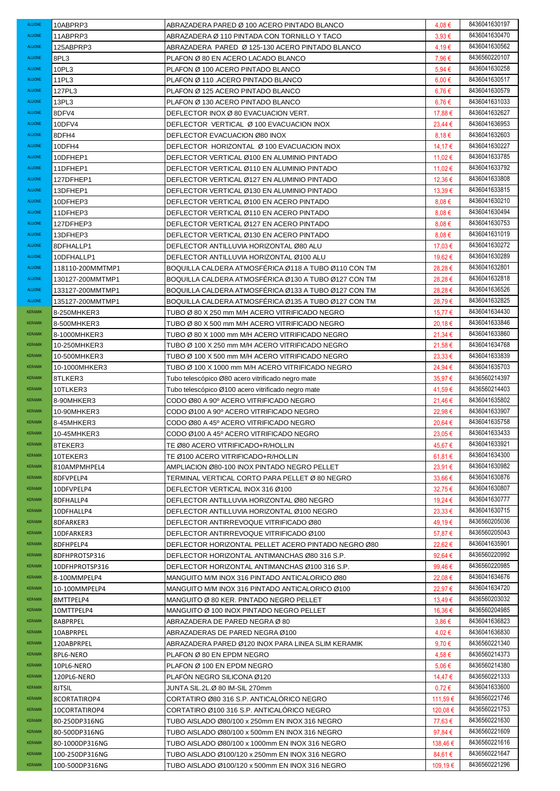| <b>ALUONE</b>  | 10ABPRP3                 | ABRAZADERA PARED Ø 100 ACERO PINTADO BLANCO                                                             | 4,08€             | 8436041630197 |
|----------------|--------------------------|---------------------------------------------------------------------------------------------------------|-------------------|---------------|
| <b>ALUONE</b>  | 11ABPRP3                 | ABRAZADERA Ø 110 PINTADA CON TORNILLO Y TACO                                                            | $3.93 \in$        | 8436041630470 |
| <b>ALUONE</b>  | 125ABPRP3                | ABRAZADERA PARED Ø 125-130 ACERO PINTADO BLANCO                                                         | 4,19€             | 8436041630562 |
| <b>ALUONE</b>  | 8PL3                     | PLAFON Ø 80 EN ACERO LACADO BLANCO                                                                      | 7,96 €            | 8436560220107 |
| <b>ALUONE</b>  | 10PL3                    | PLAFON Ø 100 ACERO PINTADO BLANCO                                                                       | 5,94€             | 8436041630258 |
| <b>ALUONE</b>  | 11PL3                    | PLAFON Ø 110 .ACERO PINTADO BLANCO                                                                      | $6,00 \in$        | 8436041630517 |
| <b>ALUONE</b>  | 127PL3                   | PLAFON Ø 125 ACERO PINTADO BLANCO                                                                       | $6,76 \in$        | 8436041630579 |
| <b>ALUONE</b>  | 13PL3                    | PLAFON Ø 130 ACERO PINTADO BLANCO                                                                       | $6,76 \in$        | 8436041631033 |
| <b>ALUONE</b>  | 8DFV4                    | DEFLECTOR INOX Ø 80 EVACUACION VERT.                                                                    | 17,88€            | 8436041632627 |
| <b>ALUONE</b>  | 10DFV4                   | DEFLECTOR VERTICAL Ø 100 EVACUACION INOX                                                                | $23,44 \in$       | 8436041636953 |
| <b>ALUONE</b>  | 8DFH4                    | DEFLECTOR EVACUACION Ø80 INOX                                                                           | $8.18 \in$        | 8436041632603 |
| <b>ALUONE</b>  | 10DFH4                   | DEFLECTOR HORIZONTAL Ø 100 EVACUACION INOX                                                              | 14,17 €           | 8436041630227 |
| <b>ALUONE</b>  | 10DFHEP1                 | DEFLECTOR VERTICAL Ø100 EN ALUMINIO PINTADO                                                             | 11,02 €           | 8436041633785 |
| <b>ALUONE</b>  | 11DFHEP1                 | DEFLECTOR VERTICAL Ø110 EN ALUMINIO PINTADO                                                             | 11,02€            | 8436041633792 |
| <b>ALUONE</b>  | 127DFHEP1                | DEFLECTOR VERTICAL Ø127 EN ALUMINIO PINTADO                                                             | 12,36€            | 8436041633808 |
| <b>ALUONE</b>  | 13DFHEP1                 | DEFLECTOR VERTICAL Ø130 EN ALUMINIO PINTADO                                                             | 13,39€            | 8436041633815 |
| <b>ALUONE</b>  | 10DFHEP3                 | DEFLECTOR VERTICAL Ø100 EN ACERO PINTADO                                                                | $8.08 \in$        | 8436041630210 |
| <b>ALUONE</b>  | 11DFHEP3                 | DEFLECTOR VERTICAL Ø110 EN ACERO PINTADO                                                                | 8,08€             | 8436041630494 |
| <b>ALUONE</b>  | 127DFHEP3                | DEFLECTOR VERTICAL Ø127 EN ACERO PINTADO                                                                | $8.08 \in$        | 8436041630753 |
| <b>ALUONE</b>  | 13DFHEP3                 | DEFLECTOR VERTICAL Ø130 EN ACERO PINTADO                                                                | $8.08 \in$        | 8436041631019 |
| <b>ALUONE</b>  | 8DFHALLP1                | DEFLECTOR ANTILLUVIA HORIZONTAL Ø80 ALU                                                                 | 17,03 €           | 8436041630272 |
| <b>ALUONE</b>  | 10DFHALLP1               | DEFLECTOR ANTILLUVIA HORIZONTAL Ø100 ALU                                                                | 19,62 €           | 8436041630289 |
| <b>ALUONE</b>  | 118110-200MMTMP1         | BOQUILLA CALDERA ATMOSFÉRICA Ø118 A TUBO Ø110 CON TM                                                    | 28,28€            | 8436041632801 |
| <b>ALUONE</b>  | 130127-200MMTMP1         | BOQUILLA CALDERA ATMOSFERICA Ø130 A TUBO Ø127 CON TM                                                    | 28.28€            | 8436041632818 |
| <b>ALUONE</b>  | 133127-200MMTMP1         | BOQUILLA CALDERA ATMOSFERICA Ø133 A TUBO Ø127 CON TM                                                    | 28,28€            | 8436041636526 |
| <b>ALUONE</b>  | 135127-200MMTMP1         | BOQUILLA CALDERA ATMOSFERICA Ø135 A TUBO Ø127 CON TM                                                    | 28,79€            | 8436041632825 |
| <b>KERAMIK</b> | 8-250MHKER3              | TUBO Ø 80 X 250 mm M/H ACERO VITRIFICADO NEGRO                                                          | 15,77€            | 8436041634430 |
| <b>KERAMIK</b> | 8-500MHKER3              | TUBO Ø 80 X 500 mm M/H ACERO VITRIFICADO NEGRO                                                          | 20,18€            | 8436041633846 |
| <b>KERAMIK</b> | 8-1000MHKER3             | TUBO Ø 80 X 1000 mm M/H ACERO VITRIFICADO NEGRO                                                         | 21,34 €           | 8436041633860 |
| <b>KERAMIK</b> | 10-250MHKER3             |                                                                                                         | 21,58€            | 8436041634768 |
| <b>KERAMIK</b> |                          | TUBO Ø 100 X 250 mm M/H ACERO VITRIFICADO NEGRO                                                         |                   | 8436041633839 |
| <b>KERAMIK</b> | 10-500MHKER3             | TUBO Ø 100 X 500 mm M/H ACERO VITRIFICADO NEGRO                                                         | $23.33 \in$       | 8436041635703 |
| <b>KERAMIK</b> | 10-1000MHKER3<br>8TLKER3 | TUBO Ø 100 X 1000 mm M/H ACERO VITRIFICADO NEGRO                                                        | 24,94 €<br>35,97€ | 8436560214397 |
| <b>KERAMIK</b> | 10TLKER3                 | Tubo telescópico Ø80 acero vitrificado negro mate<br>Tubo telescópico Ø100 acero vitrificado negro mate | 41,59€            | 8436560214403 |
| <b>KERAMIK</b> | 8-90MHKER3               | CODO Ø80 A 90º ACERO VITRIFICADO NEGRO                                                                  | 21,46€            | 8436041635802 |
| <b>KERAMIK</b> | 10-90MHKER3              | CODO Ø100 A 90º ACERO VITRIFICADO NEGRO                                                                 | 22,98€            | 8436041633907 |
| <b>KERAMIK</b> | 8-45MHKER3               | CODO Ø80 A 45º ACERO VITRIFICADO NEGRO                                                                  | 20,64 €           | 8436041635758 |
| <b>KERAMIK</b> | 10-45MHKER3              | CODO Ø100 A 45º ACERO VITRIFICADO NEGRO                                                                 | 23,05€            | 8436041633433 |
| <b>KERAMIK</b> | 8TEKER3                  | TE Ø80 ACERO VITRIFICADO+R/HOLLIN                                                                       | 45,67 €           | 8436041633921 |
| <b>KERAMIK</b> | 10TEKER3                 | TE Ø100 ACERO VITRIFICADO+R/HOLLIN                                                                      | 61,81 €           | 8436041634300 |
| <b>KERAMIK</b> | 810AMPMHPEL4             | AMPLIACION Ø80-100 INOX PINTADO NEGRO PELLET                                                            | 23,91 €           | 8436041630982 |
| <b>KERAMIK</b> | 8DFVPELP4                | TERMINAL VERTICAL CORTO PARA PELLET Ø 80 NEGRO                                                          | $33,66 \in$       | 8436041630876 |
| <b>KERAMIK</b> | 10DFVPELP4               | DEFLECTOR VERTICAL INOX 316 Ø100                                                                        | 32,75€            | 8436041630807 |
| <b>KERAMIK</b> | 8DFHALLP4                | DEFLECTOR ANTILLUVIA HORIZONTAL Ø80 NEGRO                                                               | 19,24 €           | 8436041630777 |
| <b>KERAMIK</b> | 10DFHALLP4               | DEFLECTOR ANTILLUVIA HORIZONTAL Ø100 NEGRO                                                              | $23.33 \in$       | 8436041630715 |
| <b>KERAMIK</b> | 8DFARKER3                | DEFLECTOR ANTIRREVOQUE VITRIFICADO Ø80                                                                  | 49,19€            | 8436560205036 |
| <b>KERAMIK</b> | 10DFARKER3               | DEFLECTOR ANTIRREVOQUE VITRIFICADO Ø100                                                                 | 57,87€            | 8436560205043 |
| <b>KERAMIK</b> | 8DFHPELP4                | DEFLECTOR HORIZONTAL PELLET ACERO PINTADO NEGRO Ø80                                                     | 22.62 €           | 8436041635901 |
| <b>KERAMIK</b> | 8DFHPROTSP316            | DEFLECTOR HORIZONTAL ANTIMANCHAS Ø80 316 S.P.                                                           | 92,64 $\in$       | 8436560220992 |
| <b>KERAMIK</b> | 10DFHPROTSP316           | DEFLECTOR HORIZONTAL ANTIMANCHAS Ø100 316 S.P.                                                          | 99,46 €           | 8436560220985 |
| <b>KERAMIK</b> | 8-100MMPELP4             | MANGUITO M/M INOX 316 PINTADO ANTICALORICO Ø80                                                          | 22,08€            | 8436041634676 |
| <b>KERAMIK</b> | 10-100MMPELP4            | MANGUITO M/M INOX 316 PINTADO ANTICALORICO Ø100                                                         | 22,97 €           | 8436041634720 |
| <b>KERAMIK</b> | 8MTTPELP4                | MANGUITO Ø 80 KER. PINTADO NEGRO PELLET                                                                 | 13,49 €           | 8436560203032 |
| <b>KERAMIK</b> | 10MTTPELP4               | MANGUITO Ø 100 INOX PINTADO NEGRO PELLET                                                                | 16,36 €           | 8436560204985 |
| <b>KERAMIK</b> | 8ABPRPEL                 | ABRAZADERA DE PARED NEGRA Ø 80                                                                          | $3,86 \in$        | 8436041636823 |
| <b>KERAMIK</b> | 10ABPRPEL                | ABRAZADERAS DE PARED NEGRA Ø100                                                                         | 4,02€             | 8436041636830 |
| <b>KERAMIK</b> | 120ABPRPEL               | ABRAZADERA PARED Ø120 INOX PARA LINEA SLIM KERAMIK                                                      | $9,70 \in$        | 8436560221340 |
| <b>KERAMIK</b> | 8PL6-NERO                | PLAFON Ø 80 EN EPDM NEGRO                                                                               | 4,58 €            | 8436560214373 |
| <b>KERAMIK</b> | 10PL6-NERO               | PLAFON Ø 100 EN EPDM NEGRO                                                                              | $5.06 \in$        | 8436560214380 |
| <b>KERAMIK</b> | 120PL6-NERO              | PLAFON NEGRO SILICONA Ø120                                                                              | 14,47 €           | 8436560221333 |
| <b>KERAMIK</b> | 8JTSIL                   | JUNTA SIL.2L.Ø 80 IM-SIL 270mm                                                                          | $0.72 \in$        | 8436041633600 |
| <b>KERAMIK</b> | 8CORTATIROP4             | CORTATIRO Ø80 316 S.P. ANTICALORICO NEGRO                                                               | 111,59€           | 8436560221746 |
| <b>KERAMIK</b> | 10CORTATIROP4            | CORTATIRO Ø100 316 S.P. ANTICALORICO NEGRO                                                              | 120,08 €          | 8436560221753 |
| <b>KERAMIK</b> | 80-250DP316NG            | TUBO AISLADO Ø80/100 x 250mm EN INOX 316 NEGRO                                                          | 77,63 €           | 8436560221630 |
| <b>KERAMIK</b> | 80-500DP316NG            | TUBO AISLADO Ø80/100 x 500mm EN INOX 316 NEGRO                                                          | 97,84 €           | 8436560221609 |
| <b>KERAMIK</b> | 80-1000DP316NG           | TUBO AISLADO Ø80/100 x 1000mm EN INOX 316 NEGRO                                                         | 138,46 €          | 8436560221616 |
| <b>KERAMIK</b> | 100-250DP316NG           | TUBO AISLADO Ø100/120 x 250mm EN INOX 316 NEGRO                                                         | 84.61€            | 8436560221647 |
| <b>KERAMIK</b> | 100-500DP316NG           | TUBO AISLADO Ø100/120 x 500mm EN INOX 316 NEGRO                                                         | 109,19€           | 8436560221296 |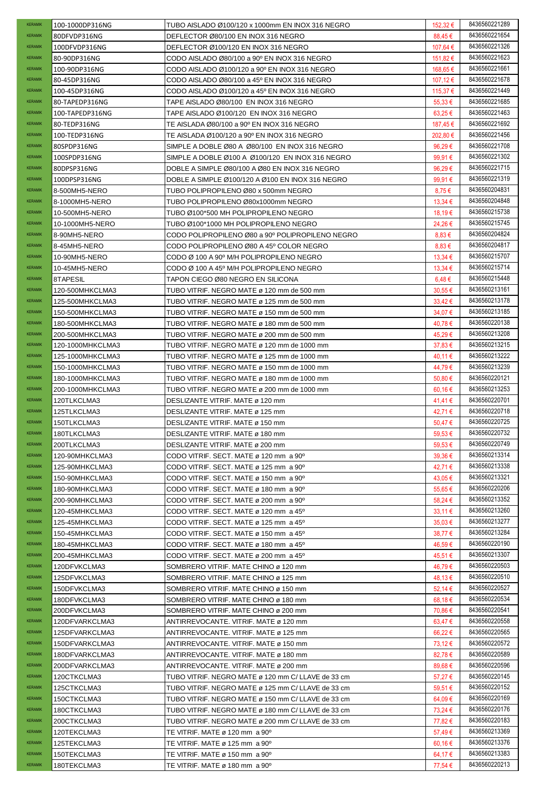| KERAMIK                          | 100-1000DP316NG            | TUBO AISLADO Ø100/120 x 1000mm EN INOX 316 NEGRO                 | 152,32 €           | 8436560221289                  |
|----------------------------------|----------------------------|------------------------------------------------------------------|--------------------|--------------------------------|
| <b>KERAMIK</b>                   | 80DFVDP316NG               | DEFLECTOR Ø80/100 EN INOX 316 NEGRO                              | 88,45€             | 8436560221654                  |
| <b>KERAMIK</b>                   | 100DFVDP316NG              | DEFLECTOR Ø100/120 EN INOX 316 NEGRO                             | 107,64 €           | 8436560221326                  |
| <b>KERAMIK</b>                   | 80-90DP316NG               | CODO AISLADO Ø80/100 a 90° EN INOX 316 NEGRO                     | 151,82 €           | 8436560221623                  |
| <b>KERAMIK</b>                   | 100-90DP316NG              | CODO AISLADO Ø100/120 a 90° EN INOX 316 NEGRO                    | 168,65 €           | 8436560221661                  |
| <b>KERAMIK</b>                   | 80-45DP316NG               | CODO AISLADO Ø80/100 a 45° EN INOX 316 NEGRO                     | 107,12 €           | 8436560221678                  |
| <b>KERAMIK</b>                   | 100-45DP316NG              | CODO AISLADO Ø100/120 a 45º EN INOX 316 NEGRO                    | 115,37 €           | 8436560221449                  |
| <b>KERAMIK</b>                   | 80-TAPEDP316NG             | TAPE AISLADO Ø80/100 EN INOX 316 NEGRO                           | $55,33 \in$        | 8436560221685                  |
| <b>KERAMIK</b>                   | 100-TAPEDP316NG            | TAPE AISLADO Ø100/120 EN INOX 316 NEGRO                          | $63,25 \in$        | 8436560221463                  |
| <b>KERAMIK</b>                   | 80-TEDP316NG               | TE AISLADA Ø80/100 a 90° EN INOX 316 NEGRO                       | 187,45 €           | 8436560221692                  |
| <b>KERAMIK</b>                   | 100-TEDP316NG              | TE AISLADA Ø100/120 a 90° EN INOX 316 NEGRO                      | 202,80 €           | 8436560221456                  |
| <b>KERAMIK</b>                   | 80SPDP316NG                | SIMPLE A DOBLE Ø80 A Ø80/100 EN INOX 316 NEGRO                   | 96,29€             | 8436560221708                  |
| <b>KERAMIK</b>                   | 100SPDP316NG               | SIMPLE A DOBLE Ø100 A Ø100/120 EN INOX 316 NEGRO                 | 99,91€             | 8436560221302                  |
| <b>KERAMIK</b>                   | 80DPSP316NG                | DOBLE A SIMPLE Ø80/100 A Ø80 EN INOX 316 NEGRO                   | 96,29€             | 8436560221715                  |
| <b>KERAMIK</b>                   | 100DPSP316NG               | DOBLE A SIMPLE Ø100/120 A Ø100 EN INOX 316 NEGRO                 | 99,91€             | 8436560221319                  |
| <b>KERAMIK</b>                   | 8-500MH5-NERO              | TUBO POLIPROPILENO Ø80 x 500mm NEGRO                             | 8,75€              | 8436560204831                  |
| <b>KERAMIK</b>                   | 8-1000MH5-NERO             | TUBO POLIPROPILENO Ø80x1000mm NEGRO                              | $13,34 \in$        | 8436560204848                  |
| <b>KERAMIK</b>                   | 10-500MH5-NERO             | TUBO Ø100*500 MH POLIPROPILENO NEGRO                             | 18,19€             | 8436560215738                  |
| <b>KERAMIK</b>                   | 10-1000MH5-NERO            | TUBO Ø100*1000 MH POLIPROPILENO NEGRO                            | 24,26€             | 8436560215745                  |
| <b>KERAMIK</b>                   | 8-90MH5-NERO               | CODO POLIPROPILENO Ø80 a 90º POLIPROPILENO NEGRO                 | $8,83 \in$         | 8436560204824                  |
| <b>KERAMIK</b>                   | 8-45MH5-NERO               | CODO POLIPROPILENO Ø80 A 45° COLOR NEGRO                         | $8,83 \in$         | 8436560204817                  |
| <b>KERAMIK</b>                   | 10-90MH5-NERO              | CODO Ø 100 A 90 <sup>°</sup> M/H POLIPROPILENO NEGRO             | 13,34 €            | 8436560215707                  |
| <b>KERAMIK</b>                   | 10-45MH5-NERO              | CODO Ø 100 A 45° M/H POLIPROPILENO NEGRO                         | 13,34 €            | 8436560215714                  |
| <b>KERAMIK</b>                   | 8TAPESIL                   | TAPON CIEGO Ø80 NEGRO EN SILICONA                                | $6,48 \in$         | 8436560215448                  |
| <b>KERAMIK</b>                   | 120-500MHKCLMA3            | TUBO VITRIF. NEGRO MATE ø 120 mm de 500 mm                       | 30,55 €            | 8436560213161                  |
| <b>KERAMIK</b>                   |                            | TUBO VITRIF. NEGRO MATE ø 125 mm de 500 mm                       |                    | 8436560213178                  |
| <b>KERAMIK</b>                   | 125-500MHKCLMA3            |                                                                  | $33,42 \in$        | 8436560213185                  |
| <b>KERAMIK</b>                   | 150-500MHKCLMA3            | TUBO VITRIF. NEGRO MATE ø 150 mm de 500 mm                       | 34,07 €            | 8436560220138                  |
| <b>KERAMIK</b>                   | 180-500MHKCLMA3            | TUBO VITRIF. NEGRO MATE ø 180 mm de 500 mm                       | 40,78€             | 8436560213208                  |
|                                  | 200-500MHKCLMA3            | TUBO VITRIF. NEGRO MATE ø 200 mm de 500 mm                       | 45,29€             |                                |
| <b>KERAMIK</b>                   | 120-1000MHKCLMA3           | TUBO VITRIF. NEGRO MATE ø 120 mm de 1000 mm                      | 37,83€             | 8436560213215                  |
| <b>KERAMIK</b><br><b>KERAMIK</b> | 125-1000MHKCLMA3           | TUBO VITRIF. NEGRO MATE ø 125 mm de 1000 mm                      | 40,11 €            | 8436560213222                  |
|                                  | 150-1000MHKCLMA3           | TUBO VITRIF. NEGRO MATE ø 150 mm de 1000 mm                      | 44,79€             | 8436560213239                  |
| <b>KERAMIK</b>                   | 180-1000MHKCLMA3           | TUBO VITRIF. NEGRO MATE ø 180 mm de 1000 mm                      | 50,80€             | 8436560220121                  |
| <b>KERAMIK</b>                   | 200-1000MHKCLMA3           | TUBO VITRIF. NEGRO MATE ø 200 mm de 1000 mm                      | 60,16 €            | 8436560213253                  |
|                                  |                            |                                                                  |                    |                                |
| <b>KERAMIK</b>                   | 120TLKCLMA3                | DESLIZANTE VITRIF, MATE ø 120 mm                                 | 41,41€             | 8436560220701                  |
| <b>KERAMIK</b>                   | 125TLKCLMA3                | DESLIZANTE VITRIF. MATE ø 125 mm                                 | 42,71€             | 8436560220718                  |
| <b>KERAMIK</b>                   | 150TLKCLMA3                | DESLIZANTE VITRIF. MATE ø 150 mm                                 | 50,47€             | 8436560220725                  |
| <b>KERAMIK</b>                   | 180TLKCLMA3                | DESLIZANTE VITRIF, MATE ø 180 mm                                 | 59,53€             | 8436560220732                  |
| <b>KERAMIK</b>                   | 200TLKCLMA3                | DESLIZANTE VITRIF. MATE ø 200 mm                                 | 59,53€             | 8436560220749                  |
| <b>KERAMIK</b>                   | 120-90MHKCLMA3             | CODO VITRIF, SECT, MATE ø 120 mm a 90°                           | 39,36€             | 8436560213314                  |
| <b>KERAMIK</b>                   | 125-90MHKCLMA3             | CODO VITRIF. SECT. MATE ø 125 mm a 90°                           | 42,71€             | 8436560213338                  |
| <b>KERAMIK</b>                   | 150-90MHKCLMA3             | CODO VITRIF, SECT, MATE ø 150 mm a 90°                           | 43,05€             | 8436560213321                  |
| <b>KERAMIK</b>                   | 180-90MHKCLMA3             | CODO VITRIF. SECT. MATE ø 180 mm a 90°                           | 55,65 €            | 8436560220206                  |
| <b>KERAMIK</b>                   | 200-90MHKCLMA3             | CODO VITRIF. SECT. MATE ø 200 mm a 90°                           | 58,24 €            | 8436560213352                  |
| <b>KERAMIK</b>                   | 120-45MHKCLMA3             | CODO VITRIF. SECT. MATE ø 120 mm a 45 <sup>o</sup>               | $33,11 \in$        | 8436560213260                  |
| <b>KERAMIK</b>                   | 125-45MHKCLMA3             | CODO VITRIF, SECT, MATE ø 125 mm a 45 <sup>o</sup>               | $35,03 \in$        | 8436560213277                  |
| <b>KERAMIK</b>                   | 150-45MHKCLMA3             | CODO VITRIF, SECT, MATE ø 150 mm a 45 <sup>o</sup>               | 38,77 €            | 8436560213284                  |
| <b>KERAMIK</b>                   | 180-45MHKCLMA3             | CODO VITRIF. SECT. MATE ø 180 mm a 45 <sup>o</sup>               | 46,59€             | 8436560220190                  |
| <b>KERAMIK</b>                   | 200-45MHKCLMA3             | CODO VITRIF. SECT. MATE ø 200 mm a 45°                           | 45,51 €            | 8436560213307                  |
| <b>KERAMIK</b>                   | 120DFVKCLMA3               | SOMBRERO VITRIF. MATE CHINO ø 120 mm                             | 46,79€             | 8436560220503                  |
| <b>KERAMIK</b>                   | 125DFVKCLMA3               | SOMBRERO VITRIF. MATE CHINO ø 125 mm                             | 48,13 €            | 8436560220510                  |
| <b>KERAMIK</b>                   | 150DFVKCLMA3               | SOMBRERO VITRIF. MATE CHINO ø 150 mm                             | 52,14 €            | 8436560220527                  |
| <b>KERAMIK</b>                   | 180DFVKCLMA3               | SOMBRERO VITRIF. MATE CHINO ø 180 mm                             | $68,18 \in$        | 8436560220534                  |
| <b>KERAMIK</b>                   | 200DFVKCLMA3               | SOMBRERO VITRIF. MATE CHINO ø 200 mm                             | 70,86 €            | 8436560220541                  |
| <b>KERAMIK</b>                   | 120DFVARKCLMA3             | ANTIRREVOCANTE. VITRIF. MATE ø 120 mm                            | 63,47€             | 8436560220558                  |
| <b>KERAMIK</b>                   | 125DFVARKCLMA3             | ANTIRREVOCANTE. VITRIF. MATE ø 125 mm                            | 66,22 €            | 8436560220565                  |
| <b>KERAMIK</b>                   | 150DFVARKCLMA3             | ANTIRREVOCANTE. VITRIF. MATE ø 150 mm                            | 73,12 €            | 8436560220572                  |
| <b>KERAMIK</b>                   | 180DFVARKCLMA3             | ANTIRREVOCANTE. VITRIF. MATE ø 180 mm                            | 82,78€             | 8436560220589                  |
| <b>KERAMIK</b>                   | 200DFVARKCLMA3             | ANTIRREVOCANTE. VITRIF. MATE ø 200 mm                            | 89,68€             | 8436560220596                  |
| <b>KERAMIK</b>                   | 120CTKCLMA3                | TUBO VITRIF. NEGRO MATE ø 120 mm C/ LLAVE de 33 cm               | 57,27€             | 8436560220145                  |
| <b>KERAMIK</b>                   | 125CTKCLMA3                | TUBO VITRIF. NEGRO MATE ø 125 mm C/ LLAVE de 33 cm               | 59,51€             | 8436560220152                  |
| <b>KERAMIK</b>                   | 150CTKCLMA3                | TUBO VITRIF. NEGRO MATE ø 150 mm C/ LLAVE de 33 cm               | 64,09€             | 8436560220169                  |
| <b>KERAMIK</b>                   | 180CTKCLMA3                | TUBO VITRIF. NEGRO MATE ø 180 mm C/ LLAVE de 33 cm               | 73,24 €            | 8436560220176                  |
| <b>KERAMIK</b>                   | 200CTKCLMA3                | TUBO VITRIF. NEGRO MATE ø 200 mm C/ LLAVE de 33 cm               | 77,82€             | 8436560220183                  |
| <b>KERAMIK</b>                   | 120TEKCLMA3                | TE VITRIF. MATE ø 120 mm a 90°                                   | 57,49€             | 8436560213369                  |
| <b>KERAMIK</b>                   | 125TEKCLMA3                | TE VITRIF. MATE ø 125 mm a 90°                                   | $60,16 \in$        | 8436560213376                  |
| <b>KERAMIK</b><br><b>KERAMIK</b> | 150TEKCLMA3<br>180TEKCLMA3 | TE VITRIF, MATE ø 150 mm a 90°<br>TE VITRIF. MATE ø 180 mm a 90° | 64,17 €<br>77,54 € | 8436560213383<br>8436560220213 |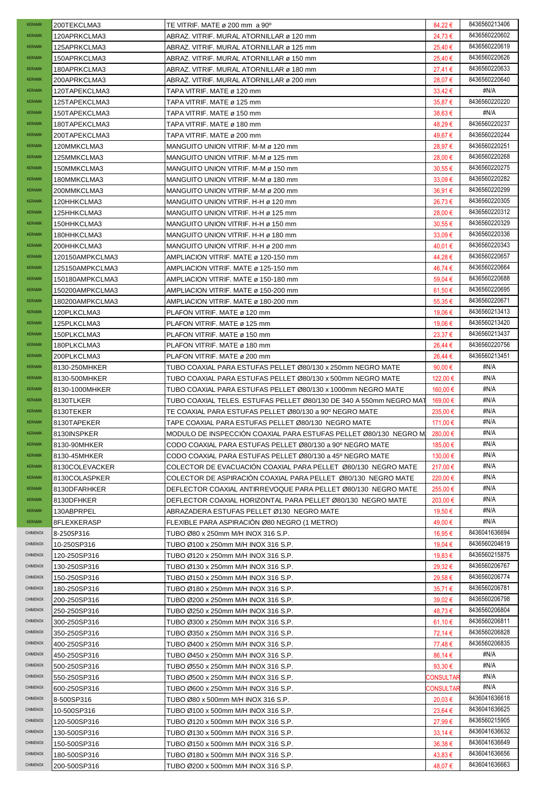| <b>KERAMIK</b>  | 200TEKCLMA3                  | TE VITRIF. MATE ø 200 mm a 90°                                             | 84,22€                 | 8436560213406 |
|-----------------|------------------------------|----------------------------------------------------------------------------|------------------------|---------------|
| <b>KERAMIK</b>  | 120APRKCLMA3                 | ABRAZ. VITRIF. MURAL ATORNILLAR ø 120 mm                                   | 24.73 €                | 8436560220602 |
| <b>KERAMIK</b>  | 125APRKCLMA3                 | ABRAZ. VITRIF. MURAL ATORNILLAR ø 125 mm                                   | 25,40 €                | 8436560220619 |
| <b>KERAMIK</b>  | 150APRKCLMA3                 | ABRAZ. VITRIF. MURAL ATORNILLAR ø 150 mm                                   | 25,40 €                | 8436560220626 |
| <b>KERAMIK</b>  | 180APRKCLMA3                 | ABRAZ. VITRIF. MURAL ATORNILLAR ø 180 mm                                   | 27,41€                 | 8436560220633 |
| <b>KERAMIK</b>  | 200APRKCLMA3                 | ABRAZ. VITRIF. MURAL ATORNILLAR ø 200 mm                                   | 28,07€                 | 8436560220640 |
| <b>KERAMIK</b>  | 120TAPEKCLMA3                | TAPA VITRIF. MATE ø 120 mm                                                 | $33,42 \in$            | #N/A          |
| <b>KERAMIK</b>  | 125TAPEKCLMA3                | TAPA VITRIF. MATE ø 125 mm                                                 | 35,87€                 | 8436560220220 |
| <b>KERAMIK</b>  | 150TAPEKCLMA3                | TAPA VITRIF. MATE ø 150 mm                                                 | $38,63 \in$            | #N/A          |
| <b>KERAMIK</b>  | 180TAPEKCLMA3                | TAPA VITRIF. MATE ø 180 mm                                                 | 48,29€                 | 8436560220237 |
| <b>KERAMIK</b>  | 200TAPEKCLMA3                | TAPA VITRIF. MATE ø 200 mm                                                 | 49,67€                 | 8436560220244 |
| <b>KERAMIK</b>  | 120MMKCLMA3                  |                                                                            |                        | 8436560220251 |
|                 |                              | MANGUITO UNION VITRIF. M-M ø 120 mm                                        | 28,97€                 | 8436560220268 |
| <b>KERAMIK</b>  | 125MMKCLMA3                  | MANGUITO UNION VITRIF. M-M ø 125 mm                                        | 28,00 €                |               |
| <b>KERAMIK</b>  | 150MMKCLMA3                  | MANGUITO UNION VITRIF. M-M ø 150 mm                                        | 30,55€                 | 8436560220275 |
| <b>KERAMIK</b>  | 180MMKCLMA3                  | MANGUITO UNION VITRIF. M-M ø 180 mm                                        | $33,09 \in$            | 8436560220282 |
| <b>KERAMIK</b>  | 200MMKCLMA3                  | MANGUITO UNION VITRIF. M-M ø 200 mm                                        | 36,91 €                | 8436560220299 |
| <b>KERAMIK</b>  | 120HHKCLMA3                  | MANGUITO UNION VITRIF. H-H ø 120 mm                                        | 26,73€                 | 8436560220305 |
| <b>KERAMIK</b>  | 125HHKCLMA3                  | MANGUITO UNION VITRIF. H-H ø 125 mm                                        | 28,00 €                | 8436560220312 |
| <b>KERAMIK</b>  | 150HHKCLMA3                  | MANGUITO UNION VITRIF. H-H ø 150 mm                                        | 30,55€                 | 8436560220329 |
| <b>KERAMIK</b>  | 180HHKCLMA3                  | MANGUITO UNION VITRIF. H-H ø 180 mm                                        | $33,09 \in$            | 8436560220336 |
| <b>KERAMIK</b>  | 200HHKCLMA3                  | MANGUITO UNION VITRIF. H-H ø 200 mm                                        | 40,01€                 | 8436560220343 |
| <b>KERAMIK</b>  | 120150AMPKCLMA3              | AMPLIACION VITRIF. MATE ø 120-150 mm                                       | 44,28€                 | 8436560220657 |
| <b>KERAMIK</b>  | 125150AMPKCLMA3              | AMPLIACION VITRIF. MATE ø 125-150 mm                                       | 46,74 €                | 8436560220664 |
| <b>KERAMIK</b>  | 150180AMPKCLMA3              | AMPLIACION VITRIF. MATE ø 150-180 mm                                       | 59,04 €                | 8436560220688 |
| <b>KERAMIK</b>  | 150200AMPKCLMA3              | AMPLIACION VITRIF. MATE ø 150-200 mm                                       | 61,50€                 | 8436560220695 |
| <b>KERAMIK</b>  | 180200AMPKCLMA3              | AMPLIACION VITRIF. MATE ø 180-200 mm                                       | 55,35€                 | 8436560220671 |
| <b>KERAMIK</b>  | 120PLKCLMA3                  | PLAFON VITRIF. MATE ø 120 mm                                               | 19,06 €                | 8436560213413 |
| <b>KERAMIK</b>  | 125PLKCLMA3                  | PLAFON VITRIF. MATE ø 125 mm                                               | 19,06 €                | 8436560213420 |
| <b>KERAMIK</b>  |                              |                                                                            |                        | 8436560213437 |
| <b>KERAMIK</b>  | 150PLKCLMA3                  | PLAFON VITRIF. MATE ø 150 mm                                               | $23,37 \in$            | 8436560220756 |
|                 | 180PLKCLMA3                  | PLAFON VITRIF. MATE ø 180 mm                                               | 26,44 €                |               |
| <b>KERAMIK</b>  | 200PLKCLMA3                  | PLAFON VITRIF. MATE ø 200 mm                                               | 26,44 €                | 8436560213451 |
| <b>KERAMIK</b>  | 8130-250MHKER                | TUBO COAXIAL PARA ESTUFAS PELLET Ø80/130 x 250mm NEGRO MATE                | 90,00 $\epsilon$       | #N/A          |
| <b>KERAMIK</b>  | 8130-500MHKER                | TUBO COAXIAL PARA ESTUFAS PELLET Ø80/130 x 500mm NEGRO MATE                | 122,00 €               | #N/A          |
| <b>KERAMIK</b>  | 8130-1000MHKER               | TUBO COAXIAL PARA ESTUFAS PELLET Ø80/130 x 1000mm NEGRO MATE               | 160,00 €               | #N/A          |
| <b>KERAMIK</b>  | 8130TLKER                    | TUBO COAXIAL TELES. ESTUFAS PELLET Ø80/130 DE 340 A 550mm NEGRO MAT        | 169,00 €               | #N/A          |
| <b>KERAMIK</b>  | 8130TEKER                    | TE COAXIAL PARA ESTUFAS PELLET Ø80/130 a 90º NEGRO MATE                    | 235,00 €               | #N/A          |
| <b>KERAMIK</b>  | 8130TAPEKER                  | TAPE COAXIAL PARA ESTUFAS PELLET Ø80/130 NEGRO MATE                        | 171,00 €               | #N/A          |
| <b>KERAMIK</b>  | 8130INSPKER                  | MODULO DE INSPECCION COAXIAL PARA ESTUFAS PELLET Ø80/130 NEGRO M           | 280,00 €               | #N/A          |
| <b>KERAMIK</b>  | 8130-90MHKER                 | CODO COAXIAL PARA ESTUFAS PELLET Ø80/130 a 90º NEGRO MATE                  | 185,00 €               | #N/A          |
| <b>KERAMIK</b>  | 8130-45MHKER                 | CODO COAXIAL PARA ESTUFAS PELLET Ø80/130 a 45º NEGRO MATE                  | 130,00 €               | #N/A          |
| <b>KERAMIK</b>  | 8130COLEVACKER               | COLECTOR DE EVACUACION COAXIAL PARA PELLET Ø80/130 NEGRO MATE              | 217,00 €               | #N/A          |
| <b>KERAMIK</b>  | 8130COLASPKER                | COLECTOR DE ASPIRACIÓN COAXIAL PARA PELLET Ø80/130 NEGRO MATE              | 220,00 €               | #N/A          |
| <b>KERAMIK</b>  | 8130DFARHKER                 | DEFLECTOR COAXIAL ANTIRREVOQUE PARA PELLET Ø80/130 NEGRO MATE              | 255,00 €               | #N/A          |
| <b>KERAMIK</b>  | 8130DFHKER                   | DEFLECTOR COAXIAL HORIZONTAL PARA PELLET Ø80/130 NEGRO MATE                | 203,00 €               | #N/A          |
| <b>KERAMIK</b>  | 130ABPRPEL                   | ABRAZADERA ESTUFAS PELLET Ø130 NEGRO MATE                                  | 19,50 €                | #N/A          |
| <b>KERAMIK</b>  | 8FLEXKERASP                  | FLEXIBLE PARA ASPIRACIÓN Ø80 NEGRO (1 METRO)                               | 49,00 €                | #N/A          |
| <b>CHIMENOX</b> | 8-250SP316                   | TUBO Ø80 x 250mm M/H INOX 316 S.P.                                         | 16,95 €                | 8436041636694 |
| <b>CHIMENOX</b> | 10-250SP316                  | TUBO Ø100 x 250mm M/H INOX 316 S.P.                                        | 19,04 €                | 8436560204619 |
| CHIMENOX        | 120-250SP316                 | TUBO Ø120 x 250mm M/H INOX 316 S.P.                                        | 19,83 €                | 8436560215875 |
| CHIMENOX        |                              |                                                                            |                        | 8436560206767 |
| CHIMENOX        | 130-250SP316                 | TUBO Ø130 x 250mm M/H INOX 316 S.P.                                        | 29,32€                 | 8436560206774 |
|                 | 150-250SP316                 | TUBO Ø150 x 250mm M/H INOX 316 S.P.                                        | 29,58€                 |               |
| CHIMENOX        | 180-250SP316                 | TUBO Ø180 x 250mm M/H INOX 316 S.P.                                        | 35,71€                 | 8436560206781 |
| CHIMENOX        | 200-250SP316                 | TUBO Ø200 x 250mm M/H INOX 316 S.P.                                        | $39,02 \in$            | 8436560206798 |
| CHIMENOX        | 250-250SP316                 | TUBO Ø250 x 250mm M/H INOX 316 S.P.                                        | 48,73€                 | 8436560206804 |
| <b>CHIMENOX</b> | 300-250SP316                 | TUBO Ø300 x 250mm M/H INOX 316 S.P.                                        | $61,10 \in$            | 8436560206811 |
| CHIMENOX        |                              |                                                                            |                        |               |
| CHIMENOX        | 350-250SP316                 | TUBO Ø350 x 250mm M/H INOX 316 S.P.                                        | 72,14 €                | 8436560206828 |
|                 | 400-250SP316                 | TUBO Ø400 x 250mm M/H INOX 316 S.P.                                        | 77,48€                 | 8436560206835 |
| CHIMENOX        | 450-250SP316                 | TUBO Ø450 x 250mm M/H INOX 316 S.P.                                        | 86,14 €                | #N/A          |
| CHIMENOX        | 500-250SP316                 | TUBO Ø550 x 250mm M/H INOX 316 S.P.                                        | 93,30 $\epsilon$       | #N/A          |
| CHIMENOX        | 550-250SP316                 | TUBO Ø500 x 250mm M/H INOX 316 S.P.                                        | CONSULTAF              | #N/A          |
| CHIMENOX        | 600-250SP316                 | TUBO Ø600 x 250mm M/H INOX 316 S.P.                                        | CONSULTAF              | #N/A          |
| CHIMENOX        | 8-500SP316                   | TUBO Ø80 x 500mm M/H INOX 316 S.P.                                         | 20.03 €                | 8436041636618 |
| CHIMENOX        | 10-500SP316                  | TUBO Ø100 x 500mm M/H INOX 316 S.P.                                        | 23,64 €                | 8436041636625 |
| CHIMENOX        | 120-500SP316                 | TUBO Ø120 x 500mm M/H INOX 316 S.P.                                        | 27,99€                 | 8436560215905 |
| CHIMENOX        |                              |                                                                            |                        | 8436041636632 |
| CHIMENOX        | 130-500SP316                 | TUBO Ø130 x 500mm M/H INOX 316 S.P.                                        | $33,14 \in$            | 8436041636649 |
| CHIMENOX        | 150-500SP316<br>180-500SP316 | TUBO Ø150 x 500mm M/H INOX 316 S.P.<br>TUBO Ø180 x 500mm M/H INOX 316 S.P. | $36,38 \in$<br>43,83 € | 8436041636656 |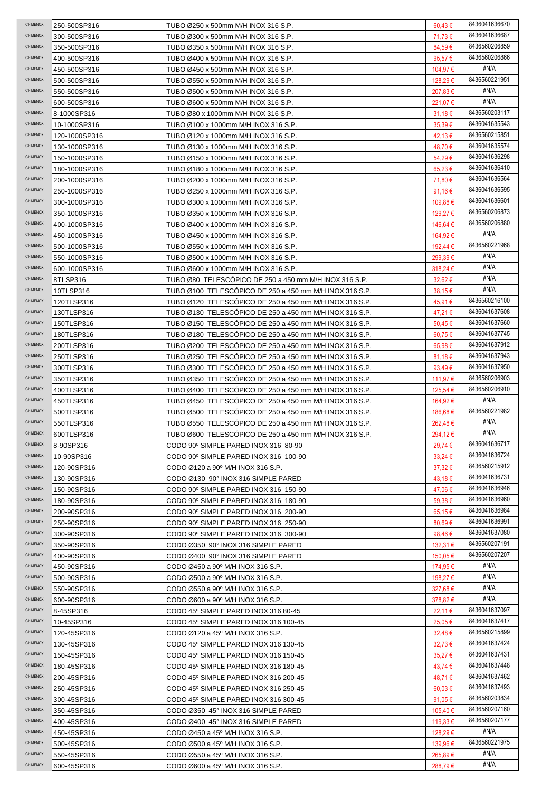| CHIMENOX                    | 250-500SP316               | TUBO Ø250 x 500mm M/H INOX 316 S.P.                                          | $60,43 \in$         | 8436041636670                  |
|-----------------------------|----------------------------|------------------------------------------------------------------------------|---------------------|--------------------------------|
| <b>CHIMENOX</b>             | 300-500SP316               | TUBO Ø300 x 500mm M/H INOX 316 S.P.                                          | 71,73 €             | 8436041636687                  |
| CHIMENOX                    | 350-500SP316               | TUBO Ø350 x 500mm M/H INOX 316 S.P.                                          | 84,59€              | 8436560206859                  |
| CHIMENOX                    | 400-500SP316               | TUBO Ø400 x 500mm M/H INOX 316 S.P.                                          | 95,57€              | 8436560206866                  |
| CHIMENOX                    | 450-500SP316               | TUBO Ø450 x 500mm M/H INOX 316 S.P.                                          | 104,97 €            | #N/A                           |
| CHIMENOX                    | 500-500SP316               | TUBO Ø550 x 500mm M/H INOX 316 S.P.                                          | 128,29€             | 8436560221951                  |
| <b>CHIMENOX</b>             | 550-500SP316               | TUBO Ø500 x 500mm M/H INOX 316 S.P.                                          | 207,83 €            | #N/A                           |
| <b>CHIMENOX</b>             | 600-500SP316               | TUBO Ø600 x 500mm M/H INOX 316 S.P.                                          | 221,07 €            | #N/A                           |
| <b>CHIMENOX</b>             | 8-1000SP316                | TUBO Ø80 x 1000mm M/H INOX 316 S.P.                                          | $31,18 \in$         | 8436560203117                  |
| CHIMENOX                    | 10-1000SP316               | TUBO Ø100 x 1000mm M/H INOX 316 S.P.                                         | 35,39€              | 8436041635543                  |
| CHIMENOX                    | 120-1000SP316              | TUBO Ø120 x 1000mm M/H INOX 316 S.P.                                         | 42,13 €             | 8436560215851                  |
| CHIMENOX                    | 130-1000SP316              | TUBO Ø130 x 1000mm M/H INOX 316 S.P.                                         | 48,70€              | 8436041635574                  |
| CHIMENOX                    | 150-1000SP316              | TUBO Ø150 x 1000mm M/H INOX 316 S.P.                                         | 54,29€              | 8436041636298                  |
| CHIMENOX                    | 180-1000SP316              | TUBO Ø180 x 1000mm M/H INOX 316 S.P.                                         | 65,23€              | 8436041636410                  |
| CHIMENOX                    | 200-1000SP316              | TUBO Ø200 x 1000mm M/H INOX 316 S.P.                                         | 71,80 €             | 8436041636564                  |
| CHIMENOX                    | 250-1000SP316              | TUBO Ø250 x 1000mm M/H INOX 316 S.P.                                         | $91,16 \in$         | 8436041636595                  |
| CHIMENOX                    | 300-1000SP316              | TUBO Ø300 x 1000mm M/H INOX 316 S.P.                                         | 109,88€             | 8436041636601                  |
| CHIMENOX                    | 350-1000SP316              | TUBO Ø350 x 1000mm M/H INOX 316 S.P.                                         | 129,27 €            | 8436560206873                  |
| CHIMENOX                    | 400-1000SP316              | TUBO Ø400 x 1000mm M/H INOX 316 S.P.                                         | 146,64 €            | 8436560206880                  |
| CHIMENOX                    | 450-1000SP316              | TUBO Ø450 x 1000mm M/H INOX 316 S.P.                                         | 164,92 €            | #N/A                           |
| CHIMENOX                    | 500-1000SP316              | TUBO Ø550 x 1000mm M/H INOX 316 S.P.                                         | 192,44 €            | 8436560221968                  |
| CHIMENOX                    | 550-1000SP316              | TUBO Ø500 x 1000mm M/H INOX 316 S.P.                                         | 299,39€             | #N/A                           |
| CHIMENOX                    | 600-1000SP316              | TUBO Ø600 x 1000mm M/H INOX 316 S.P.                                         | 318,24 €            | #N/A                           |
| <b>CHIMENOX</b>             | 8TLSP316                   | TUBO Ø80 TELESCOPICO DE 250 a 450 mm M/H INOX 316 S.P.                       | 32,62€              | #N/A                           |
| CHIMENOX                    | 10TLSP316                  | TUBO Ø100 TELESCOPICO DE 250 a 450 mm M/H INOX 316 S.P.                      | 38,15€              | #N/A                           |
| CHIMENOX                    | 120TLSP316                 | TUBO Ø120 TELESCOPICO DE 250 a 450 mm M/H INOX 316 S.P.                      | 45,91 €             | 8436560216100                  |
| CHIMENOX                    |                            | TUBO Ø130 TELESCOPICO DE 250 a 450 mm M/H INOX 316 S.P.                      | 47,21€              | 8436041637608                  |
| <b>CHIMENOX</b>             | 130TLSP316                 |                                                                              |                     | 8436041637660                  |
| CHIMENOX                    | 150TLSP316                 | TUBO Ø150  TELESCOPICO DE 250 a 450 mm M/H INOX 316 S.P.                     | 50,45€              | 8436041637745                  |
| CHIMENOX                    | 180TLSP316                 | TUBO Ø180 TELESCOPICO DE 250 a 450 mm M/H INOX 316 S.P.                      | 60,75€              | 8436041637912                  |
| CHIMENOX                    | 200TLSP316                 | TUBO Ø200 TELESCOPICO DE 250 a 450 mm M/H INOX 316 S.P.                      | 65,98€              | 8436041637943                  |
| CHIMENOX                    | 250TLSP316                 | TUBO Ø250  TELESCOPICO DE 250 a 450 mm M/H INOX 316 S.P.                     | $81,18 \in$         | 8436041637950                  |
| CHIMENOX                    | 300TLSP316                 | TUBO Ø300  TELESCOPICO DE 250 a 450 mm M/H INOX 316 S.P.                     | 93,49 $\epsilon$    | 8436560206903                  |
| <b>CHIMENOX</b>             | 350TLSP316                 | TUBO Ø350 TELESCÓPICO DE 250 a 450 mm M/H INOX 316 S.P.                      | 111,97 €            | 8436560206910                  |
|                             | 400TLSP316                 | TUBO Ø400 TELESCOPICO DE 250 a 450 mm M/H INOX 316 S.P.                      | 125,54 €            |                                |
|                             |                            |                                                                              |                     |                                |
| CHIMENOX                    | 450TLSP316                 | TUBO Ø450 TELESCOPICO DE 250 a 450 mm M/H INOX 316 S.P.                      | 164,92 €            | #N/A                           |
| CHIMENOX                    | 500TLSP316                 | TUBO Ø500 TELESCÓPICO DE 250 a 450 mm M/H INOX 316 S.P.                      | 186,68€             | 8436560221982                  |
| CHIMENOX                    | 550TLSP316                 | TUBO Ø550 TELESCOPICO DE 250 a 450 mm M/H INOX 316 S.P.                      | 262,48€             | #N/A                           |
| CHIMENOX<br><b>CHIMENOX</b> | 600TLSP316                 | TUBO Ø600 TELESCOPICO DE 250 a 450 mm M/H INOX 316 S.P.                      | 294,12€             | #N/A                           |
| CHIMENOX                    | 8-90SP316                  | CODO 90° SIMPLE PARED INOX 316 80-90                                         | 29,74 €             | 8436041636717<br>8436041636724 |
| CHIMENOX                    | 10-90SP316                 | CODO 90° SIMPLE PARED INOX 316 100-90                                        | $33,24 \in$         | 8436560215912                  |
| CHIMENOX                    | 120-90SP316                | CODO Ø120 a 90° M/H INOX 316 S.P.                                            | $37,32 \in$         | 8436041636731                  |
| CHIMENOX                    | 130-90SP316                | CODO Ø130 90° INOX 316 SIMPLE PARED                                          | 43,18€              | 8436041636946                  |
| CHIMENOX                    | 150-90SP316                | CODO 90° SIMPLE PARED INOX 316 150-90                                        | 47,06€              | 8436041636960                  |
| CHIMENOX                    | 180-90SP316                | CODO 90° SIMPLE PARED INOX 316 180-90                                        | 59,38€              | 8436041636984                  |
| CHIMENOX                    | 200-90SP316                | CODO 90° SIMPLE PARED INOX 316 200-90                                        | 65,15€              | 8436041636991                  |
| CHIMENOX                    | 250-90SP316                | CODO 90° SIMPLE PARED INOX 316 250-90                                        | 80,69€              | 8436041637080                  |
| CHIMENOX                    | 300-90SP316                | CODO 90° SIMPLE PARED INOX 316 300-90<br>CODO Ø350 90° INOX 316 SIMPLE PARED | 98,46€              | 8436560207191                  |
| CHIMENOX                    | 350-90SP316                |                                                                              | 132,31 €            | 8436560207207                  |
| <b>CHIMENOX</b>             | 400-90SP316                | CODO Ø400 90° INOX 316 SIMPLE PARED                                          | 150,05 €            | #N/A                           |
| <b>CHIMENOX</b>             | 450-90SP316                | CODO Ø450 a 90° M/H INOX 316 S.P.                                            | 174,95 €            | #N/A                           |
| <b>CHIMENOX</b>             | 500-90SP316                | CODO Ø500 a 90° M/H INOX 316 S.P.                                            | 198,27 €            | #N/A                           |
| <b>CHIMENOX</b>             | 550-90SP316                | CODO Ø550 a 90° M/H INOX 316 S.P.                                            | 327,68 €            | #N/A                           |
| <b>CHIMENOX</b>             | 600-90SP316                | CODO Ø600 a 90° M/H INOX 316 S.P.                                            | 378,82 €            | 8436041637097                  |
| CHIMENOX                    | 8-45SP316                  | CODO 45° SIMPLE PARED INOX 316 80-45                                         | 22,11 €             | 8436041637417                  |
| CHIMENOX                    | 10-45SP316                 | CODO 45° SIMPLE PARED INOX 316 100-45                                        | 25,05 €             | 8436560215899                  |
| CHIMENOX                    | 120-45SP316                | CODO Ø120 a 45° M/H INOX 316 S.P.                                            | $32,48 \in$         | 8436041637424                  |
| CHIMENOX                    | 130-45SP316                | CODO 45° SIMPLE PARED INOX 316 130-45                                        | 32,73€              | 8436041637431                  |
| CHIMENOX                    | 150-45SP316                | CODO 45° SIMPLE PARED INOX 316 150-45                                        | 35,27€              | 8436041637448                  |
| CHIMENOX                    | 180-45SP316                | CODO 45° SIMPLE PARED INOX 316 180-45                                        | 43,74 €             | 8436041637462                  |
| CHIMENOX                    | 200-45SP316                | CODO 45° SIMPLE PARED INOX 316 200-45                                        | 48,71€              | 8436041637493                  |
| CHIMENOX                    | 250-45SP316                | CODO 45° SIMPLE PARED INOX 316 250-45                                        | $60.03 \in$         | 8436560203834                  |
| CHIMENOX                    | 300-45SP316                | CODO 45° SIMPLE PARED INOX 316 300-45                                        | 91,05 $\epsilon$    | 8436560207160                  |
| CHIMENOX                    | 350-45SP316                | CODO Ø350 45° INOX 316 SIMPLE PARED                                          | 105,40 €            | 8436560207177                  |
| CHIMENOX                    | 400-45SP316                | CODO Ø400 45° INOX 316 SIMPLE PARED                                          | 119,33 €            | #N/A                           |
| CHIMENOX                    | 450-45SP316                | CODO Ø450 a 45° M/H INOX 316 S.P.                                            | 128,29€             | 8436560221975                  |
| CHIMENOX                    | 500-45SP316<br>550-45SP316 | CODO Ø500 a 45° M/H INOX 316 S.P.<br>CODO Ø550 a 45° M/H INOX 316 S.P.       | 139,96 €<br>265,89€ | #N/A                           |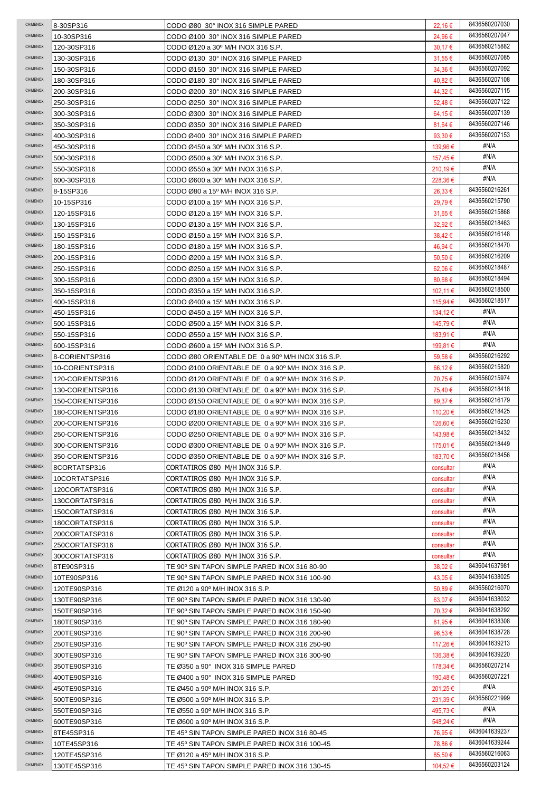| CHIMENOX        | 8-30SP316        | CODO Ø80 30° INOX 316 SIMPLE PARED                | 22,16€           | 8436560207030 |
|-----------------|------------------|---------------------------------------------------|------------------|---------------|
| CHIMENOX        | 10-30SP316       | CODO Ø100 30° INOX 316 SIMPLE PARED               | 24,96€           | 8436560207047 |
| CHIMENOX        | 120-30SP316      | CODO Ø120 a 30º M/H INOX 316 S.P.                 | 30,17€           | 8436560215882 |
| CHIMENOX        | 130-30SP316      | CODO Ø130 30° INOX 316 SIMPLE PARED               | 31,55 €          | 8436560207085 |
| CHIMENOX        | 150-30SP316      | CODO Ø150 30° INOX 316 SIMPLE PARED               | 34,36€           | 8436560207092 |
| CHIMENOX        | 180-30SP316      | CODO Ø180 30° INOX 316 SIMPLE PARED               | 40,82€           | 8436560207108 |
| CHIMENOX        | 200-30SP316      | CODO Ø200 30° INOX 316 SIMPLE PARED               | 44,32€           | 8436560207115 |
| CHIMENOX        | 250-30SP316      | CODO Ø250 30° INOX 316 SIMPLE PARED               | 52,48€           | 8436560207122 |
| CHIMENOX        | 300-30SP316      | CODO Ø300 30° INOX 316 SIMPLE PARED               | 64,15€           | 8436560207139 |
| CHIMENOX        | 350-30SP316      | CODO Ø350 30° INOX 316 SIMPLE PARED               | $81,64 \in$      | 8436560207146 |
| CHIMENOX        | 400-30SP316      | CODO Ø400 30° INOX 316 SIMPLE PARED               | 93,30 $\epsilon$ | 8436560207153 |
| CHIMENOX        | 450-30SP316      | CODO Ø450 a 30° M/H INOX 316 S.P.                 | 139,96 €         | #N/A          |
| CHIMENOX        | 500-30SP316      | CODO Ø500 a 30° M/H INOX 316 S.P.                 | 157,45 €         | #N/A          |
| CHIMENOX        | 550-30SP316      | CODO Ø550 a 30° M/H INOX 316 S.P.                 | 210,19€          | #N/A          |
| CHIMENOX        | 600-30SP316      | CODO Ø600 a 30° M/H INOX 316 S.P.                 | 228,36 €         | #N/A          |
| CHIMENOX        | 8-15SP316        | CODO Ø80 a 15º M/H INOX 316 S.P.                  | 26,33€           | 8436560216261 |
| CHIMENOX        | 10-15SP316       | CODO Ø100 a 15º M/H INOX 316 S.P.                 | 29,79€           | 8436560215790 |
| CHIMENOX        | 120-15SP316      | CODO Ø120 a 15º M/H INOX 316 S.P.                 | 31,65€           | 8436560215868 |
| CHIMENOX        | 130-15SP316      | CODO Ø130 a 15º M/H INOX 316 S.P.                 | 32,92€           | 8436560218463 |
| CHIMENOX        | 150-15SP316      | CODO Ø150 a 15º M/H INOX 316 S.P.                 | 38,42€           | 8436560216148 |
| CHIMENOX        | 180-15SP316      | CODO Ø180 a 15º M/H INOX 316 S.P.                 | 46,94 €          | 8436560218470 |
| CHIMENOX        | 200-15SP316      | CODO Ø200 a 15º M/H INOX 316 S.P.                 | 50.50 €          | 8436560216209 |
| CHIMENOX        | 250-15SP316      | CODO Ø250 a 15º M/H INOX 316 S.P.                 | 62,06€           | 8436560218487 |
| CHIMENOX        | 300-15SP316      | CODO Ø300 a 15º M/H INOX 316 S.P.                 | 80,68€           | 8436560218494 |
| CHIMENOX        | 350-15SP316      | CODO Ø350 a 15º M/H INOX 316 S.P.                 | 102.11 €         | 8436560218500 |
| CHIMENOX        | 400-15SP316      | CODO Ø400 a 15º M/H INOX 316 S.P.                 | 115,94 €         | 8436560218517 |
| CHIMENOX        | 450-15SP316      | CODO Ø450 a 15º M/H INOX 316 S.P.                 | 134,12 €         | #N/A          |
| CHIMENOX        | 500-15SP316      | CODO Ø500 a 15º M/H INOX 316 S.P.                 | 145,79 €         | #N/A          |
| CHIMENOX        | 550-15SP316      | CODO Ø550 a 15º M/H INOX 316 S.P.                 | 183,91 €         | #N/A          |
| CHIMENOX        | 600-15SP316      | CODO Ø600 a 15º M/H INOX 316 S.P.                 | 199,81 €         | #N/A          |
| CHIMENOX        | 8-CORIENTSP316   | CODO Ø80 ORIENTABLE DE 0 a 90º M/H INOX 316 S.P.  | 59,58€           | 8436560216292 |
| CHIMENOX        | 10-CORIENTSP316  | CODO Ø100 ORIENTABLE DE 0 a 90º M/H INOX 316 S.P. | 66,12€           | 8436560215820 |
| CHIMENOX        | 120-CORIENTSP316 | CODO Ø120 ORIENTABLE DE 0 a 90º M/H INOX 316 S.P. | 70,75€           | 8436560215974 |
| CHIMENOX        | 130-CORIENTSP316 | CODO Ø130 ORIENTABLE DE 0 a 90° M/H INOX 316 S.P. | 75,40 €          | 8436560218418 |
|                 |                  |                                                   |                  |               |
| CHIMENOX        | 150-CORIENTSP316 | CODO Ø150 ORIENTABLE DE 0 a 90° M/H INOX 316 S.P. | 89,37€           | 8436560216179 |
| CHIMENOX        | 180-CORIENTSP316 | CODO Ø180 ORIENTABLE DE 0 a 90º M/H INOX 316 S.P. | 110,20€          | 8436560218425 |
| CHIMENOX        | 200-CORIENTSP316 | CODO Ø200 ORIENTABLE DE 0 a 90º M/H INOX 316 S.P. | 126,60 €         | 8436560216230 |
| CHIMENOX        | 250-CORIENTSP316 | CODO Ø250 ORIENTABLE DE 0 a 90° M/H INOX 316 S.P. | 143,98 €         | 8436560218432 |
| <b>CHIMENOX</b> | 300-CORIENTSP316 | CODO Ø300 ORIENTABLE DE 0 a 90° M/H INOX 316 S.P. | 175,01 €         | 8436560218449 |
| CHIMENOX        | 350-CORIENTSP316 | CODO Ø350 ORIENTABLE DE 0 a 90º M/H INOX 316 S.P. | 183,70 €         | 8436560218456 |
| CHIMENOX        | 8CORTATSP316     | CORTATIROS Ø80 M/H INOX 316 S.P.                  | consultar        | #N/A          |
| CHIMENOX        | 10CORTATSP316    | CORTATIROS Ø80 M/H INOX 316 S.P.                  | consultar        | #N/A          |
| CHIMENOX        | 120CORTATSP316   | CORTATIROS Ø80 M/H INOX 316 S.P.                  | consultar        | #N/A          |
| <b>CHIMENOX</b> | 130CORTATSP316   | CORTATIROS Ø80 M/H INOX 316 S.P.                  | consultar        | #N/A          |
| <b>CHIMENOX</b> | 150CORTATSP316   | CORTATIROS Ø80 M/H INOX 316 S.P.                  | consultar        | #N/A          |
| <b>CHIMENOX</b> | 180CORTATSP316   | CORTATIROS Ø80 M/H INOX 316 S.P.                  | consultar        | #N/A          |
| CHIMENOX        | 200CORTATSP316   | CORTATIROS Ø80 M/H INOX 316 S.P.                  | consultar        | #N/A          |
| CHIMENOX        | 250CORTATSP316   | CORTATIROS Ø80 M/H INOX 316 S.P.                  | consultar        | #N/A          |
| CHIMENOX        | 300CORTATSP316   | CORTATIROS Ø80 M/H INOX 316 S.P.                  | consultar        | #N/A          |
| CHIMENOX        | 8TE90SP316       | TE 90º SIN TAPON SIMPLE PARED INOX 316 80-90      | 38,02€           | 8436041637981 |
| CHIMENOX        | 10TE90SP316      | TE 90° SIN TAPON SIMPLE PARED INOX 316 100-90     | 43,05 €          | 8436041638025 |
| CHIMENOX        | 120TE90SP316     | TE Ø120 a 90º M/H INOX 316 S.P.                   | 50,89 €          | 8436560216070 |
| CHIMENOX        | 130TE90SP316     | TE 90º SIN TAPON SIMPLE PARED INOX 316 130-90     | 63,07 €          | 8436041638032 |
| CHIMENOX        | 150TE90SP316     | TE 90º SIN TAPON SIMPLE PARED INOX 316 150-90     | 70,32 €          | 8436041638292 |
| CHIMENOX        | 180TE90SP316     | TE 90° SIN TAPON SIMPLE PARED INOX 316 180-90     | 81,95 €          | 8436041638308 |
| CHIMENOX        | 200TE90SP316     | TE 90º SIN TAPON SIMPLE PARED INOX 316 200-90     | $96,53 \in$      | 8436041638728 |
| <b>CHIMENOX</b> | 250TE90SP316     | TE 90º SIN TAPON SIMPLE PARED INOX 316 250-90     | 117,26 €         | 8436041639213 |
| CHIMENOX        | 300TE90SP316     | TE 90º SIN TAPON SIMPLE PARED INOX 316 300-90     | 136,38 €         | 8436041639220 |
| CHIMENOX        | 350TE90SP316     | TE Ø350 a 90° INOX 316 SIMPLE PARED               | 178,34 €         | 8436560207214 |
| CHIMENOX        | 400TE90SP316     | TE Ø400 a 90° INOX 316 SIMPLE PARED               | 190,48€          | 8436560207221 |
| CHIMENOX        | 450TE90SP316     | TE Ø450 a 90º M/H INOX 316 S.P.                   | 201,25 €         | #N/A          |
| CHIMENOX        | 500TE90SP316     | TE Ø500 a 90° M/H INOX 316 S.P.                   | 231,39€          | 8436560221999 |
| <b>CHIMENOX</b> | 550TE90SP316     | TE Ø550 a 90º M/H INOX 316 S.P.                   | 495,73€          | #N/A          |
| <b>CHIMENOX</b> | 600TE90SP316     | TE Ø600 a 90º M/H INOX 316 S.P.                   | 548,24 €         | #N/A          |
| CHIMENOX        | 8TE45SP316       | TE 45° SIN TAPON SIMPLE PARED INOX 316 80-45      | 76,95 €          | 8436041639237 |
| CHIMENOX        | 10TE45SP316      | TE 45° SIN TAPON SIMPLE PARED INOX 316 100-45     | 78,86 €          | 8436041639244 |
| CHIMENOX        | 120TE45SP316     | TE Ø120 a 45º M/H INOX 316 S.P.                   | 85,50€           | 8436560216063 |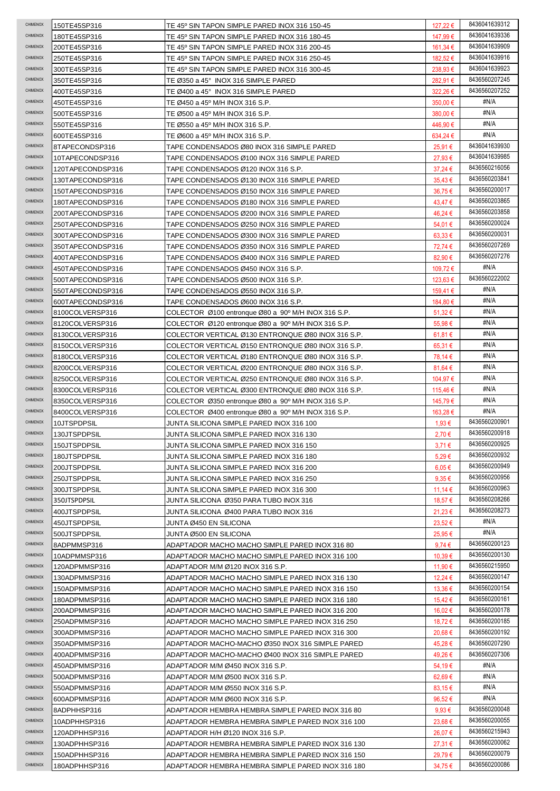|                             | 150TE45SP316                   | TE 45º SIN TAPON SIMPLE PARED INOX 316 150-45                                                          | 127,22 €         | 8436041639312                  |
|-----------------------------|--------------------------------|--------------------------------------------------------------------------------------------------------|------------------|--------------------------------|
| CHIMENOX                    | 180TE45SP316                   | TE 45º SIN TAPON SIMPLE PARED INOX 316 180-45                                                          | 147,99 €         | 8436041639336                  |
| CHIMENOX                    | 200TE45SP316                   | TE 45º SIN TAPON SIMPLE PARED INOX 316 200-45                                                          | 161,34 €         | 8436041639909                  |
| CHIMENOX                    | 250TE45SP316                   | TE 45º SIN TAPON SIMPLE PARED INOX 316 250-45                                                          | 182,52 €         | 8436041639916                  |
| CHIMENOX                    | 300TE45SP316                   | TE 45º SIN TAPON SIMPLE PARED INOX 316 300-45                                                          | 238.93€          | 8436041639923                  |
| CHIMENOX                    | 350TE45SP316                   | TE Ø350 a 45° INOX 316 SIMPLE PARED                                                                    | 282,91 €         | 8436560207245                  |
| CHIMENOX                    | 400TE45SP316                   | TE Ø400 a 45° INOX 316 SIMPLE PARED                                                                    | 322,26€          | 8436560207252                  |
| CHIMENOX                    | 450TE45SP316                   | TE Ø450 a 45º M/H INOX 316 S.P.                                                                        | 350,00 €         | #N/A                           |
| CHIMENOX                    | 500TE45SP316                   | TE Ø500 a 45° M/H INOX 316 S.P.                                                                        | 380,00 €         | #N/A                           |
| CHIMENOX                    | 550TE45SP316                   | TE Ø550 a 45° M/H INOX 316 S.P.                                                                        | 446,90 €         | #N/A                           |
| CHIMENOX                    | 600TE45SP316                   | TE Ø600 a 45° M/H INOX 316 S.P.                                                                        | 634,24 €         | #N/A                           |
| CHIMENOX                    | 8TAPECONDSP316                 | TAPE CONDENSADOS Ø80 INOX 316 SIMPLE PARED                                                             | 25,91 €          | 8436041639930                  |
| CHIMENOX                    | 10TAPECONDSP316                | TAPE CONDENSADOS Ø100 INOX 316 SIMPLE PARED                                                            | 27,93€           | 8436041639985                  |
| CHIMENOX                    | 120TAPECONDSP316               | TAPE CONDENSADOS Ø120 INOX 316 S.P.                                                                    | $37,24 \in$      | 8436560216056                  |
| CHIMENOX                    | 130TAPECONDSP316               | TAPE CONDENSADOS Ø130 INOX 316 SIMPLE PARED                                                            | $35,43 \in$      | 8436560203841                  |
| CHIMENOX                    | 150TAPECONDSP316               | TAPE CONDENSADOS Ø150 INOX 316 SIMPLE PARED                                                            | 36,75€           | 8436560200017                  |
| CHIMENOX                    | 180TAPECONDSP316               | TAPE CONDENSADOS Ø180 INOX 316 SIMPLE PARED                                                            | 43,47€           | 8436560203865                  |
| CHIMENOX                    | 200TAPECONDSP316               | TAPE CONDENSADOS Ø200 INOX 316 SIMPLE PARED                                                            | 46,24 €          | 8436560203858                  |
| CHIMENOX                    | 250TAPECONDSP316               | TAPE CONDENSADOS Ø250 INOX 316 SIMPLE PARED                                                            | 54,01€           | 8436560200024                  |
| CHIMENOX                    | 300TAPECONDSP316               | TAPE CONDENSADOS Ø300 INOX 316 SIMPLE PARED                                                            | $63,33 \in$      | 8436560200031                  |
| CHIMENOX                    | 350TAPECONDSP316               | TAPE CONDENSADOS Ø350 INOX 316 SIMPLE PARED                                                            | 72,74€           | 8436560207269                  |
| CHIMENOX                    |                                |                                                                                                        |                  | 8436560207276                  |
| CHIMENOX                    | 400TAPECONDSP316               | TAPE CONDENSADOS Ø400 INOX 316 SIMPLE PARED                                                            | 82,90€           | #N/A                           |
| CHIMENOX                    | 450TAPECONDSP316               | TAPE CONDENSADOS Ø450 INOX 316 S.P.                                                                    | 109,72€          | 8436560222002                  |
|                             | 500TAPECONDSP316               | TAPE CONDENSADOS Ø500 INOX 316 S.P.                                                                    | 123.63 €         |                                |
| CHIMENOX                    | 550TAPECONDSP316               | TAPE CONDENSADOS Ø550 INOX 316 S.P.                                                                    | 159,41 €         | #N/A                           |
| CHIMENOX                    | 600TAPECONDSP316               | TAPE CONDENSADOS Ø600 INOX 316 S.P.                                                                    | 184,80 €         | #N/A                           |
| CHIMENOX                    | 8100COLVERSP316                | COLECTOR Ø100 entronque Ø80 a 90 <sup>o</sup> M/H INOX 316 S.P.                                        | $51,32 \in$      | #N/A                           |
| CHIMENOX                    | 8120COLVERSP316                | COLECTOR $\varnothing$ 120 entronque $\varnothing$ 80 a $\varnothing$ 0 <sup>o</sup> M/H INOX 316 S.P. | 55,98€           | #N/A                           |
| CHIMENOX                    | 8130COLVERSP316                | COLECTOR VERTICAL Ø130 ENTRONQUE Ø80 INOX 316 S.P.                                                     | 61,81 €          | #N/A                           |
| CHIMENOX                    | 8150COLVERSP316                | COLECTOR VERTICAL Ø150 ENTRONQUE Ø80 INOX 316 S.P.                                                     | 65,31 €          | #N/A                           |
| CHIMENOX                    | 8180COLVERSP316                | COLECTOR VERTICAL Ø180 ENTRONQUE Ø80 INOX 316 S.P.                                                     | 78,14 €          | #N/A                           |
| CHIMENOX                    | 8200COLVERSP316                | COLECTOR VERTICAL Ø200 ENTRONQUE Ø80 INOX 316 S.P.                                                     | 81,64 €          | #N/A                           |
| CHIMENOX                    | 8250COLVERSP316                | COLECTOR VERTICAL Ø250 ENTRONQUE Ø80 INOX 316 S.P.                                                     | 104,97 €         | #N/A                           |
| CHIMENOX                    | 8300COLVERSP316                | COLECTOR VERTICAL Ø300 ENTRONQUE Ø80 INOX 316 S.P.                                                     | 115,46 €         | #N/A                           |
| CHIMENOX                    | 8350COLVERSP316                | COLECTOR Ø350 entronque Ø80 a 90° M/H INOX 316 S.P.                                                    | 145,79€          | #N/A                           |
| CHIMENOX                    | 8400COLVERSP316                | COLECTOR Ø400 entronque Ø80 a 90° M/H INOX 316 S.P.                                                    | 163,28 €         | #N/A                           |
| CHIMENOX                    | 10JTSPDPSIL                    | JUNTA SILICONA SIMPLE PARED INOX 316 100                                                               | 1,93 €           | 8436560200901                  |
| CHIMENOX                    | 130JTSPDPSIL                   | JUNTA SILICONA SIMPLE PARED INOX 316 130                                                               | 2,70€            | 8436560200918                  |
| <b>CHIMENOX</b>             | 150JTSPDPSIL                   | JUNTA SILICONA SIMPLE PARED INOX 316 150                                                               |                  | 8436560200925                  |
|                             |                                |                                                                                                        | 3,71€            |                                |
| CHIMENOX                    | 180JTSPDPSIL                   | JUNTA SILICONA SIMPLE PARED INOX 316 180                                                               | $5,29 \in$       | 8436560200932                  |
| CHIMENOX                    | 200JTSPDPSIL                   | JUNTA SILICONA SIMPLE PARED INOX 316 200                                                               | 6,05 €           | 8436560200949                  |
| CHIMENOX                    | 250JTSPDPSIL                   | JUNTA SILICONA SIMPLE PARED INOX 316 250                                                               | $9.35 \in$       | 8436560200956                  |
| CHIMENOX                    | 300JTSPDPSIL                   | JUNTA SILICONA SIMPLE PARED INOX 316 300                                                               | 11,14 €          | 8436560200963                  |
| <b>CHIMENOX</b>             | 350JTSPDPSIL                   | JUNTA SILICONA Ø350 PARA TUBO INOX 316                                                                 | 18,57€           | 8436560208266                  |
| <b>CHIMENOX</b>             | 400JTSPDPSIL                   | JUNTA SILICONA Ø400 PARA TUBO INOX 316                                                                 | 21,23€           | 8436560208273                  |
| <b>CHIMENOX</b>             | 450JTSPDPSIL                   | JUNTA Ø450 EN SILICONA                                                                                 | 23,52€           | #N/A                           |
| CHIMENOX                    | 500JTSPDPSIL                   | JUNTA Ø500 EN SILICONA                                                                                 | 25,95€           | #N/A                           |
| CHIMENOX                    | 8ADPMMSP316                    | ADAPTADOR MACHO MACHO SIMPLE PARED INOX 316 80                                                         | 9,74€            | 8436560200123                  |
| CHIMENOX                    | 10ADPMMSP316                   | ADAPTADOR MACHO MACHO SIMPLE PARED INOX 316 100                                                        | 10,39€           | 8436560200130                  |
| <b>CHIMENOX</b>             | 120ADPMMSP316                  | ADAPTADOR M/M Ø120 INOX 316 S.P.                                                                       | 11,90 €          | 8436560215950                  |
| CHIMENOX                    | 130ADPMMSP316                  | ADAPTADOR MACHO MACHO SIMPLE PARED INOX 316 130                                                        | 12,24 €          | 8436560200147                  |
| CHIMENOX                    | 150ADPMMSP316                  | ADAPTADOR MACHO MACHO SIMPLE PARED INOX 316 150                                                        | 13,36 €          | 8436560200154                  |
| CHIMENOX                    | 180ADPMMSP316                  | ADAPTADOR MACHO MACHO SIMPLE PARED INOX 316 180                                                        | 15,42 €          | 8436560200161                  |
| CHIMENOX                    | 200ADPMMSP316                  | ADAPTADOR MACHO MACHO SIMPLE PARED INOX 316 200                                                        | 16,02€           | 8436560200178                  |
| CHIMENOX                    | 250ADPMMSP316                  | ADAPTADOR MACHO MACHO SIMPLE PARED INOX 316 250                                                        | 18,72€           | 8436560200185                  |
| CHIMENOX                    | 300ADPMMSP316                  | ADAPTADOR MACHO MACHO SIMPLE PARED INOX 316 300                                                        | 20,68€           | 8436560200192                  |
| <b>CHIMENOX</b>             | 350ADPMMSP316                  | ADAPTADOR MACHO-MACHO Ø350 INOX 316 SIMPLE PARED                                                       | 45,28€           | 8436560207290                  |
| CHIMENOX                    |                                |                                                                                                        |                  | 8436560207306                  |
| CHIMENOX                    | 400ADPMMSP316                  | ADAPTADOR MACHO-MACHO Ø400 INOX 316 SIMPLE PARED                                                       | 49,26€           | #N/A                           |
| CHIMENOX                    | 450ADPMMSP316                  | ADAPTADOR M/M Ø450 INOX 316 S.P.                                                                       | 54,19€           | #N/A                           |
| CHIMENOX                    | 500ADPMMSP316                  | ADAPTADOR M/M Ø500 INOX 316 S.P.                                                                       | 62,69€           | #N/A                           |
| CHIMENOX                    | 550ADPMMSP316                  | ADAPTADOR M/M Ø550 INOX 316 S.P.                                                                       | $83,15 \in$      |                                |
|                             | 600ADPMMSP316                  | ADAPTADOR M/M Ø600 INOX 316 S.P.                                                                       | 96,52€           | #N/A                           |
| <b>CHIMENOX</b>             | 8ADPHHSP316                    | ADAPTADOR HEMBRA HEMBRA SIMPLE PARED INOX 316 80                                                       | $9.93 \in$       | 8436560200048                  |
| <b>CHIMENOX</b>             | 10ADPHHSP316                   | ADAPTADOR HEMBRA HEMBRA SIMPLE PARED INOX 316 100                                                      | $23,68 \in$      | 8436560200055                  |
| CHIMENOX                    | 120ADPHHSP316                  | ADAPTADOR H/H Ø120 INOX 316 S.P.                                                                       | 26,07€           | 8436560215943                  |
| CHIMENOX<br><b>CHIMENOX</b> | 130ADPHHSP316                  | ADAPTADOR HEMBRA HEMBRA SIMPLE PARED INOX 316 130                                                      | 27,31 €          | 8436560200062                  |
| CHIMENOX                    | 150ADPHHSP316<br>180ADPHHSP316 | ADAPTADOR HEMBRA HEMBRA SIMPLE PARED INOX 316 150<br>ADAPTADOR HEMBRA HEMBRA SIMPLE PARED INOX 316 180 | 29,79€<br>34,75€ | 8436560200079<br>8436560200086 |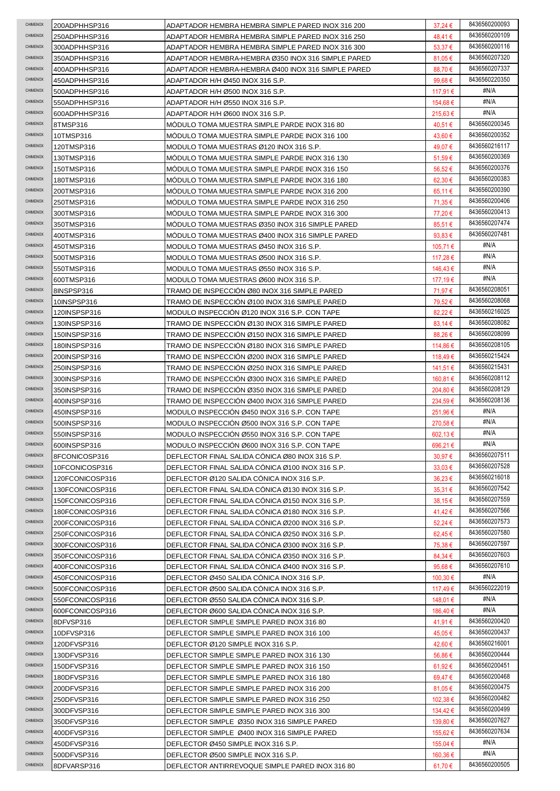| CHIMENOX        | 200ADPHHSP316   | ADAPTADOR HEMBRA HEMBRA SIMPLE PARED INOX 316 200  | $37,24 \in$      | 8436560200093 |
|-----------------|-----------------|----------------------------------------------------|------------------|---------------|
| CHIMENOX        | 250ADPHHSP316   | ADAPTADOR HEMBRA HEMBRA SIMPLE PARED INOX 316 250  | 48,41 €          | 8436560200109 |
| <b>CHIMENOX</b> | 300ADPHHSP316   | ADAPTADOR HEMBRA HEMBRA SIMPLE PARED INOX 316 300  | 53,37 €          | 8436560200116 |
| <b>CHIMENOX</b> | 350ADPHHSP316   | ADAPTADOR HEMBRA-HEMBRA Ø350 INOX 316 SIMPLE PARED | 81,05 €          | 8436560207320 |
| CHIMENOX        | 400ADPHHSP316   | ADAPTADOR HEMBRA-HEMBRA Ø400 INOX 316 SIMPLE PARED | 88,70€           | 8436560207337 |
| CHIMENOX        |                 |                                                    |                  | 8436560220350 |
|                 | 450ADPHHSP316   | ADAPTADOR H/H Ø450 INOX 316 S.P.                   | 99,68 $\epsilon$ |               |
| CHIMENOX        | 500ADPHHSP316   | ADAPTADOR H/H Ø500 INOX 316 S.P.                   | 117,91 €         | #N/A          |
| CHIMENOX        | 550ADPHHSP316   | ADAPTADOR H/H Ø550 INOX 316 S.P.                   | 154,68 €         | #N/A          |
| CHIMENOX        | 600ADPHHSP316   | ADAPTADOR H/H Ø600 INOX 316 S.P.                   | 215,63 €         | #N/A          |
| <b>CHIMENOX</b> | 8TMSP316        | MODULO TOMA MUESTRA SIMPLE PARDE INOX 316 80       | 40,51 €          | 8436560200345 |
| CHIMENOX        | 10TMSP316       | MODULO TOMA MUESTRA SIMPLE PARDE INOX 316 100      | 43,60€           | 8436560200352 |
| CHIMENOX        | 120TMSP316      | MODULO TOMA MUESTRAS Ø120 INOX 316 S.P.            | 49,07€           | 8436560216117 |
| CHIMENOX        | 130TMSP316      | MODULO TOMA MUESTRA SIMPLE PARDE INOX 316 130      | 51,59€           | 8436560200369 |
| CHIMENOX        |                 |                                                    |                  | 8436560200376 |
|                 | 150TMSP316      | MODULO TOMA MUESTRA SIMPLE PARDE INOX 316 150      | 56,52€           |               |
| CHIMENOX        | 180TMSP316      | MODULO TOMA MUESTRA SIMPLE PARDE INOX 316 180      | 62,30€           | 8436560200383 |
| CHIMENOX        | 200TMSP316      | MODULO TOMA MUESTRA SIMPLE PARDE INOX 316 200      | $65,11 \in$      | 8436560200390 |
| CHIMENOX        | 250TMSP316      | MÓDULO TOMA MUESTRA SIMPLE PARDE INOX 316 250      | 71,35 €          | 8436560200406 |
| CHIMENOX        | 300TMSP316      | MODULO TOMA MUESTRA SIMPLE PARDE INOX 316 300      | 77,20€           | 8436560200413 |
| CHIMENOX        | 350TMSP316      | MODULO TOMA MUESTRAS Ø350 INOX 316 SIMPLE PARED    | 85,51€           | 8436560207474 |
| CHIMENOX        | 400TMSP316      | MODULO TOMA MUESTRAS Ø400 INOX 316 SIMPLE PARED    | 93,83 $\epsilon$ | 8436560207481 |
| CHIMENOX        | 450TMSP316      | MODULO TOMA MUESTRAS Ø450 INOX 316 S.P.            | 105.71 €         | #N/A          |
| CHIMENOX        |                 |                                                    |                  | #N/A          |
|                 | 500TMSP316      | MODULO TOMA MUESTRAS Ø500 INOX 316 S.P.            | 117,28 €         |               |
| CHIMENOX        | 550TMSP316      | MODULO TOMA MUESTRAS Ø550 INOX 316 S.P.            | 146,43 €         | #N/A          |
| CHIMENOX        | 600TMSP316      | MODULO TOMA MUESTRAS Ø600 INOX 316 S.P.            | 177,19€          | #N/A          |
| CHIMENOX        | 8INSPSP316      | TRAMO DE INSPECCIÓN Ø80 INOX 316 SIMPLE PARED      | 71,97 €          | 8436560208051 |
| CHIMENOX        | 10INSPSP316     | TRAMO DE INSPECCION Ø100 INOX 316 SIMPLE PARED     | 79,52 €          | 8436560208068 |
| CHIMENOX        | 120INSPSP316    | MODULO INSPECCION Ø120 INOX 316 S.P. CON TAPE      | 82,22€           | 8436560216025 |
| CHIMENOX        | 130INSPSP316    | TRAMO DE INSPECCION Ø130 INOX 316 SIMPLE PARED     | 83,14€           | 8436560208082 |
| <b>CHIMENOX</b> |                 |                                                    |                  | 8436560208099 |
|                 | 150INSPSP316    | TRAMO DE INSPECCION Ø150 INOX 316 SIMPLE PARED     | 88,26€           | 8436560208105 |
| <b>CHIMENOX</b> | 180INSPSP316    | TRAMO DE INSPECCION Ø180 INOX 316 SIMPLE PARED     | 114,86 €         |               |
| CHIMENOX        | 200INSPSP316    | TRAMO DE INSPECCION Ø200 INOX 316 SIMPLE PARED     | 118,49€          | 8436560215424 |
| CHIMENOX        | 250INSPSP316    | TRAMO DE INSPECCION Ø250 INOX 316 SIMPLE PARED     | 141,51 €         | 8436560215431 |
| CHIMENOX        | 300INSPSP316    | TRAMO DE INSPECCION ∅300 INOX 316 SIMPLE PARED     | 160,81 €         | 8436560208112 |
| CHIMENOX        | 350INSPSP316    | TRAMO DE INSPECCION ∅350 INOX 316 SIMPLE PARED     | 204,80 €         | 8436560208129 |
| CHIMENOX        | 400INSPSP316    | TRAMO DE INSPECCION Ø400 INOX 316 SIMPLE PARED     | 234,59€          | 8436560208136 |
| CHIMENOX        | 450INSPSP316    | MODULO INSPECCION Ø450 INOX 316 S.P. CON TAPE      | 251,96 €         | #N/A          |
| CHIMENOX        | 500INSPSP316    | MODULO INSPECCION Ø500 INOX 316 S.P. CON TAPE      | 270,58€          | #N/A          |
| CHIMENOX        |                 |                                                    |                  | #N/A          |
|                 | 550INSPSP316    | MODULO INSPECCIÓN Ø550 INOX 316 S.P. CON TAPE      | 602,13€          |               |
| CHIMENOX        | 600INSPSP316    | MODULO INSPECCIÓN Ø600 INOX 316 S.P. CON TAPE      | 696,21 €         | #N/A          |
| CHIMENOX        | 8FCONICOSP316   | DEFLECTOR FINAL SALIDA CÓNICA Ø80 INOX 316 S.P.    | 30,97€           | 8436560207511 |
| CHIMENOX        | 10FCONICOSP316  | DEFLECTOR FINAL SALIDA CONICA Ø100 INOX 316 S.P.   | $33,03 \in$      | 8436560207528 |
| CHIMENOX        | 120FCONICOSP316 | DEFLECTOR Ø120 SALIDA CÓNICA INOX 316 S.P.         | 36,23€           | 8436560216018 |
| CHIMENOX        | 130FCONICOSP316 | DEFLECTOR FINAL SALIDA CÓNICA Ø130 INOX 316 S.P.   | $35.31 \in$      | 8436560207542 |
| CHIMENOX        | 150FCONICOSP316 | DEFLECTOR FINAL SALIDA CÓNICA Ø150 INOX 316 S.P.   | 38,15€           | 8436560207559 |
| CHIMENOX        | 180FCONICOSP316 | DEFLECTOR FINAL SALIDA CÓNICA Ø180 INOX 316 S.P.   | 41,42€           | 8436560207566 |
| CHIMENOX        |                 |                                                    |                  | 8436560207573 |
|                 | 200FCONICOSP316 | DEFLECTOR FINAL SALIDA CÓNICA Ø200 INOX 316 S.P.   | 52,24 €          |               |
| CHIMENOX        | 250FCONICOSP316 | DEFLECTOR FINAL SALIDA CÓNICA Ø250 INOX 316 S.P.   | 62,45€           | 8436560207580 |
| CHIMENOX        | 300FCONICOSP316 | DEFLECTOR FINAL SALIDA CÓNICA Ø300 INOX 316 S.P.   | 75,38€           | 8436560207597 |
| CHIMENOX        | 350FCONICOSP316 | DEFLECTOR FINAL SALIDA CÓNICA Ø350 INOX 316 S.P.   | 84,34 €          | 8436560207603 |
| CHIMENOX        | 400FCONICOSP316 | DEFLECTOR FINAL SALIDA CÓNICA Ø400 INOX 316 S.P.   | 95,68 $\epsilon$ | 8436560207610 |
| CHIMENOX        | 450FCONICOSP316 | DEFLECTOR Ø450 SALIDA CÓNICA INOX 316 S.P.         |                  | #N/A          |
| CHIMENOX        |                 |                                                    | 100,30 €         |               |
|                 | 500FCONICOSP316 | DEFLECTOR Ø500 SALIDA CONICA INOX 316 S.P.         | 117,49€          | 8436560222019 |
| CHIMENOX        |                 |                                                    |                  | #N/A          |
|                 | 550FCONICOSP316 | DEFLECTOR Ø550 SALIDA CONICA INOX 316 S.P.         | 148,01 €         |               |
| CHIMENOX        | 600FCONICOSP316 | DEFLECTOR Ø600 SALIDA CONICA INOX 316 S.P.         | 186,40 €         | #N/A          |
| CHIMENOX        | 8DFVSP316       | DEFLECTOR SIMPLE SIMPLE PARED INOX 316 80          | 41,91 €          | 8436560200420 |
| CHIMENOX        | 10DFVSP316      | DEFLECTOR SIMPLE SIMPLE PARED INOX 316 100         | 45,05€           | 8436560200437 |
| CHIMENOX        | 120DFVSP316     | DEFLECTOR Ø120 SIMPLE INOX 316 S.P.                | 42,60 €          | 8436560216001 |
| CHIMENOX        | 130DFVSP316     | DEFLECTOR SIMPLE SIMPLE PARED INOX 316 130         | 56,86€           | 8436560200444 |
| CHIMENOX        | 150DFVSP316     | DEFLECTOR SIMPLE SIMPLE PARED INOX 316 150         | $61,92 \in$      | 8436560200451 |
| CHIMENOX        | 180DFVSP316     | DEFLECTOR SIMPLE SIMPLE PARED INOX 316 180         | 69,47€           | 8436560200468 |
| CHIMENOX        |                 |                                                    |                  | 8436560200475 |
| CHIMENOX        | 200DFVSP316     | DEFLECTOR SIMPLE SIMPLE PARED INOX 316 200         | 81,05€           |               |
|                 | 250DFVSP316     | DEFLECTOR SIMPLE SIMPLE PARED INOX 316 250         | 102,38 €         | 8436560200482 |
| CHIMENOX        | 300DFVSP316     | DEFLECTOR SIMPLE SIMPLE PARED INOX 316 300         | 134,42 €         | 8436560200499 |
| CHIMENOX        | 350DFVSP316     | DEFLECTOR SIMPLE Ø350 INOX 316 SIMPLE PARED        | 139,80 €         | 8436560207627 |
| CHIMENOX        | 400DFVSP316     | DEFLECTOR SIMPLE Ø400 INOX 316 SIMPLE PARED        | 155,62 €         | 8436560207634 |
| CHIMENOX        | 450DFVSP316     | DEFLECTOR Ø450 SIMPLE INOX 316 S.P.                | 155,04 €         | #N/A          |
| CHIMENOX        | 500DFVSP316     | DEFLECTOR Ø500 SIMPLE INOX 316 S.P.                | 160,36 €         | #N/A          |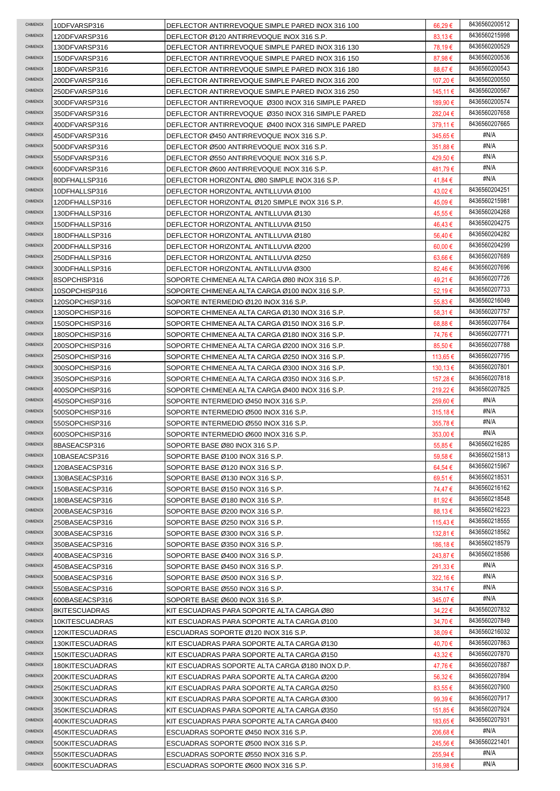| CHIMENOX        | 10DFVARSP316    | DEFLECTOR ANTIRREVOQUE SIMPLE PARED INOX 316 100  | 66,29€       | 8436560200512 |
|-----------------|-----------------|---------------------------------------------------|--------------|---------------|
| CHIMENOX        | 120DFVARSP316   | DEFLECTOR Ø120 ANTIRREVOQUE INOX 316 S.P.         | 83,13€       | 8436560215998 |
| <b>CHIMENOX</b> | 130DFVARSP316   | DEFLECTOR ANTIRREVOQUE SIMPLE PARED INOX 316 130  | 78,19€       | 8436560200529 |
| <b>CHIMENOX</b> | 150DFVARSP316   | DEFLECTOR ANTIRREVOQUE SIMPLE PARED INOX 316 150  | 87,98€       | 8436560200536 |
| <b>CHIMENOX</b> | 180DFVARSP316   | DEFLECTOR ANTIRREVOQUE SIMPLE PARED INOX 316 180  | 88,67 €      | 8436560200543 |
| <b>CHIMENOX</b> | 200DFVARSP316   | DEFLECTOR ANTIRREVOQUE SIMPLE PARED INOX 316 200  | 107,20 €     | 8436560200550 |
| CHIMENOX        | 250DFVARSP316   | DEFLECTOR ANTIRREVOQUE SIMPLE PARED INOX 316 250  | 145,11 €     | 8436560200567 |
| CHIMENOX        | 300DFVARSP316   | DEFLECTOR ANTIRREVOQUE Ø300 INOX 316 SIMPLE PARED | 189,90 €     | 8436560200574 |
| CHIMENOX        | 350DFVARSP316   | DEFLECTOR ANTIRREVOQUE Ø350 INOX 316 SIMPLE PARED | 282.04 €     | 8436560207658 |
| CHIMENOX        | 400DFVARSP316   | DEFLECTOR ANTIRREVOQUE Ø400 INOX 316 SIMPLE PARED | 379,11 €     | 8436560207665 |
| <b>CHIMENOX</b> | 450DFVARSP316   | DEFLECTOR Ø450 ANTIRREVOQUE INOX 316 S.P.         | 345,65€      | #N/A          |
| <b>CHIMENOX</b> | 500DFVARSP316   | DEFLECTOR Ø500 ANTIRREVOQUE INOX 316 S.P.         | 351,88€      | #N/A          |
| CHIMENOX        | 550DFVARSP316   | DEFLECTOR Ø550 ANTIRREVOQUE INOX 316 S.P.         | 429,50€      | #N/A          |
| CHIMENOX        | 600DFVARSP316   | DEFLECTOR Ø600 ANTIRREVOQUE INOX 316 S.P.         | 481,79€      | #N/A          |
| CHIMENOX        | 80DFHALLSP316   | DEFLECTOR HORIZONTAL Ø80 SIMPLE INOX 316 S.P.     | 41,84 €      | #N/A          |
| CHIMENOX        | 10DFHALLSP316   | DEFLECTOR HORIZONTAL ANTILLUVIA Ø100              | 43,02€       | 8436560204251 |
| CHIMENOX        | 120DFHALLSP316  | DEFLECTOR HORIZONTAL Ø120 SIMPLE INOX 316 S.P.    | 45,09€       | 8436560215981 |
| CHIMENOX        | 130DFHALLSP316  | DEFLECTOR HORIZONTAL ANTILLUVIA Ø130              | 45,55€       | 8436560204268 |
| CHIMENOX        | 150DFHALLSP316  | DEFLECTOR HORIZONTAL ANTILLUVIA Ø150              | 46,43€       | 8436560204275 |
| CHIMENOX        | 180DFHALLSP316  | DEFLECTOR HORIZONTAL ANTILLUVIA Ø180              | 56.40 €      | 8436560204282 |
| CHIMENOX        | 200DFHALLSP316  | DEFLECTOR HORIZONTAL ANTILLUVIA Ø200              | $60,00 \in$  | 8436560204299 |
| CHIMENOX        | 250DFHALLSP316  | DEFLECTOR HORIZONTAL ANTILLUVIA Ø250              | $63,66 \in$  | 8436560207689 |
| CHIMENOX        | 300DFHALLSP316  | DEFLECTOR HORIZONTAL ANTILLUVIA Ø300              | 82,46€       | 8436560207696 |
| CHIMENOX        | 8SOPCHISP316    | SOPORTE CHIMENEA ALTA CARGA Ø80 INOX 316 S.P.     | 49,21€       | 8436560207726 |
| CHIMENOX        | 10SOPCHISP316   | SOPORTE CHIMENEA ALTA CARGA Ø100 INOX 316 S.P.    | 52,19€       | 8436560207733 |
| CHIMENOX        | 120SOPCHISP316  | SOPORTE INTERMEDIO Ø120 INOX 316 S.P.             | 55,83€       | 8436560216049 |
| CHIMENOX        | 130SOPCHISP316  | SOPORTE CHIMENEA ALTA CARGA Ø130 INOX 316 S.P.    | 58,31 €      | 8436560207757 |
| CHIMENOX        | 150SOPCHISP316  | SOPORTE CHIMENEA ALTA CARGA Ø150 INOX 316 S.P.    | 68,88€       | 8436560207764 |
| CHIMENOX        | 180SOPCHISP316  | SOPORTE CHIMENEA ALTA CARGA Ø180 INOX 316 S.P.    | 74,76€       | 8436560207771 |
| CHIMENOX        | 200SOPCHISP316  | SOPORTE CHIMENEA ALTA CARGA Ø200 INOX 316 S.P.    | 85,50€       | 8436560207788 |
| CHIMENOX        | 250SOPCHISP316  | SOPORTE CHIMENEA ALTA CARGA Ø250 INOX 316 S.P.    | 113,65 €     | 8436560207795 |
| CHIMENOX        | 300SOPCHISP316  | SOPORTE CHIMENEA ALTA CARGA Ø300 INOX 316 S.P.    | 130,13 €     | 8436560207801 |
| CHIMENOX        | 350SOPCHISP316  | SOPORTE CHIMENEA ALTA CARGA Ø350 INOX 316 S.P.    | 157,28 €     | 8436560207818 |
| CHIMENOX        | 400SOPCHISP316  | SOPORTE CHIMENEA ALTA CARGA Ø400 INOX 316 S.P.    | 219,22 €     | 8436560207825 |
|                 |                 |                                                   |              |               |
| CHIMENOX        | 450SOPCHISP316  | SOPORTE INTERMEDIO Ø450 INOX 316 S.P.             | 259,60 €     | #N/A          |
| CHIMENOX        | 500SOPCHISP316  | SOPORTE INTERMEDIO Ø500 INOX 316 S.P.             | $315,18 \in$ | #N/A          |
| <b>CHIMENOX</b> | 550SOPCHISP316  | SOPORTE INTERMEDIO Ø550 INOX 316 S.P.             | 355,78€      | #N/A          |
| CHIMENOX        | 600SOPCHISP316  | SOPORTE INTERMEDIO Ø600 INOX 316 S.P.             | 353,00 €     | #N/A          |
| CHIMENOX        | 8BASEACSP316    | SOPORTE BASE Ø80 INOX 316 S.P.                    | 55,85€       | 8436560216285 |
| CHIMENOX        | 10BASEACSP316   | SOPORTE BASE Ø100 INOX 316 S.P.                   | 59,58€       | 8436560215813 |
| CHIMENOX        | 120BASEACSP316  | SOPORTE BASE Ø120 INOX 316 S.P.                   | 64,54 €      | 8436560215967 |
| CHIMENOX        | 130BASEACSP316  | SOPORTE BASE Ø130 INOX 316 S.P.                   | 69,51 €      | 8436560218531 |
| CHIMENOX        | 150BASEACSP316  | SOPORTE BASE Ø150 INOX 316 S.P.                   | 74,47 €      | 8436560216162 |
| CHIMENOX        | 180BASEACSP316  | SOPORTE BASE Ø180 INOX 316 S.P.                   | 81,92€       | 8436560218548 |
| <b>CHIMENOX</b> | 200BASEACSP316  | SOPORTE BASE Ø200 INOX 316 S.P.                   | 88,13€       | 8436560216223 |
| <b>CHIMENOX</b> | 250BASEACSP316  | SOPORTE BASE Ø250 INOX 316 S.P.                   | 115,43 €     | 8436560218555 |
| CHIMENOX        | 300BASEACSP316  | SOPORTE BASE Ø300 INOX 316 S.P.                   | 132,81 €     | 8436560218562 |
| CHIMENOX        | 350BASEACSP316  | SOPORTE BASE Ø350 INOX 316 S.P.                   | 186,18 €     | 8436560218579 |
| CHIMENOX        | 400BASEACSP316  | SOPORTE BASE Ø400 INOX 316 S.P.                   | 243,87€      | 8436560218586 |
| CHIMENOX        | 450BASEACSP316  | SOPORTE BASE Ø450 INOX 316 S.P.                   | 291,33 €     | #N/A          |
| <b>CHIMENOX</b> | 500BASEACSP316  | SOPORTE BASE Ø500 INOX 316 S.P.                   | 322,16 €     | #N/A          |
| CHIMENOX        | 550BASEACSP316  | SOPORTE BASE Ø550 INOX 316 S.P.                   | 334,17 €     | #N/A          |
| <b>CHIMENOX</b> | 600BASEACSP316  | SOPORTE BASE Ø600 INOX 316 S.P.                   | 345,07 €     | #N/A          |
| CHIMENOX        | 8KITESCUADRAS   | KIT ESCUADRAS PARA SOPORTE ALTA CARGA Ø80         | 34,22 €      | 8436560207832 |
| CHIMENOX        | 10KITESCUADRAS  | KIT ESCUADRAS PARA SOPORTE ALTA CARGA Ø100        | 34,70€       | 8436560207849 |
| CHIMENOX        | 120KITESCUADRAS | ESCUADRAS SOPORTE Ø120 INOX 316 S.P.              | $38,09 \in$  | 8436560216032 |
| CHIMENOX        | 130KITESCUADRAS | KIT ESCUADRAS PARA SOPORTE ALTA CARGA Ø130        | 40,70 €      | 8436560207863 |
| <b>CHIMENOX</b> | 150KITESCUADRAS | KIT ESCUADRAS PARA SOPORTE ALTA CARGA Ø150        | 43,32€       | 8436560207870 |
| <b>CHIMENOX</b> | 180KITESCUADRAS | KIT ESCUADRAS SOPORTE ALTA CARGA Ø180 INOX D.P.   | 47,76 €      | 8436560207887 |
| CHIMENOX        | 200KITESCUADRAS | KIT ESCUADRAS PARA SOPORTE ALTA CARGA Ø200        | 56,32€       | 8436560207894 |
| CHIMENOX        | 250KITESCUADRAS | KIT ESCUADRAS PARA SOPORTE ALTA CARGA Ø250        | 83,55€       | 8436560207900 |
| CHIMENOX        | 300KITESCUADRAS | KIT ESCUADRAS PARA SOPORTE ALTA CARGA Ø300        | 99,39€       | 8436560207917 |
| CHIMENOX        | 350KITESCUADRAS | KIT ESCUADRAS PARA SOPORTE ALTA CARGA Ø350        | 151,85 €     | 8436560207924 |
| CHIMENOX        | 400KITESCUADRAS | KIT ESCUADRAS PARA SOPORTE ALTA CARGA Ø400        | 183,65 €     | 8436560207931 |
| <b>CHIMENOX</b> | 450KITESCUADRAS | ESCUADRAS SOPORTE Ø450 INOX 316 S.P.              | 206,68€      | #N/A          |
| CHIMENOX        | 500KITESCUADRAS | ESCUADRAS SOPORTE Ø500 INOX 316 S.P.              | 245,56€      | 8436560221401 |
| CHIMENOX        | 550KITESCUADRAS | ESCUADRAS SOPORTE Ø550 INOX 316 S.P.              | 255,94 €     | #N/A          |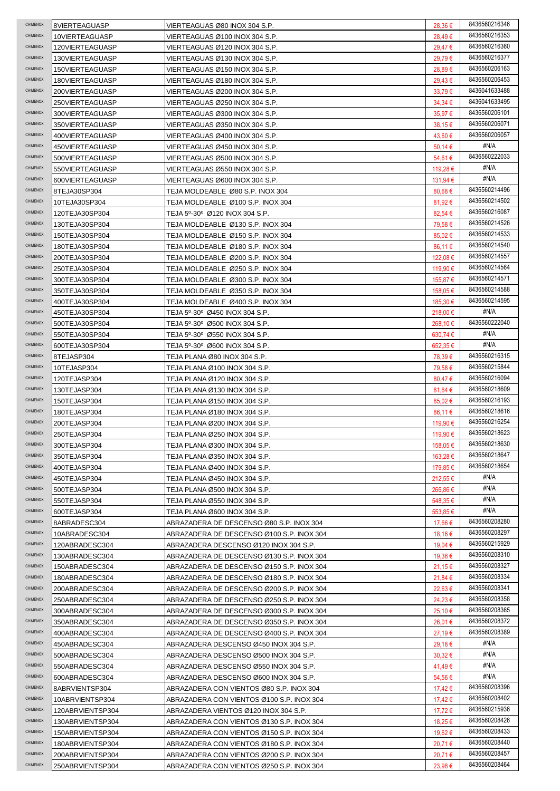| <b>CHIMENOX</b> | 8VIERTEAGUASP    | VIERTEAGUAS Ø80 INOX 304 S.P.             | 28,36 €      | 8436560216346 |
|-----------------|------------------|-------------------------------------------|--------------|---------------|
| CHIMENOX        | 10VIERTEAGUASP   | VIERTEAGUAS Ø100 INOX 304 S.P.            | 28,49€       | 8436560216353 |
| CHIMENOX        | 120VIERTEAGUASP  | VIERTEAGUAS Ø120 INOX 304 S.P.            | 29,47€       | 8436560216360 |
| CHIMENOX        | 130VIERTEAGUASP  | VIERTEAGUAS Ø130 INOX 304 S.P.            | 29,79€       | 8436560216377 |
| <b>CHIMENOX</b> | 150VIERTEAGUASP  | VIERTEAGUAS Ø150 INOX 304 S.P.            | 28,89€       | 8436560206163 |
| <b>CHIMENOX</b> | 180VIERTEAGUASP  | VIERTEAGUAS Ø180 INOX 304 S.P.            | 29,43€       | 8436560206453 |
| <b>CHIMENOX</b> | 200VIERTEAGUASP  | VIERTEAGUAS Ø200 INOX 304 S.P.            | 33,79€       | 8436041633488 |
| CHIMENOX        | 250VIERTEAGUASP  | VIERTEAGUAS Ø250 INOX 304 S.P.            | $34,34 \in$  | 8436041633495 |
| CHIMENOX        | 300VIERTEAGUASP  | VIERTEAGUAS Ø300 INOX 304 S.P.            | 35,97€       | 8436560206101 |
| CHIMENOX        | 350VIERTEAGUASP  | VIERTEAGUAS Ø350 INOX 304 S.P.            | 38,15€       | 8436560206071 |
| CHIMENOX        | 400VIERTEAGUASP  | VIERTEAGUAS Ø400 INOX 304 S.P.            | 43,60 €      | 8436560206057 |
| CHIMENOX        | 450VIERTEAGUASP  | VIERTEAGUAS Ø450 INOX 304 S.P.            | 50,14 €      | #N/A          |
| <b>CHIMENOX</b> | 500VIERTEAGUASP  | VIERTEAGUAS Ø500 INOX 304 S.P.            | 54,61 €      | 8436560222033 |
| <b>CHIMENOX</b> | 550VIERTEAGUASP  | VIERTEAGUAS Ø550 INOX 304 S.P.            | 119,28 €     | #N/A          |
| CHIMENOX        | 600VIERTEAGUASP  | VIERTEAGUAS Ø600 INOX 304 S.P.            | 131,94 €     | #N/A          |
| CHIMENOX        | 8TEJA30SP304     | TEJA MOLDEABLE Ø80 S.P. INOX 304          | $80,68 \in$  | 8436560214496 |
| CHIMENOX        | 10TEJA30SP304    | TEJA MOLDEABLE Ø100 S.P. INOX 304         | 81,92€       | 8436560214502 |
| CHIMENOX        | 120TEJA30SP304   | TEJA 5º-30º Ø120 INOX 304 S.P.            | 82,54 €      | 8436560216087 |
| CHIMENOX        | 130TEJA30SP304   | TEJA MOLDEABLE Ø130 S.P. INOX 304         | 79,58€       | 8436560214526 |
| <b>CHIMENOX</b> | 150TEJA30SP304   | TEJA MOLDEABLE Ø150 S.P. INOX 304         | 85,02€       | 8436560214533 |
| CHIMENOX        | 180TEJA30SP304   | TEJA MOLDEABLE Ø180 S.P. INOX 304         | 86,11 €      | 8436560214540 |
| CHIMENOX        | 200TEJA30SP304   | TEJA MOLDEABLE Ø200 S.P. INOX 304         | 122,08€      | 8436560214557 |
| <b>CHIMENOX</b> | 250TEJA30SP304   | TEJA MOLDEABLE Ø250 S.P. INOX 304         | 119,90 €     | 8436560214564 |
| CHIMENOX        | 300TEJA30SP304   | TEJA MOLDEABLE Ø300 S.P. INOX 304         | 155,87 €     | 8436560214571 |
| <b>CHIMENOX</b> | 350TEJA30SP304   | TEJA MOLDEABLE Ø350 S.P. INOX 304         | 158,05€      | 8436560214588 |
| <b>CHIMENOX</b> | 400TEJA30SP304   | TEJA MOLDEABLE Ø400 S.P. INOX 304         | 185,30 €     | 8436560214595 |
| <b>CHIMENOX</b> | 450TEJA30SP304   | TEJA 5º-30º Ø450 INOX 304 S.P.            | 218,00 €     | #N/A          |
| CHIMENOX        | 500TEJA30SP304   | TEJA 5º-30º Ø500 INOX 304 S.P.            | 268,10 €     | 8436560222040 |
| CHIMENOX        | 550TEJA30SP304   | TEJA 5º-30º Ø550 INOX 304 S.P.            | 630,74 €     | #N/A          |
| CHIMENOX        | 600TEJA30SP304   | TEJA 5º-30º Ø600 INOX 304 S.P.            | 652,35€      | #N/A          |
| <b>CHIMENOX</b> | 8TEJASP304       | TEJA PLANA Ø80 INOX 304 S.P.              | 78,39€       | 8436560216315 |
| <b>CHIMENOX</b> | 10TEJASP304      | TEJA PLANA Ø100 INOX 304 S.P.             | 79,58€       | 8436560215844 |
| <b>CHIMENOX</b> | 120TEJASP304     | TEJA PLANA Ø120 INOX 304 S.P.             | 80,47€       | 8436560216094 |
| CHIMENOX        | 130TEJASP304     | TEJA PLANA Ø130 INOX 304 S.P.             | $81,64 \in$  | 8436560218609 |
|                 |                  |                                           |              |               |
| CHIMENOX        | 150TEJASP304     | TEJA PLANA Ø150 INOX 304 S.P.             | 85,02€       | 8436560216193 |
| CHIMENOX        | 180TEJASP304     | TEJA PLANA Ø180 INOX 304 S.P.             | 86,11 €      | 8436560218616 |
| <b>CHIMENOX</b> | 200TEJASP304     | TEJA PLANA Ø200 INOX 304 S.P.             | 119,90 €     | 8436560216254 |
| <b>CHIMENOX</b> | 250TEJASP304     | TEJA PLANA Ø250 INOX 304 S.P.             | 119,90 €     | 8436560218623 |
| <b>CHIMENOX</b> | 300TEJASP304     | TEJA PLANA Ø300 INOX 304 S.P.             | 158,05 €     | 8436560218630 |
| <b>CHIMENOX</b> | 350TEJASP304     | TEJA PLANA Ø350 INOX 304 S.P.             | 163,28 €     | 8436560218647 |
| CHIMENOX        | 400TEJASP304     | TEJA PLANA Ø400 INOX 304 S.P.             | 179,85 €     | 8436560218654 |
| <b>CHIMENOX</b> | 450TEJASP304     | TEJA PLANA Ø450 INOX 304 S.P.             | 212,55 €     | #N/A          |
| <b>CHIMENOX</b> | 500TEJASP304     | TEJA PLANA Ø500 INOX 304 S.P.             | 266,86€      | #N/A          |
| <b>CHIMENOX</b> | 550TEJASP304     | TEJA PLANA Ø550 INOX 304 S.P.             | 548,35 €     | #N/A          |
| CHIMENOX        | 600TEJASP304     | TEJA PLANA Ø600 INOX 304 S.P.             | $553,85 \in$ | #N/A          |
| CHIMENOX        | 8ABRADESC304     | ABRAZADERA DE DESCENSO Ø80 S.P. INOX 304  | 17.66 €      | 8436560208280 |
| <b>CHIMENOX</b> | 10ABRADESC304    | ABRAZADERA DE DESCENSO Ø100 S.P. INOX 304 | 18,16 €      | 8436560208297 |
| <b>CHIMENOX</b> | 120ABRADESC304   | ABRAZADERA DESCENSO Ø120 INOX 304 S.P.    | 19,04 €      | 8436560215929 |
| CHIMENOX        | 130ABRADESC304   | ABRAZADERA DE DESCENSO Ø130 S.P. INOX 304 | 19,36 €      | 8436560208310 |
| <b>CHIMENOX</b> | 150ABRADESC304   | ABRAZADERA DE DESCENSO Ø150 S.P. INOX 304 | 21,15 €      | 8436560208327 |
| <b>CHIMENOX</b> | 180ABRADESC304   | ABRAZADERA DE DESCENSO Ø180 S.P. INOX 304 | 21,84 €      | 8436560208334 |
| <b>CHIMENOX</b> | 200ABRADESC304   | ABRAZADERA DE DESCENSO Ø200 S.P. INOX 304 | 22,63€       | 8436560208341 |
| CHIMENOX        | 250ABRADESC304   | ABRAZADERA DE DESCENSO Ø250 S.P. INOX 304 | 24,23 €      | 8436560208358 |
| CHIMENOX        | 300ABRADESC304   | ABRAZADERA DE DESCENSO Ø300 S.P. INOX 304 | 25,10 €      | 8436560208365 |
| CHIMENOX        | 350ABRADESC304   | ABRAZADERA DE DESCENSO Ø350 S.P. INOX 304 | 26,01 €      | 8436560208372 |
| CHIMENOX        | 400ABRADESC304   | ABRAZADERA DE DESCENSO Ø400 S.P. INOX 304 | 27,19€       | 8436560208389 |
| CHIMENOX        | 450ABRADESC304   | ABRAZADERA DESCENSO Ø450 INOX 304 S.P.    | 29,18€       | #N/A          |
| CHIMENOX        | 500ABRADESC304   | ABRAZADERA DESCENSO Ø500 INOX 304 S.P.    | $30,32 \in$  | #N/A          |
| CHIMENOX        | 550ABRADESC304   | ABRAZADERA DESCENSO Ø550 INOX 304 S.P.    | 41,49€       | #N/A          |
| CHIMENOX        | 600ABRADESC304   | ABRAZADERA DESCENSO Ø600 INOX 304 S.P.    | 54,56€       | #N/A          |
| CHIMENOX        | 8ABRVIENTSP304   | ABRAZADERA CON VIENTOS Ø80 S.P. INOX 304  | 17,42€       | 8436560208396 |
| CHIMENOX        | 10ABRVIENTSP304  | ABRAZADERA CON VIENTOS Ø100 S.P. INOX 304 | 17,42€       | 8436560208402 |
| CHIMENOX        | 120ABRVIENTSP304 | ABRAZADERA VIENTOS Ø120 INOX 304 S.P.     | 17,72 €      | 8436560215936 |
| CHIMENOX        | 130ABRVIENTSP304 | ABRAZADERA CON VIENTOS Ø130 S.P. INOX 304 | 18,25 €      | 8436560208426 |
| CHIMENOX        | 150ABRVIENTSP304 | ABRAZADERA CON VIENTOS Ø150 S.P. INOX 304 | 19,62 €      | 8436560208433 |
| CHIMENOX        | 180ABRVIENTSP304 | ABRAZADERA CON VIENTOS Ø180 S.P. INOX 304 | 20,71€       | 8436560208440 |
| CHIMENOX        | 200ABRVIENTSP304 | ABRAZADERA CON VIENTOS Ø200 S.P. INOX 304 | 20,71 €      | 8436560208457 |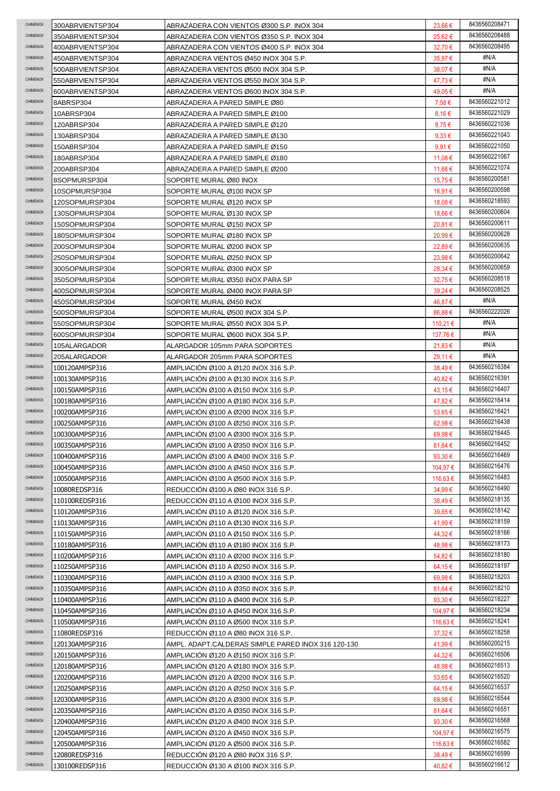| CHIMENOX        | 300ABRVIENTSP304 | ABRAZADERA CON VIENTOS Ø300 S.P. INOX 304          | 23,66€           | 8436560208471 |
|-----------------|------------------|----------------------------------------------------|------------------|---------------|
| CHIMENOX        | 350ABRVIENTSP304 | ABRAZADERA CON VIENTOS Ø350 S.P. INOX 304          | 25,62€           | 8436560208488 |
| CHIMENOX        | 400ABRVIENTSP304 | ABRAZADERA CON VIENTOS Ø400 S.P. INOX 304          | 32,70€           | 8436560208495 |
| CHIMENOX        | 450ABRVIENTSP304 | ABRAZADERA VIENTOS Ø450 INOX 304 S.P.              | 35,97€           | #N/A          |
| CHIMENOX        | 500ABRVIENTSP304 | ABRAZADERA VIENTOS Ø500 INOX 304 S.P.              | 38,07€           | #N/A          |
| CHIMENOX        | 550ABRVIENTSP304 | ABRAZADERA VIENTOS Ø550 INOX 304 S.P.              | 47,73€           | #N/A          |
| CHIMENOX        | 600ABRVIENTSP304 | ABRAZADERA VIENTOS Ø600 INOX 304 S.P.              | 49,05 €          | #N/A          |
| <b>CHIMENOX</b> | 8ABRSP304        | ABRAZADERA A PARED SIMPLE Ø80                      | 7,58€            | 8436560221012 |
| <b>CHIMENOX</b> | 10ABRSP304       | ABRAZADERA A PARED SIMPLE Ø100                     | 8,16€            | 8436560221029 |
| CHIMENOX        | 120ABRSP304      | ABRAZADERA A PARED SIMPLE Ø120                     | 8,75€            | 8436560221036 |
| CHIMENOX        | 130ABRSP304      | ABRAZADERA A PARED SIMPLE Ø130                     | $9.33 \in$       | 8436560221043 |
| CHIMENOX        | 150ABRSP304      | ABRAZADERA A PARED SIMPLE Ø150                     | 9,91€            | 8436560221050 |
| CHIMENOX        | 180ABRSP304      | ABRAZADERA A PARED SIMPLE Ø180                     | 11,08 €          | 8436560221067 |
| CHIMENOX        | 200ABRSP304      | ABRAZADERA A PARED SIMPLE Ø200                     | 11,66 €          | 8436560221074 |
| <b>CHIMENOX</b> | 8SOPMURSP304     | SOPORTE MURAL Ø80 INOX                             | 15,75€           | 8436560200581 |
| CHIMENOX        | 10SOPMURSP304    | SOPORTE MURAL Ø100 INOX SP                         | 16,91 €          | 8436560200598 |
| CHIMENOX        | 120SOPMURSP304   | SOPORTE MURAL Ø120 INOX SP                         | 18.08 €          | 8436560218593 |
| CHIMENOX        | 130SOPMURSP304   | SOPORTE MURAL Ø130 INOX SP                         | 18,66 €          | 8436560200604 |
| CHIMENOX        | 150SOPMURSP304   | SOPORTE MURAL Ø150 INOX SP                         | 20,81€           | 8436560200611 |
| CHIMENOX        |                  |                                                    |                  | 8436560200628 |
| CHIMENOX        | 180SOPMURSP304   | SOPORTE MURAL Ø180 INOX SP                         | 20,99€           | 8436560200635 |
| CHIMENOX        | 200SOPMURSP304   | SOPORTE MURAL Ø200 INOX SP                         | 22,89€           | 8436560200642 |
| CHIMENOX        | 250SOPMURSP304   | SOPORTE MURAL Ø250 INOX SP                         | 23,98€           | 8436560200659 |
| CHIMENOX        | 300SOPMURSP304   | SOPORTE MURAL Ø300 INOX SP                         | 28,34 €          | 8436560208518 |
|                 | 350SOPMURSP304   | SOPORTE MURAL Ø350 INOX PARA SP                    | 32,75€           |               |
| CHIMENOX        | 400SOPMURSP304   | SOPORTE MURAL Ø400 INOX PARA SP                    | $39,24 \in$      | 8436560208525 |
| CHIMENOX        | 450SOPMURSP304   | SOPORTE MURAL Ø450 INOX                            | 46,87€           | #N/A          |
| CHIMENOX        | 500SOPMURSP304   | SOPORTE MURAL Ø500 INOX 304 S.P.                   | 86,88€           | 8436560222026 |
| CHIMENOX        | 550SOPMURSP304   | SOPORTE MURAL Ø550 INOX 304 S.P.                   | 110,21 €         | #N/A          |
| CHIMENOX        | 600SOPMURSP304   | SOPORTE MURAL Ø600 INOX 304 S.P.                   | 137,76 €         | #N/A          |
| CHIMENOX        | 105ALARGADOR     | ALARGADOR 105mm PARA SOPORTES                      | 21,83 €          | #N/A          |
| CHIMENOX        | 205ALARGADOR     | ALARGADOR 205mm PARA SOPORTES                      | 29,11 €          | #N/A          |
| CHIMENOX        | 100120AMPSP316   | AMPLIACION Ø100 A Ø120 INOX 316 S.P.               | 38,49€           | 8436560216384 |
| CHIMENOX        | 100130AMPSP316   | AMPLIACION Ø100 A Ø130 INOX 316 S.P.               | 40,82€           | 8436560216391 |
| CHIMENOX        | 100150AMPSP316   | AMPLIACION Ø100 A Ø150 INOX 316 S.P.               | 43,15€           | 8436560216407 |
| CHIMENOX        | 100180AMPSP316   | AMPLIACIÓN Ø100 A Ø180 INOX 316 S.P.               | 47,82€           | 8436560216414 |
| CHIMENOX        | 100200AMPSP316   | AMPLIACION Ø100 A Ø200 INOX 316 S.P.               | 53,65 €          | 8436560216421 |
| CHIMENOX        | 100250AMPSP316   | AMPLIACION Ø100 A Ø250 INOX 316 S.P.               | 62,98€           | 8436560216438 |
| CHIMENOX        | 100300AMPSP316   | AMPLIACION Ø100 A Ø300 INOX 316 S.P.               | 69,98€           | 8436560216445 |
| CHIMENOX        | 100350AMPSP316   | AMPLIACION Ø100 A Ø350 INOX 316 S.P.               | 81,64 €          | 8436560216452 |
| CHIMENOX        | 100400AMPSP316   | AMPLIACION Ø100 A Ø400 INOX 316 S.P.               | 93,30 $\epsilon$ | 8436560216469 |
| CHIMENOX        | 100450AMPSP316   | AMPLIACIÓN Ø100 A Ø450 INOX 316 S.P.               | 104,97 €         | 8436560216476 |
| CHIMENOX        | 100500AMPSP316   | AMPLIACIÓN Ø100 A Ø500 INOX 316 S.P.               | 116,63 €         | 8436560216483 |
| CHIMENOX        | 10080REDSP316    | REDUCCION Ø100 A Ø80 INOX 316 S.P.                 | 34,99€           | 8436560216490 |
| <b>CHIMENOX</b> | 110100REDSP316   | REDUCCIÓN Ø110 A Ø100 INOX 316 S.P.                | 38,49€           | 8436560218135 |
| CHIMENOX        | 110120AMPSP316   | AMPLIACIÓN Ø110 A Ø120 INOX 316 S.P.               | 39,65€           | 8436560218142 |
| CHIMENOX        | 110130AMPSP316   | AMPLIACIÓN Ø110 A Ø130 INOX 316 S.P.               | 41,99€           | 8436560218159 |
| CHIMENOX        | 110150AMPSP316   | AMPLIACIÓN Ø110 A Ø150 INOX 316 S.P.               | 44,32€           | 8436560218166 |
| CHIMENOX        | 110180AMPSP316   | AMPLIACION Ø110 A Ø180 INOX 316 S.P.               | 48,98€           | 8436560218173 |
| CHIMENOX        | 110200AMPSP316   | AMPLIACION Ø110 A Ø200 INOX 316 S.P.               | 54,82€           | 8436560218180 |
| <b>CHIMENOX</b> | 110250AMPSP316   | AMPLIACION Ø110 A Ø250 INOX 316 S.P.               | 64,15 €          | 8436560218197 |
| <b>CHIMENOX</b> | 110300AMPSP316   | AMPLIACION Ø110 A Ø300 INOX 316 S.P.               | 69,98€           | 8436560218203 |
| CHIMENOX        | 110350AMPSP316   | AMPLIACION Ø110 A Ø350 INOX 316 S.P.               | 81,64 €          | 8436560218210 |
| CHIMENOX        | 110400AMPSP316   | AMPLIACION Ø110 A Ø400 INOX 316 S.P.               | 93,30 €          | 8436560218227 |
| CHIMENOX        | 110450AMPSP316   | AMPLIACION Ø110 A Ø450 INOX 316 S.P.               | 104,97 €         | 8436560218234 |
| CHIMENOX        | 110500AMPSP316   | AMPLIACION Ø110 A Ø500 INOX 316 S.P.               | 116,63 €         | 8436560218241 |
| CHIMENOX        | 11080REDSP316    | REDUCCION Ø110 A Ø80 INOX 316 S.P.                 | $37,32 \in$      | 8436560218258 |
| <b>CHIMENOX</b> | 120130AMPSP316   | AMPL. ADAPT CALDERAS SIMPLE PARED INOX 316 120-130 | 41,99€           | 8436560200215 |
| CHIMENOX        | 120150AMPSP316   | AMPLIACION Ø120 A Ø150 INOX 316 S.P.               | 44,32€           | 8436560216506 |
| CHIMENOX        | 120180AMPSP316   | AMPLIACION Ø120 A Ø180 INOX 316 S.P.               | 48,98€           | 8436560216513 |
| CHIMENOX        | 120200AMPSP316   | AMPLIACION Ø120 A Ø200 INOX 316 S.P.               | 53,65 €          | 8436560216520 |
| CHIMENOX        | 120250AMPSP316   | AMPLIACION Ø120 A Ø250 INOX 316 S.P.               | 64,15€           | 8436560216537 |
| CHIMENOX        | 120300AMPSP316   | AMPLIACION Ø120 A Ø300 INOX 316 S.P.               | 69,98€           | 8436560216544 |
| CHIMENOX        | 120350AMPSP316   | AMPLIACION Ø120 A Ø350 INOX 316 S.P.               | 81,64 €          | 8436560216551 |
| CHIMENOX        | 120400AMPSP316   | AMPLIACIÓN Ø120 A Ø400 INOX 316 S.P.               | 93,30 $\epsilon$ | 8436560216568 |
| CHIMENOX        | 120450AMPSP316   | AMPLIACION Ø120 A Ø450 INOX 316 S.P.               | 104,97 €         | 8436560216575 |
| CHIMENOX        | 120500AMPSP316   | AMPLIACION Ø120 A Ø500 INOX 316 S.P.               | 116,63 €         | 8436560216582 |
| CHIMENOX        | 12080REDSP316    | REDUCCION Ø120 A Ø80 INOX 316 S.P.                 | 38,49€           | 8436560216599 |
| CHIMENOX        | 130100REDSP316   | REDUCCION Ø130 A Ø100 INOX 316 S.P.                | 40,82 €          | 8436560216612 |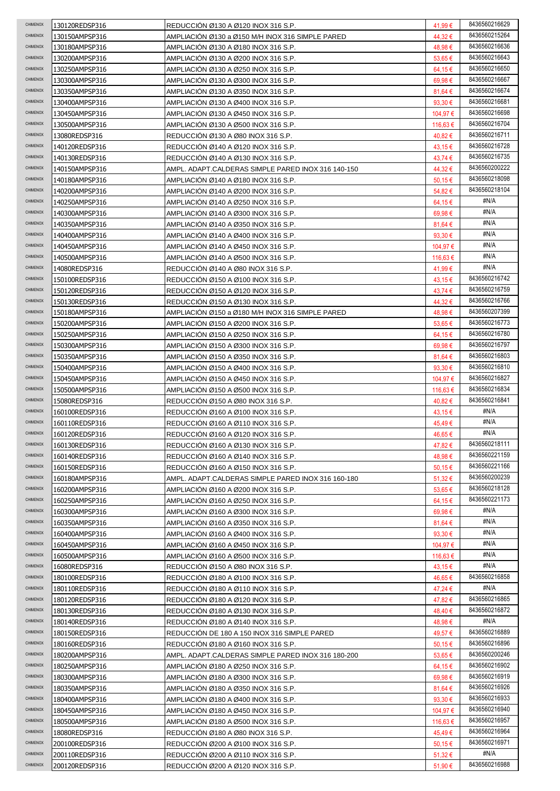| <b>CHIMENOX</b> | 130120REDSP316                   | REDUCCIÓN Ø130 A Ø120 INOX 316 S.P.                                                       | 41,99 €            | 8436560216629 |
|-----------------|----------------------------------|-------------------------------------------------------------------------------------------|--------------------|---------------|
| CHIMENOX        | 130150AMPSP316                   | AMPLIACIÓN Ø130 a Ø150 M/H INOX 316 SIMPLE PARED                                          | 44,32€             | 8436560215264 |
| CHIMENOX        | 130180AMPSP316                   | AMPLIACION Ø130 A Ø180 INOX 316 S.P.                                                      | 48,98€             | 8436560216636 |
| CHIMENOX        | 130200AMPSP316                   | AMPLIACION Ø130 A Ø200 INOX 316 S.P.                                                      | $53,65 \in$        | 8436560216643 |
| CHIMENOX        | 130250AMPSP316                   | AMPLIACIÓN Ø130 A Ø250 INOX 316 S.P.                                                      | 64,15€             | 8436560216650 |
| CHIMENOX        | 130300AMPSP316                   | AMPLIACIÓN Ø130 A Ø300 INOX 316 S.P.                                                      | 69,98€             | 8436560216667 |
| CHIMENOX        | 130350AMPSP316                   | AMPLIACION Ø130 A Ø350 INOX 316 S.P.                                                      | 81,64 €            | 8436560216674 |
| CHIMENOX        | 130400AMPSP316                   | AMPLIACION Ø130 A Ø400 INOX 316 S.P.                                                      | 93,30€             | 8436560216681 |
| CHIMENOX        | 130450AMPSP316                   | AMPLIACIÓN Ø130 A Ø450 INOX 316 S.P.                                                      | 104,97 €           | 8436560216698 |
| CHIMENOX        | 130500AMPSP316                   | AMPLIACIÓN Ø130 A Ø500 INOX 316 S.P.                                                      | 116,63 €           | 8436560216704 |
| CHIMENOX        | 13080REDSP316                    | REDUCCIÓN Ø130 A Ø80 INOX 316 S.P.                                                        | 40,82€             | 8436560216711 |
| CHIMENOX        | 140120REDSP316                   | REDUCCION Ø140 A Ø120 INOX 316 S.P.                                                       | 43,15€             | 8436560216728 |
| CHIMENOX        | 140130REDSP316                   | REDUCCION Ø140 A Ø130 INOX 316 S.P.                                                       | 43,74 €            | 8436560216735 |
| CHIMENOX        | 140150AMPSP316                   | AMPL. ADAPT.CALDERAS SIMPLE PARED INOX 316 140-150                                        | 44,32€             | 8436560200222 |
| CHIMENOX        | 140180AMPSP316                   | AMPLIACIÓN Ø140 A Ø180 INOX 316 S.P.                                                      | 50,15 €            | 8436560218098 |
| CHIMENOX        | 140200AMPSP316                   | AMPLIACIÓN Ø140 A Ø200 INOX 316 S.P.                                                      | 54,82€             | 8436560218104 |
| CHIMENOX        | 140250AMPSP316                   | AMPLIACIÓN Ø140 A Ø250 INOX 316 S.P.                                                      |                    | #N/A          |
| CHIMENOX        |                                  |                                                                                           | 64,15€             | #N/A          |
| CHIMENOX        | 140300AMPSP316                   | AMPLIACIÓN Ø140 A Ø300 INOX 316 S.P.                                                      | 69,98€             | #N/A          |
| CHIMENOX        | 140350AMPSP316                   | AMPLIACIÓN Ø140 A Ø350 INOX 316 S.P.                                                      | 81,64 €            | #N/A          |
| CHIMENOX        | 140400AMPSP316                   | AMPLIACIÓN Ø140 A Ø400 INOX 316 S.P.                                                      | 93,30 $\epsilon$   | #N/A          |
| CHIMENOX        | 140450AMPSP316                   | AMPLIACION Ø140 A Ø450 INOX 316 S.P.                                                      | 104,97 €           |               |
|                 | 140500AMPSP316                   | AMPLIACIÓN Ø140 A Ø500 INOX 316 S.P.                                                      | 116,63 €           | #N/A          |
| CHIMENOX        | 14080REDSP316                    | REDUCCIÓN Ø140 A Ø80 INOX 316 S.P.                                                        | 41,99€             | #N/A          |
| CHIMENOX        | 150100REDSP316                   | REDUCCION Ø150 A Ø100 INOX 316 S.P.                                                       | 43,15€             | 8436560216742 |
| CHIMENOX        | 150120REDSP316                   | REDUCCIÓN Ø150 A Ø120 INOX 316 S.P.                                                       | 43,74 €            | 8436560216759 |
| CHIMENOX        | 150130REDSP316                   | REDUCCION Ø150 A Ø130 INOX 316 S.P.                                                       | 44,32€             | 8436560216766 |
| CHIMENOX        | 150180AMPSP316                   | AMPLIACION Ø150 a Ø180 M/H INOX 316 SIMPLE PARED                                          | 48,98€             | 8436560207399 |
| CHIMENOX        | 150200AMPSP316                   | AMPLIACION Ø150 A Ø200 INOX 316 S.P.                                                      | 53,65€             | 8436560216773 |
| CHIMENOX        | 150250AMPSP316                   | AMPLIACION Ø150 A Ø250 INOX 316 S.P.                                                      | 64,15€             | 8436560216780 |
| CHIMENOX        | 150300AMPSP316                   | AMPLIACION Ø150 A Ø300 INOX 316 S.P.                                                      | 69,98€             | 8436560216797 |
| CHIMENOX        | 150350AMPSP316                   | AMPLIACION Ø150 A Ø350 INOX 316 S.P.                                                      | 81,64 €            | 8436560216803 |
| CHIMENOX        | 150400AMPSP316                   | AMPLIACION Ø150 A Ø400 INOX 316 S.P.                                                      | 93,30 $\epsilon$   | 8436560216810 |
| CHIMENOX        | 150450AMPSP316                   | AMPLIACIÓN Ø150 A Ø450 INOX 316 S.P.                                                      | 104,97 €           | 8436560216827 |
| CHIMENOX        | 150500AMPSP316                   | AMPLIACIÓN Ø150 A Ø500 INOX 316 S.P.                                                      | 116,63 €           | 8436560216834 |
|                 |                                  |                                                                                           |                    |               |
| <b>CHIMENOX</b> | 15080REDSP316                    | REDUCCIÓN Ø150 A Ø80 INOX 316 S.P.                                                        | 40,82€             | 8436560216841 |
| CHIMENOX        | 160100REDSP316                   | REDUCCION Ø160 A Ø100 INOX 316 S.P.                                                       | 43,15 €            | #N/A          |
| CHIMENOX        | 160110REDSP316                   | REDUCCIÓN Ø160 A Ø110 INOX 316 S.P.                                                       | 45,49€             | #N/A          |
| CHIMENOX        | 160120REDSP316                   | REDUCCION Ø160 A Ø120 INOX 316 S.P.                                                       | 46.65€             | #N/A          |
| CHIMENOX        | 160130REDSP316                   | REDUCCION Ø160 A Ø130 INOX 316 S.P.                                                       | 47,82€             | 8436560218111 |
| CHIMENOX        | 160140REDSP316                   | REDUCCION Ø160 A Ø140 INOX 316 S.P.                                                       | 48,98€             | 8436560221159 |
| CHIMENOX        | 160150REDSP316                   | REDUCCION Ø160 A Ø150 INOX 316 S.P.                                                       | 50,15 €            | 8436560221166 |
| CHIMENOX        | 160180AMPSP316                   | AMPL. ADAPT.CALDERAS SIMPLE PARED INOX 316 160-180                                        | $51,32 \in$        | 8436560200239 |
| CHIMENOX        | 160200AMPSP316                   | AMPLIACIÓN Ø160 A Ø200 INOX 316 S.P.                                                      | $53,65 \in$        | 8436560218128 |
| <b>CHIMENOX</b> | 160250AMPSP316                   | AMPLIACIÓN Ø160 A Ø250 INOX 316 S.P.                                                      | 64,15€             | 8436560221173 |
| <b>CHIMENOX</b> | 160300AMPSP316                   | AMPLIACION Ø160 A Ø300 INOX 316 S.P.                                                      | 69,98€             | #N/A          |
| <b>CHIMENOX</b> | 160350AMPSP316                   | AMPLIACIÓN Ø160 A Ø350 INOX 316 S.P.                                                      | 81,64 €            | #N/A          |
| CHIMENOX        | 160400AMPSP316                   | AMPLIACION Ø160 A Ø400 INOX 316 S.P.                                                      | 93,30 $\epsilon$   | #N/A          |
| CHIMENOX        | 160450AMPSP316                   | AMPLIACION Ø160 A Ø450 INOX 316 S.P.                                                      | 104,97 €           | #N/A          |
| CHIMENOX        | 160500AMPSP316                   | AMPLIACION Ø160 A Ø500 INOX 316 S.P.                                                      | 116,63 €           | #N/A          |
| CHIMENOX        | 16080REDSP316                    | REDUCCION Ø150 A Ø80 INOX 316 S.P.                                                        | 43,15 €            | #N/A          |
| CHIMENOX        | 180100REDSP316                   | REDUCCION Ø180 A Ø100 INOX 316 S.P.                                                       | 46,65€             | 8436560216858 |
| <b>CHIMENOX</b> | 180110REDSP316                   | REDUCCION Ø180 A Ø110 INOX 316 S.P.                                                       | 47,24 €            | #N/A          |
| CHIMENOX        | 180120REDSP316                   | REDUCCION Ø180 A Ø120 INOX 316 S.P.                                                       | 47,82€             | 8436560216865 |
| CHIMENOX        | 180130REDSP316                   | REDUCCION Ø180 A Ø130 INOX 316 S.P.                                                       | 48,40 €            | 8436560216872 |
| CHIMENOX        | 180140REDSP316                   | REDUCCION Ø180 A Ø140 INOX 316 S.P.                                                       | 48,98 €            | #N/A          |
| CHIMENOX        | 180150REDSP316                   | REDUCCIÓN DE 180 A 150 INOX 316 SIMPLE PARED                                              | 49,57€             | 8436560216889 |
| <b>CHIMENOX</b> |                                  |                                                                                           |                    | 8436560216896 |
| CHIMENOX        | 180160REDSP316<br>180200AMPSP316 | REDUCCION Ø180 A Ø160 INOX 316 S.P.<br>AMPL. ADAPT.CALDERAS SIMPLE PARED INOX 316 180-200 | 50,15 €<br>53,65€  | 8436560200246 |
| CHIMENOX        | 180250AMPSP316                   | AMPLIACION Ø180 A Ø250 INOX 316 S.P.                                                      | 64,15€             | 8436560216902 |
| CHIMENOX        | 180300AMPSP316                   | AMPLIACION Ø180 A Ø300 INOX 316 S.P.                                                      | 69,98€             | 8436560216919 |
| CHIMENOX        |                                  |                                                                                           |                    | 8436560216926 |
| CHIMENOX        | 180350AMPSP316                   | AMPLIACION Ø180 A Ø350 INOX 316 S.P.                                                      | 81,64 €            | 8436560216933 |
| <b>CHIMENOX</b> | 180400AMPSP316                   | AMPLIACIÓN Ø180 A Ø400 INOX 316 S.P.                                                      | 93,30 $\epsilon$   | 8436560216940 |
| <b>CHIMENOX</b> | 180450AMPSP316                   | AMPLIACION Ø180 A Ø450 INOX 316 S.P.                                                      | 104,97 €           | 8436560216957 |
| CHIMENOX        | 180500AMPSP316                   | AMPLIACION Ø180 A Ø500 INOX 316 S.P.                                                      | 116,63 €           | 8436560216964 |
| CHIMENOX        | 18080REDSP316                    | REDUCCION Ø180 A Ø80 INOX 316 S.P.                                                        | 45,49€             | 8436560216971 |
| CHIMENOX        | 200100REDSP316<br>200110REDSP316 | REDUCCION Ø200 A Ø100 INOX 316 S.P.<br>REDUCCION Ø200 A Ø110 INOX 316 S.P.                | 50,15 €<br>51,32 € | #N/A          |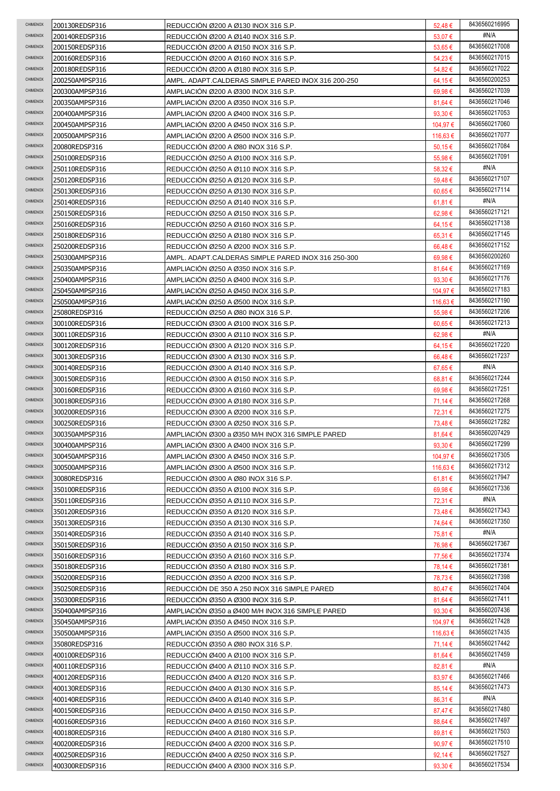| CHIMENOX             | 200130REDSP316                   | REDUCCIÓN Ø200 A Ø130 INOX 316 S.P.                                          | 52,48€               | 8436560216995                  |
|----------------------|----------------------------------|------------------------------------------------------------------------------|----------------------|--------------------------------|
| CHIMENOX             | 200140REDSP316                   | REDUCCION Ø200 A Ø140 INOX 316 S.P.                                          | 53,07 €              | #N/A                           |
| CHIMENOX             | 200150REDSP316                   | REDUCCION Ø200 A Ø150 INOX 316 S.P.                                          | 53,65€               | 8436560217008                  |
| CHIMENOX             | 200160REDSP316                   | REDUCCION Ø200 A Ø160 INOX 316 S.P.                                          | 54,23€               | 8436560217015                  |
| CHIMENOX             | 200180REDSP316                   | REDUCCIÓN Ø200 A Ø180 INOX 316 S.P.                                          | 54,82€               | 8436560217022                  |
| CHIMENOX             | 200250AMPSP316                   | AMPL. ADAPT.CALDERAS SIMPLE PARED INOX 316 200-250                           | 64,15€               | 8436560200253                  |
| CHIMENOX             | 200300AMPSP316                   | AMPLIACION Ø200 A Ø300 INOX 316 S.P.                                         | 69,98€               | 8436560217039                  |
| CHIMENOX             | 200350AMPSP316                   | AMPLIACION Ø200 A Ø350 INOX 316 S.P.                                         | $81,64 \in$          | 8436560217046                  |
| CHIMENOX             | 200400AMPSP316                   | AMPLIACION Ø200 A Ø400 INOX 316 S.P.                                         | 93,30 €              | 8436560217053                  |
| CHIMENOX             | 200450AMPSP316                   | AMPLIACION Ø200 A Ø450 INOX 316 S.P.                                         | 104,97 €             | 8436560217060                  |
| CHIMENOX             | 200500AMPSP316                   | AMPLIACIÓN Ø200 A Ø500 INOX 316 S.P.                                         | 116,63 €             | 8436560217077                  |
| CHIMENOX             | 20080REDSP316                    | REDUCCIÓN Ø200 A Ø80 INOX 316 S.P.                                           | 50,15€               | 8436560217084                  |
| CHIMENOX             | 250100REDSP316                   | REDUCCIÓN Ø250 A Ø100 INOX 316 S.P.                                          | 55,98€               | 8436560217091                  |
| CHIMENOX             | 250110REDSP316                   | REDUCCION Ø250 A Ø110 INOX 316 S.P.                                          | 58,32€               | #N/A                           |
| CHIMENOX             | 250120REDSP316                   | REDUCCIÓN Ø250 A Ø120 INOX 316 S.P.                                          | 59,48€               | 8436560217107                  |
| CHIMENOX             | 250130REDSP316                   | REDUCCION Ø250 A Ø130 INOX 316 S.P.                                          | $60,65 \in$          | 8436560217114                  |
| CHIMENOX             | 250140REDSP316                   | REDUCCIÓN Ø250 A Ø140 INOX 316 S.P.                                          | 61,81 €              | #N/A                           |
| CHIMENOX             | 250150REDSP316                   | REDUCCION Ø250 A Ø150 INOX 316 S.P.                                          | 62,98€               | 8436560217121                  |
| CHIMENOX             | 250160REDSP316                   | REDUCCIÓN Ø250 A Ø160 INOX 316 S.P.                                          | 64,15€               | 8436560217138                  |
| CHIMENOX             | 250180REDSP316                   | REDUCCIÓN Ø250 A Ø180 INOX 316 S.P.                                          | 65,31€               | 8436560217145                  |
| CHIMENOX             | 250200REDSP316                   | REDUCCION Ø250 A Ø200 INOX 316 S.P.                                          | 66,48€               | 8436560217152                  |
| CHIMENOX             | 250300AMPSP316                   | AMPL. ADAPT.CALDERAS SIMPLE PARED INOX 316 250-300                           | 69,98€               | 8436560200260                  |
| CHIMENOX             | 250350AMPSP316                   | AMPLIACION Ø250 A Ø350 INOX 316 S.P.                                         | 81.64 €              | 8436560217169                  |
| CHIMENOX             | 250400AMPSP316                   | AMPLIACION Ø250 A Ø400 INOX 316 S.P.                                         | 93,30 $\epsilon$     | 8436560217176                  |
| CHIMENOX             | 250450AMPSP316                   | AMPLIACIÓN Ø250 A Ø450 INOX 316 S.P.                                         | 104,97 €             | 8436560217183                  |
| CHIMENOX             | 250500AMPSP316                   | AMPLIACION Ø250 A Ø500 INOX 316 S.P.                                         | 116,63 €             | 8436560217190                  |
| CHIMENOX             | 25080REDSP316                    | REDUCCION Ø250 A Ø80 INOX 316 S.P.                                           | 55,98€               | 8436560217206                  |
| CHIMENOX             | 300100REDSP316                   | REDUCCION Ø300 A Ø100 INOX 316 S.P.                                          | $60,65 \in$          | 8436560217213                  |
| CHIMENOX             | 300110REDSP316                   | REDUCCION Ø300 A Ø110 INOX 316 S.P.                                          | 62,98€               | #N/A                           |
| CHIMENOX             | 300120REDSP316                   | REDUCCION Ø300 A Ø120 INOX 316 S.P.                                          | 64,15€               | 8436560217220                  |
| CHIMENOX             | 300130REDSP316                   | REDUCCION Ø300 A Ø130 INOX 316 S.P.                                          | 66,48€               | 8436560217237                  |
| CHIMENOX             | 300140REDSP316                   | REDUCCION Ø300 A Ø140 INOX 316 S.P.                                          | 67,65€               | #N/A                           |
| CHIMENOX             | 300150REDSP316                   | REDUCCIÓN Ø300 A Ø150 INOX 316 S.P.                                          | 68,81€               | 8436560217244                  |
| CHIMENOX             | 300160REDSP316                   | REDUCCION Ø300 A Ø160 INOX 316 S.P.                                          | 69,98€               | 8436560217251                  |
| CHIMENOX             | 300180REDSP316                   |                                                                              |                      | 8436560217268                  |
|                      |                                  | REDUCCION Ø300 A Ø180 INOX 316 S.P.                                          | 71,14 €              |                                |
| CHIMENOX             | 300200REDSP316                   | REDUCCIÓN Ø300 A Ø200 INOX 316 S.P.                                          | 72,31 €              | 8436560217275                  |
| CHIMENOX             | 300250REDSP316                   | REDUCCIÓN Ø300 A Ø250 INOX 316 S.P.                                          | 73,48€               | 8436560217282                  |
| CHIMENOX             | 300350AMPSP316                   | AMPLIACION Ø300 a Ø350 M/H INOX 316 SIMPLE PARED                             | 81,64 €              | 8436560207429                  |
| <b>CHIMENOX</b>      | 300400AMPSP316                   | AMPLIACION Ø300 A Ø400 INOX 316 S.P.                                         | 93,30 €              | 8436560217299                  |
| CHIMENOX             | 300450AMPSP316                   | AMPLIACION Ø300 A Ø450 INOX 316 S.P.                                         | 104,97 €             | 8436560217305                  |
| CHIMENOX             | 300500AMPSP316                   | AMPLIACIÓN Ø300 A Ø500 INOX 316 S.P.                                         | 116,63 €             | 8436560217312                  |
| <b>CHIMENOX</b>      | 30080REDSP316                    | REDUCCION Ø300 A Ø80 INOX 316 S.P.                                           | 61,81 €              | 8436560217947                  |
| <b>CHIMENOX</b>      | 350100REDSP316                   | REDUCCION Ø350 A Ø100 INOX 316 S.P.                                          | 69,98€               | 8436560217336                  |
| CHIMENOX             | 350110REDSP316                   | REDUCCION Ø350 A Ø110 INOX 316 S.P.                                          | 72,31 €              | #N/A                           |
| CHIMENOX             | 350120REDSP316                   | REDUCCIÓN Ø350 A Ø120 INOX 316 S.P.                                          | 73,48€               | 8436560217343                  |
| CHIMENOX             | 350130REDSP316                   | REDUCCION Ø350 A Ø130 INOX 316 S.P.                                          | 74,64 €              | 8436560217350                  |
| CHIMENOX             | 350140REDSP316                   | REDUCCION Ø350 A Ø140 INOX 316 S.P.                                          | 75,81 €              | #N/A                           |
| CHIMENOX             | 350150REDSP316                   | REDUCCION Ø350 A Ø150 INOX 316 S.P.                                          | 76,98 €              | 8436560217367                  |
| CHIMENOX<br>CHIMENOX | 350160REDSP316                   | REDUCCION Ø350 A Ø160 INOX 316 S.P.                                          | 77,56 €              | 8436560217374<br>8436560217381 |
| CHIMENOX             | 350180REDSP316                   | REDUCCION Ø350 A Ø180 INOX 316 S.P.                                          | 78,14 €              | 8436560217398                  |
| CHIMENOX             | 350200REDSP316                   | REDUCCION Ø350 A Ø200 INOX 316 S.P.                                          | 78,73€               |                                |
| <b>CHIMENOX</b>      | 350250REDSP316                   | REDUCCION DE 350 A 250 INOX 316 SIMPLE PARED                                 | 80,47 €              | 8436560217404<br>8436560217411 |
| <b>CHIMENOX</b>      | 350300REDSP316                   | REDUCCION Ø350 A Ø300 INOX 316 S.P.                                          | 81,64 €              | 8436560207436                  |
| CHIMENOX             | 350400AMPSP316                   | AMPLIACION Ø350 a Ø400 M/H INOX 316 SIMPLE PARED                             | 93,30 $\epsilon$     | 8436560217428                  |
| CHIMENOX             | 350450AMPSP316<br>350500AMPSP316 | AMPLIACION Ø350 A Ø450 INOX 316 S.P.<br>AMPLIACION Ø350 A Ø500 INOX 316 S.P. | 104,97 €<br>116,63 € | 8436560217435                  |
| CHIMENOX             |                                  |                                                                              |                      | 8436560217442                  |
| CHIMENOX             | 35080REDSP316<br>400100REDSP316  | REDUCCION Ø350 A Ø80 INOX 316 S.P.<br>REDUCCION Ø400 A Ø100 INOX 316 S.P.    | 71,14 €<br>81,64 €   | 8436560217459                  |
| CHIMENOX             | 400110REDSP316                   | REDUCCION Ø400 A Ø110 INOX 316 S.P.                                          | 82,81 €              | #N/A                           |
| <b>CHIMENOX</b>      | 400120REDSP316                   | REDUCCION Ø400 A Ø120 INOX 316 S.P.                                          | 83,97€               | 8436560217466                  |
| <b>CHIMENOX</b>      | 400130REDSP316                   | REDUCCION Ø400 A Ø130 INOX 316 S.P.                                          | 85,14 €              | 8436560217473                  |
| CHIMENOX             | 400140REDSP316                   | REDUCCION Ø400 A Ø140 INOX 316 S.P.                                          | 86,31 €              | #N/A                           |
| CHIMENOX             | 400150REDSP316                   | REDUCCION Ø400 A Ø150 INOX 316 S.P.                                          | 87,47€               | 8436560217480                  |
| CHIMENOX             | 400160REDSP316                   | REDUCCION Ø400 A Ø160 INOX 316 S.P.                                          | 88,64 €              | 8436560217497                  |
| CHIMENOX             | 400180REDSP316                   | REDUCCION Ø400 A Ø180 INOX 316 S.P.                                          | 89,81€               | 8436560217503                  |
| CHIMENOX             | 400200REDSP316                   | REDUCCIÓN Ø400 A Ø200 INOX 316 S.P.                                          | 90,97€               | 8436560217510                  |
| CHIMENOX             | 400250REDSP316                   | REDUCCION Ø400 A Ø250 INOX 316 S.P.                                          | 92,14 $\epsilon$     | 8436560217527                  |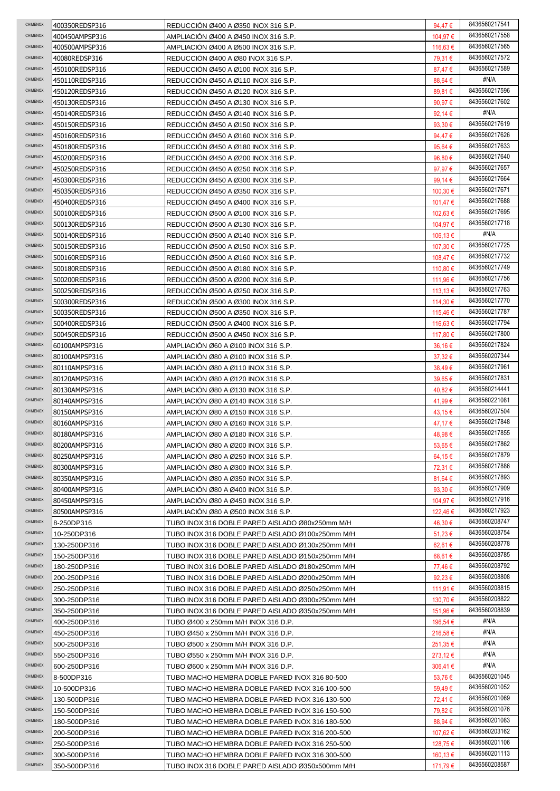| CHIMENOX             | 400350REDSP316 | REDUCCIÓN Ø400 A Ø350 INOX 316 S.P.              | 94,47€           | 8436560217541         |
|----------------------|----------------|--------------------------------------------------|------------------|-----------------------|
| <b>CHIMENOX</b>      | 400450AMPSP316 | AMPLIACION Ø400 A Ø450 INOX 316 S.P.             | 104,97 €         | 8436560217558         |
| CHIMENOX             | 400500AMPSP316 | AMPLIACIÓN Ø400 A Ø500 INOX 316 S.P.             | 116,63 €         | 8436560217565         |
| CHIMENOX             | 40080REDSP316  | REDUCCIÓN Ø400 A Ø80 INOX 316 S.P.               | 79,31 €          | 8436560217572         |
| CHIMENOX             | 450100REDSP316 | REDUCCION Ø450 A Ø100 INOX 316 S.P.              | 87,47€           | 8436560217589         |
| CHIMENOX             | 450110REDSP316 | REDUCCION Ø450 A Ø110 INOX 316 S.P.              | 88,64 €          | #N/A                  |
| CHIMENOX             | 450120REDSP316 | REDUCCION Ø450 A Ø120 INOX 316 S.P.              | 89,81 €          | 8436560217596         |
| <b>CHIMENOX</b>      | 450130REDSP316 | REDUCCION Ø450 A Ø130 INOX 316 S.P.              | 90,97€           | 8436560217602         |
| <b>CHIMENOX</b>      | 450140REDSP316 | REDUCCIÓN Ø450 A Ø140 INOX 316 S.P.              | 92,14 €          | #N/A                  |
| CHIMENOX             | 450150REDSP316 | REDUCCIÓN Ø450 A Ø150 INOX 316 S.P.              | 93,30€           | 8436560217619         |
| CHIMENOX             | 450160REDSP316 | REDUCCIÓN Ø450 A Ø160 INOX 316 S.P.              | 94,47€           | 8436560217626         |
| CHIMENOX             | 450180REDSP316 | REDUCCION Ø450 A Ø180 INOX 316 S.P.              | 95,64 €          | 8436560217633         |
| CHIMENOX             | 450200REDSP316 | REDUCCION Ø450 A Ø200 INOX 316 S.P.              | 96,80€           | 8436560217640         |
| CHIMENOX             | 450250REDSP316 | REDUCCION Ø450 A Ø250 INOX 316 S.P.              | 97,97€           | 8436560217657         |
| CHIMENOX             | 450300REDSP316 | REDUCCIÓN Ø450 A Ø300 INOX 316 S.P.              | 99,14 €          | 8436560217664         |
| CHIMENOX             | 450350REDSP316 | REDUCCIÓN Ø450 A Ø350 INOX 316 S.P.              | 100,30 €         | 8436560217671         |
| CHIMENOX             | 450400REDSP316 | REDUCCIÓN Ø450 A Ø400 INOX 316 S.P.              | 101,47 €         | 8436560217688         |
| CHIMENOX             | 500100REDSP316 | REDUCCIÓN Ø500 A Ø100 INOX 316 S.P.              | 102,63 €         | 8436560217695         |
| CHIMENOX             |                |                                                  |                  | 8436560217718         |
| CHIMENOX             | 500130REDSP316 | REDUCCION Ø500 A Ø130 INOX 316 S.P.              | 104,97 €         | #N/A                  |
| CHIMENOX             | 500140REDSP316 | REDUCCIÓN Ø500 A Ø140 INOX 316 S.P.              | 106,13 €         | 8436560217725         |
|                      | 500150REDSP316 | REDUCCION Ø500 A Ø150 INOX 316 S.P.              | 107,30 €         | 8436560217732         |
| <b>CHIMENOX</b>      | 500160REDSP316 | REDUCCIÓN Ø500 A Ø160 INOX 316 S.P.              | 108,47€          |                       |
| CHIMENOX             | 500180REDSP316 | REDUCCIÓN Ø500 A Ø180 INOX 316 S.P.              | 110,80 €         | 8436560217749         |
| CHIMENOX             | 500200REDSP316 | REDUCCION Ø500 A Ø200 INOX 316 S.P.              | 111,96 €         | 8436560217756         |
| CHIMENOX             | 500250REDSP316 | REDUCCIÓN Ø500 A Ø250 INOX 316 S.P.              | 113,13 €         | 8436560217763         |
| CHIMENOX             | 500300REDSP316 | REDUCCION Ø500 A Ø300 INOX 316 S.P.              | 114,30 €         | 8436560217770         |
| CHIMENOX             | 500350REDSP316 | REDUCCION Ø500 A Ø350 INOX 316 S.P.              | 115,46 €         | 8436560217787         |
| <b>CHIMENOX</b>      | 500400REDSP316 | REDUCCION Ø500 A Ø400 INOX 316 S.P.              | 116,63 €         | 8436560217794         |
| CHIMENOX             | 500450REDSP316 | REDUCCION Ø500 A Ø450 INOX 316 S.P.              | 117,80 €         | 8436560217800         |
| CHIMENOX             | 60100AMPSP316  | AMPLIACION Ø60 A Ø100 INOX 316 S.P.              | $36,16 \in$      | 8436560217824         |
| CHIMENOX             | 80100AMPSP316  | AMPLIACION Ø80 A Ø100 INOX 316 S.P.              | $37,32 \in$      | 8436560207344         |
| CHIMENOX             | 80110AMPSP316  | AMPLIACION Ø80 A Ø110 INOX 316 S.P.              | 38,49€           | 8436560217961         |
| CHIMENOX             | 80120AMPSP316  | AMPLIACIÓN Ø80 A Ø120 INOX 316 S.P.              | 39,65€           | 8436560217831         |
| <b>CHIMENOX</b>      | 80130AMPSP316  | AMPLIACIÓN Ø80 A Ø130 INOX 316 S.P.              | 40,82€           | 8436560214441         |
| CHIMENOX             | 80140AMPSP316  | AMPLIACION Ø80 A Ø140 INOX 316 S.P.              | 41,99€           | 8436560221081         |
| CHIMENOX             | 80150AMPSP316  | AMPLIACIÓN Ø80 A Ø150 INOX 316 S.P.              | 43,15€           | 8436560207504         |
| CHIMENOX             | 80160AMPSP316  | AMPLIACION Ø80 A Ø160 INOX 316 S.P.              | 47,17 €          | 8436560217848         |
| CHIMENOX             | 80180AMPSP316  | AMPLIACION Ø80 A Ø180 INOX 316 S.P.              | 48,98€           | 8436560217855         |
| <b>CHIMENOX</b>      | 80200AMPSP316  | AMPLIACION Ø80 A Ø200 INOX 316 S.P.              | 53,65€           | 8436560217862         |
| CHIMENOX             | 80250AMPSP316  | AMPLIACION Ø80 A Ø250 INOX 316 S.P.              | 64,15€           | 8436560217879         |
| CHIMENOX             | 80300AMPSP316  | AMPLIACION Ø80 A Ø300 INOX 316 S.P.              | 72,31 €          | 8436560217886         |
| CHIMENOX             | 80350AMPSP316  | AMPLIACIÓN Ø80 A Ø350 INOX 316 S.P.              | 81,64 €          | 8436560217893         |
| CHIMENOX             | 80400AMPSP316  | AMPLIACIÓN Ø80 A Ø400 INOX 316 S.P.              | 93,30 $\epsilon$ | 8436560217909         |
| CHIMENOX             | 80450AMPSP316  | AMPLIACIÓN Ø80 A Ø450 INOX 316 S.P.              | 104,97 €         | 8436560217916         |
| CHIMENOX             | 80500AMPSP316  | AMPLIACIÓN Ø80 A Ø500 INOX 316 S.P.              | 122,46 €         | 8436560217923         |
| CHIMENOX             |                |                                                  |                  | 8436560208747         |
| CHIMENOX             | 8-250DP316     | TUBO INOX 316 DOBLE PARED AISLADO Ø80x250mm M/H  | 46,30 €          | 8436560208754         |
| CHIMENOX             | 10-250DP316    | TUBO INOX 316 DOBLE PARED AISLADO Ø100x250mm M/H | $51,23 \in$      | 8436560208778         |
| CHIMENOX             | 130-250DP316   | TUBO INOX 316 DOBLE PARED AISLADO Ø130x250mm M/H | 62,61€           | 8436560208785         |
| <b>CHIMENOX</b>      | 150-250DP316   | TUBO INOX 316 DOBLE PARED AISLADO Ø150x250mm M/H | 68,61 €          | 8436560208792         |
| <b>CHIMENOX</b>      | 180-250DP316   | TUBO INOX 316 DOBLE PARED AISLADO Ø180x250mm M/H | 77,46 €          | 8436560208808         |
| <b>CHIMENOX</b>      | 200-250DP316   | TUBO INOX 316 DOBLE PARED AISLADO Ø200x250mm M/H | 92,23 $\epsilon$ | 8436560208815         |
| CHIMENOX             | 250-250DP316   | TUBO INOX 316 DOBLE PARED AISLADO Ø250x250mm M/H | 111,91 €         | 8436560208822         |
|                      | 300-250DP316   | TUBO INOX 316 DOBLE PARED AISLADO Ø300x250mm M/H | 130,70 €         |                       |
| CHIMENOX<br>CHIMENOX | 350-250DP316   | TUBO INOX 316 DOBLE PARED AISLADO Ø350x250mm M/H | 151,96 €         | 8436560208839<br>#N/A |
|                      | 400-250DP316   | TUBO Ø400 x 250mm M/H INOX 316 D.P.              | 196,54 €         |                       |
| CHIMENOX             | 450-250DP316   | TUBO Ø450 x 250mm M/H INOX 316 D.P.              | 216,58€          | #N/A                  |
| <b>CHIMENOX</b>      | 500-250DP316   | TUBO Ø500 x 250mm M/H INOX 316 D.P.              | 251,35 €         | #N/A                  |
| CHIMENOX             | 550-250DP316   | TUBO Ø550 x 250mm M/H INOX 316 D.P.              | $273,12 \in$     | #N/A                  |
| CHIMENOX             | 600-250DP316   | TUBO Ø600 x 250mm M/H INOX 316 D.P.              | $306,41 \in$     | #N/A                  |
| CHIMENOX             | 8-500DP316     | TUBO MACHO HEMBRA DOBLE PARED INOX 316 80-500    | 53,76€           | 8436560201045         |
| CHIMENOX             | 10-500DP316    | TUBO MACHO HEMBRA DOBLE PARED INOX 316 100-500   | 59,49€           | 8436560201052         |
| CHIMENOX             | 130-500DP316   | TUBO MACHO HEMBRA DOBLE PARED INOX 316 130-500   | 72,41 €          | 8436560201069         |
| CHIMENOX             | 150-500DP316   | TUBO MACHO HEMBRA DOBLE PARED INOX 316 150-500   | 79,82 €          | 8436560201076         |
| CHIMENOX             | 180-500DP316   | TUBO MACHO HEMBRA DOBLE PARED INOX 316 180-500   | 88,94 €          | 8436560201083         |
| CHIMENOX             | 200-500DP316   | TUBO MACHO HEMBRA DOBLE PARED INOX 316 200-500   | 107,62 €         | 8436560203162         |
| CHIMENOX             |                |                                                  | 128,75 €         | 8436560201106         |
|                      | 250-500DP316   | TUBO MACHO HEMBRA DOBLE PARED INOX 316 250-500   |                  |                       |
| CHIMENOX             | 300-500DP316   | TUBO MACHO HEMBRA DOBLE PARED INOX 316 300-500   | 160,13 €         | 8436560201113         |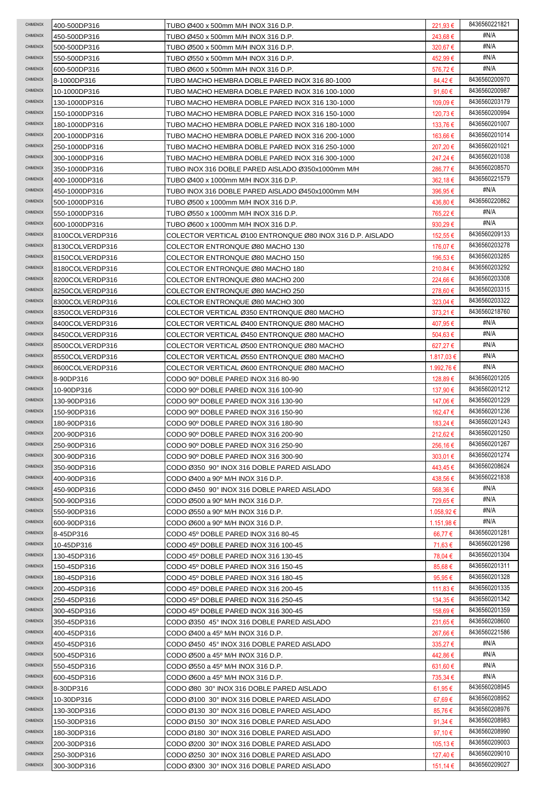| CHIMENOX             | 400-500DP316               | TUBO Ø400 x 500mm M/H INOX 316 D.P.                                                      | 221,93 €             | 8436560221821                  |
|----------------------|----------------------------|------------------------------------------------------------------------------------------|----------------------|--------------------------------|
| CHIMENOX             | 450-500DP316               | TUBO Ø450 x 500mm M/H INOX 316 D.P.                                                      | 243,68 €             | #N/A                           |
| CHIMENOX             | 500-500DP316               | TUBO Ø500 x 500mm M/H INOX 316 D.P.                                                      | 320,67€              | #N/A                           |
| CHIMENOX             | 550-500DP316               | TUBO Ø550 x 500mm M/H INOX 316 D.P.                                                      | 452,99€              | #N/A                           |
| CHIMENOX             | 600-500DP316               | TUBO Ø600 x 500mm M/H INOX 316 D.P.                                                      | 576,72€              | #N/A                           |
| CHIMENOX             | 8-1000DP316                | TUBO MACHO HEMBRA DOBLE PARED INOX 316 80-1000                                           | 84,42€               | 8436560200970                  |
| CHIMENOX             | 10-1000DP316               | TUBO MACHO HEMBRA DOBLE PARED INOX 316 100-1000                                          | 91,60 $\epsilon$     | 8436560200987                  |
| CHIMENOX             | 130-1000DP316              | TUBO MACHO HEMBRA DOBLE PARED INOX 316 130-1000                                          | 109,09€              | 8436560203179                  |
| CHIMENOX             | 150-1000DP316              | TUBO MACHO HEMBRA DOBLE PARED INOX 316 150-1000                                          | 120,73 €             | 8436560200994                  |
| CHIMENOX             | 180-1000DP316              | TUBO MACHO HEMBRA DOBLE PARED INOX 316 180-1000                                          | 133,76 €             | 8436560201007                  |
| CHIMENOX             | 200-1000DP316              | TUBO MACHO HEMBRA DOBLE PARED INOX 316 200-1000                                          | 163,66 €             | 8436560201014                  |
| CHIMENOX             | 250-1000DP316              | TUBO MACHO HEMBRA DOBLE PARED INOX 316 250-1000                                          | 207,20€              | 8436560201021                  |
| CHIMENOX             | 300-1000DP316              | TUBO MACHO HEMBRA DOBLE PARED INOX 316 300-1000                                          | 247,24 €             | 8436560201038                  |
| CHIMENOX             | 350-1000DP316              | TUBO INOX 316 DOBLE PARED AISLADO Ø350x1000mm M/H                                        | 286,77€              | 8436560208570                  |
| CHIMENOX             | 400-1000DP316              | TUBO Ø400 x 1000mm M/H INOX 316 D.P.                                                     | 362,18€              | 8436560221579                  |
| CHIMENOX             | 450-1000DP316              | TUBO INOX 316 DOBLE PARED AISLADO Ø450x1000mm M/H                                        | 396,95€              | #N/A                           |
| CHIMENOX             | 500-1000DP316              | TUBO Ø500 x 1000mm M/H INOX 316 D.P.                                                     | 436.80 €             | 8436560220862                  |
| CHIMENOX             | 550-1000DP316              | TUBO Ø550 x 1000mm M/H INOX 316 D.P.                                                     | 765.22€              | #N/A                           |
| CHIMENOX             | 600-1000DP316              | TUBO Ø600 x 1000mm M/H INOX 316 D.P.                                                     | 930,29€              | #N/A                           |
| CHIMENOX             |                            |                                                                                          |                      | 8436560209133                  |
| CHIMENOX             | 8100COLVERDP316            | COLECTOR VERTICAL Ø100 ENTRONQUE Ø80 INOX 316 D.P. AISLADO                               | 152.55 €             | 8436560203278                  |
| CHIMENOX             | 8130COLVERDP316            | COLECTOR ENTRONQUE Ø80 MACHO 130                                                         | 176,07 €             |                                |
|                      | 8150COLVERDP316            | COLECTOR ENTRONQUE Ø80 MACHO 150                                                         | 196,53 €             | 8436560203285                  |
| CHIMENOX             | 8180COLVERDP316            | COLECTOR ENTRONQUE Ø80 MACHO 180                                                         | 210,84 €             | 8436560203292                  |
| CHIMENOX             | 8200COLVERDP316            | COLECTOR ENTRONQUE Ø80 MACHO 200                                                         | 224,66€              | 8436560203308                  |
| CHIMENOX             | 8250COLVERDP316            | COLECTOR ENTRONQUE Ø80 MACHO 250                                                         | 278,60 €             | 8436560203315                  |
| CHIMENOX             | 8300COLVERDP316            | COLECTOR ENTRONQUE Ø80 MACHO 300                                                         | 323,04 €             | 8436560203322                  |
| CHIMENOX             | 8350COLVERDP316            | COLECTOR VERTICAL Ø350 ENTRONQUE Ø80 MACHO                                               | 373,21 €             | 8436560218760                  |
| CHIMENOX             | 8400COLVERDP316            | COLECTOR VERTICAL Ø400 ENTRONQUE Ø80 MACHO                                               | 407,95 €             | #N/A                           |
| CHIMENOX             | 8450COLVERDP316            | COLECTOR VERTICAL Ø450 ENTRONQUE Ø80 MACHO                                               | 504,63 €             | #N/A                           |
| CHIMENOX             | 8500COLVERDP316            | COLECTOR VERTICAL Ø500 ENTRONQUE Ø80 MACHO                                               | 627,27 €             | #N/A                           |
| CHIMENOX             | 8550COLVERDP316            | COLECTOR VERTICAL Ø550 ENTRONQUE Ø80 MACHO                                               | $1.817,03 \in$       | #N/A                           |
| CHIMENOX             | 8600COLVERDP316            | COLECTOR VERTICAL Ø600 ENTRONQUE Ø80 MACHO                                               | 1.992,76 €           | #N/A                           |
| CHIMENOX             | 8-90DP316                  | CODO 90° DOBLE PARED INOX 316 80-90                                                      | 128,89€              | 8436560201205                  |
| CHIMENOX             | 10-90DP316                 | CODO 90° DOBLE PARED INOX 316 100-90                                                     | 137,90 €             | 8436560201212                  |
|                      |                            |                                                                                          |                      |                                |
| CHIMENOX             | 130-90DP316                | CODO 90° DOBLE PARED INOX 316 130-90                                                     | 147,06 €             | 8436560201229                  |
| CHIMENOX             | 150-90DP316                | CODO 90° DOBLE PARED INOX 316 150-90                                                     | 162,47 €             | 8436560201236                  |
| CHIMENOX             | 180-90DP316                | CODO 90° DOBLE PARED INOX 316 180-90                                                     | 183,24 €             | 8436560201243                  |
| CHIMENOX             | 200-90DP316                | CODO 90° DOBLE PARED INOX 316 200-90                                                     | 212,62€              | 8436560201250                  |
| CHIMENOX             | 250-90DP316                | CODO 90° DOBLE PARED INOX 316 250-90                                                     | 256,16 €             | 8436560201267                  |
| CHIMENOX             | 300-90DP316                | CODO 90° DOBLE PARED INOX 316 300-90                                                     | $303,01 \in$         | 8436560201274                  |
| CHIMENOX             | 350-90DP316                | CODO Ø350 90° INOX 316 DOBLE PARED AISLADO                                               | 443,45 €             | 8436560208624                  |
| CHIMENOX             | 400-90DP316                | CODO Ø400 a 90° M/H INOX 316 D.P.                                                        | 438,56€              | 8436560221838                  |
| CHIMENOX             | 450-90DP316                | CODO Ø450 90° INOX 316 DOBLE PARED AISLADO                                               | 568,36€              | #N/A                           |
| <b>CHIMENOX</b>      | 500-90DP316                |                                                                                          |                      | #N/A                           |
| <b>CHIMENOX</b>      |                            | CODO Ø500 a 90° M/H INOX 316 D.P.                                                        | 729,65€              | #N/A                           |
| <b>CHIMENOX</b>      | 550-90DP316                | CODO Ø550 a 90° M/H INOX 316 D.P.                                                        | 1.058,92 €           | #N/A                           |
| CHIMENOX             | 600-90DP316                | CODO Ø600 a 90° M/H INOX 316 D.P.                                                        | 1.151,98 €           | 8436560201281                  |
| CHIMENOX             | 8-45DP316<br>10-45DP316    | CODO 45° DOBLE PARED INOX 316 80-45<br>CODO 45° DOBLE PARED INOX 316 100-45              | 66,77€               | 8436560201298                  |
| CHIMENOX             |                            |                                                                                          | 71,63 €              | 8436560201304                  |
| CHIMENOX             | 130-45DP316                | CODO 45° DOBLE PARED INOX 316 130-45                                                     | 78,04 €              | 8436560201311                  |
| CHIMENOX             | 150-45DP316                | CODO 45° DOBLE PARED INOX 316 150-45                                                     | 85,68 €              | 8436560201328                  |
| CHIMENOX             | 180-45DP316                | CODO 45° DOBLE PARED INOX 316 180-45                                                     | 95,95€               |                                |
| CHIMENOX             | 200-45DP316                | CODO 45° DOBLE PARED INOX 316 200-45                                                     | 111,83 €             | 8436560201335<br>8436560201342 |
| CHIMENOX             | 250-45DP316                | CODO 45° DOBLE PARED INOX 316 250-45                                                     | 134,35 €             |                                |
|                      | 300-45DP316                | CODO 45° DOBLE PARED INOX 316 300-45                                                     | 158,69 €             | 8436560201359                  |
| CHIMENOX             | 350-45DP316                | CODO Ø350 45° INOX 316 DOBLE PARED AISLADO                                               | 231,65 €             | 8436560208600                  |
| CHIMENOX             | 400-45DP316                | CODO Ø400 a 45° M/H INOX 316 D.P.                                                        | 267,66€              | 8436560221586                  |
| <b>CHIMENOX</b>      | 450-45DP316                | CODO Ø450 45° INOX 316 DOBLE PARED AISLADO                                               | $335,27 \in$         | #N/A                           |
| CHIMENOX             | 500-45DP316                | CODO Ø500 a 45º M/H INOX 316 D.P.                                                        | 442,86 €             | #N/A                           |
| CHIMENOX             | 550-45DP316                | CODO Ø550 a 45° M/H INOX 316 D.P.                                                        | 631,60 €             | #N/A                           |
| CHIMENOX             | 600-45DP316                | CODO Ø600 a 45° M/H INOX 316 D.P.                                                        | 735,34 €             | #N/A                           |
| CHIMENOX             | 8-30DP316                  | CODO Ø80 30° INOX 316 DOBLE PARED AISLADO                                                | 61,95€               | 8436560208945                  |
| CHIMENOX             | 10-30DP316                 | CODO Ø100 30° INOX 316 DOBLE PARED AISLADO                                               | 67,69€               | 8436560208952                  |
| <b>CHIMENOX</b>      | 130-30DP316                | CODO Ø130 30° INOX 316 DOBLE PARED AISLADO                                               | 85,76€               | 8436560208976                  |
| <b>CHIMENOX</b>      | 150-30DP316                | CODO Ø150 30° INOX 316 DOBLE PARED AISLADO                                               | 91,34 $\epsilon$     | 8436560208983                  |
| CHIMENOX             | 180-30DP316                | CODO Ø180 30° INOX 316 DOBLE PARED AISLADO                                               | 97,10 €              | 8436560208990                  |
| CHIMENOX             | 200-30DP316                | CODO Ø200 30° INOX 316 DOBLE PARED AISLADO                                               | $105, 13 \in$        | 8436560209003                  |
| CHIMENOX<br>CHIMENOX | 250-30DP316<br>300-30DP316 | CODO Ø250 30° INOX 316 DOBLE PARED AISLADO<br>CODO Ø300 30° INOX 316 DOBLE PARED AISLADO | 127,40 €<br>151.14 € | 8436560209010<br>8436560209027 |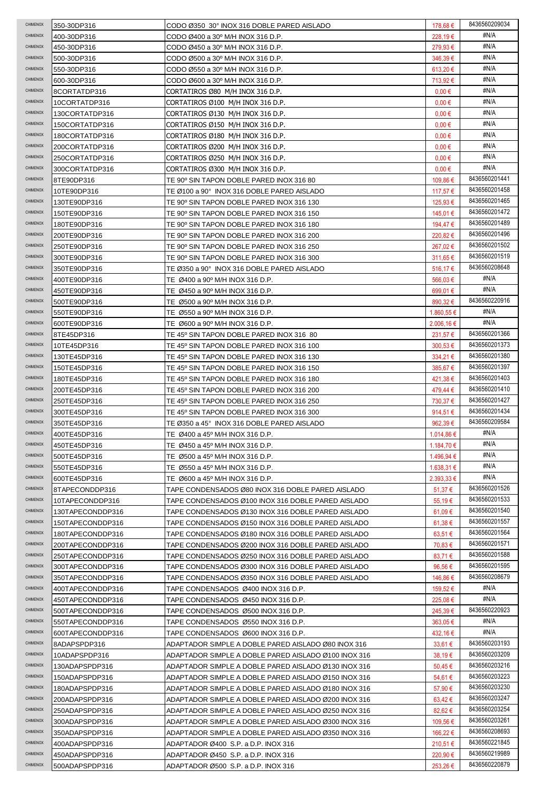| CHIMENOX        | 350-30DP316      | CODO Ø350 30° INOX 316 DOBLE PARED AISLADO           | 178,68 €       | 8436560209034 |
|-----------------|------------------|------------------------------------------------------|----------------|---------------|
| <b>CHIMENOX</b> | 400-30DP316      | CODO Ø400 a 30º M/H INOX 316 D.P.                    | 228,19€        | #N/A          |
| CHIMENOX        | 450-30DP316      | CODO Ø450 a 30° M/H INOX 316 D.P.                    | 279,93€        | #N/A          |
| CHIMENOX        | 500-30DP316      | CODO Ø500 a 30° M/H INOX 316 D.P.                    | 346,39€        | #N/A          |
| CHIMENOX        | 550-30DP316      | CODO Ø550 a 30º M/H INOX 316 D.P.                    | 613,20 €       | #N/A          |
| CHIMENOX        | 600-30DP316      | CODO Ø600 a 30° M/H INOX 316 D.P.                    | 713,92 €       | #N/A          |
| <b>CHIMENOX</b> | 8CORTATDP316     | CORTATIROS Ø80 M/H INOX 316 D.P.                     | $0,00 \in$     | #N/A          |
| <b>CHIMENOX</b> | 10CORTATDP316    | CORTATIROS Ø100 M/H INOX 316 D.P.                    | $0,00 \in$     | #N/A          |
| <b>CHIMENOX</b> | 130CORTATDP316   | CORTATIROS Ø130 M/H INOX 316 D.P.                    | $0,00 \in$     | #N/A          |
| CHIMENOX        | 150CORTATDP316   | CORTATIROS Ø150 M/H INOX 316 D.P.                    | $0,00 \in$     | #N/A          |
| CHIMENOX        | 180CORTATDP316   | CORTATIROS Ø180 M/H INOX 316 D.P.                    | $0.00 \in$     | #N/A          |
| CHIMENOX        | 200CORTATDP316   | CORTATIROS Ø200 M/H INOX 316 D.P.                    | $0.00 \in$     | #N/A          |
| CHIMENOX        | 250CORTATDP316   | CORTATIROS Ø250 M/H INOX 316 D.P.                    | $0,00 \in$     | #N/A          |
| CHIMENOX        | 300CORTATDP316   | CORTATIROS Ø300 M/H INOX 316 D.P.                    | $0,00 \in$     | #N/A          |
| <b>CHIMENOX</b> | 8TE90DP316       | TE 90° SIN TAPON DOBLE PARED INOX 316 80             | 109,86€        | 8436560201441 |
| CHIMENOX        | 10TE90DP316      | TE Ø100 a 90° INOX 316 DOBLE PARED AISLADO           | 117,57 €       | 8436560201458 |
| CHIMENOX        | 130TE90DP316     | TE 90° SIN TAPON DOBLE PARED INOX 316 130            | 125,93 €       | 8436560201465 |
| CHIMENOX        | 150TE90DP316     | TE 90° SIN TAPON DOBLE PARED INOX 316 150            | 145.01 €       | 8436560201472 |
| CHIMENOX        | 180TE90DP316     | TE 90º SIN TAPON DOBLE PARED INOX 316 180            | 194.47 €       | 8436560201489 |
| CHIMENOX        | 200TE90DP316     | TE 90° SIN TAPON DOBLE PARED INOX 316 200            | 220,82€        | 8436560201496 |
| CHIMENOX        | 250TE90DP316     | TE 90º SIN TAPON DOBLE PARED INOX 316 250            | 267,02€        | 8436560201502 |
| <b>CHIMENOX</b> | 300TE90DP316     | TE 90° SIN TAPON DOBLE PARED INOX 316 300            | 311,65 €       | 8436560201519 |
| CHIMENOX        | 350TE90DP316     | TE Ø350 a 90° INOX 316 DOBLE PARED AISLADO           | 516,17€        | 8436560208648 |
| CHIMENOX        | 400TE90DP316     | TE Ø400 a 90° M/H INOX 316 D.P.                      | 566,03€        | #N/A          |
| <b>CHIMENOX</b> | 450TE90DP316     | TE Ø450 a 90° M/H INOX 316 D.P.                      | 699,01 €       | #N/A          |
| CHIMENOX        | 500TE90DP316     | TE Ø500 a 90° M/H INOX 316 D.P.                      | 890,32 €       | 8436560220916 |
| CHIMENOX        | 550TE90DP316     | TE Ø550 a 90º M/H INOX 316 D.P.                      | 1.860,55 €     | #N/A          |
| <b>CHIMENOX</b> | 600TE90DP316     | TE Ø600 a 90º M/H INOX 316 D.P.                      | $2.006,16 \in$ | #N/A          |
| CHIMENOX        | 8TE45DP316       | TE 45º SIN TAPON DOBLE PARED INOX 316 80             | 231,57€        | 8436560201366 |
| CHIMENOX        | 10TE45DP316      | TE 45º SIN TAPON DOBLE PARED INOX 316 100            | $300,53 \in$   | 8436560201373 |
| CHIMENOX        | 130TE45DP316     | TE 45° SIN TAPON DOBLE PARED INOX 316 130            | 334,21 €       | 8436560201380 |
| CHIMENOX        | 150TE45DP316     | TE 45° SIN TAPON DOBLE PARED INOX 316 150            | 385,67 €       | 8436560201397 |
| CHIMENOX        | 180TE45DP316     | TE 45° SIN TAPON DOBLE PARED INOX 316 180            | 421,38 €       | 8436560201403 |
| <b>CHIMENOX</b> | 200TE45DP316     | TE 45° SIN TAPON DOBLE PARED INOX 316 200            | 479,44 €       | 8436560201410 |
|                 |                  |                                                      |                |               |
| <b>CHIMENOX</b> | 250TE45DP316     | TE 45º SIN TAPON DOBLE PARED INOX 316 250            | 730,37€        | 8436560201427 |
| CHIMENOX        | 300TE45DP316     | TE 45° SIN TAPON DOBLE PARED INOX 316 300            | 914,51 €       | 8436560201434 |
| CHIMENOX        | 350TE45DP316     | TE Ø350 a 45° INOX 316 DOBLE PARED AISLADO           | 962,39€        | 8436560209584 |
| CHIMENOX        | 400TE45DP316     | TE Ø400 a 45° M/H INOX 316 D.P.                      | 1.014.86 €     | #N/A          |
| CHIMENOX        | 450TE45DP316     | TE Ø450 a 45° M/H INOX 316 D.P.                      | 1.184,70 €     | #N/A          |
| CHIMENOX        | 500TE45DP316     | TE Ø500 a 45° M/H INOX 316 D.P.                      | 1.496,94 €     | #N/A          |
| CHIMENOX        | 550TE45DP316     | TE Ø550 a 45° M/H INOX 316 D.P.                      | $1.638,31 \in$ | #N/A          |
| CHIMENOX        | 600TE45DP316     | TE Ø600 a 45º M/H INOX 316 D.P.                      | $2.393,33 \in$ | #N/A          |
| CHIMENOX        | 8TAPECONDDP316   | TAPE CONDENSADOS Ø80 INOX 316 DOBLE PARED AISLADO    | 51,37 €        | 8436560201526 |
| CHIMENOX        | 10TAPECONDDP316  | TAPE CONDENSADOS Ø100 INOX 316 DOBLE PARED AISLADO   | 55,19€         | 8436560201533 |
| CHIMENOX        | 130TAPECONDDP316 | TAPE CONDENSADOS Ø130 INOX 316 DOBLE PARED AISLADO   | 61,09€         | 8436560201540 |
| CHIMENOX        | 150TAPECONDDP316 | TAPE CONDENSADOS Ø150 INOX 316 DOBLE PARED AISLADO   | $61,38 \in$    | 8436560201557 |
| CHIMENOX        | 180TAPECONDDP316 | TAPE CONDENSADOS Ø180 INOX 316 DOBLE PARED AISLADO   | $63.51 \in$    | 8436560201564 |
| CHIMENOX        | 200TAPECONDDP316 | TAPE CONDENSADOS Ø200 INOX 316 DOBLE PARED AISLADO   | 70,83 €        | 8436560201571 |
| CHIMENOX        | 250TAPECONDDP316 | TAPE CONDENSADOS Ø250 INOX 316 DOBLE PARED AISLADO   | 83,71€         | 8436560201588 |
| <b>CHIMENOX</b> | 300TAPECONDDP316 | TAPE CONDENSADOS Ø300 INOX 316 DOBLE PARED AISLADO   | 96,56€         | 8436560201595 |
| <b>CHIMENOX</b> | 350TAPECONDDP316 | TAPE CONDENSADOS Ø350 INOX 316 DOBLE PARED AISLADO   | 146,86 €       | 8436560208679 |
| <b>CHIMENOX</b> | 400TAPECONDDP316 | TAPE CONDENSADOS Ø400 INOX 316 D.P.                  | 159,52 €       | #N/A          |
| CHIMENOX        | 450TAPECONDDP316 | TAPE CONDENSADOS Ø450 INOX 316 D.P.                  | 225,08 €       | #N/A          |
| CHIMENOX        | 500TAPECONDDP316 | TAPE CONDENSADOS Ø500 INOX 316 D.P.                  | 245,39€        | 8436560220923 |
| CHIMENOX        | 550TAPECONDDP316 | TAPE CONDENSADOS Ø550 INOX 316 D.P.                  | $363,05 \in$   | #N/A          |
| CHIMENOX        | 600TAPECONDDP316 | TAPE CONDENSADOS Ø600 INOX 316 D.P.                  | 432,16 €       | #N/A          |
| <b>CHIMENOX</b> | 8ADAPSPDP316     | ADAPTADOR SIMPLE A DOBLE PARED AISLADO Ø80 INOX 316  | $33,61 \in$    | 8436560203193 |
| CHIMENOX        | 10ADAPSPDP316    | ADAPTADOR SIMPLE A DOBLE PARED AISLADO Ø100 INOX 316 | 38,19€         | 8436560203209 |
| CHIMENOX        | 130ADAPSPDP316   | ADAPTADOR SIMPLE A DOBLE PARED AISLADO Ø130 INOX 316 | 50,45 €        | 8436560203216 |
| CHIMENOX        | 150ADAPSPDP316   | ADAPTADOR SIMPLE A DOBLE PARED AISLADO Ø150 INOX 316 | 54,61 €        | 8436560203223 |
| CHIMENOX        | 180ADAPSPDP316   | ADAPTADOR SIMPLE A DOBLE PARED AISLADO Ø180 INOX 316 | 57,90€         | 8436560203230 |
| CHIMENOX        | 200ADAPSPDP316   | ADAPTADOR SIMPLE A DOBLE PARED AISLADO Ø200 INOX 316 | $63,42 \in$    | 8436560203247 |
| CHIMENOX        | 250ADAPSPDP316   | ADAPTADOR SIMPLE A DOBLE PARED AISLADO Ø250 INOX 316 | 82,62€         | 8436560203254 |
| CHIMENOX        | 300ADAPSPDP316   | ADAPTADOR SIMPLE A DOBLE PARED AISLADO Ø300 INOX 316 | 109,56 €       | 8436560203261 |
| CHIMENOX        | 350ADAPSPDP316   | ADAPTADOR SIMPLE A DOBLE PARED AISLADO Ø350 INOX 316 | 166,22 €       | 8436560208693 |
| CHIMENOX        | 400ADAPSPDP316   | ADAPTADOR Ø400 S.P. a D.P. INOX 316                  | 210,51 €       | 8436560221845 |
| CHIMENOX        | 450ADAPSPDP316   | ADAPTADOR Ø450 S.P. a D.P. INOX 316                  | 220,90 €       | 8436560219989 |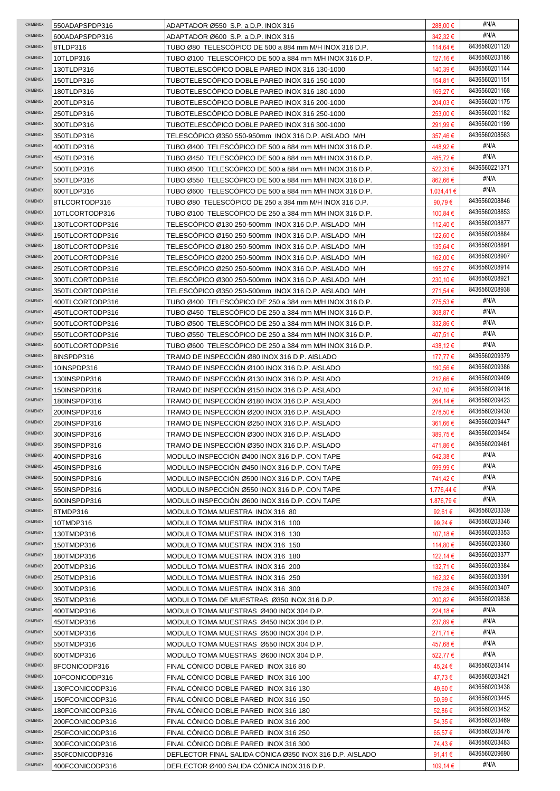| <b>CHIMENOX</b> | 550ADAPSPDP316                     | ADAPTADOR Ø550 S.P. a D.P. INOX 316                                                               | 288,00 €                    | #N/A          |
|-----------------|------------------------------------|---------------------------------------------------------------------------------------------------|-----------------------------|---------------|
| <b>CHIMENOX</b> | 600ADAPSPDP316                     | ADAPTADOR Ø600 S.P. a D.P. INOX 316                                                               | 342,32 €                    | #N/A          |
| CHIMENOX        | 8TLDP316                           | TUBO Ø80 TELESCÓPICO DE 500 a 884 mm M/H INOX 316 D.P.                                            | 114,64 €                    | 8436560201120 |
| CHIMENOX        | 10TLDP316                          | TUBO Ø100 TELESCÓPICO DE 500 a 884 mm M/H INOX 316 D.P.                                           | 127,16 €                    | 8436560203186 |
| CHIMENOX        | 130TLDP316                         | TUBOTELESCÓPICO DOBLE PARED INOX 316 130-1000                                                     | 140,39€                     | 8436560201144 |
| CHIMENOX        | 150TLDP316                         | TUBOTELESCOPICO DOBLE PARED INOX 316 150-1000                                                     | 154,81 €                    | 8436560201151 |
| CHIMENOX        | 180TLDP316                         | TUBOTELESCÓPICO DOBLE PARED INOX 316 180-1000                                                     | 169,27€                     | 8436560201168 |
| <b>CHIMENOX</b> | 200TLDP316                         | TUBOTELESCÓPICO DOBLE PARED INOX 316 200-1000                                                     | 204,03 €                    | 8436560201175 |
| <b>CHIMENOX</b> | 250TLDP316                         | TUBOTELESCÓPICO DOBLE PARED INOX 316 250-1000                                                     | 253,00€                     | 8436560201182 |
| CHIMENOX        | 300TLDP316                         | TUBOTELESCÓPICO DOBLE PARED INOX 316 300-1000                                                     | 291,99€                     | 8436560201199 |
| CHIMENOX        | 350TLDP316                         | TELESCOPICO Ø350 550-950mm INOX 316 D.P. AISLADO M/H                                              | 357,46 €                    | 8436560208563 |
| CHIMENOX        | 400TLDP316                         | TUBO Ø400 TELESCÓPICO DE 500 a 884 mm M/H INOX 316 D.P.                                           | 448,92€                     | #N/A          |
| CHIMENOX        | 450TLDP316                         | TUBO Ø450 TELESCOPICO DE 500 a 884 mm M/H INOX 316 D.P.                                           | 485,72€                     | #N/A          |
| CHIMENOX        | 500TLDP316                         | TUBO Ø500 TELESCOPICO DE 500 a 884 mm M/H INOX 316 D.P.                                           | 522,33€                     | 8436560221371 |
| <b>CHIMENOX</b> | 550TLDP316                         | TUBO Ø550 TELESCÓPICO DE 500 a 884 mm M/H INOX 316 D.P.                                           | 862,66€                     | #N/A          |
| CHIMENOX        | 600TLDP316                         | TUBO Ø600 TELESCÓPICO DE 500 a 884 mm M/H INOX 316 D.P.                                           | 1.034,41€                   | #N/A          |
| CHIMENOX        | 8TLCORTODP316                      | TUBO Ø80 TELESCÓPICO DE 250 a 384 mm M/H INOX 316 D.P.                                            | 90,79€                      | 8436560208846 |
| CHIMENOX        | 10TLCORTODP316                     | TUBO Ø100 TELESCÓPICO DE 250 a 384 mm M/H INOX 316 D.P.                                           | 100.84 €                    | 8436560208853 |
| CHIMENOX        | 130TLCORTODP316                    | TELESCÓPICO Ø130 250-500mm INOX 316 D.P. AISLADO M/H                                              | 112,40 €                    | 8436560208877 |
| CHIMENOX        | 150TLCORTODP316                    | TELESCÓPICO Ø150 250-500mm INOX 316 D.P. AISLADO M/H                                              | 122,60 €                    | 8436560208884 |
| CHIMENOX        | 180TLCORTODP316                    | TELESCÓPICO Ø180 250-500mm INOX 316 D.P. AISLADO M/H                                              | 135,64 €                    | 8436560208891 |
| CHIMENOX        | 200TLCORTODP316                    | TELESCÓPICO Ø200 250-500mm INOX 316 D.P. AISLADO M/H                                              | 162,00 €                    | 8436560208907 |
| CHIMENOX        |                                    |                                                                                                   |                             | 8436560208914 |
| CHIMENOX        | 250TLCORTODP316                    | TELESCÓPICO Ø250 250-500mm INOX 316 D.P. AISLADO M/H                                              | 195,27€                     | 8436560208921 |
|                 | 300TLCORTODP316                    | TELESCOPICO Ø300 250-500mm INOX 316 D.P. AISLADO M/H                                              | 230,10 €                    | 8436560208938 |
| CHIMENOX        | 350TLCORTODP316                    | TELESCÓPICO Ø350 250-500mm INOX 316 D.P. AISLADO M/H                                              | 271,54 €                    | #N/A          |
| CHIMENOX        | 400TLCORTODP316                    | TUBO Ø400 TELESCOPICO DE 250 a 384 mm M/H INOX 316 D.P.                                           | 275,53 €                    | #N/A          |
| CHIMENOX        | 450TLCORTODP316                    | TUBO Ø450 TELESCOPICO DE 250 a 384 mm M/H INOX 316 D.P.                                           | 308,87€                     |               |
| <b>CHIMENOX</b> | 500TLCORTODP316                    | TUBO Ø500 TELESCOPICO DE 250 a 384 mm M/H INOX 316 D.P.                                           | 332,86 €                    | #N/A          |
| CHIMENOX        | 550TLCORTODP316                    | TUBO Ø550 TELESCÓPICO DE 250 a 384 mm M/H INOX 316 D.P.                                           | 407,51 €                    | #N/A          |
| CHIMENOX        | 600TLCORTODP316                    | TUBO Ø600 TELESCÓPICO DE 250 a 384 mm M/H INOX 316 D.P.                                           | 438,12 €                    | #N/A          |
| CHIMENOX        | 8INSPDP316                         | TRAMO DE INSPECCION Ø80 INOX 316 D.P. AISLADO                                                     | 177,77 €                    | 8436560209379 |
| CHIMENOX        | 10INSPDP316                        | TRAMO DE INSPECCION Ø100 INOX 316 D.P. AISLADO                                                    | 190,56 €                    | 8436560209386 |
| CHIMENOX        | 130INSPDP316                       | TRAMO DE INSPECCIÓN Ø130 INOX 316 D.P. AISLADO                                                    | 212,66 €                    | 8436560209409 |
| <b>CHIMENOX</b> |                                    | TRAMO DE INSPECCIÓN Ø150 INOX 316 D.P. AISLADO                                                    |                             | 8436560209416 |
|                 | 150INSPDP316                       |                                                                                                   | 247,10 €                    |               |
| <b>CHIMENOX</b> | 180INSPDP316                       | TRAMO DE INSPECCION Ø180 INOX 316 D.P. AISLADO                                                    | 264,14 €                    | 8436560209423 |
| CHIMENOX        | 200INSPDP316                       | TRAMO DE INSPECCIÓN Ø200 INOX 316 D.P. AISLADO                                                    | 278,50 €                    | 8436560209430 |
| CHIMENOX        | 250INSPDP316                       | TRAMO DE INSPECCIÓN Ø250 INOX 316 D.P. AISLADO                                                    | 361,66€                     | 8436560209447 |
| CHIMENOX        | 300INSPDP316                       | TRAMO DE INSPECCIÓN Ø300 INOX 316 D.P. AISLADO                                                    | 389,75€                     | 8436560209454 |
| CHIMENOX        | 350INSPDP316                       | TRAMO DE INSPECCION Ø350 INOX 316 D.P. AISLADO                                                    | 471,86 €                    | 8436560209461 |
| CHIMENOX        | 400INSPDP316                       | MODULO INSPECCIÓN Ø400 INOX 316 D.P. CON TAPE                                                     | 542,38 €                    | #N/A          |
| CHIMENOX        | 450INSPDP316                       | MODULO INSPECCIÓN Ø450 INOX 316 D.P. CON TAPE                                                     | 599,99€                     | #N/A          |
| CHIMENOX        | 500INSPDP316                       | MODULO INSPECCIÓN Ø500 INOX 316 D.P. CON TAPE                                                     | 741,42 €                    | #N/A          |
| CHIMENOX        | 550INSPDP316                       | MODULO INSPECCIÓN Ø550 INOX 316 D.P. CON TAPE                                                     | 1.776,44 €                  | #N/A          |
| CHIMENOX        | 600INSPDP316                       | MODULO INSPECCIÓN Ø600 INOX 316 D.P. CON TAPE                                                     | 1.876.79€                   | #N/A          |
| CHIMENOX        | 8TMDP316                           | MODULO TOMA MUESTRA INOX 316 80                                                                   | 92,61 €                     | 8436560203339 |
| CHIMENOX        | 10TMDP316                          | MODULO TOMA MUESTRA INOX 316 100                                                                  | 99,24 €                     | 8436560203346 |
| CHIMENOX        | 130TMDP316                         | MODULO TOMA MUESTRA INOX 316 130                                                                  | 107,18 €                    | 8436560203353 |
| CHIMENOX        | 150TMDP316                         | MODULO TOMA MUESTRA INOX 316 150                                                                  | 114,80 €                    | 8436560203360 |
| CHIMENOX        | 180TMDP316                         | MODULO TOMA MUESTRA INOX 316 180                                                                  | 122,14 €                    | 8436560203377 |
| <b>CHIMENOX</b> | 200TMDP316                         | MODULO TOMA MUESTRA INOX 316 200                                                                  | 132,71€                     | 8436560203384 |
| <b>CHIMENOX</b> | 250TMDP316                         | MODULO TOMA MUESTRA INOX 316 250                                                                  | 162,32 €                    | 8436560203391 |
| CHIMENOX        | 300TMDP316                         | MODULO TOMA MUESTRA INOX 316 300                                                                  | 176,28 €                    | 8436560203407 |
| CHIMENOX        | 350TMDP316                         | MODULO TOMA DE MUESTRAS Ø350 INOX 316 D.P.                                                        | 200,82€                     | 8436560209836 |
| CHIMENOX        | 400TMDP316                         | MODULO TOMA MUESTRAS Ø400 INOX 304 D.P.                                                           | 224,18€                     | #N/A          |
| CHIMENOX        | 450TMDP316                         | MODULO TOMA MUESTRAS Ø450 INOX 304 D.P.                                                           | 237,89 €                    | #N/A          |
| CHIMENOX        | 500TMDP316                         | MODULO TOMA MUESTRAS Ø500 INOX 304 D.P.                                                           | 271,71 €                    | #N/A          |
| CHIMENOX        | 550TMDP316                         | MODULO TOMA MUESTRAS Ø550 INOX 304 D.P.                                                           | 457,68€                     | #N/A          |
| CHIMENOX        | 600TMDP316                         | MODULO TOMA MUESTRAS Ø600 INOX 304 D.P.                                                           | 522,77 €                    | #N/A          |
| CHIMENOX        | 8FCONICODP316                      | FINAL CONICO DOBLE PARED INOX 316 80                                                              | 45,24 €                     | 8436560203414 |
| CHIMENOX        | 10FCONICODP316                     | FINAL CONICO DOBLE PARED INOX 316 100                                                             | 47,73€                      | 8436560203421 |
| CHIMENOX        | 130FCONICODP316                    | FINAL CONICO DOBLE PARED INOX 316 130                                                             | 49,60 €                     | 8436560203438 |
| CHIMENOX        | 150FCONICODP316                    | FINAL CÓNICO DOBLE PARED INOX 316 150                                                             | 50,99€                      | 8436560203445 |
| CHIMENOX        | 180FCONICODP316                    | FINAL CONICO DOBLE PARED INOX 316 180                                                             | 52,86€                      | 8436560203452 |
| CHIMENOX        |                                    |                                                                                                   |                             | 8436560203469 |
| CHIMENOX        | 200FCONICODP316                    | FINAL CONICO DOBLE PARED INOX 316 200                                                             | 54,35 €                     | 8436560203476 |
| CHIMENOX        | 250FCONICODP316                    | FINAL CÓNICO DOBLE PARED INOX 316 250                                                             | 65,57€                      | 8436560203483 |
| CHIMENOX        | 300FCONICODP316<br>350FCONICODP316 | FINAL CÓNICO DOBLE PARED INOX 316 300<br>DEFLECTOR FINAL SALIDA CÓNICA Ø350 INOX 316 D.P. AISLADO | 74,43 €<br>91,41 $\epsilon$ | 8436560209690 |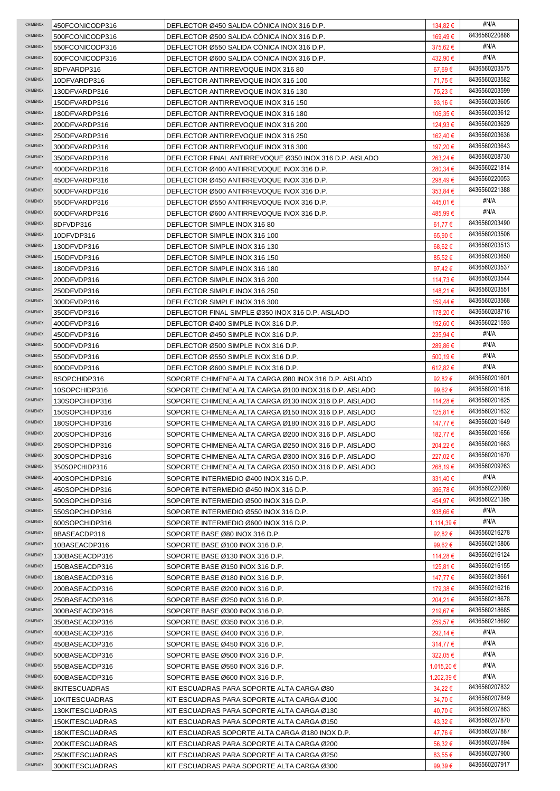| CHIMENOX        | 450FCONICODP316 | DEFLECTOR Ø450 SALIDA CÓNICA INOX 316 D.P.              | 134,82 €         | #N/A          |
|-----------------|-----------------|---------------------------------------------------------|------------------|---------------|
| CHIMENOX        | 500FCONICODP316 | DEFLECTOR Ø500 SALIDA CÓNICA INOX 316 D.P.              | 169,49€          | 8436560220886 |
| CHIMENOX        | 550FCONICODP316 | DEFLECTOR Ø550 SALIDA CONICA INOX 316 D.P.              | 375,62€          | #N/A          |
| CHIMENOX        | 600FCONICODP316 | DEFLECTOR Ø600 SALIDA CONICA INOX 316 D.P.              | 432,90 €         | #N/A          |
| CHIMENOX        | 8DFVARDP316     | DEFLECTOR ANTIRREVOQUE INOX 316 80                      | 67,69€           | 8436560203575 |
| CHIMENOX        | 10DFVARDP316    | DEFLECTOR ANTIRREVOQUE INOX 316 100                     | 71,75€           | 8436560203582 |
| CHIMENOX        | 130DFVARDP316   | DEFLECTOR ANTIRREVOQUE INOX 316 130                     | 75,23€           | 8436560203599 |
| CHIMENOX        | 150DFVARDP316   | DEFLECTOR ANTIRREVOQUE INOX 316 150                     | 93,16 €          | 8436560203605 |
| CHIMENOX        | 180DFVARDP316   | DEFLECTOR ANTIRREVOQUE INOX 316 180                     | 106,35 €         | 8436560203612 |
| CHIMENOX        | 200DFVARDP316   | DEFLECTOR ANTIRREVOQUE INOX 316 200                     | 124,93€          | 8436560203629 |
| CHIMENOX        | 250DFVARDP316   | DEFLECTOR ANTIRREVOQUE INOX 316 250                     | 162,40 €         | 8436560203636 |
| CHIMENOX        | 300DFVARDP316   | DEFLECTOR ANTIRREVOQUE INOX 316 300                     | 197,20 €         | 8436560203643 |
| CHIMENOX        | 350DFVARDP316   | DEFLECTOR FINAL ANTIRREVOQUE Ø350 INOX 316 D.P. AISLADO | 263,24 €         | 8436560208730 |
| CHIMENOX        | 400DFVARDP316   | DEFLECTOR Ø400 ANTIRREVOQUE INOX 316 D.P.               | 280,34 €         | 8436560221814 |
| CHIMENOX        | 450DFVARDP316   | DEFLECTOR Ø450 ANTIRREVOQUE INOX 316 D.P.               | 298,49€          | 8436560220053 |
| CHIMENOX        | 500DFVARDP316   | DEFLECTOR Ø500 ANTIRREVOQUE INOX 316 D.P.               | 353,84 €         | 8436560221388 |
| CHIMENOX        | 550DFVARDP316   | DEFLECTOR Ø550 ANTIRREVOQUE INOX 316 D.P.               | 445,01 €         | #N/A          |
| CHIMENOX        |                 |                                                         |                  | #N/A          |
| CHIMENOX        | 600DFVARDP316   | DEFLECTOR Ø600 ANTIRREVOQUE INOX 316 D.P.               | 485,99€          | 8436560203490 |
| CHIMENOX        | 8DFVDP316       | DEFLECTOR SIMPLE INOX 316 80                            | 61,77 €          | 8436560203506 |
| CHIMENOX        | 10DFVDP316      | DEFLECTOR SIMPLE INOX 316 100                           | 65,90€           | 8436560203513 |
| CHIMENOX        | 130DFVDP316     | DEFLECTOR SIMPLE INOX 316 130                           | $68,62 \in$      |               |
|                 | 150DFVDP316     | DEFLECTOR SIMPLE INOX 316 150                           | 85,52€           | 8436560203650 |
| CHIMENOX        | 180DFVDP316     | DEFLECTOR SIMPLE INOX 316 180                           | 97,42 $\epsilon$ | 8436560203537 |
| CHIMENOX        | 200DFVDP316     | DEFLECTOR SIMPLE INOX 316 200                           | 114,73 €         | 8436560203544 |
| CHIMENOX        | 250DFVDP316     | DEFLECTOR SIMPLE INOX 316 250                           | 148,21 €         | 8436560203551 |
| CHIMENOX        | 300DFVDP316     | DEFLECTOR SIMPLE INOX 316 300                           | 159,44 €         | 8436560203568 |
| CHIMENOX        | 350DFVDP316     | DEFLECTOR FINAL SIMPLE Ø350 INOX 316 D.P. AISLADO       | 178,20 €         | 8436560208716 |
| CHIMENOX        | 400DFVDP316     | DEFLECTOR Ø400 SIMPLE INOX 316 D.P.                     | 192,60 €         | 8436560221593 |
| CHIMENOX        | 450DFVDP316     | DEFLECTOR Ø450 SIMPLE INOX 316 D.P.                     | 235,94 €         | #N/A          |
| CHIMENOX        | 500DFVDP316     | DEFLECTOR Ø500 SIMPLE INOX 316 D.P.                     | 289,86 €         | #N/A          |
| CHIMENOX        | 550DFVDP316     | DEFLECTOR Ø550 SIMPLE INOX 316 D.P.                     | 500,19 €         | #N/A          |
| CHIMENOX        | 600DFVDP316     | DEFLECTOR Ø600 SIMPLE INOX 316 D.P.                     | 612,82 €         | #N/A          |
| CHIMENOX        | 8SOPCHIDP316    | SOPORTE CHIMENEA ALTA CARGA Ø80 INOX 316 D.P. AISLADO   | 92,82 $\epsilon$ | 8436560201601 |
| CHIMENOX        | 10SOPCHIDP316   | SOPORTE CHIMENEA ALTA CARGA Ø100 INOX 316 D.P. AISLADO  | 99,62€           | 8436560201618 |
| CHIMENOX        | 130SOPCHIDP316  | SOPORTE CHIMENEA ALTA CARGA Ø130 INOX 316 D.P. AISLADO  | 114,28 €         | 8436560201625 |
| CHIMENOX        | 150SOPCHIDP316  | SOPORTE CHIMENEA ALTA CARGA Ø150 INOX 316 D.P. AISLADO  | 125,81 €         | 8436560201632 |
| CHIMENOX        | 180SOPCHIDP316  | SOPORTE CHIMENEA ALTA CARGA Ø180 INOX 316 D.P. AISLADO  | 147,77 €         | 8436560201649 |
| CHIMENOX        | 200SOPCHIDP316  | SOPORTE CHIMENEA ALTA CARGA Ø200 INOX 316 D.P. AISLADO  | 182,77€          | 8436560201656 |
| CHIMENOX        | 250SOPCHIDP316  | SOPORTE CHIMENEA ALTA CARGA Ø250 INOX 316 D.P. AISLADO  | 204,22 €         | 8436560201663 |
| CHIMENOX        | 300SOPCHIDP316  | SOPORTE CHIMENEA ALTA CARGA Ø300 INOX 316 D.P. AISLADO  | 227,02€          | 8436560201670 |
| CHIMENOX        | 350SOPCHIDP316  | SOPORTE CHIMENEA ALTA CARGA Ø350 INOX 316 D.P. AISLADO  | 268,19€          | 8436560209263 |
| CHIMENOX        | 400SOPCHIDP316  | SOPORTE INTERMEDIO Ø400 INOX 316 D.P.                   | 331,40€          | #N/A          |
| CHIMENOX        | 450SOPCHIDP316  | SOPORTE INTERMEDIO Ø450 INOX 316 D.P.                   | 396,78€          | 8436560220060 |
| <b>CHIMENOX</b> | 500SOPCHIDP316  | SOPORTE INTERMEDIO Ø500 INOX 316 D.P.                   | 454,97€          | 8436560221395 |
| <b>CHIMENOX</b> | 550SOPCHIDP316  | SOPORTE INTERMEDIO Ø550 INOX 316 D.P.                   | 938,66 €         | #N/A          |
| <b>CHIMENOX</b> | 600SOPCHIDP316  | SOPORTE INTERMEDIO Ø600 INOX 316 D.P.                   | $1.114,39 \in$   | #N/A          |
| CHIMENOX        | 8BASEACDP316    | SOPORTE BASE Ø80 INOX 316 D.P.                          | 92,82 $\epsilon$ | 8436560216278 |
| CHIMENOX        | 10BASEACDP316   | SOPORTE BASE Ø100 INOX 316 D.P.                         | 99,62€           | 8436560215806 |
| CHIMENOX        | 130BASEACDP316  | SOPORTE BASE Ø130 INOX 316 D.P.                         | 114,28 €         | 8436560216124 |
| CHIMENOX        | 150BASEACDP316  | SOPORTE BASE Ø150 INOX 316 D.P.                         | 125,81 €         | 8436560216155 |
| CHIMENOX        | 180BASEACDP316  | SOPORTE BASE Ø180 INOX 316 D.P.                         | 147,77 €         | 8436560218661 |
| CHIMENOX        | 200BASEACDP316  | SOPORTE BASE Ø200 INOX 316 D.P.                         | 179,38 €         | 8436560216216 |
| CHIMENOX        | 250BASEACDP316  | SOPORTE BASE Ø250 INOX 316 D.P.                         | 204,21 €         | 8436560218678 |
| CHIMENOX        | 300BASEACDP316  | SOPORTE BASE Ø300 INOX 316 D.P.                         | 219,67 €         | 8436560218685 |
| CHIMENOX        | 350BASEACDP316  | SOPORTE BASE Ø350 INOX 316 D.P.                         | 259,57€          | 8436560218692 |
| CHIMENOX        | 400BASEACDP316  | SOPORTE BASE Ø400 INOX 316 D.P.                         | 292,14 €         | #N/A          |
| <b>CHIMENOX</b> | 450BASEACDP316  | SOPORTE BASE Ø450 INOX 316 D.P.                         | 314,77€          | #N/A          |
| CHIMENOX        | 500BASEACDP316  | SOPORTE BASE Ø500 INOX 316 D.P.                         | 322,05 €         | #N/A          |
| CHIMENOX        |                 |                                                         |                  | #N/A          |
| CHIMENOX        | 550BASEACDP316  | SOPORTE BASE Ø550 INOX 316 D.P.                         | 1.015,20 €       | #N/A          |
| CHIMENOX        | 600BASEACDP316  | SOPORTE BASE Ø600 INOX 316 D.P.                         | 1.202,39 €       | 8436560207832 |
| CHIMENOX        | 8KITESCUADRAS   | KIT ESCUADRAS PARA SOPORTE ALTA CARGA Ø80               | 34,22€           | 8436560207849 |
|                 | 10KITESCUADRAS  | KIT ESCUADRAS PARA SOPORTE ALTA CARGA Ø100              | 34,70 €          | 8436560207863 |
| <b>CHIMENOX</b> | 130KITESCUADRAS | KIT ESCUADRAS PARA SOPORTE ALTA CARGA Ø130              | 40,70€           |               |
| <b>CHIMENOX</b> | 150KITESCUADRAS | KIT ESCUADRAS PARA SOPORTE ALTA CARGA Ø150              | 43,32 €          | 8436560207870 |
| CHIMENOX        | 180KITESCUADRAS | KIT ESCUADRAS SOPORTE ALTA CARGA Ø180 INOX D.P.         | 47,76 €          | 8436560207887 |
| CHIMENOX        | 200KITESCUADRAS | KIT ESCUADRAS PARA SOPORTE ALTA CARGA Ø200              | 56,32€           | 8436560207894 |
| CHIMENOX        | 250KITESCUADRAS | KIT ESCUADRAS PARA SOPORTE ALTA CARGA Ø250              | 83,55€           | 8436560207900 |
| CHIMENOX        | 300KITESCUADRAS | KIT ESCUADRAS PARA SOPORTE ALTA CARGA Ø300              | 99,39€           | 8436560207917 |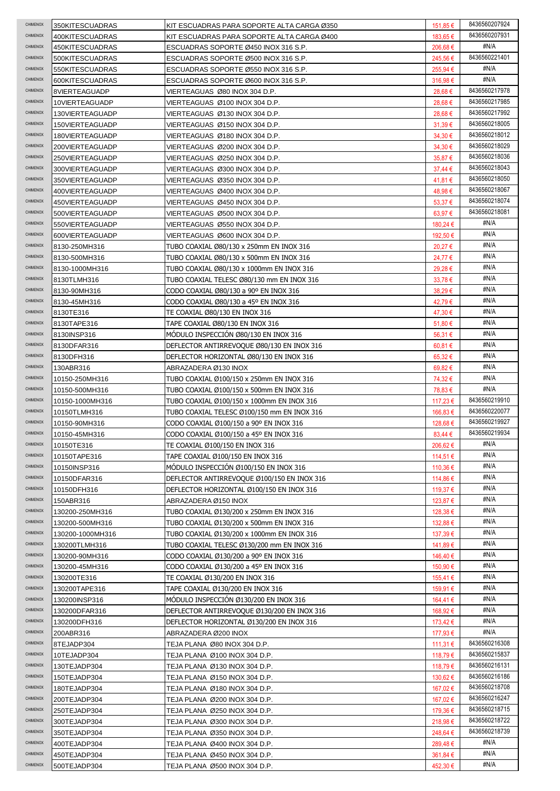| <b>CHIMENOX</b>      | 350KITESCUADRAS              | KIT ESCUADRAS PARA SOPORTE ALTA CARGA Ø350                                             | 151,85 €             | 8436560207924 |
|----------------------|------------------------------|----------------------------------------------------------------------------------------|----------------------|---------------|
| CHIMENOX             | 400KITESCUADRAS              | KIT ESCUADRAS PARA SOPORTE ALTA CARGA Ø400                                             | 183,65 €             | 8436560207931 |
| CHIMENOX             | 450KITESCUADRAS              | ESCUADRAS SOPORTE Ø450 INOX 316 S.P.                                                   | 206,68€              | #N/A          |
| CHIMENOX             | 500KITESCUADRAS              | ESCUADRAS SOPORTE Ø500 INOX 316 S.P.                                                   | 245,56€              | 8436560221401 |
| CHIMENOX             | 550KITESCUADRAS              | ESCUADRAS SOPORTE Ø550 INOX 316 S.P.                                                   | 255,94 €             | #N/A          |
| CHIMENOX             | 600KITESCUADRAS              | ESCUADRAS SOPORTE Ø600 INOX 316 S.P.                                                   | 316,98€              | #N/A          |
| <b>CHIMENOX</b>      | 8VIERTEAGUADP                | VIERTEAGUAS Ø80 INOX 304 D.P.                                                          | 28,68€               | 8436560217978 |
| CHIMENOX             | 10VIERTEAGUADP               | VIERTEAGUAS Ø100 INOX 304 D.P.                                                         | 28,68€               | 8436560217985 |
| CHIMENOX             | 130VIERTEAGUADP              | VIERTEAGUAS Ø130 INOX 304 D.P.                                                         | 28,68€               | 8436560217992 |
| CHIMENOX             | 150VIERTEAGUADP              | VIERTEAGUAS Ø150 INOX 304 D.P.                                                         | 31,39€               | 8436560218005 |
| CHIMENOX             | 180VIERTEAGUADP              | VIERTEAGUAS Ø180 INOX 304 D.P.                                                         | 34,30 €              | 8436560218012 |
| CHIMENOX             | 200VIERTEAGUADP              | VIERTEAGUAS Ø200 INOX 304 D.P.                                                         | 34,30 €              | 8436560218029 |
| CHIMENOX             | 250VIERTEAGUADP              | VIERTEAGUAS Ø250 INOX 304 D.P.                                                         | 35,87€               | 8436560218036 |
| <b>CHIMENOX</b>      | 300VIERTEAGUADP              | VIERTEAGUAS Ø300 INOX 304 D.P.                                                         | $37,44 \in$          | 8436560218043 |
| CHIMENOX             | 350VIERTEAGUADP              | VIERTEAGUAS Ø350 INOX 304 D.P.                                                         | 41,81 €              | 8436560218050 |
| CHIMENOX             | 400VIERTEAGUADP              | VIERTEAGUAS Ø400 INOX 304 D.P.                                                         | 48,98€               | 8436560218067 |
| CHIMENOX             | 450VIERTEAGUADP              | VIERTEAGUAS Ø450 INOX 304 D.P.                                                         | 53,37€               | 8436560218074 |
| CHIMENOX             | 500VIERTEAGUADP              | VIERTEAGUAS Ø500 INOX 304 D.P.                                                         | 63,97€               | 8436560218081 |
| CHIMENOX             | 550VIERTEAGUADP              | VIERTEAGUAS Ø550 INOX 304 D.P.                                                         | 180,24 €             | #N/A          |
| <b>CHIMENOX</b>      | 600VIERTEAGUADP              | VIERTEAGUAS Ø600 INOX 304 D.P.                                                         | 192,50 €             | #N/A          |
| CHIMENOX             | 8130-250MH316                | TUBO COAXIAL Ø80/130 x 250mm EN INOX 316                                               | 20,27 €              | #N/A          |
| CHIMENOX             | 8130-500MH316                | TUBO COAXIAL Ø80/130 x 500mm EN INOX 316                                               | 24,77€               | #N/A          |
| <b>CHIMENOX</b>      | 8130-1000MH316               | TUBO COAXIAL Ø80/130 x 1000mm EN INOX 316                                              | 29,28€               | #N/A          |
| CHIMENOX             | 8130TLMH316                  | TUBO COAXIAL TELESC Ø80/130 mm EN INOX 316                                             | $33,78 \in$          | #N/A          |
| CHIMENOX             | 8130-90MH316                 | CODO COAXIAL Ø80/130 a 90º EN INOX 316                                                 | 38,29€               | #N/A          |
| <b>CHIMENOX</b>      | 8130-45MH316                 | CODO COAXIAL Ø80/130 a 45º EN INOX 316                                                 | 42,79€               | #N/A          |
| <b>CHIMENOX</b>      | 8130TE316                    | TE COAXIAL Ø80/130 EN INOX 316                                                         | 47,30€               | #N/A          |
| CHIMENOX             | 8130TAPE316                  | TAPE COAXIAL Ø80/130 EN INOX 316                                                       | 51,80 €              | #N/A          |
| CHIMENOX             | 8130INSP316                  | MODULO INSPECCION Ø80/130 EN INOX 316                                                  | 56,31 €              | #N/A          |
| CHIMENOX             | 8130DFAR316                  | DEFLECTOR ANTIRREVOQUE Ø80/130 EN INOX 316                                             | 60,81 €              | #N/A          |
| CHIMENOX             | 8130DFH316                   | DEFLECTOR HORIZONTAL Ø80/130 EN INOX 316                                               | $65,32 \in$          | #N/A          |
| <b>CHIMENOX</b>      | 130ABR316                    | ABRAZADERA Ø130 INOX                                                                   | 69,82€               | #N/A          |
| <b>CHIMENOX</b>      | 10150-250MH316               | TUBO COAXIAL Ø100/150 x 250mm EN INOX 316                                              | 74,32 €              | #N/A          |
| CHIMENOX             | 10150-500MH316               | TUBO COAXIAL Ø100/150 x 500mm EN INOX 316                                              | 78,83 €              | #N/A          |
| CHIMENOX             | 10150-1000MH316              | TUBO COAXIAL Ø100/150 x 1000mm EN INOX 316                                             | 117,23 €             | 8436560219910 |
|                      |                              |                                                                                        |                      |               |
| CHIMENOX             | 10150TLMH316                 |                                                                                        | 166,83€              | 8436560220077 |
| CHIMENOX             | 10150-90MH316                | TUBO COAXIAL TELESC Ø100/150 mm EN INOX 316<br>CODO COAXIAL Ø100/150 a 90º EN INOX 316 | 128,68€              | 8436560219927 |
| <b>CHIMENOX</b>      | 10150-45MH316                | CODO COAXIAL Ø100/150 a 45º EN INOX 316                                                | 83,44 €              | 8436560219934 |
| CHIMENOX             | 10150TE316                   | TE COAXIAL Ø100/150 EN INOX 316                                                        | 206,62€              | #N/A          |
| <b>CHIMENOX</b>      | 10150TAPE316                 | TAPE COAXIAL Ø100/150 EN INOX 316                                                      | 114,51 €             | #N/A          |
| CHIMENOX             | 10150INSP316                 | MODULO INSPECCIÓN Ø100/150 EN INOX 316                                                 | 110,36 €             | #N/A          |
| CHIMENOX             | 10150DFAR316                 | DEFLECTOR ANTIRREVOQUE Ø100/150 EN INOX 316                                            | 114,86 €             | #N/A          |
| CHIMENOX             | 10150DFH316                  | DEFLECTOR HORIZONTAL Ø100/150 EN INOX 316                                              | 119,37 €             | #N/A          |
| CHIMENOX             | 150ABR316                    | ABRAZADERA Ø150 INOX                                                                   | 123,87 €             | #N/A          |
| CHIMENOX             | 130200-250MH316              | TUBO COAXIAL Ø130/200 x 250mm EN INOX 316                                              | 128,38€              | #N/A          |
| CHIMENOX             | 130200-500MH316              | TUBO COAXIAL Ø130/200 x 500mm EN INOX 316                                              | 132,88€              | #N/A          |
| CHIMENOX             | 130200-1000MH316             | TUBO COAXIAL Ø130/200 x 1000mm EN INOX 316                                             | 137,39€              | #N/A          |
| CHIMENOX             | 130200TLMH316                | TUBO COAXIAL TELESC Ø130/200 mm EN INOX 316                                            | 141,89€              | #N/A          |
| <b>CHIMENOX</b>      | 130200-90MH316               | CODO COAXIAL Ø130/200 a 90º EN INOX 316                                                | 146,40 €             | #N/A          |
| <b>CHIMENOX</b>      | 130200-45MH316               | CODO COAXIAL Ø130/200 a 45º EN INOX 316                                                | 150,90 €             | #N/A          |
| <b>CHIMENOX</b>      | 130200TE316                  | TE COAXIAL Ø130/200 EN INOX 316                                                        | 155,41 €             | #N/A          |
| <b>CHIMENOX</b>      | 130200TAPE316                | TAPE COAXIAL Ø130/200 EN INOX 316                                                      | 159,91 €             | #N/A          |
| CHIMENOX             | 130200INSP316                | MODULO INSPECCION Ø130/200 EN INOX 316                                                 | 164,41 €             | #N/A          |
| CHIMENOX             | 130200DFAR316                | DEFLECTOR ANTIRREVOQUE Ø130/200 EN INOX 316                                            | 168,92 €             | #N/A          |
| <b>CHIMENOX</b>      | 130200DFH316                 | DEFLECTOR HORIZONTAL Ø130/200 EN INOX 316                                              | 173,42 €             | #N/A          |
| <b>CHIMENOX</b>      | 200ABR316                    | ABRAZADERA Ø200 INOX                                                                   | 177,93 €             | #N/A          |
| CHIMENOX             | 8TEJADP304                   | TEJA PLANA Ø80 INOX 304 D.P.                                                           | 111,31 €             | 8436560216308 |
| CHIMENOX             | 10TEJADP304                  | TEJA PLANA Ø100 INOX 304 D.P.                                                          | 118,79€              | 8436560215837 |
| CHIMENOX             | 130TEJADP304                 | TEJA PLANA Ø130 INOX 304 D.P.                                                          | 118,79€              | 8436560216131 |
| CHIMENOX             | 150TEJADP304                 | TEJA PLANA Ø150 INOX 304 D.P.                                                          | 130,62 €             | 8436560216186 |
| CHIMENOX             | 180TEJADP304                 | TEJA PLANA Ø180 INOX 304 D.P.                                                          | 167,02€              | 8436560218708 |
| CHIMENOX             | 200TEJADP304                 | TEJA PLANA Ø200 INOX 304 D.P.                                                          | 167,02€              | 8436560216247 |
| CHIMENOX             | 250TEJADP304                 | TEJA PLANA Ø250 INOX 304 D.P.                                                          | 179,36 €             | 8436560218715 |
| CHIMENOX             | 300TEJADP304                 | TEJA PLANA Ø300 INOX 304 D.P.                                                          | 218,98€              | 8436560218722 |
| CHIMENOX             | 350TEJADP304                 | TEJA PLANA Ø350 INOX 304 D.P.                                                          | 248,64 €             | 8436560218739 |
| CHIMENOX             | 400TEJADP304                 | TEJA PLANA Ø400 INOX 304 D.P.                                                          | 289,48€              | #N/A          |
| CHIMENOX<br>CHIMENOX | 450TEJADP304<br>500TEJADP304 | TEJA PLANA Ø450 INOX 304 D.P.<br>TEJA PLANA Ø500 INOX 304 D.P.                         | 361,84 €<br>452,30 € | #N/A<br>#N/A  |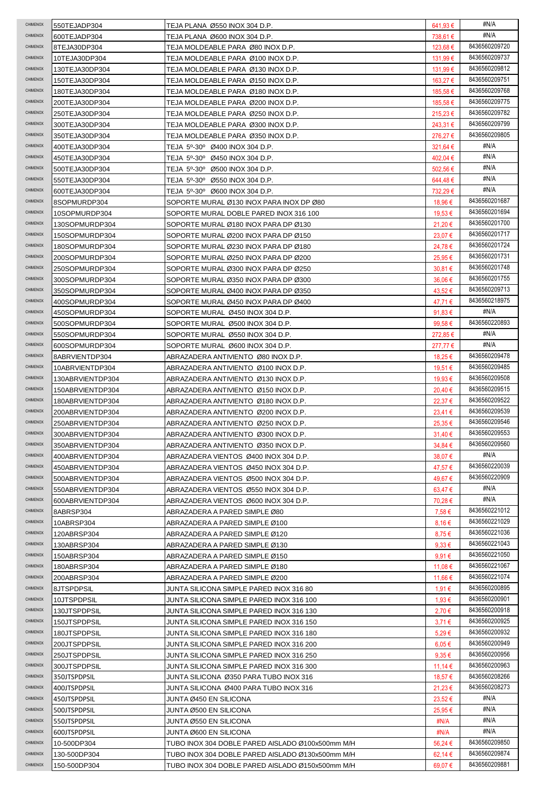| CHIMENOX             | 550TEJADP304     | TEJA PLANA Ø550 INOX 304 D.P.                    | 641,93 €         | #N/A                           |
|----------------------|------------------|--------------------------------------------------|------------------|--------------------------------|
| <b>CHIMENOX</b>      | 600TEJADP304     | TEJA PLANA Ø600 INOX 304 D.P.                    | 738,61 €         | #N/A                           |
| CHIMENOX             | 8TEJA30DP304     | TEJA MOLDEABLE PARA Ø80 INOX D.P.                | 123.68 €         | 8436560209720                  |
| CHIMENOX             | 10TEJA30DP304    | TEJA MOLDEABLE PARA Ø100 INOX D.P.               | 131,99€          | 8436560209737                  |
| CHIMENOX             | 130TEJA30DP304   | TEJA MOLDEABLE PARA Ø130 INOX D.P.               | 131,99 €         | 8436560209812                  |
| CHIMENOX             | 150TEJA30DP304   | TEJA MOLDEABLE PARA Ø150 INOX D.P.               | 163,27 €         | 8436560209751                  |
| CHIMENOX             | 180TEJA30DP304   | TEJA MOLDEABLE PARA Ø180 INOX D.P.               | 185,58€          | 8436560209768                  |
| CHIMENOX             | 200TEJA30DP304   | TEJA MOLDEABLE PARA Ø200 INOX D.P.               | 185,58 €         | 8436560209775                  |
| CHIMENOX             | 250TEJA30DP304   | TEJA MOLDEABLE PARA Ø250 INOX D.P.               | 215,23 €         | 8436560209782                  |
| CHIMENOX             | 300TEJA30DP304   | TEJA MOLDEABLE PARA Ø300 INOX D.P.               | 243,31 €         | 8436560209799                  |
| CHIMENOX             | 350TEJA30DP304   | TEJA MOLDEABLE PARA Ø350 INOX D.P.               | 276,27€          | 8436560209805                  |
| CHIMENOX             | 400TEJA30DP304   | TEJA 5º-30º Ø400 INOX 304 D.P.                   | 321,64 €         | #N/A                           |
| CHIMENOX             | 450TEJA30DP304   | TEJA 5º-30º Ø450 INOX 304 D.P.                   | 402,04 €         | #N/A                           |
| CHIMENOX             | 500TEJA30DP304   | TEJA 5º-30º Ø500 INOX 304 D.P.                   | 502,56€          | #N/A                           |
| CHIMENOX             | 550TEJA30DP304   | TEJA 5º-30º Ø550 INOX 304 D.P.                   | 644,48€          | #N/A                           |
| CHIMENOX             | 600TEJA30DP304   | TEJA 5º-30º Ø600 INOX 304 D.P.                   | 732,29€          | #N/A                           |
| CHIMENOX             | 8SOPMURDP304     | SOPORTE MURAL Ø130 INOX PARA INOX DP Ø80         | 18,96 €          | 8436560201687                  |
| CHIMENOX             | 10SOPMURDP304    | SOPORTE MURAL DOBLE PARED INOX 316 100           | 19,53 €          | 8436560201694                  |
| CHIMENOX             | 130SOPMURDP304   | SOPORTE MURAL Ø180 INOX PARA DP Ø130             | 21,20€           | 8436560201700                  |
| CHIMENOX             | 150SOPMURDP304   | SOPORTE MURAL Ø200 INOX PARA DP Ø150             | 23,07€           | 8436560201717                  |
| CHIMENOX             | 180SOPMURDP304   | SOPORTE MURAL Ø230 INOX PARA DP Ø180             | 24,78€           | 8436560201724                  |
| CHIMENOX             | 200SOPMURDP304   | SOPORTE MURAL Ø250 INOX PARA DP Ø200             | 25,95€           | 8436560201731                  |
| CHIMENOX             | 250SOPMURDP304   | SOPORTE MURAL Ø300 INOX PARA DP Ø250             | 30,81€           | 8436560201748                  |
| CHIMENOX             | 300SOPMURDP304   | SOPORTE MURAL Ø350 INOX PARA DP Ø300             | 36,06€           | 8436560201755                  |
| CHIMENOX             | 350SOPMURDP304   | SOPORTE MURAL Ø400 INOX PARA DP Ø350             | 43,52€           | 8436560209713                  |
| CHIMENOX             | 400SOPMURDP304   | SOPORTE MURAL Ø450 INOX PARA DP Ø400             | 47,71 €          | 8436560218975                  |
| CHIMENOX             | 450SOPMURDP304   | SOPORTE MURAL Ø450 INOX 304 D.P.                 | 91,83 $\epsilon$ | #N/A                           |
| CHIMENOX             | 500SOPMURDP304   | SOPORTE MURAL Ø500 INOX 304 D.P.                 | 99.58 $\epsilon$ | 8436560220893                  |
| CHIMENOX             |                  |                                                  | 272,85 €         | #N/A                           |
| CHIMENOX             | 550SOPMURDP304   | SOPORTE MURAL Ø550 INOX 304 D.P.                 |                  | #N/A                           |
| CHIMENOX             | 600SOPMURDP304   | SOPORTE MURAL Ø600 INOX 304 D.P.                 | 277,77 €         | 8436560209478                  |
| CHIMENOX             | 8ABRVIENTDP304   | ABRAZADERA ANTIVIENTO Ø80 INOX D.P.              | 18,25 €          | 8436560209485                  |
| CHIMENOX             | 10ABRVIENTDP304  | ABRAZADERA ANTIVIENTO Ø100 INOX D.P.             | 19,51 €          | 8436560209508                  |
| CHIMENOX             | 130ABRVIENTDP304 | ABRAZADERA ANTIVIENTO Ø130 INOX D.P.             | 19,93€           | 8436560209515                  |
|                      | 150ABRVIENTDP304 | ABRAZADERA ANTIVIENTO Ø150 INOX D.P.             | 20,40€           |                                |
| CHIMENOX             | 180ABRVIENTDP304 | ABRAZADERA ANTIVIENTO Ø180 INOX D.P.             | 22,37€           | 8436560209522                  |
| CHIMENOX<br>CHIMENOX | 200ABRVIENTDP304 | ABRAZADERA ANTIVIENTO Ø200 INOX D.P.             | $23,41 \in$      | 8436560209539<br>8436560209546 |
|                      | 250ABRVIENTDP304 | ABRAZADERA ANTIVIENTO Ø250 INOX D.P.             | 25,35€           |                                |
| CHIMENOX             | 300ABRVIENTDP304 | ABRAZADERA ANTIVIENTO Ø300 INOX D.P.             | 31,40€           | 8436560209553                  |
| CHIMENOX             | 350ABRVIENTDP304 | ABRAZADERA ANTIVIENTO Ø350 INOX D.P.             | 34,84 €          | 8436560209560                  |
| CHIMENOX             | 400ABRVIENTDP304 | ABRAZADERA VIENTOS Ø400 INOX 304 D.P.            | 38,07€           | #N/A                           |
| CHIMENOX             | 450ABRVIENTDP304 | ABRAZADERA VIENTOS Ø450 INOX 304 D.P.            | 47,57€           | 8436560220039                  |
| <b>CHIMENOX</b>      | 500ABRVIENTDP304 | ABRAZADERA VIENTOS Ø500 INOX 304 D.P.            | 49,67€           | 8436560220909                  |
| <b>CHIMENOX</b>      | 550ABRVIENTDP304 | ABRAZADERA VIENTOS Ø550 INOX 304 D.P.            | 63,47 €          | #N/A                           |
| <b>CHIMENOX</b>      | 600ABRVIENTDP304 | ABRAZADERA VIENTOS Ø600 INOX 304 D.P.            | 70,28€           | #N/A                           |
| CHIMENOX             | 8ABRSP304        | ABRAZADERA A PARED SIMPLE Ø80                    | 7,58€            | 8436560221012                  |
| CHIMENOX             | 10ABRSP304       | ABRAZADERA A PARED SIMPLE Ø100                   | 8,16€            | 8436560221029                  |
| CHIMENOX             | 120ABRSP304      | ABRAZADERA A PARED SIMPLE Ø120                   | 8,75€            | 8436560221036                  |
| CHIMENOX             | 130ABRSP304      | ABRAZADERA A PARED SIMPLE Ø130                   | $9.33 \in$       | 8436560221043                  |
| <b>CHIMENOX</b>      | 150ABRSP304      | ABRAZADERA A PARED SIMPLE Ø150                   | $9.91 \in$       | 8436560221050                  |
| CHIMENOX             | 180ABRSP304      | ABRAZADERA A PARED SIMPLE Ø180                   | 11,08 €          | 8436560221067                  |
| CHIMENOX             | 200ABRSP304      | ABRAZADERA A PARED SIMPLE Ø200                   | 11,66 €          | 8436560221074                  |
| CHIMENOX             | 8JTSPDPSIL       | JUNTA SILICONA SIMPLE PARED INOX 316 80          | 1,91 €           | 8436560200895                  |
| CHIMENOX             | 10JTSPDPSIL      | JUNTA SILICONA SIMPLE PARED INOX 316 100         | 1,93 €           | 8436560200901                  |
| CHIMENOX             | 130JTSPDPSIL     | JUNTA SILICONA SIMPLE PARED INOX 316 130         | 2,70€            | 8436560200918                  |
| <b>CHIMENOX</b>      | 150JTSPDPSIL     | JUNTA SILICONA SIMPLE PARED INOX 316 150         | 3,71€            | 8436560200925                  |
| <b>CHIMENOX</b>      | 180JTSPDPSIL     | JUNTA SILICONA SIMPLE PARED INOX 316 180         | $5.29 \in$       | 8436560200932                  |
| CHIMENOX             | 200JTSPDPSIL     | JUNTA SILICONA SIMPLE PARED INOX 316 200         | $6.05 \in$       | 8436560200949                  |
| CHIMENOX             | 250JTSPDPSIL     | JUNTA SILICONA SIMPLE PARED INOX 316 250         | 9,35€            | 8436560200956                  |
| CHIMENOX             | 300JTSPDPSIL     | JUNTA SILICONA SIMPLE PARED INOX 316 300         | 11,14 €          | 8436560200963                  |
| CHIMENOX             | 350JTSPDPSIL     | JUNTA SILICONA Ø350 PARA TUBO INOX 316           | 18,57 €          | 8436560208266                  |
| CHIMENOX             | 400JTSPDPSIL     | JUNTA SILICONA Ø400 PARA TUBO INOX 316           | 21,23€           | 8436560208273                  |
| <b>CHIMENOX</b>      | 450JTSPDPSIL     | JUNTA Ø450 EN SILICONA                           | 23,52€           | #N/A                           |
| CHIMENOX             |                  |                                                  |                  |                                |
|                      | 500JTSPDPSIL     | JUNTA Ø500 EN SILICONA                           | 25,95€           | #N/A                           |
| CHIMENOX             | 550JTSPDPSIL     | JUNTA Ø550 EN SILICONA                           | #N/A             | #N/A                           |
| CHIMENOX             | 600JTSPDPSIL     | JUNTA Ø600 EN SILICONA                           | #N/A             | #N/A                           |
| CHIMENOX             | 10-500DP304      | TUBO INOX 304 DOBLE PARED AISLADO Ø100x500mm M/H | 56,24 €          | 8436560209850                  |
| CHIMENOX             | 130-500DP304     | TUBO INOX 304 DOBLE PARED AISLADO Ø130x500mm M/H | 62,14€           | 8436560209874                  |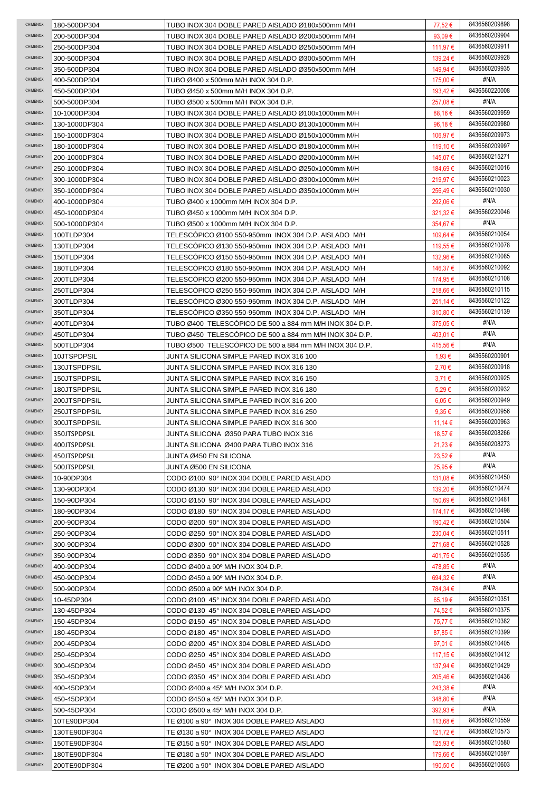| CHIMENOX        | 180-500DP304  | TUBO INOX 304 DOBLE PARED AISLADO Ø180x500mm M/H        | 77,52 €          | 8436560209898 |
|-----------------|---------------|---------------------------------------------------------|------------------|---------------|
| CHIMENOX        | 200-500DP304  | TUBO INOX 304 DOBLE PARED AISLADO Ø200x500mm M/H        | 93,09 $\epsilon$ | 8436560209904 |
| CHIMENOX        | 250-500DP304  | TUBO INOX 304 DOBLE PARED AISLADO Ø250x500mm M/H        | 111,97 €         | 8436560209911 |
| <b>CHIMENOX</b> | 300-500DP304  | TUBO INOX 304 DOBLE PARED AISLADO Ø300x500mm M/H        | 139,24 €         | 8436560209928 |
| <b>CHIMENOX</b> | 350-500DP304  | TUBO INOX 304 DOBLE PARED AISLADO Ø350x500mm M/H        | 149,94 €         | 8436560209935 |
| <b>CHIMENOX</b> | 400-500DP304  | TUBO Ø400 x 500mm M/H INOX 304 D.P.                     | 175,00 €         | #N/A          |
| CHIMENOX        | 450-500DP304  | TUBO Ø450 x 500mm M/H INOX 304 D.P.                     | 193,42 €         | 8436560220008 |
| CHIMENOX        | 500-500DP304  | TUBO Ø500 x 500mm M/H INOX 304 D.P.                     | 257,08€          | #N/A          |
| CHIMENOX        | 10-1000DP304  | TUBO INOX 304 DOBLE PARED AISLADO Ø100x1000mm M/H       | 88,16€           | 8436560209959 |
| CHIMENOX        | 130-1000DP304 | TUBO INOX 304 DOBLE PARED AISLADO Ø130x1000mm M/H       | 96,18€           | 8436560209980 |
| CHIMENOX        | 150-1000DP304 | TUBO INOX 304 DOBLE PARED AISLADO Ø150x1000mm M/H       | 106,97€          | 8436560209973 |
| CHIMENOX        | 180-1000DP304 | TUBO INOX 304 DOBLE PARED AISLADO Ø180x1000mm M/H       | 119.10 €         | 8436560209997 |
| CHIMENOX        | 200-1000DP304 | TUBO INOX 304 DOBLE PARED AISLADO Ø200x1000mm M/H       | 145,07 €         | 8436560215271 |
| CHIMENOX        | 250-1000DP304 | TUBO INOX 304 DOBLE PARED AISLADO Ø250x1000mm M/H       | 184,69 €         | 8436560210016 |
| CHIMENOX        | 300-1000DP304 | TUBO INOX 304 DOBLE PARED AISLADO Ø300x1000mm M/H       | 219,97€          | 8436560210023 |
| CHIMENOX        | 350-1000DP304 | TUBO INOX 304 DOBLE PARED AISLADO Ø350x1000mm M/H       | 256,49€          | 8436560210030 |
| CHIMENOX        |               |                                                         |                  | #N/A          |
| CHIMENOX        | 400-1000DP304 | TUBO Ø400 x 1000mm M/H INOX 304 D.P.                    | 292,06 €         | 8436560220046 |
|                 | 450-1000DP304 | TUBO Ø450 x 1000mm M/H INOX 304 D.P.                    | 321,32€          | #N/A          |
| CHIMENOX        | 500-1000DP304 | TUBO Ø500 x 1000mm M/H INOX 304 D.P.                    | 354,67€          |               |
| CHIMENOX        | 100TLDP304    | TELESCOPICO Ø100 550-950mm INOX 304 D.P. AISLADO M/H    | 109,64 €         | 8436560210054 |
| CHIMENOX        | 130TLDP304    | TELESCÓPICO Ø130 550-950mm INOX 304 D.P. AISLADO M/H    | 119,55 €         | 8436560210078 |
| CHIMENOX        | 150TLDP304    | TELESCÓPICO Ø150 550-950mm INOX 304 D.P. AISLADO M/H    | 132,96 €         | 8436560210085 |
| CHIMENOX        | 180TLDP304    | TELESCÓPICO Ø180 550-950mm INOX 304 D.P. AISLADO M/H    | 146,37 €         | 8436560210092 |
| CHIMENOX        | 200TLDP304    | TELESCOPICO Ø200 550-950mm INOX 304 D.P. AISLADO M/H    | 174,95 €         | 8436560210108 |
| CHIMENOX        | 250TLDP304    | TELESCOPICO Ø250 550-950mm INOX 304 D.P. AISLADO M/H    | 218,66€          | 8436560210115 |
| CHIMENOX        | 300TLDP304    | TELESCÓPICO Ø300 550-950mm INOX 304 D.P. AISLADO M/H    | 251,14 €         | 8436560210122 |
| CHIMENOX        | 350TLDP304    | TELESCOPICO Ø350 550-950mm INOX 304 D.P. AISLADO M/H    | 310,80 €         | 8436560210139 |
| CHIMENOX        | 400TLDP304    | TUBO Ø400 TELESCOPICO DE 500 a 884 mm M/H INOX 304 D.P. | 375,05 €         | #N/A          |
| CHIMENOX        | 450TLDP304    | TUBO Ø450 TELESCOPICO DE 500 a 884 mm M/H INOX 304 D.P. | 403,01 €         | #N/A          |
| CHIMENOX        | 500TLDP304    | TUBO Ø500 TELESCOPICO DE 500 a 884 mm M/H INOX 304 D.P. | 415,56€          | #N/A          |
| CHIMENOX        | 10JTSPDPSIL   | JUNTA SILICONA SIMPLE PARED INOX 316 100                | 1,93 €           | 8436560200901 |
| CHIMENOX        | 130JTSPDPSIL  | JUNTA SILICONA SIMPLE PARED INOX 316 130                | 2,70€            | 8436560200918 |
| CHIMENOX        | 150JTSPDPSIL  | JUNTA SILICONA SIMPLE PARED INOX 316 150                | 3,71€            | 8436560200925 |
| CHIMENOX        | 180JTSPDPSIL  | JUNTA SILICONA SIMPLE PARED INOX 316 180                | $5.29 \in$       | 8436560200932 |
| CHIMENOX        | 200JTSPDPSIL  | JUNTA SILICONA SIMPLE PARED INOX 316 200                | $6.05 \in$       | 8436560200949 |
| CHIMENOX        | 250JTSPDPSIL  | JUNTA SILICONA SIMPLE PARED INOX 316 250                | $9.35 \in$       | 8436560200956 |
| <b>CHIMENOX</b> | 300JTSPDPSIL  | JUNTA SILICONA SIMPLE PARED INOX 316 300                | 11,14 €          | 8436560200963 |
| CHIMENOX        | 350JTSPDPSIL  | JUNTA SILICONA Ø350 PARA TUBO INOX 316                  | 18,57€           | 8436560208266 |
| CHIMENOX        | 400JTSPDPSIL  | JUNTA SILICONA Ø400 PARA TUBO INOX 316                  | 21,23 €          | 8436560208273 |
| CHIMENOX        | 450JTSPDPSIL  | JUNTA Ø450 EN SILICONA                                  | 23,52€           | #N/A          |
| CHIMENOX        | 500JTSPDPSIL  | JUNTA Ø500 EN SILICONA                                  | 25,95€           | #N/A          |
| CHIMENOX        | 10-90DP304    | CODO Ø100 90° INOX 304 DOBLE PARED AISLADO              | 131,08 €         | 8436560210450 |
| CHIMENOX        | 130-90DP304   | CODO Ø130 90° INOX 304 DOBLE PARED AISLADO              | 139,20€          | 8436560210474 |
| CHIMENOX        | 150-90DP304   | CODO Ø150 90° INOX 304 DOBLE PARED AISLADO              | 150,69€          | 8436560210481 |
| CHIMENOX        | 180-90DP304   | CODO Ø180 90° INOX 304 DOBLE PARED AISLADO              | 174,17 €         | 8436560210498 |
| CHIMENOX        | 200-90DP304   | CODO Ø200 90° INOX 304 DOBLE PARED AISLADO              | 190,42 €         | 8436560210504 |
| CHIMENOX        | 250-90DP304   | CODO Ø250 90° INOX 304 DOBLE PARED AISLADO              | 230.04 €         | 8436560210511 |
| CHIMENOX        | 300-90DP304   | CODO Ø300 90° INOX 304 DOBLE PARED AISLADO              | 271,68 €         | 8436560210528 |
| CHIMENOX        | 350-90DP304   | CODO Ø350 90° INOX 304 DOBLE PARED AISLADO              | 401,75 €         | 8436560210535 |
| CHIMENOX        | 400-90DP304   |                                                         |                  | #N/A          |
| CHIMENOX        |               | CODO Ø400 a 90° M/H INOX 304 D.P.                       | 478,85 €         | #N/A          |
| CHIMENOX        | 450-90DP304   | CODO Ø450 a 90° M/H INOX 304 D.P.                       | 694,32€          | #N/A          |
| <b>CHIMENOX</b> | 500-90DP304   | CODO Ø500 a 90° M/H INOX 304 D.P.                       | 784,34 €         | 8436560210351 |
| <b>CHIMENOX</b> | 10-45DP304    | CODO Ø100 45° INOX 304 DOBLE PARED AISLADO              | $65,19 \in$      | 8436560210375 |
| CHIMENOX        | 130-45DP304   | CODO Ø130 45° INOX 304 DOBLE PARED AISLADO              | 74,52 €          |               |
|                 | 150-45DP304   | CODO Ø150 45° INOX 304 DOBLE PARED AISLADO              | 75,77 €          | 8436560210382 |
| CHIMENOX        | 180-45DP304   | CODO Ø180 45° INOX 304 DOBLE PARED AISLADO              | 87,85€           | 8436560210399 |
| CHIMENOX        | 200-45DP304   | CODO Ø200 45° INOX 304 DOBLE PARED AISLADO              | 97,01 €          | 8436560210405 |
| CHIMENOX        | 250-45DP304   | CODO Ø250 45° INOX 304 DOBLE PARED AISLADO              | 117,15 €         | 8436560210412 |
| CHIMENOX        | 300-45DP304   | CODO Ø450 45° INOX 304 DOBLE PARED AISLADO              | 137,94 €         | 8436560210429 |
| CHIMENOX        | 350-45DP304   | CODO Ø350 45° INOX 304 DOBLE PARED AISLADO              | 205,46 €         | 8436560210436 |
| CHIMENOX        | 400-45DP304   | CODO Ø400 a 45° M/H INOX 304 D.P.                       | 243,38 €         | #N/A          |
| CHIMENOX        | 450-45DP304   | CODO Ø450 a 45° M/H INOX 304 D.P.                       | 348,80 €         | #N/A          |
| CHIMENOX        | 500-45DP304   | CODO Ø500 a 45° M/H INOX 304 D.P.                       | 392,93 €         | #N/A          |
| CHIMENOX        | 10TE90DP304   | TE Ø100 a 90° INOX 304 DOBLE PARED AISLADO              | 113,68 €         | 8436560210559 |
| CHIMENOX        | 130TE90DP304  | TE Ø130 a 90° INOX 304 DOBLE PARED AISLADO              | 121,72€          | 8436560210573 |
| CHIMENOX        | 150TE90DP304  | TE Ø150 a 90° INOX 304 DOBLE PARED AISLADO              | 125,93 €         | 8436560210580 |
| CHIMENOX        | 180TE90DP304  | TE Ø180 a 90° INOX 304 DOBLE PARED AISLADO              | 179,66 €         | 8436560210597 |
| CHIMENOX        | 200TE90DP304  | TE Ø200 a 90° INOX 304 DOBLE PARED AISLADO              | 190,50 €         | 8436560210603 |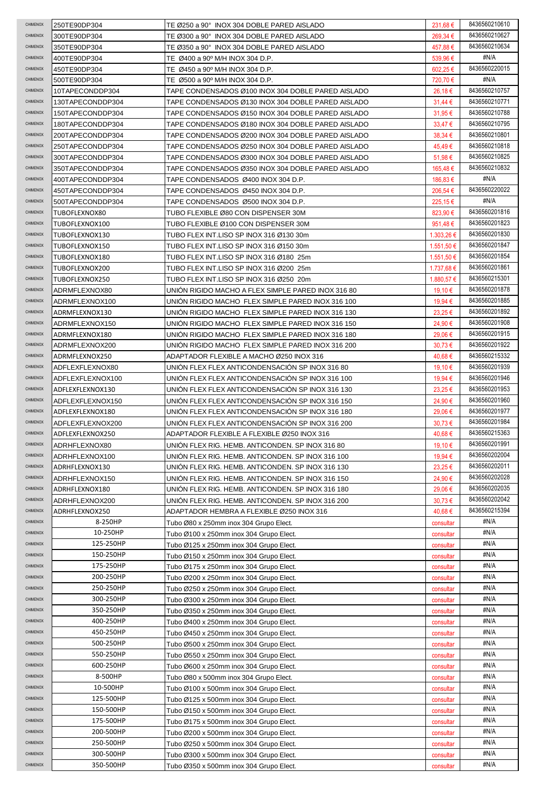| CHIMENOX                           | 250TE90DP304                         | TE Ø250 a 90° INOX 304 DOBLE PARED AISLADO                                                               | 231,68€                | 8436560210610                  |
|------------------------------------|--------------------------------------|----------------------------------------------------------------------------------------------------------|------------------------|--------------------------------|
| CHIMENOX                           | 300TE90DP304                         | TE Ø300 a 90°INOX 304 DOBLE PARED AISLADO                                                                | 269,34 €               | 8436560210627                  |
| CHIMENOX                           | 350TE90DP304                         | TE Ø350 a 90° INOX 304 DOBLE PARED AISLADO                                                               | 457,88€                | 8436560210634                  |
| CHIMENOX                           | 400TE90DP304                         | TE Ø400 a 90º M/H INOX 304 D.P.                                                                          | 539,96€                | #N/A                           |
| CHIMENOX                           | 450TE90DP304                         | TE Ø450 a 90° M/H INOX 304 D.P.                                                                          | 602,25€                | 8436560220015                  |
| CHIMENOX                           | 500TE90DP304                         | TE Ø500 a 90º M/H INOX 304 D.P.                                                                          | 720,70€                | #N/A                           |
| CHIMENOX                           | 10TAPECONDDP304                      | TAPE CONDENSADOS Ø100 INOX 304 DOBLE PARED AISLADO                                                       | 26,18€                 | 8436560210757                  |
| CHIMENOX                           | 130TAPECONDDP304                     | TAPE CONDENSADOS Ø130 INOX 304 DOBLE PARED AISLADO                                                       | $31,44 \in$            | 8436560210771                  |
| CHIMENOX                           | 150TAPECONDDP304                     | TAPE CONDENSADOS Ø150 INOX 304 DOBLE PARED AISLADO                                                       | 31,95 €                | 8436560210788                  |
| CHIMENOX                           | 180TAPECONDDP304                     | TAPE CONDENSADOS Ø180 INOX 304 DOBLE PARED AISLADO                                                       | $33,47 \in$            | 8436560210795                  |
| CHIMENOX<br>CHIMENOX               | 200TAPECONDDP304                     | TAPE CONDENSADOS Ø200 INOX 304 DOBLE PARED AISLADO                                                       | 38,34 €                | 8436560210801<br>8436560210818 |
| CHIMENOX                           | 250TAPECONDDP304                     | TAPE CONDENSADOS Ø250 INOX 304 DOBLE PARED AISLADO<br>TAPE CONDENSADOS Ø300 INOX 304 DOBLE PARED AISLADO | 45,49€<br>51,98€       | 8436560210825                  |
| CHIMENOX                           | 300TAPECONDDP304<br>350TAPECONDDP304 | TAPE CONDENSADOS Ø350 INOX 304 DOBLE PARED AISLADO                                                       | 165,48€                | 8436560210832                  |
| CHIMENOX                           | 400TAPECONDDP304                     | TAPE CONDENSADOS Ø400 INOX 304 D.P.                                                                      | 186,83€                | #N/A                           |
| CHIMENOX                           | 450TAPECONDDP304                     | TAPE CONDENSADOS Ø450 INOX 304 D.P.                                                                      | 206,54 €               | 8436560220022                  |
| CHIMENOX                           | 500TAPECONDDP304                     | TAPE CONDENSADOS Ø500 INOX 304 D.P.                                                                      | 225,15€                | #N/A                           |
| CHIMENOX                           | TUBOFLEXNOX80                        | TUBO FLEXIBLE Ø80 CON DISPENSER 30M                                                                      | 823,90€                | 8436560201816                  |
| CHIMENOX                           | TUBOFLEXNOX100                       | TUBO FLEXIBLE Ø100 CON DISPENSER 30M                                                                     | 951,48€                | 8436560201823                  |
| CHIMENOX                           | TUBOFLEXNOX130                       | TUBO FLEX INT.LISO SP INOX 316 Ø130 30m                                                                  | 1.303.26 €             | 8436560201830                  |
| CHIMENOX                           | TUBOFLEXNOX150                       | TUBO FLEX INT.LISO SP INOX 316 Ø150 30m                                                                  | 1.551,50 €             | 8436560201847                  |
| CHIMENOX                           | TUBOFLEXNOX180                       | TUBO FLEX INT.LISO SP INOX 316 Ø180 25m                                                                  | 1.551,50 €             | 8436560201854                  |
| CHIMENOX                           | TUBOFLEXNOX200                       | TUBO FLEX INT.LISO SP INOX 316 Ø200 25m                                                                  | 1.737,68 €             | 8436560201861                  |
| CHIMENOX                           | TUBOFLEXNOX250                       | TUBO FLEX INT.LISO SP INOX 316 Ø250 20m                                                                  | 1.880.57 €             | 8436560215301                  |
| CHIMENOX                           | ADRMFLEXNOX80                        | UNIÓN RIGIDO MACHO A FLEX SIMPLE PARED INOX 316 80                                                       | 19,10 €                | 8436560201878                  |
| CHIMENOX                           | ADRMFLEXNOX100                       | UNIÓN RIGIDO MACHO FLEX SIMPLE PARED INOX 316 100                                                        | 19,94 €                | 8436560201885                  |
| CHIMENOX                           | ADRMFLEXNOX130                       | UNION RIGIDO MACHO FLEX SIMPLE PARED INOX 316 130                                                        | 23,25€                 | 8436560201892                  |
| CHIMENOX                           | ADRMFLEXNOX150                       | UNION RIGIDO MACHO FLEX SIMPLE PARED INOX 316 150                                                        | 24,90€                 | 8436560201908                  |
| CHIMENOX                           | ADRMFLEXNOX180                       | UNION RIGIDO MACHO FLEX SIMPLE PARED INOX 316 180                                                        | 29,06 €                | 8436560201915                  |
| CHIMENOX                           | ADRMFLEXNOX200                       | UNION RIGIDO MACHO FLEX SIMPLE PARED INOX 316 200                                                        | 30,73 €                | 8436560201922                  |
| CHIMENOX                           | ADRMFLEXNOX250                       | ADAPTADOR FLEXIBLE A MACHO Ø250 INOX 316                                                                 | 40,68€                 | 8436560215332                  |
| CHIMENOX                           | ADFLEXFLEXNOX80                      | UNION FLEX FLEX ANTICONDENSACION SP INOX 316 80                                                          | 19,10 €                | 8436560201939                  |
| CHIMENOX                           | ADFLEXFLEXNOX100                     | UNION FLEX FLEX ANTICONDENSACION SP INOX 316 100                                                         | 19,94 €                | 8436560201946<br>8436560201953 |
| CHIMENOX                           | ADFLEXFLEXNOX130                     | UNIÓN FLEX FLEX ANTICONDENSACIÓN SP INOX 316 130                                                         | 23,25€                 |                                |
|                                    |                                      |                                                                                                          |                        |                                |
| CHIMENOX                           | ADFLEXFLEXNOX150                     | UNIÓN FLEX FLEX ANTICONDENSACIÓN SP INOX 316 150                                                         | 24,90€                 | 8436560201960                  |
| CHIMENOX<br>CHIMENOX               | ADFLEXFLEXNOX180                     | UNIÓN FLEX FLEX ANTICONDENSACIÓN SP INOX 316 180                                                         | 29,06€                 | 8436560201977                  |
| <b>CHIMENOX</b>                    | ADFLEXFLEXNOX200                     | UNIÓN FLEX FLEX ANTICONDENSACIÓN SP INOX 316 200                                                         | 30,73 €                | 8436560201984                  |
| CHIMENOX                           | ADFLEXFLEXNOX250                     | ADAPTADOR FLEXIBLE A FLEXIBLE Ø250 INOX 316                                                              | 40,68€                 | 8436560215363<br>8436560201991 |
| CHIMENOX                           | ADRHFLEXNOX80                        | UNIÓN FLEX RIG. HEMB. ANTICONDEN. SP INOX 316 80<br>UNIÓN FLEX RIG. HEMB. ANTICONDEN. SP INOX 316 100    | 19,10€                 | 8436560202004                  |
| CHIMENOX                           | ADRHFLEXNOX100<br>ADRHFLEXNOX130     | UNION FLEX RIG. HEMB. ANTICONDEN. SP INOX 316 130                                                        | 19,94 €<br>23,25 €     | 8436560202011                  |
| CHIMENOX                           | ADRHFLEXNOX150                       | UNION FLEX RIG. HEMB. ANTICONDEN. SP INOX 316 150                                                        | 24,90 €                | 8436560202028                  |
| CHIMENOX                           | ADRHFLEXNOX180                       | UNIÓN FLEX RIG. HEMB. ANTICONDEN. SP INOX 316 180                                                        | 29,06 €                | 8436560202035                  |
| CHIMENOX                           | ADRHFLEXNOX200                       | UNION FLEX RIG. HEMB. ANTICONDEN. SP INOX 316 200                                                        | 30,73 €                | 8436560202042                  |
| CHIMENOX                           | ADRHFLEXNOX250                       | ADAPTADOR HEMBRA A FLEXIBLE Ø250 INOX 316                                                                | 40,68€                 | 8436560215394                  |
| <b>CHIMENOX</b>                    | 8-250HP                              | Tubo Ø80 x 250mm inox 304 Grupo Elect.                                                                   | consultar              | #N/A                           |
| CHIMENOX                           | 10-250HP                             | Tubo Ø100 x 250mm inox 304 Grupo Elect.                                                                  | consultar              | #N/A                           |
| CHIMENOX                           | 125-250HP                            | Tubo Ø125 x 250mm inox 304 Grupo Elect.                                                                  | consultar              | #N/A                           |
| CHIMENOX                           | 150-250HP                            | Tubo Ø150 x 250mm inox 304 Grupo Elect.                                                                  | consultar              | #N/A                           |
| <b>CHIMENOX</b>                    | 175-250HP                            | Tubo Ø175 x 250mm inox 304 Grupo Elect.                                                                  | consultar              | #N/A                           |
| <b>CHIMENOX</b>                    | 200-250HP                            | Tubo Ø200 x 250mm inox 304 Grupo Elect.                                                                  | consultar              | #N/A                           |
| CHIMENOX                           | 250-250HP                            | Tubo Ø250 x 250mm inox 304 Grupo Elect.                                                                  | consultar              | #N/A                           |
| <b>CHIMENOX</b>                    | 300-250HP                            | Tubo Ø300 x 250mm inox 304 Grupo Elect.                                                                  | consultar              | #N/A                           |
| <b>CHIMENOX</b><br><b>CHIMENOX</b> | 350-250HP                            | Tubo Ø350 x 250mm inox 304 Grupo Elect.                                                                  | consultar              | #N/A                           |
| <b>CHIMENOX</b>                    | 400-250HP                            | Tubo Ø400 x 250mm inox 304 Grupo Elect.                                                                  | consultar              | #N/A<br>#N/A                   |
| <b>CHIMENOX</b>                    | 450-250HP<br>500-250HP               | Tubo Ø450 x 250mm inox 304 Grupo Elect.                                                                  | consultar              | #N/A                           |
| <b>CHIMENOX</b>                    | 550-250HP                            | Tubo Ø500 x 250mm inox 304 Grupo Elect.<br>Tubo Ø550 x 250mm inox 304 Grupo Elect.                       | consultar<br>consultar | #N/A                           |
| <b>CHIMENOX</b>                    | 600-250HP                            |                                                                                                          |                        | #N/A                           |
| CHIMENOX                           | 8-500HP                              | Tubo Ø600 x 250mm inox 304 Grupo Elect.<br>Tubo Ø80 x 500mm inox 304 Grupo Elect.                        | consultar<br>consultar | #N/A                           |
| CHIMENOX                           | 10-500HP                             | Tubo Ø100 x 500mm inox 304 Grupo Elect.                                                                  | consultar              | #N/A                           |
| CHIMENOX                           | 125-500HP                            | Tubo Ø125 x 500mm inox 304 Grupo Elect.                                                                  | consultar              | #N/A                           |
| CHIMENOX                           | 150-500HP                            | Tubo Ø150 x 500mm inox 304 Grupo Elect.                                                                  | consultar              | #N/A                           |
| <b>CHIMENOX</b>                    | 175-500HP                            | Tubo Ø175 x 500mm inox 304 Grupo Elect.                                                                  | consultar              | #N/A                           |
| CHIMENOX                           | 200-500HP                            | Tubo Ø200 x 500mm inox 304 Grupo Elect.                                                                  | consultar              | #N/A                           |
| <b>CHIMENOX</b>                    | 250-500HP                            | Tubo Ø250 x 500mm inox 304 Grupo Elect.                                                                  | consultar              | #N/A                           |
| <b>CHIMENOX</b><br>CHIMENOX        | 300-500HP<br>350-500HP               | Tubo Ø300 x 500mm inox 304 Grupo Elect.<br>Tubo Ø350 x 500mm inox 304 Grupo Elect.                       | consultar              | #N/A<br>#N/A                   |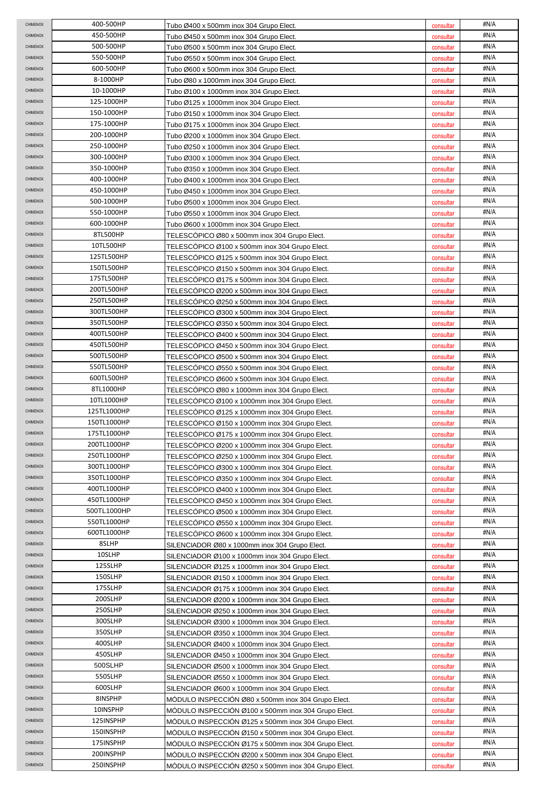| <b>CHIMENOX</b>      | 400-500HP                  | Tubo Ø400 x 500mm inox 304 Grupo Elect.                                                            | consultar              | #N/A         |
|----------------------|----------------------------|----------------------------------------------------------------------------------------------------|------------------------|--------------|
| CHIMENOX             | 450-500HP                  | Tubo Ø450 x 500mm inox 304 Grupo Elect.                                                            | consultar              | #N/A         |
| CHIMENOX             | 500-500HP                  | Tubo Ø500 x 500mm inox 304 Grupo Elect.                                                            | consultar              | #N/A         |
| CHIMENOX             | 550-500HP                  | Tubo Ø550 x 500mm inox 304 Grupo Elect.                                                            | consultar              | #N/A         |
| CHIMENOX             | 600-500HP                  | Tubo Ø600 x 500mm inox 304 Grupo Elect.                                                            | consultar              | #N/A         |
| CHIMENOX             | 8-1000HP                   | Tubo Ø80 x 1000mm inox 304 Grupo Elect.                                                            | consultar              | #N/A         |
| CHIMENOX             | 10-1000HP                  | Tubo Ø100 x 1000mm inox 304 Grupo Elect.                                                           | consultar              | #N/A         |
| CHIMENOX             | 125-1000HP                 | Tubo Ø125 x 1000mm inox 304 Grupo Elect.                                                           | consultar              | #N/A         |
| CHIMENOX             | 150-1000HP                 | Tubo Ø150 x 1000mm inox 304 Grupo Elect.                                                           | consultar              | #N/A         |
| CHIMENOX             | 175-1000HP                 | Tubo Ø175 x 1000mm inox 304 Grupo Elect.                                                           | consultar              | #N/A         |
| CHIMENOX             | 200-1000HP                 | Tubo Ø200 x 1000mm inox 304 Grupo Elect.                                                           | consultar              | #N/A         |
| CHIMENOX             | 250-1000HP                 | Tubo Ø250 x 1000mm inox 304 Grupo Elect.                                                           | consultar              | #N/A         |
| CHIMENOX             | 300-1000HP                 | Tubo Ø300 x 1000mm inox 304 Grupo Elect.                                                           | consultar              | #N/A         |
| CHIMENOX             | 350-1000HP                 | Tubo Ø350 x 1000mm inox 304 Grupo Elect.                                                           | consultar              | #N/A         |
| CHIMENOX             | 400-1000HP                 | Tubo Ø400 x 1000mm inox 304 Grupo Elect.                                                           | consultar              | #N/A         |
| CHIMENOX             | 450-1000HP                 | Tubo Ø450 x 1000mm inox 304 Grupo Elect.                                                           | consultar              | #N/A         |
| <b>CHIMENOX</b>      | 500-1000HP                 | Tubo Ø500 x 1000mm inox 304 Grupo Elect.                                                           | consultar              | #N/A         |
| CHIMENOX             | 550-1000HP                 | Tubo Ø550 x 1000mm inox 304 Grupo Elect.                                                           | consultar              | #N/A         |
| CHIMENOX             | 600-1000HP                 | Tubo Ø600 x 1000mm inox 304 Grupo Elect.                                                           | consultar              | #N/A         |
| CHIMENOX             | 8TL500HP                   | TELESCÓPICO Ø80 x 500mm inox 304 Grupo Elect.                                                      | consultar              | #N/A         |
| CHIMENOX             | 10TL500HP                  | TELESCOPICO Ø100 x 500mm inox 304 Grupo Elect.                                                     | consultar              | #N/A         |
| CHIMENOX             | 125TL500HP                 | TELESCÓPICO Ø125 x 500mm inox 304 Grupo Elect.                                                     | consultar              | #N/A         |
| <b>CHIMENOX</b>      | 150TL500HP                 | TELESCÓPICO Ø150 x 500mm inox 304 Grupo Elect.                                                     | consultar              | #N/A         |
| CHIMENOX             | 175TL500HP                 | TELESCOPICO Ø175 x 500mm inox 304 Grupo Elect.                                                     | consultar              | #N/A         |
| CHIMENOX             | 200TL500HP                 | TELESCOPICO Ø200 x 500mm inox 304 Grupo Elect.                                                     | consultar              | #N/A         |
| <b>CHIMENOX</b>      | 250TL500HP                 | TELESCOPICO Ø250 x 500mm inox 304 Grupo Elect.                                                     | consultar              | #N/A         |
| <b>CHIMENOX</b>      | 300TL500HP                 | TELESCOPICO Ø300 x 500mm inox 304 Grupo Elect.                                                     | consultar              | #N/A         |
| CHIMENOX             | 350TL500HP                 | TELESCOPICO Ø350 x 500mm inox 304 Grupo Elect.                                                     | consultar              | #N/A         |
| CHIMENOX             | 400TL500HP                 | TELESCOPICO Ø400 x 500mm inox 304 Grupo Elect.                                                     | consultar              | #N/A         |
| CHIMENOX             | 450TL500HP                 | TELESCOPICO Ø450 x 500mm inox 304 Grupo Elect.                                                     | consultar              | #N/A         |
| CHIMENOX             | 500TL500HP                 | TELESCOPICO Ø500 x 500mm inox 304 Grupo Elect.                                                     | consultar              | #N/A         |
| CHIMENOX             | 550TL500HP                 | TELESCOPICO Ø550 x 500mm inox 304 Grupo Elect.                                                     | consultar              | #N/A         |
| CHIMENOX             | 600TL500HP                 | TELESCOPICO Ø600 x 500mm inox 304 Grupo Elect.                                                     | consultar              | #N/A<br>#N/A |
| CHIMENOX             | 8TL1000HP                  | TELESCOPICO Ø80 x 1000mm inox 304 Grupo Elect.                                                     | consultar              |              |
| CHIMENOX             | 10TL1000HP                 | TELESCOPICO Ø100 x 1000mm inox 304 Grupo Elect.                                                    | consultar              | #N/A<br>#N/A |
| CHIMENOX             | 125TL1000HP                | TELESCOPICO Ø125 x 1000mm inox 304 Grupo Elect.                                                    | consultar              |              |
|                      |                            |                                                                                                    |                        |              |
| CHIMENOX             | 150TL1000HP                | TELESCOPICO Ø150 x 1000mm inox 304 Grupo Elect.                                                    | consultar              | #N/A         |
| CHIMENOX             | 175TL1000HP                | TELESCOPICO Ø175 x 1000mm inox 304 Grupo Elect.                                                    | consultar              | #N/A         |
| CHIMENOX             | 200TL1000HP                | TELESCÓPICO Ø200 x 1000mm inox 304 Grupo Elect.                                                    | consultar              | #N/A         |
| CHIMENOX             | 250TL1000HP                | TELESCÓPICO Ø250 x 1000mm inox 304 Grupo Elect.                                                    | consultar              | #N/A         |
| CHIMENOX             | 300TL1000HP                | TELESCÓPICO Ø300 x 1000mm inox 304 Grupo Elect.                                                    | consultar              | #N/A         |
| CHIMENOX             | 350TL1000HP                | TELESCÓPICO Ø350 x 1000mm inox 304 Grupo Elect.                                                    | consultar              | #N/A         |
| CHIMENOX<br>CHIMENOX | 400TL1000HP                | TELESCOPICO Ø400 x 1000mm inox 304 Grupo Elect.                                                    | consultar              | #N/A         |
| CHIMENOX             | 450TL1000HP<br>500TL1000HP | TELESCOPICO Ø450 x 1000mm inox 304 Grupo Elect.                                                    | consultar              | #N/A<br>#N/A |
| CHIMENOX             |                            | TELESCÓPICO Ø500 x 1000mm inox 304 Grupo Elect.                                                    | consultar              |              |
| CHIMENOX             | 550TL1000HP<br>600TL1000HP | TELESCÓPICO Ø550 x 1000mm inox 304 Grupo Elect.                                                    | consultar              | #N/A<br>#N/A |
| CHIMENOX             | 8SLHP                      | TELESCÓPICO Ø600 x 1000mm inox 304 Grupo Elect.                                                    | consultar              | #N/A         |
| <b>CHIMENOX</b>      | 10SLHP                     | SILENCIADOR Ø80 x 1000mm inox 304 Grupo Elect.                                                     | consultar              | #N/A         |
| <b>CHIMENOX</b>      | 125SLHP                    | SILENCIADOR Ø100 x 1000mm inox 304 Grupo Elect.<br>SILENCIADOR Ø125 x 1000mm inox 304 Grupo Elect. | consultar<br>consultar | #N/A         |
| <b>CHIMENOX</b>      | 150SLHP                    | SILENCIADOR Ø150 x 1000mm inox 304 Grupo Elect.                                                    | consultar              | #N/A         |
| <b>CHIMENOX</b>      | 175SLHP                    | SILENCIADOR Ø175 x 1000mm inox 304 Grupo Elect.                                                    | consultar              | #N/A         |
| CHIMENOX             | 200SLHP                    | SILENCIADOR Ø200 x 1000mm inox 304 Grupo Elect.                                                    | consultar              | #N/A         |
| CHIMENOX             | 250SLHP                    |                                                                                                    | consultar              | #N/A         |
| CHIMENOX             | 300SLHP                    | SILENCIADOR Ø250 x 1000mm inox 304 Grupo Elect.<br>SILENCIADOR Ø300 x 1000mm inox 304 Grupo Elect. | consultar              | #N/A         |
| CHIMENOX             | 350SLHP                    | SILENCIADOR Ø350 x 1000mm inox 304 Grupo Elect.                                                    | consultar              | #N/A         |
| CHIMENOX             | 400SLHP                    | SILENCIADOR Ø400 x 1000mm inox 304 Grupo Elect.                                                    | consultar              | #N/A         |
| <b>CHIMENOX</b>      | 450SLHP                    | SILENCIADOR Ø450 x 1000mm inox 304 Grupo Elect.                                                    | consultar              | #N/A         |
| <b>CHIMENOX</b>      | 500SLHP                    | SILENCIADOR Ø500 x 1000mm inox 304 Grupo Elect.                                                    | consultar              | #N/A         |
| CHIMENOX             | 550SLHP                    | SILENCIADOR Ø550 x 1000mm inox 304 Grupo Elect.                                                    | consultar              | #N/A         |
| CHIMENOX             | 600SLHP                    | SILENCIADOR Ø600 x 1000mm inox 304 Grupo Elect.                                                    | consultar              | #N/A         |
| <b>CHIMENOX</b>      | 8INSPHP                    | MÓDULO INSPECCIÓN Ø80 x 500mm inox 304 Grupo Elect.                                                | consultar              | #N/A         |
| CHIMENOX             | 10INSPHP                   | MODULO INSPECCION Ø100 x 500mm inox 304 Grupo Elect.                                               | consultar              | #N/A         |
| CHIMENOX             | 125INSPHP                  | MODULO INSPECCIÓN Ø125 x 500mm inox 304 Grupo Elect.                                               | consultar              | #N/A         |
| CHIMENOX             | 150INSPHP                  | MODULO INSPECCIÓN Ø150 x 500mm inox 304 Grupo Elect.                                               | consultar              | #N/A         |
| CHIMENOX             | 175INSPHP                  | MÓDULO INSPECCIÓN Ø175 x 500mm inox 304 Grupo Elect.                                               | consultar              | #N/A         |
| CHIMENOX             | 200INSPHP                  | MÓDULO INSPECCIÓN Ø200 x 500mm inox 304 Grupo Elect.                                               | consultar              | #N/A         |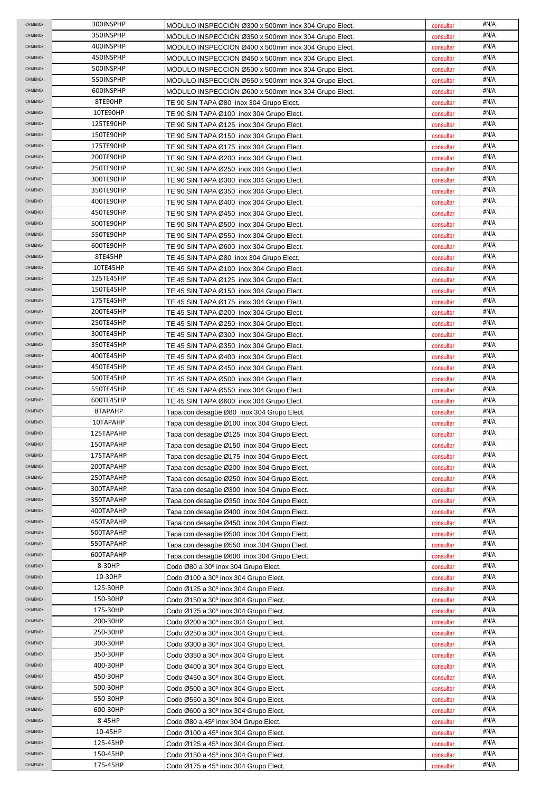| <b>CHIMENOX</b>             | 300INSPHP              | MODULO INSPECCIÓN Ø300 x 500mm inox 304 Grupo Elect.                                       | consultar              | #N/A         |
|-----------------------------|------------------------|--------------------------------------------------------------------------------------------|------------------------|--------------|
| CHIMENOX                    | 350INSPHP              | MÓDULO INSPECCIÓN Ø350 x 500mm inox 304 Grupo Elect.                                       | consultar              | #N/A         |
| CHIMENOX                    | 400INSPHP              | MÓDULO INSPECCIÓN Ø400 x 500mm inox 304 Grupo Elect.                                       | consultar              | #N/A         |
| CHIMENOX                    | 450INSPHP              | MÓDULO INSPECCIÓN Ø450 x 500mm inox 304 Grupo Elect.                                       | consultar              | #N/A         |
| CHIMENOX                    | 500INSPHP              | MODULO INSPECCION Ø500 x 500mm inox 304 Grupo Elect.                                       | consultar              | #N/A         |
| <b>CHIMENOX</b>             | 550INSPHP              | MODULO INSPECCION Ø550 x 500mm inox 304 Grupo Elect.                                       | consultar              | #N/A         |
| CHIMENOX                    | 600INSPHP              | MODULO INSPECCION Ø600 x 500mm inox 304 Grupo Elect.                                       | consultar              | #N/A         |
| CHIMENOX                    | 8TE90HP                | TE 90 SIN TAPA Ø80 inox 304 Grupo Elect.                                                   | consultar              | #N/A         |
| CHIMENOX                    | 10TE90HP               | TE 90 SIN TAPA Ø100 inox 304 Grupo Elect.                                                  | consultar              | #N/A         |
| <b>CHIMENOX</b>             | 125TE90HP              | TE 90 SIN TAPA Ø125 inox 304 Grupo Elect.                                                  | consultar              | #N/A         |
| CHIMENOX                    | 150TE90HP              | TE 90 SIN TAPA Ø150 inox 304 Grupo Elect.                                                  | consultar              | #N/A         |
| CHIMENOX                    | 175TE90HP              | TE 90 SIN TAPA Ø175 inox 304 Grupo Elect.                                                  | consultar              | #N/A         |
| CHIMENOX                    | 200TE90HP              | TE 90 SIN TAPA Ø200 inox 304 Grupo Elect.                                                  | consultar              | #N/A         |
| <b>CHIMENOX</b>             | 250TE90HP              | TE 90 SIN TAPA Ø250 inox 304 Grupo Elect.                                                  | consultar              | #N/A         |
| CHIMENOX                    | 300TE90HP              | TE 90 SIN TAPA Ø300 inox 304 Grupo Elect.                                                  | consultar              | #N/A         |
| <b>CHIMENOX</b>             | 350TE90HP              | TE 90 SIN TAPA Ø350 inox 304 Grupo Elect.                                                  | consultar              | #N/A         |
| <b>CHIMENOX</b>             | 400TE90HP              | TE 90 SIN TAPA Ø400 inox 304 Grupo Elect.                                                  | consultar              | #N/A         |
| CHIMENOX                    | 450TE90HP              | TE 90 SIN TAPA Ø450 inox 304 Grupo Elect.                                                  | consultar              | #N/A         |
| CHIMENOX                    | 500TE90HP              | TE 90 SIN TAPA Ø500 inox 304 Grupo Elect.                                                  | consultar              | #N/A         |
| CHIMENOX                    | 550TE90HP              | TE 90 SIN TAPA Ø550 inox 304 Grupo Elect.                                                  | consultar              | #N/A         |
| CHIMENOX                    | 600TE90HP              | TE 90 SIN TAPA Ø600 inox 304 Grupo Elect.                                                  | consultar              | #N/A         |
| CHIMENOX                    | 8TE45HP                | TE 45 SIN TAPA Ø80 inox 304 Grupo Elect.                                                   | consultar              | #N/A         |
| <b>CHIMENOX</b>             | 10TE45HP               | TE 45 SIN TAPA Ø100 inox 304 Grupo Elect.                                                  | consultar              | #N/A         |
| <b>CHIMENOX</b>             | 125TE45HP              | TE 45 SIN TAPA Ø125 inox 304 Grupo Elect.                                                  | consultar              | #N/A         |
| <b>CHIMENOX</b>             | 150TE45HP              | TE 45 SIN TAPA Ø150 inox 304 Grupo Elect.                                                  | consultar              | #N/A         |
| <b>CHIMENOX</b>             | 175TE45HP              | TE 45 SIN TAPA Ø175  inox 304 Grupo Elect.                                                 | consultar              | #N/A         |
| <b>CHIMENOX</b>             | 200TE45HP              | TE 45 SIN TAPA Ø200 inox 304 Grupo Elect.                                                  | consultar              | #N/A         |
| CHIMENOX                    | 250TE45HP              | TE 45 SIN TAPA Ø250 inox 304 Grupo Elect.                                                  | consultar              | #N/A         |
| CHIMENOX                    | 300TE45HP              | TE 45 SIN TAPA Ø300 inox 304 Grupo Elect.                                                  | consultar              | #N/A         |
| CHIMENOX                    | 350TE45HP              | TE 45 SIN TAPA Ø350 inox 304 Grupo Elect.                                                  | consultar              | #N/A         |
| <b>CHIMENOX</b>             | 400TE45HP              | TE 45 SIN TAPA Ø400 inox 304 Grupo Elect.                                                  | consultar              | #N/A         |
| <b>CHIMENOX</b>             | 450TE45HP              | TE 45 SIN TAPA Ø450 inox 304 Grupo Elect.                                                  | consultar              | #N/A         |
| <b>CHIMENOX</b>             | 500TE45HP              | TE 45 SIN TAPA Ø500 inox 304 Grupo Elect.                                                  | consultar              | #N/A         |
| CHIMENOX                    | 550TE45HP              | TE 45 SIN TAPA Ø550 inox 304 Grupo Elect.                                                  | consultar              | #N/A         |
| CHIMENOX                    | 600TE45HP              | TE 45 SIN TAPA Ø600 inox 304 Grupo Elect.                                                  | consultar              | #N/A         |
| <b>CHIMENOX</b>             | 8TAPAHP                | Tapa con desagüe Ø80 inox 304 Grupo Elect.                                                 | consultar              | #N/A         |
| CHIMENOX                    | 10TAPAHP               | Tapa con desagüe Ø100 inox 304 Grupo Elect.                                                | consultar              | #N/A         |
| <b>CHIMENOX</b>             | 125TAPAHP              | Tapa con desagüe Ø125 inox 304 Grupo Elect.                                                | consultar              | #N/A         |
| CHIMENOX                    |                        | Tapa con desagüe Ø150 inox 304 Grupo Elect.                                                | consultar              | #N/A         |
|                             | 150TAPAHP              |                                                                                            |                        |              |
| CHIMENOX                    | 175TAPAHP              | Tapa con desagüe Ø175 inox 304 Grupo Elect.                                                | consultar              | #N/A         |
| CHIMENOX                    | 200TAPAHP              | Tapa con desagüe Ø200 inox 304 Grupo Elect.                                                | consultar              | #N/A         |
| CHIMENOX                    | 250TAPAHP              | Tapa con desagüe Ø250 inox 304 Grupo Elect.                                                | consultar              | #N/A         |
| CHIMENOX                    | 300TAPAHP              | Tapa con desagüe Ø300 inox 304 Grupo Elect.                                                | consultar              | #N/A         |
| CHIMENOX<br><b>CHIMENOX</b> | 350TAPAHP              | Tapa con desagüe Ø350 inox 304 Grupo Elect.                                                | consultar              | #N/A         |
| CHIMENOX                    | 400TAPAHP              | Tapa con desagüe Ø400 inox 304 Grupo Elect.                                                | consultar              | #N/A         |
| CHIMENOX                    | 450TAPAHP              | Tapa con desagüe Ø450 inox 304 Grupo Elect.                                                | consultar              | #N/A<br>#N/A |
| CHIMENOX                    | 500TAPAHP<br>550TAPAHP | Tapa con desagüe Ø500 inox 304 Grupo Elect.<br>Tapa con desagüe Ø550 inox 304 Grupo Elect. | consultar<br>consultar | #N/A         |
| <b>CHIMENOX</b>             | 600TAPAHP              |                                                                                            |                        | #N/A         |
| CHIMENOX                    | 8-30HP                 | Tapa con desagüe Ø600 inox 304 Grupo Elect.<br>Codo Ø80 a 30° inox 304 Grupo Elect.        | consultar<br>consultar | #N/A         |
| CHIMENOX                    | 10-30HP                |                                                                                            |                        | #N/A         |
| <b>CHIMENOX</b>             | 125-30HP               | Codo Ø100 a 30º inox 304 Grupo Elect.<br>Codo Ø125 a 30º inox 304 Grupo Elect.             | consultar<br>consultar | #N/A         |
| CHIMENOX                    | 150-30HP               | Codo Ø150 a 30º inox 304 Grupo Elect.                                                      | consultar              | #N/A         |
| CHIMENOX                    | 175-30HP               | Codo Ø175 a 30º inox 304 Grupo Elect.                                                      | consultar              | #N/A         |
| CHIMENOX                    | 200-30HP               | Codo Ø200 a 30º inox 304 Grupo Elect.                                                      | consultar              | #N/A         |
| CHIMENOX                    | 250-30HP               | Codo Ø250 a 30° inox 304 Grupo Elect.                                                      | consultar              | #N/A         |
| CHIMENOX                    | 300-30HP               | Codo Ø300 a 30º inox 304 Grupo Elect.                                                      | consultar              | #N/A         |
| <b>CHIMENOX</b>             | 350-30HP               | Codo Ø350 a 30º inox 304 Grupo Elect.                                                      | consultar              | #N/A         |
| <b>CHIMENOX</b>             | 400-30HP               | Codo Ø400 a 30º inox 304 Grupo Elect.                                                      | consultar              | #N/A         |
| CHIMENOX                    | 450-30HP               | Codo Ø450 a 30° inox 304 Grupo Elect.                                                      | consultar              | #N/A         |
| CHIMENOX                    | 500-30HP               | Codo Ø500 a 30° inox 304 Grupo Elect.                                                      | consultar              | #N/A         |
| CHIMENOX                    | 550-30HP               | Codo Ø550 a 30° inox 304 Grupo Elect.                                                      | consultar              | #N/A         |
| CHIMENOX                    | 600-30HP               | Codo $\emptyset$ 600 a 30 $^{\circ}$ inox 304 Grupo Elect.                                 | consultar              | #N/A         |
| CHIMENOX                    | 8-45HP                 | Codo Ø80 a 45° inox 304 Grupo Elect.                                                       | consultar              | #N/A         |
| CHIMENOX                    | 10-45HP                | Codo Ø100 a 45° inox 304 Grupo Elect.                                                      | consultar              | #N/A         |
| CHIMENOX                    | 125-45HP               | Codo Ø125 a 45° inox 304 Grupo Elect.                                                      | consultar              | #N/A         |
| CHIMENOX<br>CHIMENOX        | 150-45HP<br>175-45HP   | Codo Ø150 a 45° inox 304 Grupo Elect.<br>Codo Ø175 a 45° inox 304 Grupo Elect.             | consultar<br>consultar | #N/A<br>#N/A |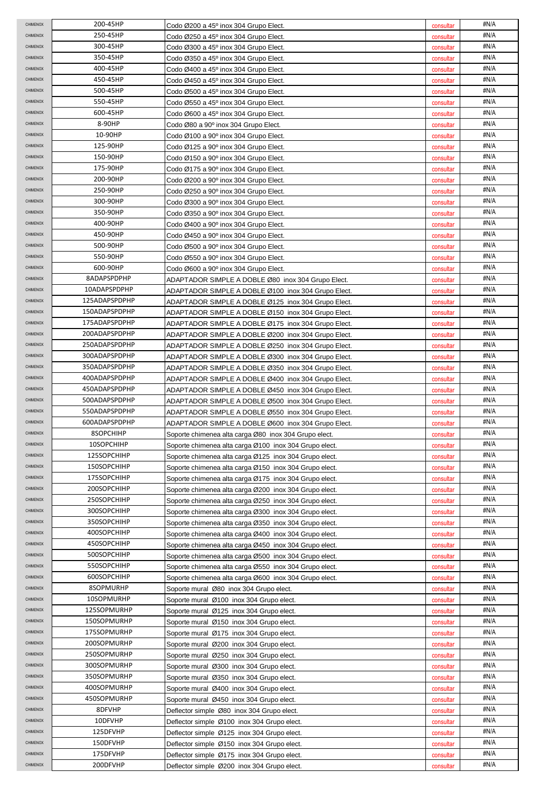| <b>CHIMENOX</b>             | 200-45HP                   | Codo Ø200 a 45° inox 304 Grupo Elect.                                                                            | consultar              | #N/A         |
|-----------------------------|----------------------------|------------------------------------------------------------------------------------------------------------------|------------------------|--------------|
| CHIMENOX                    | 250-45HP                   | Codo Ø250 a 45° inox 304 Grupo Elect.                                                                            | consultar              | #N/A         |
| CHIMENOX                    | 300-45HP                   | Codo Ø300 a 45 $^{\circ}$ inox 304 Grupo Elect.                                                                  | consultar              | #N/A         |
| CHIMENOX                    | 350-45HP                   | Codo Ø350 a 45° inox 304 Grupo Elect.                                                                            | consultar              | #N/A         |
| <b>CHIMENOX</b>             | 400-45HP                   | Codo Ø400 a 45° inox 304 Grupo Elect.                                                                            | consultar              | #N/A         |
| <b>CHIMENOX</b>             | 450-45HP                   | Codo Ø450 a 45° inox 304 Grupo Elect.                                                                            | consultar              | #N/A         |
| <b>CHIMENOX</b>             | 500-45HP                   | Codo Ø500 a 45° inox 304 Grupo Elect.                                                                            | consultar              | #N/A         |
| CHIMENOX                    | 550-45HP                   | Codo Ø550 a 45° inox 304 Grupo Elect.                                                                            | consultar              | #N/A         |
| CHIMENOX                    | 600-45HP                   | Codo Ø600 a 45° inox 304 Grupo Elect.                                                                            | consultar              | #N/A         |
| CHIMENOX                    | 8-90HP                     | Codo Ø80 a 90° inox 304 Grupo Elect.                                                                             | consultar              | #N/A         |
| CHIMENOX                    | 10-90HP                    | Codo Ø100 a 90° inox 304 Grupo Elect.                                                                            | consultar              | #N/A         |
| CHIMENOX                    | 125-90HP                   | Codo Ø125 a 90° inox 304 Grupo Elect.                                                                            | consultar              | #N/A         |
| <b>CHIMENOX</b>             | 150-90HP                   | Codo Ø150 a 90° inox 304 Grupo Elect.                                                                            | consultar              | #N/A         |
| <b>CHIMENOX</b>             | 175-90HP                   | Codo Ø175 a 90° inox 304 Grupo Elect.                                                                            | consultar              | #N/A         |
| CHIMENOX                    | 200-90HP                   | Codo Ø200 a 90° inox 304 Grupo Elect.                                                                            | consultar              | #N/A         |
| CHIMENOX                    | 250-90HP                   | Codo Ø250 a 90° inox 304 Grupo Elect.                                                                            | consultar              | #N/A         |
| <b>CHIMENOX</b>             | 300-90HP                   | Codo Ø300 a 90° inox 304 Grupo Elect.                                                                            | consultar              | #N/A         |
| CHIMENOX                    | 350-90HP                   | Codo Ø350 a 90° inox 304 Grupo Elect.                                                                            | consultar              | #N/A         |
| <b>CHIMENOX</b>             | 400-90HP                   | Codo Ø400 a 90° inox 304 Grupo Elect.                                                                            | consultar              | #N/A         |
| <b>CHIMENOX</b>             | 450-90HP                   | Codo Ø450 a 90° inox 304 Grupo Elect.                                                                            | consultar              | #N/A         |
| CHIMENOX                    | 500-90HP                   | Codo Ø500 a 90° inox 304 Grupo Elect.                                                                            | consultar              | #N/A         |
| CHIMENOX                    | 550-90HP                   | Codo Ø550 a 90° inox 304 Grupo Elect.                                                                            | consultar              | #N/A         |
| <b>CHIMENOX</b>             | 600-90HP                   | Codo Ø600 a 90° inox 304 Grupo Elect.                                                                            | consultar              | #N/A         |
| <b>CHIMENOX</b>             | 8ADAPSPDPHP                | ADAPTADOR SIMPLE A DOBLE Ø80 inox 304 Grupo Elect.                                                               | consultar              | #N/A         |
| <b>CHIMENOX</b>             | 10ADAPSPDPHP               | ADAPTADOR SIMPLE A DOBLE Ø100 inox 304 Grupo Elect.                                                              | consultar              | #N/A         |
| <b>CHIMENOX</b>             | 125ADAPSPDPHP              | ADAPTADOR SIMPLE A DOBLE Ø125  inox 304 Grupo Elect.                                                             | consultar              | #N/A         |
| <b>CHIMENOX</b>             | 150ADAPSPDPHP              | ADAPTADOR SIMPLE A DOBLE Ø150 inox 304 Grupo Elect.                                                              | consultar              | #N/A         |
| CHIMENOX                    | 175ADAPSPDPHP              | ADAPTADOR SIMPLE A DOBLE Ø175 inox 304 Grupo Elect.                                                              | consultar              | #N/A         |
| CHIMENOX                    | 200ADAPSPDPHP              | ADAPTADOR SIMPLE A DOBLE Ø200 inox 304 Grupo Elect.                                                              | consultar              | #N/A         |
| CHIMENOX                    | 250ADAPSPDPHP              | ADAPTADOR SIMPLE A DOBLE Ø250 inox 304 Grupo Elect.                                                              | consultar              | #N/A         |
| <b>CHIMENOX</b>             | 300ADAPSPDPHP              | ADAPTADOR SIMPLE A DOBLE Ø300 inox 304 Grupo Elect.                                                              | consultar              | #N/A         |
| <b>CHIMENOX</b>             | 350ADAPSPDPHP              | ADAPTADOR SIMPLE A DOBLE Ø350 inox 304 Grupo Elect.                                                              | consultar              | #N/A         |
| <b>CHIMENOX</b>             | 400ADAPSPDPHP              | ADAPTADOR SIMPLE A DOBLE Ø400 inox 304 Grupo Elect.                                                              | consultar              | #N/A         |
| CHIMENOX                    | 450ADAPSPDPHP              | ADAPTADOR SIMPLE A DOBLE Ø450 inox 304 Grupo Elect.                                                              | consultar              | #N/A         |
|                             | 500ADAPSPDPHP              | ADAPTADOR SIMPLE A DOBLE Ø500 inox 304 Grupo Elect.                                                              | consultar              | #N/A         |
| CHIMENOX                    |                            |                                                                                                                  |                        |              |
| CHIMENOX                    | 550ADAPSPDPHP              | ADAPTADOR SIMPLE A DOBLE Ø550 inox 304 Grupo Elect.                                                              | consultar              | #N/A         |
| <b>CHIMENOX</b>             | 600ADAPSPDPHP              | ADAPTADOR SIMPLE A DOBLE Ø600 inox 304 Grupo Elect.                                                              | consultar              | #N/A         |
| <b>CHIMENOX</b>             | 8SOPCHIHP                  | Soporte chimenea alta carga Ø80 inox 304 Grupo elect.                                                            | consultar              | #N/A         |
| CHIMENOX                    | 10SOPCHIHP                 | Soporte chimenea alta carga Ø100 inox 304 Grupo elect.                                                           | consultar              | #N/A         |
| CHIMENOX                    | 125SOPCHIHP                | Soporte chimenea alta carga Ø125 inox 304 Grupo elect.                                                           | consultar              | #N/A         |
| CHIMENOX                    | 150SOPCHIHP                | Soporte chimenea alta carga Ø150 inox 304 Grupo elect.                                                           | consultar              | #N/A         |
| CHIMENOX                    | 175SOPCHIHP                | Soporte chimenea alta carga Ø175 inox 304 Grupo elect.                                                           | consultar              | #N/A         |
| CHIMENOX                    | 200SOPCHIHP                | Soporte chimenea alta carga Ø200 inox 304 Grupo elect.                                                           | consultar              | #N/A         |
| CHIMENOX<br><b>CHIMENOX</b> | 250SOPCHIHP<br>300SOPCHIHP | Soporte chimenea alta carga Ø250 inox 304 Grupo elect.                                                           | consultar              | #N/A<br>#N/A |
| <b>CHIMENOX</b>             |                            | Soporte chimenea alta carga Ø300 inox 304 Grupo elect.                                                           | consultar              |              |
| CHIMENOX                    | 350SOPCHIHP<br>400SOPCHIHP | Soporte chimenea alta carga Ø350 inox 304 Grupo elect.                                                           | consultar              | #N/A<br>#N/A |
| CHIMENOX                    | 450SOPCHIHP                | Soporte chimenea alta carga Ø400 inox 304 Grupo elect.<br>Soporte chimenea alta carga Ø450 inox 304 Grupo elect. | consultar<br>consultar | #N/A         |
| <b>CHIMENOX</b>             | 500SOPCHIHP                | Soporte chimenea alta carga Ø500 inox 304 Grupo elect.                                                           | consultar              | #N/A         |
| CHIMENOX                    | 550SOPCHIHP                | Soporte chimenea alta carga Ø550 inox 304 Grupo elect.                                                           | consultar              | #N/A         |
| <b>CHIMENOX</b>             | 600SOPCHIHP                | Soporte chimenea alta carga Ø600 inox 304 Grupo elect.                                                           | consultar              | #N/A         |
| <b>CHIMENOX</b>             | 8SOPMURHP                  | Soporte mural Ø80 inox 304 Grupo elect.                                                                          | consultar              | #N/A         |
| CHIMENOX                    | 10SOPMURHP                 | Soporte mural Ø100 inox 304 Grupo elect.                                                                         | consultar              | #N/A         |
| CHIMENOX                    | 125SOPMURHP                | Soporte mural Ø125 inox 304 Grupo elect.                                                                         | consultar              | #N/A         |
| CHIMENOX                    | 150SOPMURHP                | Soporte mural Ø150 inox 304 Grupo elect.                                                                         | consultar              | #N/A         |
| CHIMENOX                    | 175SOPMURHP                | Soporte mural Ø175 inox 304 Grupo elect.                                                                         | consultar              | #N/A         |
| CHIMENOX                    | 200SOPMURHP                | Soporte mural Ø200 inox 304 Grupo elect.                                                                         | consultar              | #N/A         |
| <b>CHIMENOX</b>             | 250SOPMURHP                | Soporte mural Ø250 inox 304 Grupo elect.                                                                         | consultar              | #N/A         |
| CHIMENOX                    | 300SOPMURHP                | Soporte mural Ø300 inox 304 Grupo elect.                                                                         | consultar              | #N/A         |
| CHIMENOX                    | 350SOPMURHP                | Soporte mural Ø350 inox 304 Grupo elect.                                                                         | consultar              | #N/A         |
| CHIMENOX                    | 400SOPMURHP                | Soporte mural Ø400 inox 304 Grupo elect.                                                                         | consultar              | #N/A         |
| CHIMENOX                    | 450SOPMURHP                | Soporte mural Ø450 inox 304 Grupo elect.                                                                         | consultar              | #N/A         |
| CHIMENOX                    | 8DFVHP                     | Deflector simple Ø80 inox 304 Grupo elect.                                                                       | consultar              | #N/A         |
| CHIMENOX                    | 10DFVHP                    | Deflector simple Ø100 inox 304 Grupo elect.                                                                      | consultar              | #N/A         |
| <b>CHIMENOX</b>             | 125DFVHP                   | Deflector simple Ø125 inox 304 Grupo elect.                                                                      | consultar              | #N/A         |
| CHIMENOX                    | 150DFVHP                   | Deflector simple Ø150 inox 304 Grupo elect.                                                                      | consultar              | #N/A         |
| CHIMENOX<br>CHIMENOX        | 175DFVHP<br>200DFVHP       | Deflector simple Ø175 inox 304 Grupo elect.<br>Deflector simple Ø200 inox 304 Grupo elect.                       | consultar              | #N/A<br>#N/A |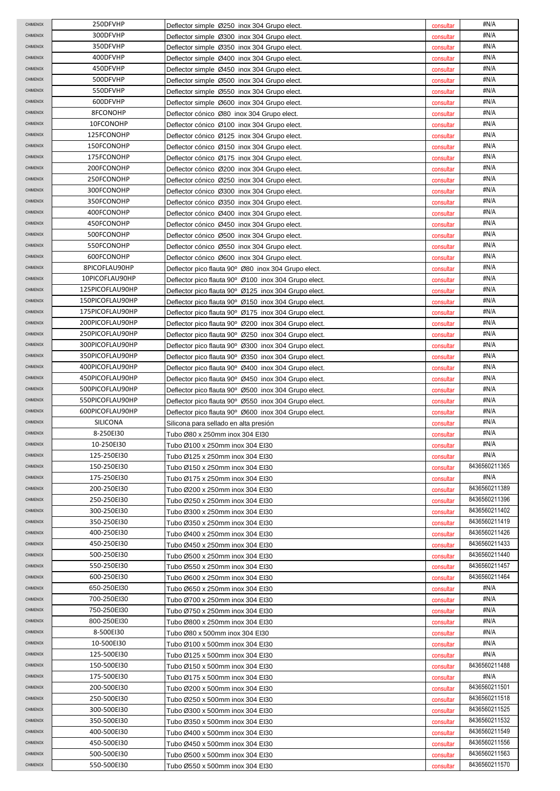| <b>CHIMENOX</b> | 250DFVHP        | Deflector simple Ø250 inox 304 Grupo elect.          | consultar | #N/A          |
|-----------------|-----------------|------------------------------------------------------|-----------|---------------|
| CHIMENOX        | 300DFVHP        | Deflector simple Ø300 inox 304 Grupo elect.          | consultar | #N/A          |
| CHIMENOX        | 350DFVHP        | Deflector simple Ø350 inox 304 Grupo elect.          | consultar | #N/A          |
| CHIMENOX        | 400DFVHP        | Deflector simple Ø400 inox 304 Grupo elect.          | consultar | #N/A          |
| CHIMENOX        | 450DFVHP        | Deflector simple Ø450 inox 304 Grupo elect.          | consultar | #N/A          |
| CHIMENOX        | 500DFVHP        | Deflector simple Ø500 inox 304 Grupo elect.          | consultar | #N/A          |
| CHIMENOX        | 550DFVHP        | Deflector simple Ø550 inox 304 Grupo elect.          | consultar | #N/A          |
| CHIMENOX        | 600DFVHP        | Deflector simple Ø600 inox 304 Grupo elect.          | consultar | #N/A          |
| CHIMENOX        | 8FCONOHP        | Deflector cónico Ø80 inox 304 Grupo elect.           | consultar | #N/A          |
| CHIMENOX        | 10FCONOHP       | Deflector cónico Ø100 inox 304 Grupo elect.          | consultar | #N/A          |
| CHIMENOX        | 125FCONOHP      | Deflector cónico Ø125 inox 304 Grupo elect.          | consultar | #N/A          |
| CHIMENOX        | 150FCONOHP      | Deflector cónico Ø150 inox 304 Grupo elect.          | consultar | #N/A          |
| CHIMENOX        | 175FCONOHP      | Deflector cónico Ø175 inox 304 Grupo elect.          | consultar | #N/A          |
| CHIMENOX        | 200FCONOHP      | Deflector cónico Ø200 inox 304 Grupo elect.          | consultar | #N/A          |
| CHIMENOX        | 250FCONOHP      | Deflector cónico Ø250 inox 304 Grupo elect.          | consultar | #N/A          |
| CHIMENOX        | 300FCONOHP      | Deflector cónico Ø300 inox 304 Grupo elect.          | consultar | #N/A          |
| CHIMENOX        | 350FCONOHP      | Deflector cónico Ø350 inox 304 Grupo elect.          | consultar | #N/A          |
| CHIMENOX        | 400FCONOHP      | Deflector cónico Ø400 inox 304 Grupo elect.          | consultar | #N/A          |
| CHIMENOX        | 450FCONOHP      | Deflector cónico Ø450 inox 304 Grupo elect.          | consultar | #N/A          |
| CHIMENOX        | 500FCONOHP      | Deflector cónico Ø500 inox 304 Grupo elect.          | consultar | #N/A          |
| CHIMENOX        | 550FCONOHP      | Deflector cónico Ø550 inox 304 Grupo elect.          | consultar | #N/A          |
| CHIMENOX        | 600FCONOHP      | Deflector cónico Ø600 inox 304 Grupo elect.          | consultar | #N/A          |
| <b>CHIMENOX</b> | 8PICOFLAU90HP   | Deflector pico flauta 90° Ø80 inox 304 Grupo elect.  | consultar | #N/A          |
| CHIMENOX        | 10PICOFLAU90HP  | Deflector pico flauta 90° Ø100 inox 304 Grupo elect. | consultar | #N/A          |
| CHIMENOX        | 125PICOFLAU90HP | Deflector pico flauta 90° Ø125 inox 304 Grupo elect. | consultar | #N/A          |
| <b>CHIMENOX</b> | 150PICOFLAU90HP | Deflector pico flauta 90° Ø150 inox 304 Grupo elect. | consultar | #N/A          |
| <b>CHIMENOX</b> | 175PICOFLAU90HP | Deflector pico flauta 90° Ø175 inox 304 Grupo elect. | consultar | #N/A          |
| CHIMENOX        | 200PICOFLAU90HP | Deflector pico flauta 90° Ø200 inox 304 Grupo elect. | consultar | #N/A          |
| CHIMENOX        | 250PICOFLAU90HP | Deflector pico flauta 90° Ø250 inox 304 Grupo elect. | consultar | #N/A          |
| CHIMENOX        | 300PICOFLAU90HP | Deflector pico flauta 90° Ø300 inox 304 Grupo elect. | consultar | #N/A          |
| CHIMENOX        | 350PICOFLAU90HP | Deflector pico flauta 90° Ø350 inox 304 Grupo elect. | consultar | #N/A          |
| <b>CHIMENOX</b> | 400PICOFLAU90HP | Deflector pico flauta 90° Ø400 inox 304 Grupo elect. | consultar | #N/A          |
| CHIMENOX        | 450PICOFLAU90HP | Deflector pico flauta 90° Ø450 inox 304 Grupo elect. | consultar | #N/A          |
| CHIMENOX        | 500PICOFLAU90HP | Deflector pico flauta 90° Ø500 inox 304 Grupo elect. | consultar | #N/A          |
| CHIMENOX        | 550PICOFLAU90HP | Deflector pico flauta 90° Ø550 inox 304 Grupo elect. | consultar | #N/A          |
| <b>CHIMENOX</b> | 600PICOFLAU90HP | Deflector pico flauta 90° Ø600 inox 304 Grupo elect. | consultar | #N/A          |
| CHIMENOX        | SILICONA        | Silicona para sellado en alta presión                | consultar | #N/A          |
| CHIMENOX        | 8-250EI30       | Tubo Ø80 x 250mm inox 304 El30                       | consultar | #N/A          |
| CHIMENOX        | 10-250EI30      | Tubo Ø100 x 250mm inox 304 EI30                      | consultar | #N/A          |
| CHIMENOX        | 125-250EI30     | Tubo Ø125 x 250mm inox 304 El30                      | consultar | #N/A          |
| CHIMENOX        | 150-250EI30     | Tubo Ø150 x 250mm inox 304 El30                      | consultar | 8436560211365 |
| <b>CHIMENOX</b> | 175-250EI30     | Tubo Ø175 x 250mm inox 304 El30                      | consultar | #N/A          |
| <b>CHIMENOX</b> | 200-250EI30     | Tubo Ø200 x 250mm inox 304 EI30                      | consultar | 8436560211389 |
| CHIMENOX        | 250-250EI30     | Tubo Ø250 x 250mm inox 304 EI30                      | consultar | 8436560211396 |
| <b>CHIMENOX</b> | 300-250EI30     | Tubo Ø300 x 250mm inox 304 EI30                      | consultar | 8436560211402 |
| <b>CHIMENOX</b> | 350-250EI30     | Tubo Ø350 x 250mm inox 304 EI30                      | consultar | 8436560211419 |
| CHIMENOX        | 400-250EI30     | Tubo Ø400 x 250mm inox 304 EI30                      | consultar | 8436560211426 |
| CHIMENOX        | 450-250EI30     | Tubo Ø450 x 250mm inox 304 El30                      | consultar | 8436560211433 |
| <b>CHIMENOX</b> | 500-250EI30     | Tubo Ø500 x 250mm inox 304 EI30                      | consultar | 8436560211440 |
| <b>CHIMENOX</b> | 550-250EI30     | Tubo Ø550 x 250mm inox 304 El30                      | consultar | 8436560211457 |
| <b>CHIMENOX</b> | 600-250EI30     | Tubo Ø600 x 250mm inox 304 El30                      | consultar | 8436560211464 |
| <b>CHIMENOX</b> | 650-250EI30     | Tubo Ø650 x 250mm inox 304 El30                      | consultar | #N/A          |
| CHIMENOX        | 700-250EI30     | Tubo Ø700 x 250mm inox 304 El30                      | consultar | #N/A          |
| CHIMENOX        | 750-250EI30     | Tubo Ø750 x 250mm inox 304 El30                      | consultar | #N/A          |
| <b>CHIMENOX</b> | 800-250EI30     | Tubo Ø800 x 250mm inox 304 El30                      | consultar | #N/A          |
| <b>CHIMENOX</b> | 8-500EI30       | Tubo Ø80 x 500mm inox 304 EI30                       | consultar | #N/A          |
| CHIMENOX        | 10-500EI30      | Tubo Ø100 x 500mm inox 304 El30                      | consultar | #N/A          |
| <b>CHIMENOX</b> | 125-500EI30     | Tubo Ø125 x 500mm inox 304 El30                      | consultar | #N/A          |
| <b>CHIMENOX</b> | 150-500EI30     | Tubo Ø150 x 500mm inox 304 El30                      | consultar | 8436560211488 |
| CHIMENOX        | 175-500EI30     | Tubo Ø175 x 500mm inox 304 El30                      | consultar | #N/A          |
| CHIMENOX        | 200-500EI30     | Tubo Ø200 x 500mm inox 304 El30                      | consultar | 8436560211501 |
| <b>CHIMENOX</b> | 250-500EI30     | Tubo Ø250 x 500mm inox 304 El30                      | consultar | 8436560211518 |
| CHIMENOX        | 300-500EI30     | Tubo Ø300 x 500mm inox 304 El30                      | consultar | 8436560211525 |
| CHIMENOX        | 350-500EI30     | Tubo Ø350 x 500mm inox 304 El30                      | consultar | 8436560211532 |
| <b>CHIMENOX</b> | 400-500EI30     | Tubo Ø400 x 500mm inox 304 El30                      | consultar | 8436560211549 |
| CHIMENOX        | 450-500EI30     | Tubo Ø450 x 500mm inox 304 EI30                      | consultar | 8436560211556 |
|                 |                 |                                                      |           |               |
| CHIMENOX        | 500-500EI30     | Tubo Ø500 x 500mm inox 304 EI30                      | consultar | 8436560211563 |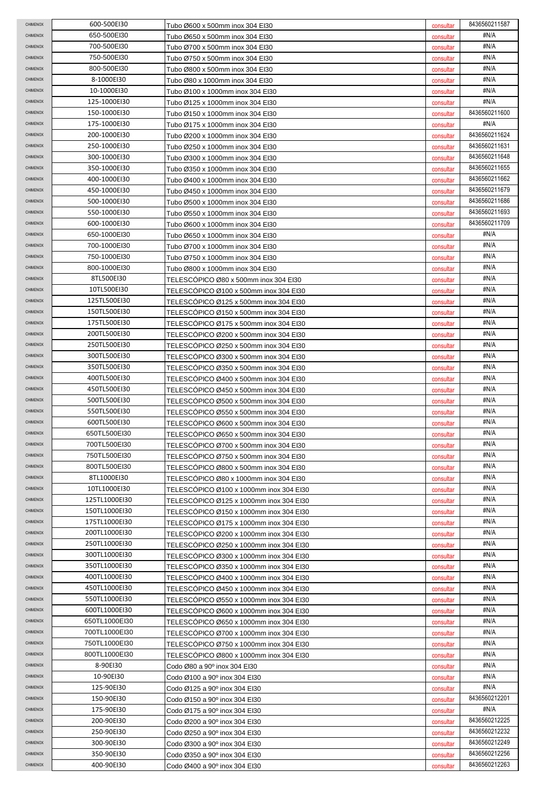| <b>CHIMENOX</b>             | 600-500EI30   | Tubo Ø600 x 500mm inox 304 El30         | consultar | 8436560211587 |
|-----------------------------|---------------|-----------------------------------------|-----------|---------------|
| CHIMENOX                    | 650-500EI30   | Tubo Ø650 x 500mm inox 304 El30         | consultar | #N/A          |
| CHIMENOX                    | 700-500EI30   | Tubo Ø700 x 500mm inox 304 EI30         | consultar | #N/A          |
| CHIMENOX                    | 750-500EI30   | Tubo Ø750 x 500mm inox 304 EI30         | consultar | #N/A          |
| <b>CHIMENOX</b>             | 800-500EI30   | Tubo Ø800 x 500mm inox 304 El30         | consultar | #N/A          |
| <b>CHIMENOX</b>             | 8-1000EI30    | Tubo Ø80 x 1000mm inox 304 El30         | consultar | #N/A          |
| <b>CHIMENOX</b>             | 10-1000EI30   | Tubo Ø100 x 1000mm inox 304 El30        | consultar | #N/A          |
| CHIMENOX                    | 125-1000EI30  | Tubo Ø125 x 1000mm inox 304 El30        | consultar | #N/A          |
| CHIMENOX                    | 150-1000EI30  | Tubo Ø150 x 1000mm inox 304 EI30        | consultar | 8436560211600 |
| CHIMENOX                    | 175-1000EI30  | Tubo Ø175 x 1000mm inox 304 El30        | consultar | #N/A          |
| <b>CHIMENOX</b>             | 200-1000EI30  | Tubo Ø200 x 1000mm inox 304 EI30        | consultar | 8436560211624 |
| <b>CHIMENOX</b>             | 250-1000EI30  | Tubo Ø250 x 1000mm inox 304 EI30        | consultar | 8436560211631 |
| <b>CHIMENOX</b>             | 300-1000EI30  | Tubo Ø300 x 1000mm inox 304 El30        | consultar | 8436560211648 |
| <b>CHIMENOX</b>             | 350-1000EI30  | Tubo Ø350 x 1000mm inox 304 El30        | consultar | 8436560211655 |
| CHIMENOX                    | 400-1000EI30  | Tubo Ø400 x 1000mm inox 304 El30        | consultar | 8436560211662 |
| CHIMENOX                    | 450-1000EI30  | Tubo Ø450 x 1000mm inox 304 El30        | consultar | 8436560211679 |
| CHIMENOX                    | 500-1000EI30  | Tubo Ø500 x 1000mm inox 304 EI30        | consultar | 8436560211686 |
| <b>CHIMENOX</b>             | 550-1000EI30  | Tubo Ø550 x 1000mm inox 304 EI30        | consultar | 8436560211693 |
| <b>CHIMENOX</b>             | 600-1000EI30  | Tubo Ø600 x 1000mm inox 304 El30        | consultar | 8436560211709 |
| <b>CHIMENOX</b>             | 650-1000EI30  | Tubo Ø650 x 1000mm inox 304 EI30        | consultar | #N/A          |
| CHIMENOX                    | 700-1000EI30  | Tubo Ø700 x 1000mm inox 304 El30        | consultar | #N/A          |
| CHIMENOX                    | 750-1000EI30  | Tubo Ø750 x 1000mm inox 304 EI30        | consultar | #N/A          |
| CHIMENOX                    | 800-1000EI30  | Tubo Ø800 x 1000mm inox 304 El30        | consultar | #N/A          |
| <b>CHIMENOX</b>             | 8TL500EI30    | TELESCOPICO Ø80 x 500mm inox 304 EI30   | consultar | #N/A          |
| <b>CHIMENOX</b>             | 10TL500EI30   |                                         |           | #N/A          |
| <b>CHIMENOX</b>             | 125TL500EI30  | TELESCOPICO Ø100 x 500mm inox 304 EI30  | consultar | #N/A          |
| <b>CHIMENOX</b>             | 150TL500EI30  | TELESCOPICO Ø125 x 500mm inox 304 EI30  | consultar | #N/A          |
| CHIMENOX                    | 175TL500EI30  | TELESCOPICO Ø150 x 500mm inox 304 EI30  | consultar | #N/A          |
| CHIMENOX                    | 200TL500EI30  | TELESCOPICO Ø175 x 500mm inox 304 EI30  | consultar | #N/A          |
|                             | 250TL500EI30  | TELESCOPICO Ø200 x 500mm inox 304 EI30  | consultar | #N/A          |
| CHIMENOX<br><b>CHIMENOX</b> |               | TELESCOPICO Ø250 x 500mm inox 304 EI30  | consultar | #N/A          |
|                             | 300TL500EI30  | TELESCOPICO Ø300 x 500mm inox 304 EI30  | consultar | #N/A          |
| <b>CHIMENOX</b>             | 350TL500EI30  | TELESCOPICO Ø350 x 500mm inox 304 EI30  | consultar |               |
| <b>CHIMENOX</b>             | 400TL500EI30  | TELESCOPICO Ø400 x 500mm inox 304 EI30  | consultar | #N/A          |
| CHIMENOX                    | 450TL500EI30  | TELESCÓPICO Ø450 x 500mm inox 304 EI30  | consultar | #N/A          |
| CHIMENOX                    | 500TL500EI30  | TELESCOPICO Ø500 x 500mm inox 304 EI30  | consultar | #N/A          |
| CHIMENOX                    | 550TL500EI30  | TELESCOPICO Ø550 x 500mm inox 304 EI30  | consultar | #N/A          |
| <b>CHIMENOX</b>             | 600TL500EI30  | TELESCÓPICO Ø600 x 500mm inox 304 EI30  | consultar | #N/A          |
| <b>CHIMENOX</b>             | 650TL500EI30  | TELESCOPICO Ø650 x 500mm inox 304 EI30  | consultar | #N/A          |
| CHIMENOX                    | 700TL500EI30  | TELESCOPICO Ø700 x 500mm inox 304 EI30  | consultar | #N/A          |
| <b>CHIMENOX</b>             | 750TL500EI30  | TELESCÓPICO Ø750 x 500mm inox 304 EI30  | consultar | #N/A          |
| CHIMENOX                    | 800TL500EI30  | TELESCÓPICO Ø800 x 500mm inox 304 EI30  | consultar | #N/A          |
| CHIMENOX                    | 8TL1000EI30   | TELESCÓPICO Ø80 x 1000mm inox 304 EI30  | consultar | #N/A          |
| CHIMENOX                    | 10TL1000EI30  | TELESCÓPICO Ø100 x 1000mm inox 304 EI30 | consultar | #N/A          |
| <b>CHIMENOX</b>             | 125TL1000EI30 | TELESCÓPICO Ø125 x 1000mm inox 304 EI30 | consultar | #N/A          |
| <b>CHIMENOX</b>             | 150TL1000EI30 | TELESCOPICO Ø150 x 1000mm inox 304 EI30 | consultar | #N/A          |
| <b>CHIMENOX</b>             | 175TL1000EI30 | TELESCOPICO Ø175 x 1000mm inox 304 EI30 | consultar | #N/A          |
| CHIMENOX                    | 200TL1000EI30 | TELESCOPICO Ø200 x 1000mm inox 304 EI30 | consultar | #N/A          |
| CHIMENOX                    | 250TL1000EI30 | TELESCOPICO Ø250 x 1000mm inox 304 EI30 | consultar | #N/A          |
| CHIMENOX                    | 300TL1000EI30 | TELESCOPICO Ø300 x 1000mm inox 304 EI30 | consultar | #N/A          |
| <b>CHIMENOX</b>             | 350TL1000EI30 | TELESCOPICO Ø350 x 1000mm inox 304 EI30 | consultar | #N/A          |
| <b>CHIMENOX</b>             | 400TL1000EI30 | TELESCOPICO Ø400 x 1000mm inox 304 EI30 | consultar | #N/A          |
| <b>CHIMENOX</b>             | 450TL1000EI30 | TELESCOPICO Ø450 x 1000mm inox 304 EI30 | consultar | #N/A          |
| CHIMENOX                    | 550TL1000EI30 | TELESCOPICO Ø550 x 1000mm inox 304 EI30 | consultar | #N/A          |
| CHIMENOX                    | 600TL1000EI30 | TELESCOPICO Ø600 x 1000mm inox 304 EI30 | consultar | #N/A          |
| CHIMENOX                    | 650TL1000EI30 | TELESCOPICO Ø650 x 1000mm inox 304 EI30 | consultar | #N/A          |
| CHIMENOX                    | 700TL1000El30 | TELESCOPICO Ø700 x 1000mm inox 304 EI30 | consultar | #N/A          |
| <b>CHIMENOX</b>             | 750TL1000EI30 | TELESCOPICO Ø750 x 1000mm inox 304 EI30 | consultar | #N/A          |
| <b>CHIMENOX</b>             | 800TL1000El30 | TELESCOPICO Ø800 x 1000mm inox 304 EI30 | consultar | #N/A          |
| <b>CHIMENOX</b>             | 8-90E130      | Codo Ø80 a 90° inox 304 EI30            | consultar | #N/A          |
| CHIMENOX                    | 10-90EI30     | Codo Ø100 a 90° inox 304 El30           | consultar | #N/A          |
| CHIMENOX                    | 125-90EI30    | Codo Ø125 a 90° inox 304 El30           | consultar | #N/A          |
| CHIMENOX                    | 150-90EI30    | Codo Ø150 a 90° inox 304 El30           | consultar | 8436560212201 |
| CHIMENOX                    | 175-90EI30    | Codo Ø175 a 90° inox 304 El30           | consultar | #N/A          |
| CHIMENOX                    | 200-90EI30    | Codo Ø200 a 90° inox 304 EI30           | consultar | 8436560212225 |
| <b>CHIMENOX</b>             | 250-90EI30    | Codo Ø250 a 90° inox 304 EI30           | consultar | 8436560212232 |
| CHIMENOX                    | 300-90EI30    | Codo Ø300 a 90° inox 304 EI30           | consultar | 8436560212249 |
| CHIMENOX                    | 350-90EI30    | Codo Ø350 a 90° inox 304 EI30           | consultar | 8436560212256 |
| CHIMENOX                    | 400-90EI30    | Codo Ø400 a 90° inox 304 EI30           | consultar | 8436560212263 |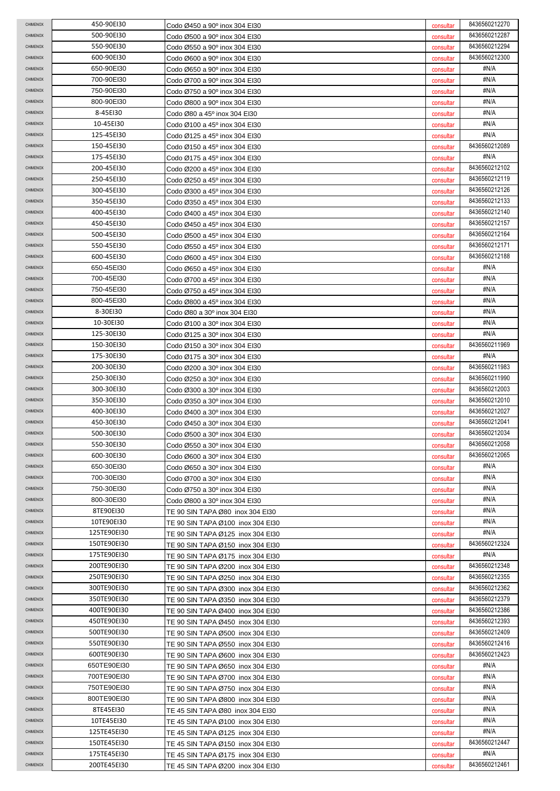| <b>CHIMENOX</b>                    | 450-90EI30                 | Codo Ø450 a 90º inox 304 EI30                                          | consultar              | 8436560212270                  |
|------------------------------------|----------------------------|------------------------------------------------------------------------|------------------------|--------------------------------|
| <b>CHIMENOX</b>                    | 500-90EI30                 | Codo Ø500 a 90º inox 304 EI30                                          | consultar              | 8436560212287                  |
| CHIMENOX                           | 550-90EI30                 | Codo Ø550 a 90º inox 304 EI30                                          | consultar              | 8436560212294                  |
| CHIMENOX                           | 600-90E130                 | Codo Ø600 a 90º inox 304 EI30                                          | consultar              | 8436560212300                  |
| CHIMENOX                           | 650-90EI30                 | Codo Ø650 a 90º inox 304 EI30                                          | consultar              | #N/A                           |
| CHIMENOX                           | 700-90EI30                 | Codo Ø700 a 90º inox 304 EI30                                          | consultar              | #N/A                           |
| <b>CHIMENOX</b>                    | 750-90EI30                 | Codo Ø750 a 90º inox 304 El30                                          | consultar              | #N/A                           |
| <b>CHIMENOX</b>                    | 800-90EI30                 | Codo Ø800 a 90º inox 304 EI30                                          | consultar              | #N/A                           |
| <b>CHIMENOX</b>                    | 8-45E130                   | Codo Ø80 a 45° inox 304 EI30                                           | consultar              | #N/A                           |
| CHIMENOX                           | 10-45EI30                  | Codo Ø100 a 45° inox 304 El30                                          | consultar              | #N/A                           |
| <b>CHIMENOX</b>                    | 125-45EI30                 | Codo Ø125 a 45° inox 304 El30                                          | consultar              | #N/A                           |
| <b>CHIMENOX</b>                    | 150-45EI30                 | Codo Ø150 a 45° inox 304 El30                                          | consultar              | 8436560212089                  |
| CHIMENOX                           | 175-45EI30                 | Codo Ø175 a 45° inox 304 El30                                          | consultar              | #N/A                           |
| CHIMENOX                           | 200-45E130                 | Codo Ø200 a 45° inox 304 El30                                          | consultar              | 8436560212102                  |
| <b>CHIMENOX</b>                    | 250-45EI30                 | Codo Ø250 a 45° inox 304 El30                                          | consultar              | 8436560212119                  |
| CHIMENOX                           | 300-45E130                 | Codo Ø300 a 45° inox 304 El30                                          | consultar              | 8436560212126                  |
| CHIMENOX                           | 350-45E130                 | Codo Ø350 a 45° inox 304 El30                                          | consultar              | 8436560212133                  |
| CHIMENOX                           | 400-45EI30                 | Codo Ø400 a 45° inox 304 El30                                          | consultar              | 8436560212140                  |
| CHIMENOX                           | 450-45EI30                 | Codo Ø450 a 45° inox 304 El30                                          | consultar              | 8436560212157                  |
| <b>CHIMENOX</b>                    | 500-45E130                 | Codo Ø500 a 45º inox 304 El30                                          | consultar              | 8436560212164                  |
| <b>CHIMENOX</b>                    | 550-45E130                 | Codo Ø550 a 45º inox 304 El30                                          | consultar              | 8436560212171                  |
| <b>CHIMENOX</b>                    | 600-45EI30                 | Codo Ø600 a 45º inox 304 El30                                          | consultar              | 8436560212188                  |
| CHIMENOX                           | 650-45EI30                 | Codo Ø650 a 45º inox 304 El30                                          | consultar              | #N/A                           |
| <b>CHIMENOX</b>                    | 700-45EI30                 | Codo Ø700 a 45º inox 304 EI30                                          | consultar              | #N/A                           |
| <b>CHIMENOX</b>                    | 750-45EI30                 |                                                                        |                        | #N/A                           |
| <b>CHIMENOX</b>                    | 800-45EI30                 | Codo Ø750 a 45º inox 304 EI30                                          | consultar              | #N/A                           |
| <b>CHIMENOX</b>                    | 8-30EI30                   | Codo Ø800 a 45º inox 304 EI30                                          | consultar              | #N/A                           |
| <b>CHIMENOX</b>                    | 10-30EI30                  | Codo Ø80 a 30º inox 304 El30                                           | consultar              | #N/A                           |
| CHIMENOX                           | 125-30EI30                 | Codo Ø100 a 30 <sup>o</sup> inox 304 El30                              | consultar              | #N/A                           |
|                                    |                            | Codo Ø125 a 30º inox 304 El30                                          | consultar              | 8436560211969                  |
| CHIMENOX                           | 150-30EI30                 | Codo Ø150 a 30º inox 304 El30                                          | consultar              |                                |
| CHIMENOX<br><b>CHIMENOX</b>        | 175-30EI30                 | Codo Ø175 a 30º inox 304 El30                                          | consultar              | #N/A<br>8436560211983          |
|                                    | 200-30EI30                 | Codo Ø200 a 30º inox 304 EI30                                          | consultar              |                                |
| <b>CHIMENOX</b><br><b>CHIMENOX</b> | 250-30EI30                 | Codo Ø250 a 30° inox 304 El30                                          | consultar              | 8436560211990<br>8436560212003 |
|                                    | 300-30EI30                 | Codo Ø300 a 30º inox 304 EI30                                          | consultar              |                                |
| <b>CHIMENOX</b>                    | 350-30EI30                 | Codo Ø350 a 30° inox 304 El30                                          | consultar              | 8436560212010<br>8436560212027 |
|                                    |                            |                                                                        |                        |                                |
| CHIMENOX                           | 400-30EI30                 | Codo Ø400 a 30° inox 304 El30                                          | consultar              |                                |
| CHIMENOX                           | 450-30EI30                 | Codo Ø450 a 30° inox 304 El30                                          | consultar              | 8436560212041                  |
| CHIMENOX                           | 500-30EI30                 | Codo Ø500 a 30 <sup>o</sup> inox 304 El30                              | consultar              | 8436560212034                  |
| <b>CHIMENOX</b>                    | 550-30EI30                 | Codo Ø550 a 30° inox 304 El30                                          | consultar              | 8436560212058                  |
| CHIMENOX                           | 600-30EI30                 | Codo Ø600 a 30º inox 304 El30                                          | consultar              | 8436560212065                  |
| <b>CHIMENOX</b>                    | 650-30EI30                 | Codo Ø650 a 30° inox 304 El30                                          | consultar              | #N/A                           |
| CHIMENOX                           | 700-30EI30                 | Codo Ø700 a 30° inox 304 EI30                                          | consultar              | #N/A                           |
| CHIMENOX                           | 750-30EI30                 | Codo Ø750 a 30° inox 304 El30                                          | consultar              | #N/A                           |
| CHIMENOX                           | 800-30EI30                 | Codo Ø800 a 30° inox 304 EI30                                          | consultar              | #N/A                           |
| CHIMENOX                           | 8TE90E130                  | TE 90 SIN TAPA Ø80 inox 304 EI30                                       | consultar              | #N/A                           |
| CHIMENOX                           | 10TE90EI30                 | TE 90 SIN TAPA Ø100 inox 304 EI30                                      | consultar              | #N/A                           |
| <b>CHIMENOX</b>                    | 125TE90EI30                | TE 90 SIN TAPA Ø125 inox 304 EI30                                      | consultar              | #N/A                           |
| <b>CHIMENOX</b>                    | 150TE90EI30                | TE 90 SIN TAPA Ø150 inox 304 EI30                                      | consultar              | 8436560212324                  |
| CHIMENOX                           | 175TE90EI30                | TE 90 SIN TAPA Ø175 inox 304 EI30                                      | consultar              | #N/A                           |
| <b>CHIMENOX</b>                    | 200TE90EI30                | TE 90 SIN TAPA Ø200 inox 304 EI30                                      | consultar              | 8436560212348                  |
| <b>CHIMENOX</b>                    | 250TE90EI30                | TE 90 SIN TAPA Ø250 inox 304 EI30                                      | consultar              | 8436560212355                  |
| <b>CHIMENOX</b>                    | 300TE90EI30                | TE 90 SIN TAPA Ø300 inox 304 EI30                                      | consultar              | 8436560212362                  |
| <b>CHIMENOX</b>                    | 350TE90EI30                | TE 90 SIN TAPA Ø350 inox 304 EI30                                      | consultar              | 8436560212379                  |
| <b>CHIMENOX</b>                    | 400TE90EI30                | TE 90 SIN TAPA Ø400 inox 304 EI30                                      | consultar              | 8436560212386                  |
| CHIMENOX                           | 450TE90EI30                | TE 90 SIN TAPA Ø450 inox 304 EI30                                      | consultar              | 8436560212393                  |
| CHIMENOX                           | 500TE90EI30                | TE 90 SIN TAPA Ø500 inox 304 EI30                                      | consultar              | 8436560212409                  |
| CHIMENOX                           | 550TE90EI30                | TE 90 SIN TAPA Ø550 inox 304 EI30                                      | consultar              | 8436560212416                  |
| CHIMENOX                           | 600TE90EI30                | TE 90 SIN TAPA Ø600 inox 304 EI30                                      | consultar              | 8436560212423                  |
| CHIMENOX                           | 650TE90EI30                | TE 90 SIN TAPA Ø650 inox 304 EI30                                      | consultar              | #N/A                           |
| <b>CHIMENOX</b>                    | 700TE90EI30                | TE 90 SIN TAPA Ø700 inox 304 EI30                                      | consultar              | #N/A                           |
| <b>CHIMENOX</b>                    | 750TE90EI30                | TE 90 SIN TAPA Ø750 inox 304 EI30                                      | consultar              | #N/A                           |
| CHIMENOX                           | 800TE90EI30                | TE 90 SIN TAPA Ø800 inox 304 EI30                                      | consultar              | #N/A                           |
| <b>CHIMENOX</b>                    | 8TE45E130                  | TE 45 SIN TAPA Ø80 inox 304 EI30                                       | consultar              | #N/A                           |
| <b>CHIMENOX</b>                    | 10TE45EI30                 | TE 45 SIN TAPA Ø100 inox 304 EI30                                      | consultar              | #N/A                           |
| CHIMENOX                           | 125TE45EI30                | TE 45 SIN TAPA Ø125 inox 304 EI30                                      | consultar              | #N/A                           |
| <b>CHIMENOX</b>                    | 150TE45EI30                | TE 45 SIN TAPA Ø150 inox 304 EI30                                      | consultar              | 8436560212447                  |
| <b>CHIMENOX</b><br>CHIMENOX        | 175TE45EI30<br>200TE45EI30 | TE 45 SIN TAPA Ø175 inox 304 EI30<br>TE 45 SIN TAPA Ø200 inox 304 EI30 | consultar<br>consultar | #N/A<br>8436560212461          |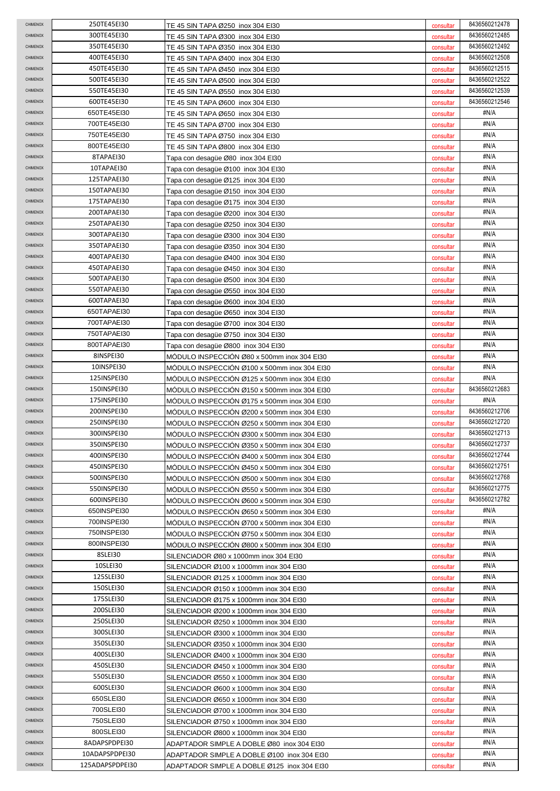| <b>CHIMENOX</b>                    | 250TE45EI30            | TE 45 SIN TAPA Ø250 inox 304 EI30                                                  | consultar              | 8436560212478 |
|------------------------------------|------------------------|------------------------------------------------------------------------------------|------------------------|---------------|
| CHIMENOX                           | 300TE45EI30            | TE 45 SIN TAPA Ø300 inox 304 EI30                                                  | consultar              | 8436560212485 |
| CHIMENOX                           | 350TE45EI30            | TE 45 SIN TAPA Ø350 inox 304 EI30                                                  | consultar              | 8436560212492 |
| CHIMENOX                           | 400TE45EI30            | TE 45 SIN TAPA Ø400 inox 304 EI30                                                  | consultar              | 8436560212508 |
| <b>CHIMENOX</b>                    | 450TE45EI30            | TE 45 SIN TAPA Ø450 inox 304 EI30                                                  | consultar              | 8436560212515 |
| <b>CHIMENOX</b>                    | 500TE45EI30            | TE 45 SIN TAPA Ø500 inox 304 EI30                                                  | consultar              | 8436560212522 |
| <b>CHIMENOX</b>                    | 550TE45EI30            | TE 45 SIN TAPA Ø550 inox 304 EI30                                                  | consultar              | 8436560212539 |
| CHIMENOX                           | 600TE45EI30            | TE 45 SIN TAPA Ø600 inox 304 EI30                                                  | consultar              | 8436560212546 |
| CHIMENOX                           | 650TE45EI30            | TE 45 SIN TAPA Ø650 inox 304 EI30                                                  | consultar              | #N/A          |
| CHIMENOX                           | 700TE45EI30            | TE 45 SIN TAPA Ø700 inox 304 EI30                                                  | consultar              | #N/A          |
| CHIMENOX                           | 750TE45EI30            | TE 45 SIN TAPA Ø750 inox 304 EI30                                                  | consultar              | #N/A          |
| CHIMENOX                           | 800TE45EI30            | TE 45 SIN TAPA Ø800 inox 304 EI30                                                  | consultar              | #N/A          |
| <b>CHIMENOX</b>                    | 8TAPAEI30              | Tapa con desagüe Ø80 inox 304 El30                                                 | consultar              | #N/A          |
| <b>CHIMENOX</b>                    | 10TAPAEI30             | Tapa con desagüe Ø100 inox 304 El30                                                | consultar              | #N/A          |
| CHIMENOX                           | 125TAPAEI30            | Tapa con desagüe Ø125 inox 304 El30                                                | consultar              | #N/A          |
| CHIMENOX                           | 150TAPAEI30            | Tapa con desagüe Ø150 inox 304 El30                                                | consultar              | #N/A          |
| CHIMENOX                           | 175TAPAEI30            | Tapa con desagüe Ø175 inox 304 El30                                                | consultar              | #N/A          |
| CHIMENOX                           | 200TAPAEI30            | Tapa con desagüe Ø200 inox 304 El30                                                | consultar              | #N/A          |
| CHIMENOX                           | 250TAPAEI30            | Tapa con desagüe Ø250 inox 304 El30                                                | consultar              | #N/A          |
| <b>CHIMENOX</b>                    | 300TAPAEI30            | Tapa con desagüe Ø300 inox 304 El30                                                | consultar              | #N/A          |
| CHIMENOX                           | 350TAPAEI30            | Tapa con desagüe Ø350 inox 304 El30                                                | consultar              | #N/A          |
| CHIMENOX                           | 400TAPAEI30            | Tapa con desagüe Ø400 inox 304 El30                                                | consultar              | #N/A          |
| <b>CHIMENOX</b>                    | 450TAPAEI30            | Tapa con desagüe Ø450 inox 304 El30                                                | consultar              | #N/A          |
| <b>CHIMENOX</b>                    | 500TAPAEI30            | Tapa con desagüe Ø500 inox 304 El30                                                | consultar              | #N/A          |
| <b>CHIMENOX</b>                    | 550TAPAEI30            | Tapa con desagüe Ø550 inox 304 El30                                                | consultar              | #N/A          |
| <b>CHIMENOX</b>                    | 600TAPAEI30            | Tapa con desagüe Ø600  inox 304 El30                                               | consultar              | #N/A          |
| <b>CHIMENOX</b>                    | 650TAPAEI30            | Tapa con desagüe Ø650  inox 304 El30                                               | consultar              | #N/A          |
| CHIMENOX                           | 700TAPAEI30            | Tapa con desagüe Ø700  inox 304 El30                                               | consultar              | #N/A          |
| CHIMENOX                           | 750TAPAEI30            | Tapa con desagüe Ø750 inox 304 El30                                                | consultar              | #N/A          |
| CHIMENOX                           | 800TAPAEI30            | Tapa con desagüe Ø800 inox 304 El30                                                | consultar              | #N/A          |
| <b>CHIMENOX</b>                    | 8INSPEI30              | MODULO INSPECCION Ø80 x 500mm inox 304 EI30                                        | consultar              | #N/A          |
| <b>CHIMENOX</b>                    | 10INSPEI30             | MODULO INSPECCION Ø100 x 500mm inox 304 EI30                                       | consultar              | #N/A          |
| <b>CHIMENOX</b>                    | 125INSPEI30            | MÓDULO INSPECCIÓN Ø125 x 500mm inox 304 EI30                                       | consultar              | #N/A          |
| CHIMENOX                           | 150INSPEI30            | MODULO INSPECCION Ø150 x 500mm inox 304 EI30                                       | consultar              | 8436560212683 |
|                                    |                        |                                                                                    |                        |               |
| CHIMENOX                           | 175INSPEI30            | MODULO INSPECCION Ø175 x 500mm inox 304 EI30                                       | consultar              | #N/A          |
| CHIMENOX                           | 200INSPEI30            | MODULO INSPECCION Ø200 x 500mm inox 304 EI30                                       | consultar              | 8436560212706 |
| <b>CHIMENOX</b>                    | 250INSPEI30            | MODULO INSPECCION Ø250 x 500mm inox 304 EI30                                       | consultar              | 8436560212720 |
| <b>CHIMENOX</b>                    | 300INSPEI30            | MODULO INSPECCIÓN Ø300 x 500mm inox 304 EI30                                       | consultar              | 8436560212713 |
| <b>CHIMENOX</b>                    | 350INSPEI30            | MODULO INSPECCIÓN Ø350 x 500mm inox 304 EI30                                       | consultar              | 8436560212737 |
| CHIMENOX                           | 400INSPEI30            | MODULO INSPECCIÓN Ø400 x 500mm inox 304 EI30                                       | consultar              | 8436560212744 |
| CHIMENOX                           | 450INSPEI30            | MÓDULO INSPECCIÓN Ø450 x 500mm inox 304 EI30                                       | consultar              | 8436560212751 |
| CHIMENOX                           | 500INSPEI30            | MODULO INSPECCIÓN Ø500 x 500mm inox 304 EI30                                       | consultar              | 8436560212768 |
| CHIMENOX                           | 550INSPEI30            | MODULO INSPECCIÓN Ø550 x 500mm inox 304 EI30                                       | consultar              | 8436560212775 |
| CHIMENOX                           | 600INSPEI30            | MODULO INSPECCIÓN Ø600 x 500mm inox 304 EI30                                       | consultar              | 8436560212782 |
| <b>CHIMENOX</b>                    | 650INSPEI30            | MÓDULO INSPECCIÓN Ø650 x 500mm inox 304 EI30                                       | consultar              | #N/A          |
| <b>CHIMENOX</b>                    | 700INSPEI30            | MODULO INSPECCIÓN Ø700 x 500mm inox 304 EI30                                       | consultar              | #N/A          |
| CHIMENOX                           | 750INSPEI30            | MODULO INSPECCION Ø750 x 500mm inox 304 EI30                                       | consultar              | #N/A          |
| CHIMENOX                           | 800INSPEI30            | MÓDULO INSPECCIÓN Ø800 x 500mm inox 304 EI30                                       | consultar              | #N/A          |
| <b>CHIMENOX</b><br><b>CHIMENOX</b> | 8SLEI30                | SILENCIADOR Ø80 x 1000mm inox 304 EI30                                             | consultar              | #N/A<br>#N/A  |
| <b>CHIMENOX</b>                    | 10SLEI30<br>125SLEI30  | SILENCIADOR Ø100 x 1000mm inox 304 EI30                                            | consultar              | #N/A          |
| <b>CHIMENOX</b>                    |                        | SILENCIADOR Ø125 x 1000mm inox 304 EI30                                            | consultar              | #N/A          |
| CHIMENOX                           | 150SLEI30<br>175SLEI30 | SILENCIADOR Ø150 x 1000mm inox 304 EI30                                            | consultar              | #N/A          |
| CHIMENOX                           | 200SLEI30              | SILENCIADOR Ø175 x 1000mm inox 304 EI30                                            | consultar              | #N/A          |
| <b>CHIMENOX</b>                    | 250SLEI30              | SILENCIADOR Ø200 x 1000mm inox 304 EI30                                            | consultar              | #N/A          |
| <b>CHIMENOX</b>                    | 300SLEI30              | SILENCIADOR Ø250 x 1000mm inox 304 EI30                                            | consultar              | #N/A          |
| <b>CHIMENOX</b>                    | 350SLEI30              | SILENCIADOR Ø300 x 1000mm inox 304 EI30<br>SILENCIADOR Ø350 x 1000mm inox 304 EI30 | consultar<br>consultar | #N/A          |
| <b>CHIMENOX</b>                    | 400SLEI30              |                                                                                    |                        | #N/A          |
| <b>CHIMENOX</b>                    | 450SLEI30              | SILENCIADOR Ø400 x 1000mm inox 304 EI30<br>SILENCIADOR Ø450 x 1000mm inox 304 EI30 | consultar<br>consultar | #N/A          |
| CHIMENOX                           | 550SLEI30              | SILENCIADOR Ø550 x 1000mm inox 304 EI30                                            | consultar              | #N/A          |
| CHIMENOX                           | 600SLEI30              | SILENCIADOR Ø600 x 1000mm inox 304 EI30                                            | consultar              | #N/A          |
| <b>CHIMENOX</b>                    | 650SLEI30              | SILENCIADOR Ø650 x 1000mm inox 304 EI30                                            | consultar              | #N/A          |
| CHIMENOX                           | 700SLEI30              | SILENCIADOR Ø700 x 1000mm inox 304 EI30                                            | consultar              | #N/A          |
| CHIMENOX                           | 750SLEI30              | SILENCIADOR Ø750 x 1000mm inox 304 EI30                                            | consultar              | #N/A          |
| <b>CHIMENOX</b>                    | 800SLEI30              | SILENCIADOR Ø800 x 1000mm inox 304 EI30                                            | consultar              | #N/A          |
| CHIMENOX                           | 8ADAPSPDPEI30          | ADAPTADOR SIMPLE A DOBLE Ø80 inox 304 EI30                                         | consultar              | #N/A          |
| CHIMENOX                           | 10ADAPSPDPEI30         | ADAPTADOR SIMPLE A DOBLE Ø100 inox 304 EI30                                        | consultar              | #N/A          |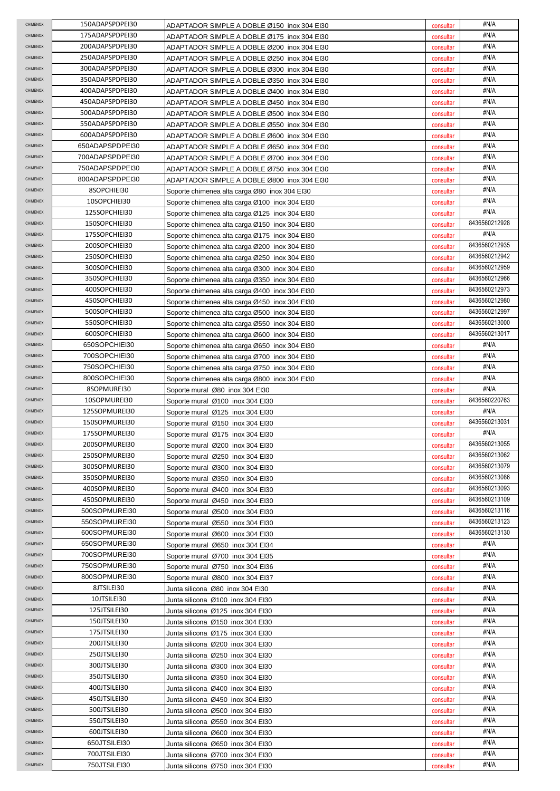| <b>CHIMENOX</b>      | 150ADAPSPDPEI30              | ADAPTADOR SIMPLE A DOBLE Ø150 inox 304 EI30                            | consultar              | #N/A          |
|----------------------|------------------------------|------------------------------------------------------------------------|------------------------|---------------|
| CHIMENOX             | 175ADAPSPDPEI30              | ADAPTADOR SIMPLE A DOBLE Ø175 inox 304 EI30                            | consultar              | #N/A          |
| CHIMENOX             | 200ADAPSPDPEI30              | ADAPTADOR SIMPLE A DOBLE Ø200  inox 304 EI30                           | consultar              | #N/A          |
| CHIMENOX             | 250ADAPSPDPEI30              | ADAPTADOR SIMPLE A DOBLE Ø250 inox 304 EI30                            | consultar              | #N/A          |
| <b>CHIMENOX</b>      | 300ADAPSPDPEI30              | ADAPTADOR SIMPLE A DOBLE Ø300 inox 304 EI30                            | consultar              | #N/A          |
| <b>CHIMENOX</b>      | 350ADAPSPDPEI30              | ADAPTADOR SIMPLE A DOBLE Ø350 inox 304 EI30                            | consultar              | #N/A          |
| <b>CHIMENOX</b>      | 400ADAPSPDPEI30              | ADAPTADOR SIMPLE A DOBLE Ø400 inox 304 EI30                            | consultar              | #N/A          |
| CHIMENOX             | 450ADAPSPDPEI30              | ADAPTADOR SIMPLE A DOBLE Ø450 inox 304 EI30                            | consultar              | #N/A          |
| CHIMENOX             | 500ADAPSPDPEI30              | ADAPTADOR SIMPLE A DOBLE Ø500 inox 304 EI30                            | consultar              | #N/A          |
| CHIMENOX             | 550ADAPSPDPEI30              | ADAPTADOR SIMPLE A DOBLE Ø550 inox 304 EI30                            | consultar              | #N/A          |
| CHIMENOX             | 600ADAPSPDPEI30              | ADAPTADOR SIMPLE A DOBLE Ø600 inox 304 EI30                            | consultar              | #N/A          |
| CHIMENOX             | 650ADAPSPDPEI30              | ADAPTADOR SIMPLE A DOBLE Ø650 inox 304 EI30                            | consultar              | #N/A          |
| <b>CHIMENOX</b>      | 700ADAPSPDPEI30              | ADAPTADOR SIMPLE A DOBLE Ø700 inox 304 EI30                            | consultar              | #N/A          |
| <b>CHIMENOX</b>      | 750ADAPSPDPEI30              | ADAPTADOR SIMPLE A DOBLE Ø750 inox 304 EI30                            | consultar              | #N/A          |
| CHIMENOX             | 800ADAPSPDPEI30              | ADAPTADOR SIMPLE A DOBLE Ø800 inox 304 EI30                            | consultar              | #N/A          |
| CHIMENOX             | 8SOPCHIEI30                  | Soporte chimenea alta carga Ø80 inox 304 El30                          | consultar              | #N/A          |
| <b>CHIMENOX</b>      | 10SOPCHIEI30                 | Soporte chimenea alta carga Ø100 inox 304 El30                         | consultar              | #N/A          |
| <b>CHIMENOX</b>      | 125SOPCHIEI30                | Soporte chimenea alta carga Ø125 inox 304 El30                         | consultar              | #N/A          |
| <b>CHIMENOX</b>      | 150SOPCHIEI30                | Soporte chimenea alta carga Ø150 inox 304 El30                         | consultar              | 8436560212928 |
| <b>CHIMENOX</b>      | 175SOPCHIEI30                | Soporte chimenea alta carga Ø175 inox 304 El30                         | consultar              | #N/A          |
| CHIMENOX             | 200SOPCHIEI30                | Soporte chimenea alta carga Ø200 inox 304 EI30                         | consultar              | 8436560212935 |
| CHIMENOX             | 250SOPCHIEI30                | Soporte chimenea alta carga Ø250 inox 304 EI30                         | consultar              | 8436560212942 |
| <b>CHIMENOX</b>      | 300SOPCHIEI30                | Soporte chimenea alta carga Ø300 inox 304 EI30                         | consultar              | 8436560212959 |
| <b>CHIMENOX</b>      | 350SOPCHIEI30                | Soporte chimenea alta carga Ø350 inox 304 EI30                         | consultar              | 8436560212966 |
| <b>CHIMENOX</b>      | 400SOPCHIEI30                | Soporte chimenea alta carga Ø400 inox 304 EI30                         | consultar              | 8436560212973 |
| <b>CHIMENOX</b>      | 450SOPCHIEI30                | Soporte chimenea alta carga Ø450 inox 304 El30                         | consultar              | 8436560212980 |
| <b>CHIMENOX</b>      | 500SOPCHIEI30                | Soporte chimenea alta carga Ø500 inox 304 EI30                         | consultar              | 8436560212997 |
| CHIMENOX             | 550SOPCHIEI30                | Soporte chimenea alta carga Ø550 inox 304 EI30                         | consultar              | 8436560213000 |
| CHIMENOX             | 600SOPCHIEI30                | Soporte chimenea alta carga Ø600 inox 304 El30                         | consultar              | 8436560213017 |
| CHIMENOX             | 650SOPCHIEI30                | Soporte chimenea alta carga Ø650 inox 304 EI30                         | consultar              | #N/A          |
| <b>CHIMENOX</b>      | 700SOPCHIEI30                | Soporte chimenea alta carga Ø700 inox 304 El30                         | consultar              | #N/A          |
| <b>CHIMENOX</b>      | 750SOPCHIEI30                | Soporte chimenea alta carga Ø750 inox 304 El30                         | consultar              | #N/A          |
| <b>CHIMENOX</b>      | 800SOPCHIEI30                | Soporte chimenea alta carga Ø800 inox 304 El30                         | consultar              | #N/A          |
| CHIMENOX             | 8SOPMURE130                  | Soporte mural Ø80 inox 304 El30                                        | consultar              | #N/A          |
| CHIMENOX             | 10SOPMUREI30                 | Soporte mural Ø100 inox 304 El30                                       | consultar              | 8436560220763 |
| <b>CHIMENOX</b>      | 125SOPMUREI30                | Soporte mural Ø125 inox 304 El30                                       | consultar              | #N/A          |
| <b>CHIMENOX</b>      | 150SOPMUREI30                | Soporte mural Ø150 inox 304 El30                                       | consultar              | 8436560213031 |
| <b>CHIMENOX</b>      | 175SOPMUREI30                | Soporte mural Ø175 inox 304 El30                                       | consultar              | #N/A          |
| CHIMENOX             | 200SOPMUREI30                | Soporte mural Ø200 inox 304 EI30                                       | consultar              | 8436560213055 |
| CHIMENOX             | 250SOPMUREI30                | Soporte mural Ø250 inox 304 EI30                                       | consultar              | 8436560213062 |
| CHIMENOX             | 300SOPMUREI30                | Soporte mural Ø300 inox 304 El30                                       | consultar              | 8436560213079 |
| CHIMENOX             | 350SOPMUREI30                | Soporte mural Ø350 inox 304 El30                                       | consultar              | 8436560213086 |
| CHIMENOX             | 400SOPMUREI30                | Soporte mural Ø400 inox 304 El30                                       | consultar              | 8436560213093 |
| CHIMENOX             | 450SOPMUREI30                | Soporte mural Ø450 inox 304 El30                                       | consultar              | 8436560213109 |
| <b>CHIMENOX</b>      | 500SOPMUREI30                | Soporte mural Ø500 inox 304 El30                                       | consultar              | 8436560213116 |
| <b>CHIMENOX</b>      | 550SOPMUREI30                | Soporte mural Ø550 inox 304 EI30                                       | consultar              | 8436560213123 |
| CHIMENOX             | 600SOPMUREI30                | Soporte mural Ø600 inox 304 El30                                       | consultar              | 8436560213130 |
| CHIMENOX             | 650SOPMUREI30                | Soporte mural Ø650 inox 304 EI34                                       | consultar              | #N/A          |
| CHIMENOX             | 700SOPMUREI30                | Soporte mural Ø700 inox 304 El35                                       | consultar              | #N/A          |
| <b>CHIMENOX</b>      | 750SOPMUREI30                | Soporte mural Ø750 inox 304 EI36                                       | consultar              | #N/A          |
| <b>CHIMENOX</b>      | 800SOPMUREI30                | Soporte mural Ø800 inox 304 EI37                                       | consultar              | #N/A          |
| <b>CHIMENOX</b>      | 8JTSILE130                   | Junta silicona Ø80 inox 304 El30                                       | consultar              | #N/A          |
| CHIMENOX             | 10JTSILEI30                  | Junta silicona Ø100  inox 304 EI30                                     | consultar              | #N/A          |
| CHIMENOX             | 125JTSILEI30                 | Junta silicona Ø125 inox 304 EI30                                      | consultar              | #N/A          |
| CHIMENOX             | 150JTSILEI30                 | Junta silicona Ø150 inox 304 EI30                                      | consultar              | #N/A          |
| CHIMENOX             | 175JTSILEI30                 | Junta silicona Ø175 inox 304 EI30                                      | consultar              | #N/A          |
| <b>CHIMENOX</b>      | 200JTSILEI30                 | Junta silicona Ø200 inox 304 EI30                                      | consultar              | #N/A          |
| <b>CHIMENOX</b>      | 250JTSILEI30                 | Junta silicona Ø250 inox 304 EI30                                      | consultar              | #N/A          |
| <b>CHIMENOX</b>      | 300JTSILEI30                 | Junta silicona Ø300 inox 304 EI30                                      | consultar              | #N/A          |
| CHIMENOX             | 350JTSILEI30                 | Junta silicona Ø350 inox 304 EI30                                      | consultar              | #N/A<br>#N/A  |
| CHIMENOX             | 400JTSILEI30                 | Junta silicona Ø400 inox 304 EI30                                      | consultar              |               |
| CHIMENOX             | 450JTSILEI30                 | Junta silicona Ø450 inox 304 EI30                                      | consultar              | #N/A<br>#N/A  |
| CHIMENOX<br>CHIMENOX | 500JTSILEI30<br>550JTSILEI30 | Junta silicona Ø500 inox 304 EI30                                      | consultar              | #N/A          |
| <b>CHIMENOX</b>      | 600JTSILEI30                 | Junta silicona Ø550 inox 304 EI30                                      | consultar              | #N/A          |
| CHIMENOX             | 650JTSILEI30                 | Junta silicona Ø600 inox 304 El30<br>Junta silicona Ø650 inox 304 EI30 | consultar              | #N/A          |
| CHIMENOX             | 700JTSILEI30                 |                                                                        | consultar              | #N/A          |
| CHIMENOX             | 750JTSILEI30                 | Junta silicona Ø700 inox 304 EI30<br>Junta silicona Ø750 inox 304 EI30 | consultar<br>consultar | #N/A          |
|                      |                              |                                                                        |                        |               |